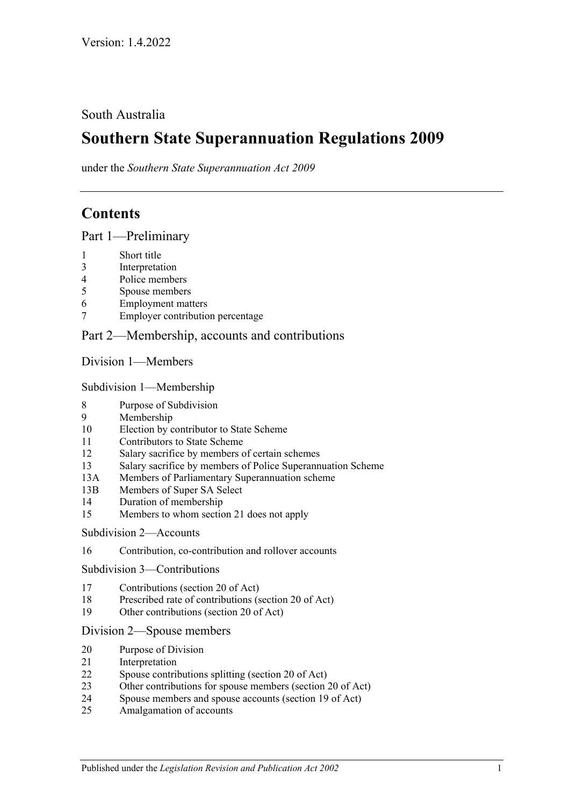# South Australia

# **Southern State Superannuation Regulations 2009**

under the *Southern State Superannuation Act 2009*

# **Contents**

[Part 1—Preliminary](#page-4-0)

- [Short title](#page-4-1)
- [Interpretation](#page-5-0)
- [Police members](#page-7-0)
- [Spouse members](#page-7-1)
- [Employment matters](#page-7-2)
- [Employer contribution percentage](#page-9-0)

## [Part 2—Membership, accounts and contributions](#page-9-1)

[Division 1—Members](#page-9-2)

[Subdivision 1—Membership](#page-9-3)

- [Purpose of Subdivision](#page-9-4)
- [Membership](#page-9-5)
- [Election by contributor to State Scheme](#page-11-0)
- [Contributors to State Scheme](#page-12-0)
- [Salary sacrifice by members of certain schemes](#page-12-1)
- [Salary sacrifice by members of Police Superannuation Scheme](#page-13-0)
- 13A [Members of Parliamentary Superannuation scheme](#page-14-0)
- 13B [Members of Super SA Select](#page-14-1)
- [Duration of membership](#page-15-0)
- [Members to whom section](#page-16-0) 21 does not apply

#### [Subdivision 2—Accounts](#page-16-1)

[Contribution, co-contribution and rollover accounts](#page-16-2)

[Subdivision 3—Contributions](#page-19-0)

- [Contributions \(section](#page-19-1) 20 of Act)
- [Prescribed rate of contributions \(section](#page-19-2) 20 of Act)
- [Other contributions \(section 20 of Act\)](#page-20-0)

#### [Division 2—Spouse members](#page-20-1)

- [Purpose of Division](#page-20-2)
- [Interpretation](#page-20-3)
- [Spouse contributions splitting \(section](#page-20-4) 20 of Act)
- [Other contributions for spouse members \(section](#page-21-0) 20 of Act)
- [Spouse members and spouse accounts \(section](#page-21-1) 19 of Act)
- [Amalgamation of accounts](#page-22-0)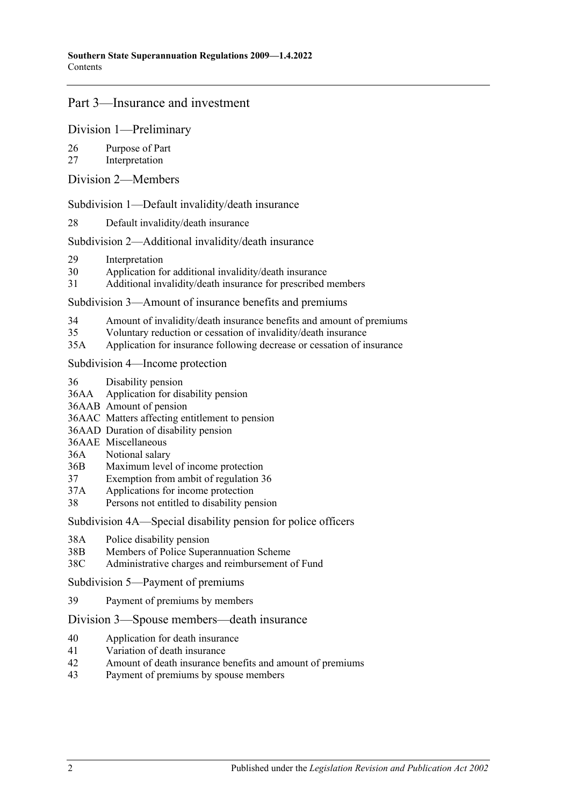# [Part 3—Insurance and investment](#page-22-1)

#### [Division 1—Preliminary](#page-22-2)

- 26 [Purpose of Part](#page-22-3)
- 27 [Interpretation](#page-22-4)
- [Division 2—Members](#page-23-0)

[Subdivision 1—Default invalidity/death insurance](#page-23-1)

28 [Default invalidity/death insurance](#page-23-2)

#### [Subdivision 2—Additional invalidity/death insurance](#page-24-0)

- 29 [Interpretation](#page-24-1)
- 30 [Application for additional invalidity/death insurance](#page-24-2)
- 31 [Additional invalidity/death insurance for prescribed members](#page-25-0)

[Subdivision 3—Amount of insurance benefits and premiums](#page-25-1)

- 34 [Amount of invalidity/death insurance benefits and amount of premiums](#page-25-2)
- 35 [Voluntary reduction or cessation of invalidity/death insurance](#page-27-0)
- 35A [Application for insurance following decrease or cessation of insurance](#page-27-1)

[Subdivision 4—Income protection](#page-27-2)

- 36 [Disability pension](#page-27-3)
- 36AA [Application for disability pension](#page-28-0)
- 36AAB [Amount of pension](#page-29-0)
- 36AAC [Matters affecting entitlement to pension](#page-29-1)
- 36AAD [Duration of disability pension](#page-31-0)
- 36AAE [Miscellaneous](#page-31-1)
- 36A [Notional salary](#page-32-0)
- 36B [Maximum level of income protection](#page-34-0)
- 37 [Exemption from ambit of regulation](#page-34-1) 36
- 37A [Applications for income protection](#page-34-2)
- 38 [Persons not entitled to disability pension](#page-36-0)

[Subdivision 4A—Special disability pension for police officers](#page-36-1)

- 38A [Police disability pension](#page-36-2)
- 38B [Members of Police Superannuation Scheme](#page-38-0)
- 38C [Administrative charges and reimbursement of Fund](#page-38-1)

[Subdivision 5—Payment of premiums](#page-39-0)

39 [Payment of premiums by members](#page-39-1)

#### [Division 3—Spouse members—death insurance](#page-39-2)

- 40 [Application for death insurance](#page-39-3)
- 41 [Variation of death insurance](#page-39-4)
- 42 [Amount of death insurance benefits and amount of premiums](#page-40-0)
- 43 [Payment of premiums by spouse members](#page-40-1)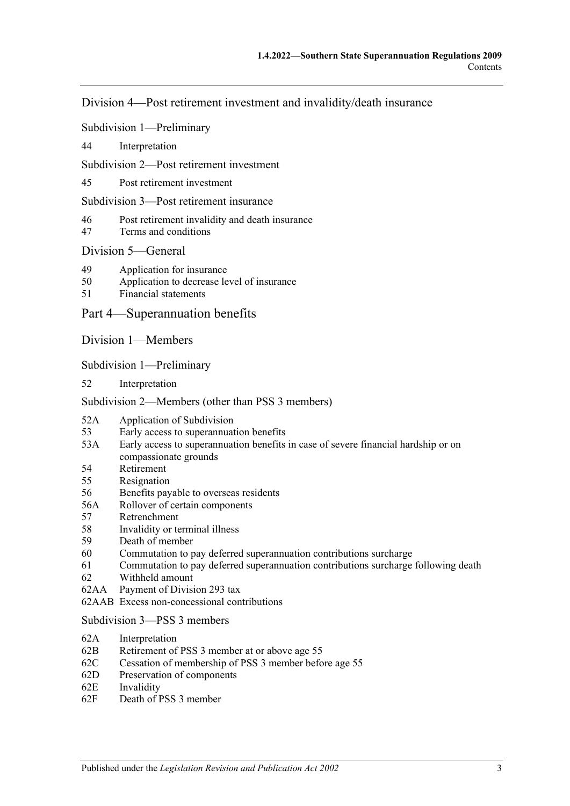[Division 4—Post retirement investment and invalidity/death insurance](#page-41-0)

[Subdivision 1—Preliminary](#page-41-1)

44 [Interpretation](#page-41-2)

[Subdivision 2—Post retirement investment](#page-41-3)

45 [Post retirement investment](#page-41-4)

[Subdivision 3—Post retirement insurance](#page-42-0)

- 46 [Post retirement invalidity and death insurance](#page-42-1)
- 47 [Terms and conditions](#page-43-0)

#### [Division 5—General](#page-46-0)

- 49 [Application for insurance](#page-46-1)
- 50 [Application to decrease level of insurance](#page-47-0)
- 51 [Financial statements](#page-48-0)

[Part 4—Superannuation benefits](#page-48-1)

[Division 1—Members](#page-48-2)

[Subdivision 1—Preliminary](#page-48-3)

52 [Interpretation](#page-48-4)

[Subdivision 2—Members \(other than PSS](#page-48-5) 3 members)

- 52A [Application of Subdivision](#page-48-6)
- 53 [Early access to superannuation benefits](#page-48-7)
- 53A [Early access to superannuation benefits in case of severe financial hardship or on](#page-50-0)  [compassionate grounds](#page-50-0)
- 54 [Retirement](#page-51-0)
- 55 [Resignation](#page-52-0)
- 56 [Benefits payable to overseas residents](#page-54-0)
- 56A [Rollover of certain components](#page-54-1)
- 57 [Retrenchment](#page-55-0)
- 58 [Invalidity or terminal illness](#page-55-1)
- 59 [Death of member](#page-60-0)
- 60 [Commutation to pay deferred superannuation contributions surcharge](#page-62-0)
- 61 [Commutation to pay deferred superannuation contributions surcharge following death](#page-64-0)
- 62 [Withheld amount](#page-65-0)
- 62AA [Payment of Division](#page-66-0) 293 tax
- 62AAB [Excess non-concessional contributions](#page-66-1)

#### [Subdivision 3—PSS](#page-66-2) 3 members

- 62A [Interpretation](#page-66-3)
- 62B Retirement of PSS [3 member at or above age](#page-67-0) 55
- 62C [Cessation of membership of PSS](#page-67-1) 3 member before age 55
- 62D [Preservation of components](#page-68-0)
- 62E [Invalidity](#page-69-0)
- 62F [Death of PSS](#page-69-1) 3 member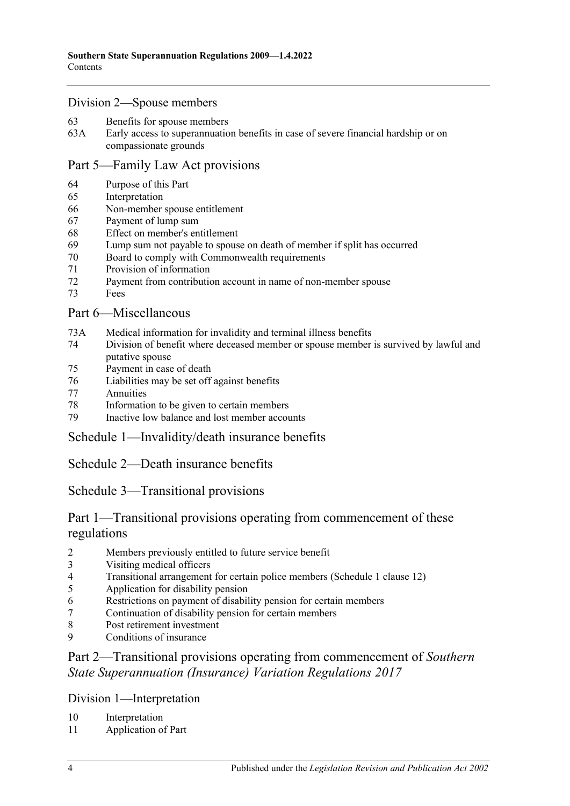#### [Division 2—Spouse members](#page-70-0)

- [Benefits for spouse members](#page-70-1)
- 63A [Early access to superannuation benefits in case of severe financial hardship or on](#page-72-0)  [compassionate grounds](#page-72-0)

#### [Part 5—Family Law Act provisions](#page-74-0)

- [Purpose of this Part](#page-74-1)
- [Interpretation](#page-74-2)
- [Non-member spouse entitlement](#page-74-3)
- [Payment of lump sum](#page-75-0)
- [Effect on member's entitlement](#page-76-0)
- [Lump sum not payable to spouse on death of member if split has occurred](#page-76-1)
- [Board to comply with Commonwealth requirements](#page-76-2)
- [Provision of information](#page-77-0)
- [Payment from contribution account in name of non-member spouse](#page-77-1)
- [Fees](#page-77-2)

# [Part 6—Miscellaneous](#page-77-3)

- 73A [Medical information for invalidity and terminal illness benefits](#page-77-4)
- [Division of benefit where deceased member or spouse member is survived by lawful and](#page-78-0)  [putative spouse](#page-78-0)
- [Payment in case of death](#page-78-1)
- Liabilities [may be set off against benefits](#page-78-2)
- [Annuities](#page-79-0)
- [Information to be given to certain members](#page-79-1)
- [Inactive low balance and lost member accounts](#page-79-2)

[Schedule 1—Invalidity/death insurance benefits](#page-80-0)

[Schedule 2—Death insurance benefits](#page-81-0)

# [Schedule 3—Transitional provisions](#page-82-0)

# Part 1—Transitional provisions operating from commencement of these regulations

- [Members previously entitled to future service benefit](#page-82-1)
- [Visiting medical officers](#page-83-0)
- [Transitional arrangement for certain police members \(Schedule](#page-84-0) 1 clause 12)
- [Application for disability pension](#page-85-0)
- [Restrictions on payment of disability pension for certain members](#page-86-0)
- [Continuation of disability pension for certain members](#page-86-1)
- [Post retirement investment](#page-86-2)
- [Conditions of insurance](#page-86-3)

# Part 2—Transitional provisions operating from commencement of *Southern State Superannuation (Insurance) Variation Regulations 2017*

Division 1—Interpretation

- [Interpretation](#page-87-0)
- [Application of Part](#page-87-1)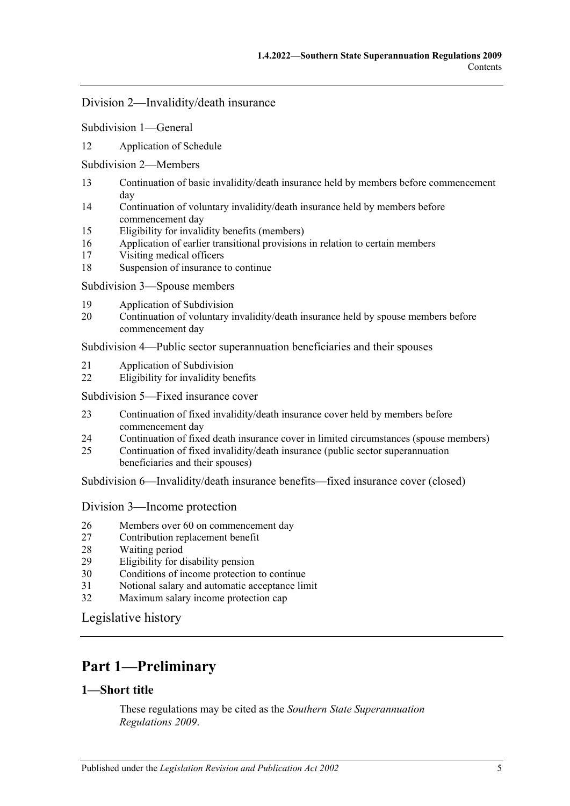#### Division 2—Invalidity/death insurance

#### Subdivision 1—General

12 [Application of Schedule](#page-87-2)

#### Subdivision 2—Members

- 13 [Continuation of basic invalidity/death insurance held by members before commencement](#page-87-3)  [day](#page-87-3)
- 14 [Continuation of voluntary invalidity/death insurance held by members before](#page-89-0)  [commencement day](#page-89-0)
- 15 [Eligibility for invalidity benefits \(members\)](#page-89-1)
- 16 [Application of earlier transitional provisions in relation to certain members](#page-90-0)
- 17 [Visiting medical officers](#page-90-1)
- 18 [Suspension of insurance to continue](#page-91-0)

Subdivision 3—Spouse members

- 19 [Application of Subdivision](#page-92-0)
- 20 [Continuation of voluntary invalidity/death insurance held by spouse members before](#page-92-1)  [commencement day](#page-92-1)

Subdivision 4—Public sector superannuation beneficiaries and their spouses

- 21 [Application of Subdivision](#page-92-2)
- 22 [Eligibility for invalidity benefits](#page-92-3)

### Subdivision 5—Fixed insurance cover

- 23 [Continuation of fixed invalidity/death insurance cover held by members before](#page-92-4)  [commencement day](#page-92-4)
- 24 [Continuation of fixed death insurance cover in limited circumstances \(spouse members\)](#page-93-0)
- 25 [Continuation of fixed invalidity/death insurance \(public sector superannuation](#page-94-0)  [beneficiaries and their spouses\)](#page-94-0)

Subdivision 6—Invalidity/death insurance benefits—fixed insurance cover (closed)

#### Division 3—Income protection

- 26 [Members over 60 on commencement day](#page-98-0)
- 27 [Contribution replacement benefit](#page-98-1)
- 28 [Waiting period](#page-98-2)
- 29 [Eligibility for disability pension](#page-98-3)
- 30 Conditions of [income protection to continue](#page-99-0)
- 31 [Notional salary and automatic acceptance limit](#page-99-1)
- 32 [Maximum salary income protection cap](#page-100-0)

[Legislative history](#page-101-0)

# <span id="page-4-0"></span>**Part 1—Preliminary**

# <span id="page-4-1"></span>**1—Short title**

These regulations may be cited as the *Southern State Superannuation Regulations 2009*.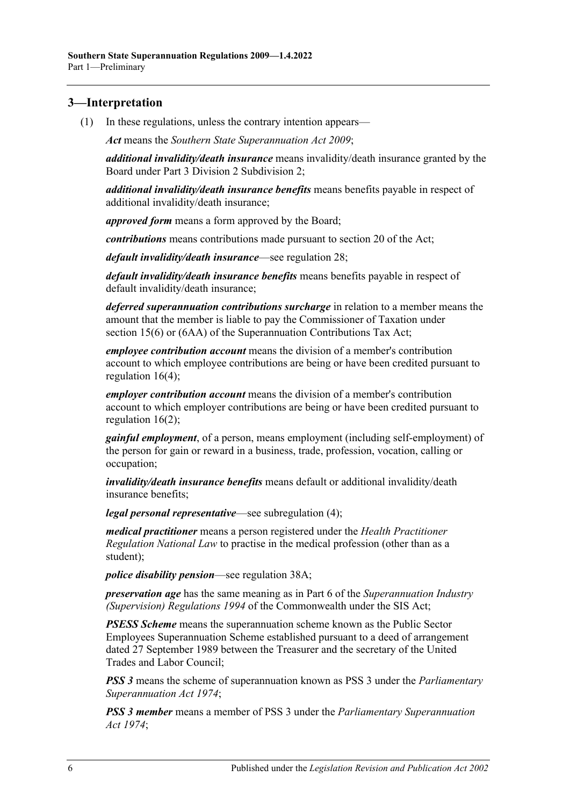# <span id="page-5-0"></span>**3—Interpretation**

(1) In these regulations, unless the contrary intention appears—

*Act* means the *[Southern State Superannuation Act](http://www.legislation.sa.gov.au/index.aspx?action=legref&type=act&legtitle=Southern%20State%20Superannuation%20Act%202009) 2009*;

*additional invalidity/death insurance* means invalidity/death insurance granted by the Board under [Part 3 Division 2 Subdivision 2;](#page-24-0)

*additional invalidity/death insurance benefits* means benefits payable in respect of additional invalidity/death insurance;

*approved form* means a form approved by the Board;

*contributions* means contributions made pursuant to section 20 of the Act;

*default invalidity/death insurance*—see [regulation](#page-23-2) 28;

*default invalidity/death insurance benefits* means benefits payable in respect of default invalidity/death insurance;

*deferred superannuation contributions surcharge* in relation to a member means the amount that the member is liable to pay the Commissioner of Taxation under section 15(6) or (6AA) of the Superannuation Contributions Tax Act;

*employee contribution account* means the division of a member's contribution account to which employee contributions are being or have been credited pursuant to [regulation](#page-18-0) 16(4);

*employer contribution account* means the division of a member's contribution account to which employer contributions are being or have been credited pursuant to [regulation](#page-17-0) 16(2);

*gainful employment*, of a person, means employment (including self-employment) of the person for gain or reward in a business, trade, profession, vocation, calling or occupation;

*invalidity/death insurance benefits* means default or additional invalidity/death insurance benefits;

*legal personal representative*—see [subregulation](#page-7-3) (4);

*medical practitioner* means a person registered under the *Health Practitioner Regulation National Law* to practise in the medical profession (other than as a student);

*police disability pension*—see [regulation](#page-36-2) 38A;

*preservation age* has the same meaning as in Part 6 of the *Superannuation Industry (Supervision) Regulations 1994* of the Commonwealth under the SIS Act;

*PSESS Scheme* means the superannuation scheme known as the Public Sector Employees Superannuation Scheme established pursuant to a deed of arrangement dated 27 September 1989 between the Treasurer and the secretary of the United Trades and Labor Council;

*PSS 3* means the scheme of superannuation known as PSS 3 under the *[Parliamentary](http://www.legislation.sa.gov.au/index.aspx?action=legref&type=act&legtitle=Parliamentary%20Superannuation%20Act%201974)  [Superannuation Act](http://www.legislation.sa.gov.au/index.aspx?action=legref&type=act&legtitle=Parliamentary%20Superannuation%20Act%201974) 1974*;

*PSS 3 member* means a member of PSS 3 under the *[Parliamentary Superannuation](http://www.legislation.sa.gov.au/index.aspx?action=legref&type=act&legtitle=Parliamentary%20Superannuation%20Act%201974)  Act [1974](http://www.legislation.sa.gov.au/index.aspx?action=legref&type=act&legtitle=Parliamentary%20Superannuation%20Act%201974)*;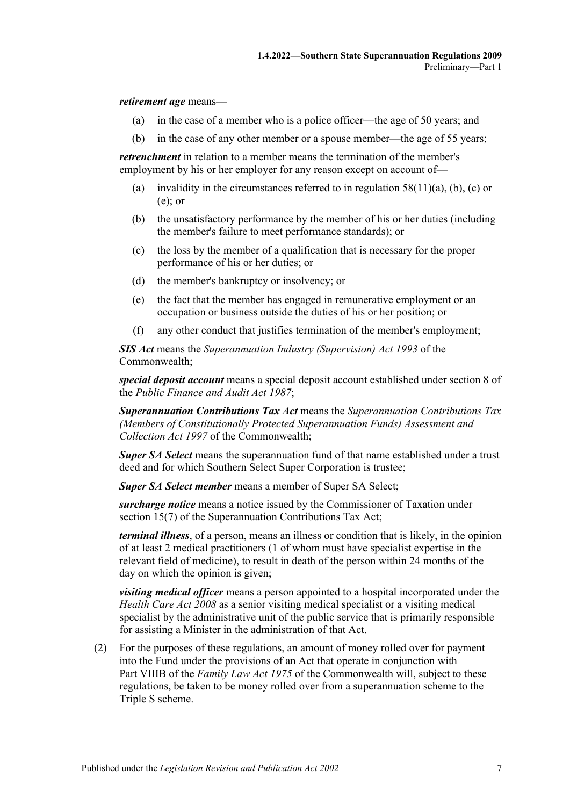*retirement age* means—

- (a) in the case of a member who is a police officer—the age of 50 years; and
- (b) in the case of any other member or a spouse member—the age of 55 years;

*retrenchment* in relation to a member means the termination of the member's employment by his or her employer for any reason except on account of—

- (a) invalidity in the circumstances referred to in [regulation](#page-58-0)  $58(11)(a)$ , [\(b\),](#page-58-1) [\(c\)](#page-58-2) or [\(e\);](#page-59-0) or
- (b) the unsatisfactory performance by the member of his or her duties (including the member's failure to meet performance standards); or
- (c) the loss by the member of a qualification that is necessary for the proper performance of his or her duties; or
- (d) the member's bankruptcy or insolvency; or
- (e) the fact that the member has engaged in remunerative employment or an occupation or business outside the duties of his or her position; or
- (f) any other conduct that justifies termination of the member's employment;

*SIS Act* means the *Superannuation Industry (Supervision) Act 1993* of the Commonwealth;

*special deposit account* means a special deposit account established under section 8 of the *[Public Finance and Audit Act](http://www.legislation.sa.gov.au/index.aspx?action=legref&type=act&legtitle=Public%20Finance%20and%20Audit%20Act%201987) 1987*;

*Superannuation Contributions Tax Act* means the *Superannuation Contributions Tax (Members of Constitutionally Protected Superannuation Funds) Assessment and Collection Act 1997* of the Commonwealth;

*Super SA Select* means the superannuation fund of that name established under a trust deed and for which Southern Select Super Corporation is trustee;

*Super SA Select member* means a member of Super SA Select;

*surcharge notice* means a notice issued by the Commissioner of Taxation under section 15(7) of the Superannuation Contributions Tax Act;

*terminal illness*, of a person, means an illness or condition that is likely, in the opinion of at least 2 medical practitioners (1 of whom must have specialist expertise in the relevant field of medicine), to result in death of the person within 24 months of the day on which the opinion is given;

*visiting medical officer* means a person appointed to a hospital incorporated under the *[Health Care Act](http://www.legislation.sa.gov.au/index.aspx?action=legref&type=act&legtitle=Health%20Care%20Act%202008) 2008* as a senior visiting medical specialist or a visiting medical specialist by the administrative unit of the public service that is primarily responsible for assisting a Minister in the administration of that Act.

(2) For the purposes of these regulations, an amount of money rolled over for payment into the Fund under the provisions of an Act that operate in conjunction with Part VIIIB of the *Family Law Act 1975* of the Commonwealth will, subject to these regulations, be taken to be money rolled over from a superannuation scheme to the Triple S scheme.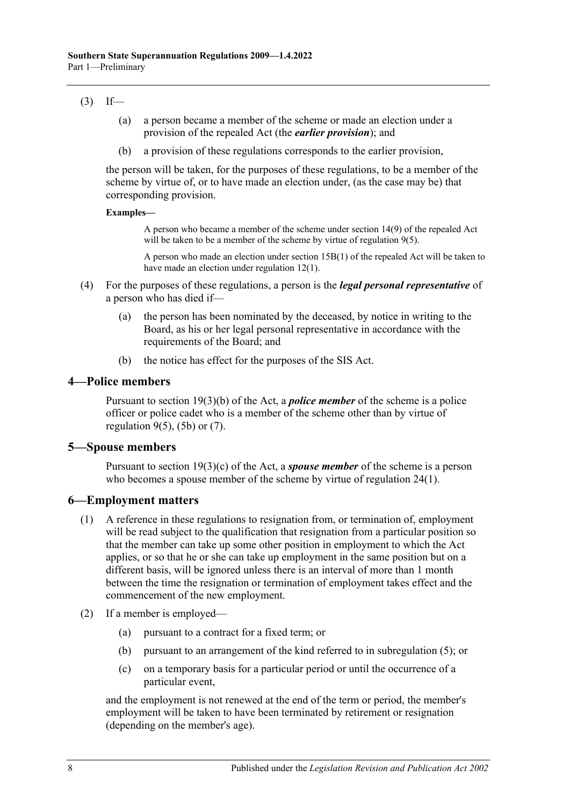## $(3)$  If—

- (a) a person became a member of the scheme or made an election under a provision of the repealed Act (the *earlier provision*); and
- (b) a provision of these regulations corresponds to the earlier provision,

the person will be taken, for the purposes of these regulations, to be a member of the scheme by virtue of, or to have made an election under, (as the case may be) that corresponding provision.

#### **Examples—**

A person who became a member of the scheme under section 14(9) of the repealed Act will be taken to be a member of the scheme by virtue of [regulation](#page-10-0) 9(5).

A person who made an election under section 15B(1) of the repealed Act will be taken to have made an election under [regulation](#page-12-2) 12(1).

- <span id="page-7-3"></span>(4) For the purposes of these regulations, a person is the *legal personal representative* of a person who has died if—
	- (a) the person has been nominated by the deceased, by notice in writing to the Board, as his or her legal personal representative in accordance with the requirements of the Board; and
	- (b) the notice has effect for the purposes of the SIS Act.

#### <span id="page-7-0"></span>**4—Police members**

Pursuant to section 19(3)(b) of the Act, a *police member* of the scheme is a police officer or police cadet who is a member of the scheme other than by virtue of [regulation](#page-10-0)  $9(5)$ ,  $(5b)$  or  $(7)$ .

# <span id="page-7-1"></span>**5—Spouse members**

Pursuant to section 19(3)(c) of the Act, a *spouse member* of the scheme is a person who becomes a spouse member of the scheme by virtue of [regulation](#page-21-2) 24(1).

# <span id="page-7-2"></span>**6—Employment matters**

- (1) A reference in these regulations to resignation from, or termination of, employment will be read subject to the qualification that resignation from a particular position so that the member can take up some other position in employment to which the Act applies, or so that he or she can take up employment in the same position but on a different basis, will be ignored unless there is an interval of more than 1 month between the time the resignation or termination of employment takes effect and the commencement of the new employment.
- <span id="page-7-4"></span>(2) If a member is employed—
	- (a) pursuant to a contract for a fixed term; or
	- (b) pursuant to an arrangement of the kind referred to in [subregulation](#page-8-0) (5); or
	- (c) on a temporary basis for a particular period or until the occurrence of a particular event,

and the employment is not renewed at the end of the term or period, the member's employment will be taken to have been terminated by retirement or resignation (depending on the member's age).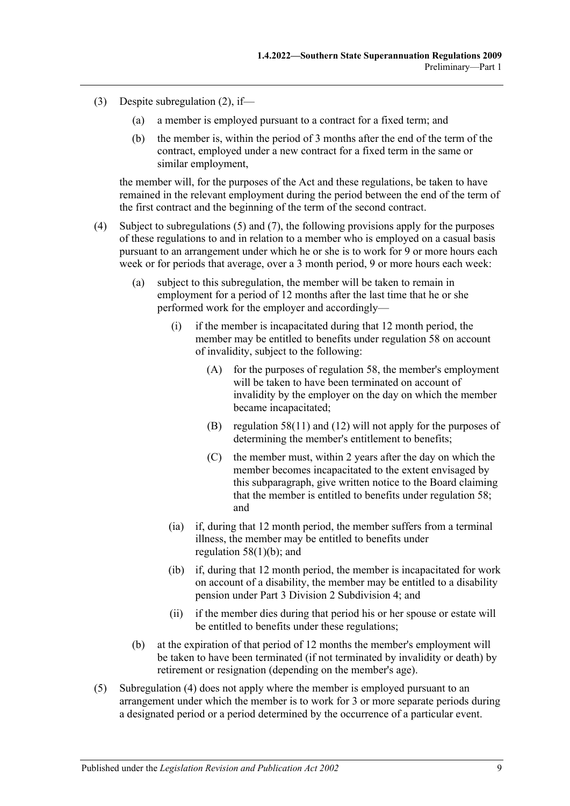- (3) Despite [subregulation](#page-7-4) (2), if—
	- (a) a member is employed pursuant to a contract for a fixed term; and
	- (b) the member is, within the period of 3 months after the end of the term of the contract, employed under a new contract for a fixed term in the same or similar employment,

the member will, for the purposes of the Act and these regulations, be taken to have remained in the relevant employment during the period between the end of the term of the first contract and the beginning of the term of the second contract.

- <span id="page-8-2"></span><span id="page-8-1"></span>(4) Subject to [subregulations](#page-8-0) (5) and (7), the following provisions apply for the purposes of these regulations to and in relation to a member who is employed on a casual basis pursuant to an arrangement under which he or she is to work for 9 or more hours each week or for periods that average, over a 3 month period, 9 or more hours each week:
	- (a) subject to this subregulation, the member will be taken to remain in employment for a period of 12 months after the last time that he or she performed work for the employer and accordingly—
		- (i) if the member is incapacitated during that 12 month period, the member may be entitled to benefits under [regulation](#page-55-1) 58 on account of invalidity, subject to the following:
			- (A) for the purposes of [regulation](#page-55-1) 58, the member's employment will be taken to have been terminated on account of invalidity by the employer on the day on which the member became incapacitated;
			- (B) [regulation](#page-58-3) 58(11) and [\(12\)](#page-59-1) will not apply for the purposes of determining the member's entitlement to benefits;
			- (C) the member must, within 2 years after the day on which the member becomes incapacitated to the extent envisaged by this subparagraph, give written notice to the Board claiming that the member is entitled to benefits under [regulation](#page-55-1) 58; and
		- (ia) if, during that 12 month period, the member suffers from a terminal illness, the member may be entitled to benefits under [regulation](#page-55-2)  $58(1)(b)$ ; and
		- (ib) if, during that 12 month period, the member is incapacitated for work on account of a disability, the member may be entitled to a disability pension under [Part 3 Division 2 Subdivision 4;](#page-27-2) and
		- (ii) if the member dies during that period his or her spouse or estate will be entitled to benefits under these regulations;
	- (b) at the expiration of that period of 12 months the member's employment will be taken to have been terminated (if not terminated by invalidity or death) by retirement or resignation (depending on the member's age).
- <span id="page-8-0"></span>(5) [Subregulation](#page-8-1) (4) does not apply where the member is employed pursuant to an arrangement under which the member is to work for 3 or more separate periods during a designated period or a period determined by the occurrence of a particular event.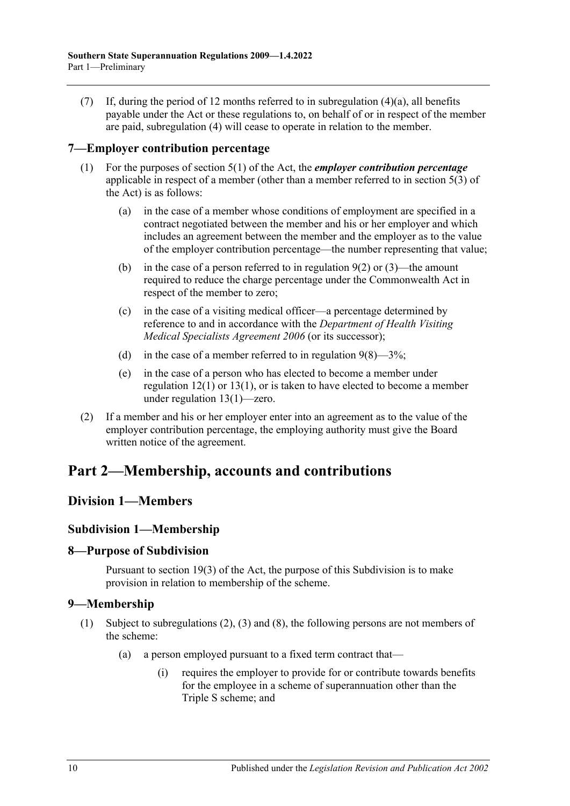(7) If, during the period of 12 months referred to in [subregulation](#page-8-2)  $(4)(a)$ , all benefits payable under the Act or these regulations to, on behalf of or in respect of the member are paid, [subregulation](#page-8-1) (4) will cease to operate in relation to the member.

# <span id="page-9-0"></span>**7—Employer contribution percentage**

- (1) For the purposes of section 5(1) of the Act, the *employer contribution percentage* applicable in respect of a member (other than a member referred to in section 5(3) of the Act) is as follows:
	- (a) in the case of a member whose conditions of employment are specified in a contract negotiated between the member and his or her employer and which includes an agreement between the member and the employer as to the value of the employer contribution percentage—the number representing that value;
	- (b) in the case of a person referred to in [regulation](#page-10-3)  $9(2)$  or  $(3)$ —the amount required to reduce the charge percentage under the Commonwealth Act in respect of the member to zero;
	- (c) in the case of a visiting medical officer—a percentage determined by reference to and in accordance with the *Department of Health Visiting Medical Specialists Agreement 2006* (or its successor);
	- (d) in the case of a member referred to in [regulation](#page-11-1)  $9(8)$ —3%;
	- (e) in the case of a person who has elected to become a member under [regulation](#page-12-2) 12(1) or [13\(1\),](#page-13-1) or is taken to have elected to become a member under [regulation](#page-13-1) 13(1)—zero.
- (2) If a member and his or her employer enter into an agreement as to the value of the employer contribution percentage, the employing authority must give the Board written notice of the agreement.

# <span id="page-9-1"></span>**Part 2—Membership, accounts and contributions**

# <span id="page-9-3"></span><span id="page-9-2"></span>**Division 1—Members**

# **Subdivision 1—Membership**

# <span id="page-9-4"></span>**8—Purpose of Subdivision**

Pursuant to section 19(3) of the Act, the purpose of this Subdivision is to make provision in relation to membership of the scheme.

# <span id="page-9-5"></span>**9—Membership**

- <span id="page-9-7"></span><span id="page-9-6"></span>(1) Subject to [subregulations](#page-10-3) (2), [\(3\)](#page-10-4) and [\(8\),](#page-11-1) the following persons are not members of the scheme:
	- (a) a person employed pursuant to a fixed term contract that—
		- (i) requires the employer to provide for or contribute towards benefits for the employee in a scheme of superannuation other than the Triple S scheme; and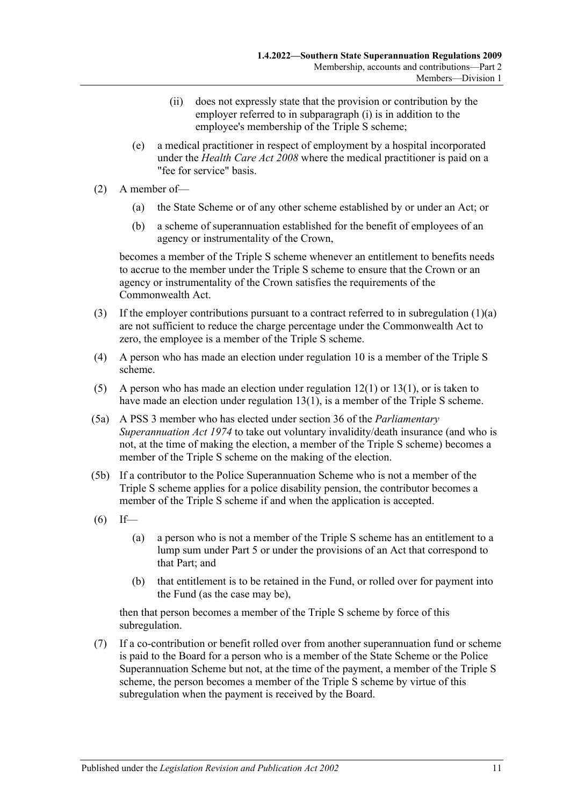- (ii) does not expressly state that the provision or contribution by the employer referred to in [subparagraph](#page-9-6) (i) is in addition to the employee's membership of the Triple S scheme;
- (e) a medical practitioner in respect of employment by a hospital incorporated under the *[Health Care Act](http://www.legislation.sa.gov.au/index.aspx?action=legref&type=act&legtitle=Health%20Care%20Act%202008) 2008* where the medical practitioner is paid on a "fee for service" basis.
- <span id="page-10-3"></span>(2) A member of—
	- (a) the State Scheme or of any other scheme established by or under an Act; or
	- (b) a scheme of superannuation established for the benefit of employees of an agency or instrumentality of the Crown,

becomes a member of the Triple S scheme whenever an entitlement to benefits needs to accrue to the member under the Triple S scheme to ensure that the Crown or an agency or instrumentality of the Crown satisfies the requirements of the Commonwealth Act.

- <span id="page-10-4"></span>(3) If the employer contributions pursuant to a contract referred to in [subregulation](#page-9-7)  $(1)(a)$ are not sufficient to reduce the charge percentage under the Commonwealth Act to zero, the employee is a member of the Triple S scheme.
- (4) A person who has made an election under [regulation](#page-11-0) 10 is a member of the Triple S scheme.
- <span id="page-10-0"></span>(5) A person who has made an election under [regulation](#page-12-2) 12(1) or [13\(1\),](#page-13-1) or is taken to have made an election under [regulation](#page-13-1) 13(1), is a member of the Triple S scheme.
- <span id="page-10-5"></span>(5a) A PSS 3 member who has elected under section 36 of the *[Parliamentary](http://www.legislation.sa.gov.au/index.aspx?action=legref&type=act&legtitle=Parliamentary%20Superannuation%20Act%201974)  [Superannuation Act](http://www.legislation.sa.gov.au/index.aspx?action=legref&type=act&legtitle=Parliamentary%20Superannuation%20Act%201974) 1974* to take out voluntary invalidity/death insurance (and who is not, at the time of making the election, a member of the Triple S scheme) becomes a member of the Triple S scheme on the making of the election.
- <span id="page-10-1"></span>(5b) If a contributor to the Police Superannuation Scheme who is not a member of the Triple S scheme applies for a police disability pension, the contributor becomes a member of the Triple S scheme if and when the application is accepted.
- <span id="page-10-6"></span> $(6)$  If—
	- (a) a person who is not a member of the Triple S scheme has an entitlement to a lump sum under [Part 5](#page-74-0) or under the provisions of an Act that correspond to that Part; and
	- (b) that entitlement is to be retained in the Fund, or rolled over for payment into the Fund (as the case may be),

then that person becomes a member of the Triple S scheme by force of this subregulation.

<span id="page-10-2"></span>(7) If a co-contribution or benefit rolled over from another superannuation fund or scheme is paid to the Board for a person who is a member of the State Scheme or the Police Superannuation Scheme but not, at the time of the payment, a member of the Triple S scheme, the person becomes a member of the Triple S scheme by virtue of this subregulation when the payment is received by the Board.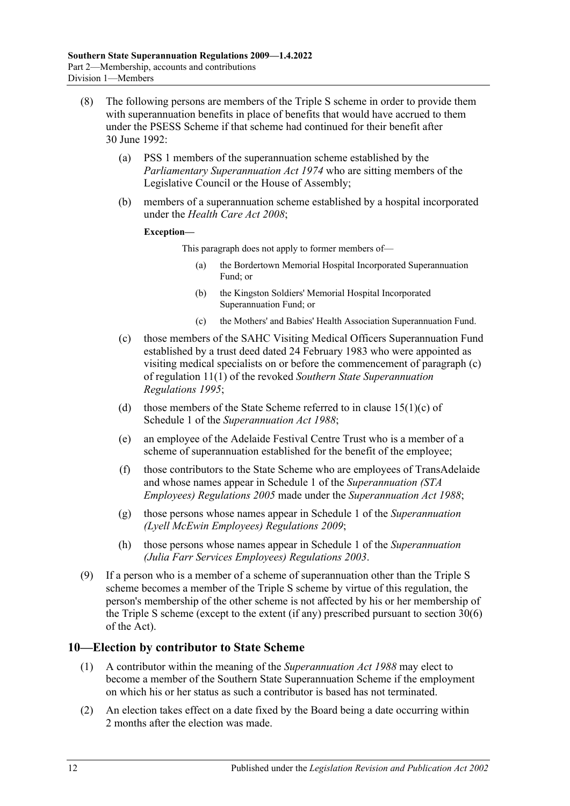- <span id="page-11-1"></span>(8) The following persons are members of the Triple S scheme in order to provide them with superannuation benefits in place of benefits that would have accrued to them under the PSESS Scheme if that scheme had continued for their benefit after 30 June 1992:
	- (a) PSS 1 members of the superannuation scheme established by the *[Parliamentary Superannuation Act](http://www.legislation.sa.gov.au/index.aspx?action=legref&type=act&legtitle=Parliamentary%20Superannuation%20Act%201974) 1974* who are sitting members of the Legislative Council or the House of Assembly;
	- (b) members of a superannuation scheme established by a hospital incorporated under the *[Health Care Act](http://www.legislation.sa.gov.au/index.aspx?action=legref&type=act&legtitle=Health%20Care%20Act%202008) 2008*;

#### **Exception—**

This paragraph does not apply to former members of—

- (a) the Bordertown Memorial Hospital Incorporated Superannuation Fund; or
- (b) the Kingston Soldiers' Memorial Hospital Incorporated Superannuation Fund; or
- (c) the Mothers' and Babies' Health Association Superannuation Fund.
- (c) those members of the SAHC Visiting Medical Officers Superannuation Fund established by a trust deed dated 24 February 1983 who were appointed as visiting medical specialists on or before the commencement of paragraph (c) of regulation 11(1) of the revoked *Southern State [Superannuation](http://www.legislation.sa.gov.au/index.aspx?action=legref&type=subordleg&legtitle=Southern%20State%20Superannuation%20Regulations%201995)  [Regulations](http://www.legislation.sa.gov.au/index.aspx?action=legref&type=subordleg&legtitle=Southern%20State%20Superannuation%20Regulations%201995) 1995*;
- (d) those members of the State Scheme referred to in clause  $15(1)(c)$  of Schedule 1 of the *[Superannuation Act](http://www.legislation.sa.gov.au/index.aspx?action=legref&type=act&legtitle=Superannuation%20Act%201988) 1988*;
- (e) an employee of the Adelaide Festival Centre Trust who is a member of a scheme of superannuation established for the benefit of the employee;
- (f) those contributors to the State Scheme who are employees of TransAdelaide and whose names appear in Schedule 1 of the *[Superannuation \(STA](http://www.legislation.sa.gov.au/index.aspx?action=legref&type=subordleg&legtitle=Superannuation%20(STA%20Employees)%20Regulations%202005)  [Employees\) Regulations](http://www.legislation.sa.gov.au/index.aspx?action=legref&type=subordleg&legtitle=Superannuation%20(STA%20Employees)%20Regulations%202005) 2005* made under the *[Superannuation Act](http://www.legislation.sa.gov.au/index.aspx?action=legref&type=act&legtitle=Superannuation%20Act%201988) 1988*;
- (g) those persons whose names appear in Schedule 1 of the *[Superannuation](http://www.legislation.sa.gov.au/index.aspx?action=legref&type=subordleg&legtitle=Superannuation%20(Lyell%20McEwin%20Employees)%20Regulations%202009)  [\(Lyell McEwin Employees\) Regulations](http://www.legislation.sa.gov.au/index.aspx?action=legref&type=subordleg&legtitle=Superannuation%20(Lyell%20McEwin%20Employees)%20Regulations%202009) 2009*;
- (h) those persons whose names appear in Schedule 1 of the *[Superannuation](http://www.legislation.sa.gov.au/index.aspx?action=legref&type=subordleg&legtitle=Superannuation%20(Julia%20Farr%20Services%20Employees)%20Regulations%202003)  [\(Julia Farr Services Employees\) Regulations](http://www.legislation.sa.gov.au/index.aspx?action=legref&type=subordleg&legtitle=Superannuation%20(Julia%20Farr%20Services%20Employees)%20Regulations%202003) 2003*.
- (9) If a person who is a member of a scheme of superannuation other than the Triple S scheme becomes a member of the Triple S scheme by virtue of this regulation, the person's membership of the other scheme is not affected by his or her membership of the Triple S scheme (except to the extent (if any) prescribed pursuant to section 30(6) of the Act).

# <span id="page-11-2"></span><span id="page-11-0"></span>**10—Election by contributor to State Scheme**

- (1) A contributor within the meaning of the *[Superannuation Act](http://www.legislation.sa.gov.au/index.aspx?action=legref&type=act&legtitle=Superannuation%20Act%201988) 1988* may elect to become a member of the Southern State Superannuation Scheme if the employment on which his or her status as such a contributor is based has not terminated.
- (2) An election takes effect on a date fixed by the Board being a date occurring within 2 months after the election was made.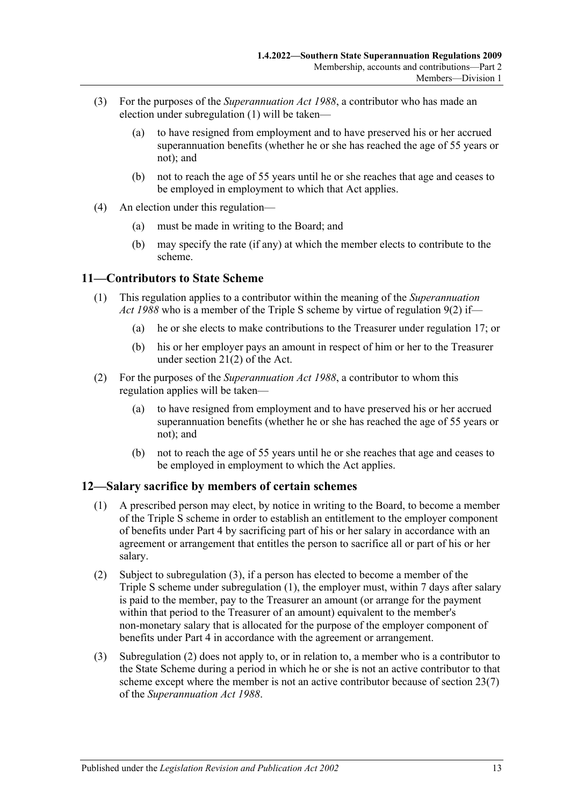- (3) For the purposes of the *[Superannuation Act](http://www.legislation.sa.gov.au/index.aspx?action=legref&type=act&legtitle=Superannuation%20Act%201988) 1988*, a contributor who has made an election under [subregulation](#page-11-2) (1) will be taken—
	- (a) to have resigned from employment and to have preserved his or her accrued superannuation benefits (whether he or she has reached the age of 55 years or not); and
	- (b) not to reach the age of 55 years until he or she reaches that age and ceases to be employed in employment to which that Act applies.
- (4) An election under this regulation—
	- (a) must be made in writing to the Board; and
	- (b) may specify the rate (if any) at which the member elects to contribute to the scheme.

## <span id="page-12-0"></span>**11—Contributors to State Scheme**

- (1) This regulation applies to a contributor within the meaning of the *[Superannuation](http://www.legislation.sa.gov.au/index.aspx?action=legref&type=act&legtitle=Superannuation%20Act%201988)  Act [1988](http://www.legislation.sa.gov.au/index.aspx?action=legref&type=act&legtitle=Superannuation%20Act%201988)* who is a member of the Triple S scheme by virtue of [regulation](#page-10-3) 9(2) if—
	- (a) he or she elects to make contributions to the Treasurer under [regulation](#page-19-1) 17; or
	- (b) his or her employer pays an amount in respect of him or her to the Treasurer under section 21(2) of the Act.
- (2) For the purposes of the *[Superannuation Act](http://www.legislation.sa.gov.au/index.aspx?action=legref&type=act&legtitle=Superannuation%20Act%201988) 1988*, a contributor to whom this regulation applies will be taken—
	- (a) to have resigned from employment and to have preserved his or her accrued superannuation benefits (whether he or she has reached the age of 55 years or not); and
	- (b) not to reach the age of 55 years until he or she reaches that age and ceases to be employed in employment to which the Act applies.

#### <span id="page-12-2"></span><span id="page-12-1"></span>**12—Salary sacrifice by members of certain schemes**

- (1) A prescribed person may elect, by notice in writing to the Board, to become a member of the Triple S scheme in order to establish an entitlement to the employer component of benefits under [Part 4](#page-48-1) by sacrificing part of his or her salary in accordance with an agreement or arrangement that entitles the person to sacrifice all or part of his or her salary.
- <span id="page-12-4"></span>(2) Subject to [subregulation](#page-12-3) (3), if a person has elected to become a member of the Triple S scheme under [subregulation](#page-12-2) (1), the employer must, within 7 days after salary is paid to the member, pay to the Treasurer an amount (or arrange for the payment within that period to the Treasurer of an amount) equivalent to the member's non-monetary salary that is allocated for the purpose of the employer component of benefits under [Part 4](#page-48-1) in accordance with the agreement or arrangement.
- <span id="page-12-3"></span>(3) [Subregulation](#page-12-4) (2) does not apply to, or in relation to, a member who is a contributor to the State Scheme during a period in which he or she is not an active contributor to that scheme except where the member is not an active contributor because of section 23(7) of the *[Superannuation Act](http://www.legislation.sa.gov.au/index.aspx?action=legref&type=act&legtitle=Superannuation%20Act%201988) 1988*.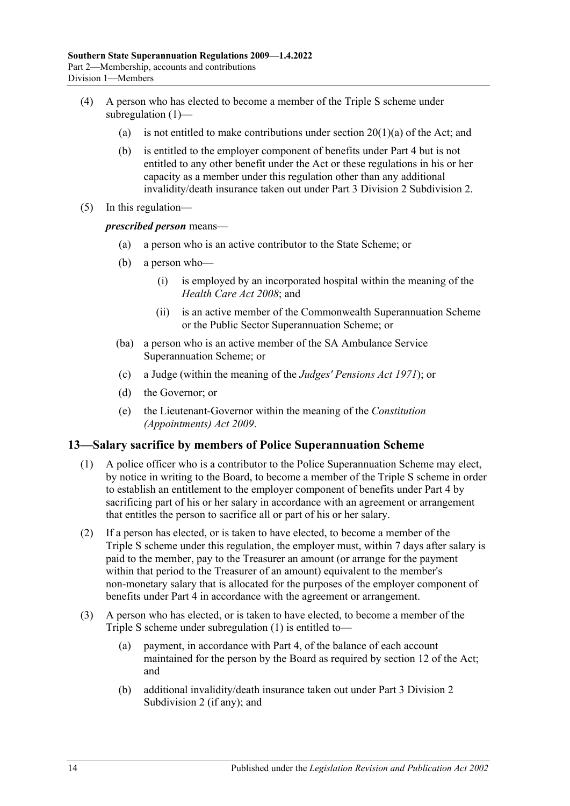- (4) A person who has elected to become a member of the Triple S scheme under [subregulation](#page-12-2) (1)—
	- (a) is not entitled to make contributions under section  $20(1)(a)$  of the Act; and
	- (b) is entitled to the employer component of benefits under [Part 4](#page-48-1) but is not entitled to any other benefit under the Act or these regulations in his or her capacity as a member under this regulation other than any additional invalidity/death insurance taken out under [Part 3 Division 2 Subdivision 2.](#page-24-0)
- (5) In this regulation—

*prescribed person* means—

- (a) a person who is an active contributor to the State Scheme; or
- (b) a person who—
	- (i) is employed by an incorporated hospital within the meaning of the *[Health Care Act](http://www.legislation.sa.gov.au/index.aspx?action=legref&type=act&legtitle=Health%20Care%20Act%202008) 2008*; and
	- (ii) is an active member of the Commonwealth Superannuation Scheme or the Public Sector Superannuation Scheme; or
- (ba) a person who is an active member of the SA Ambulance Service Superannuation Scheme; or
- (c) a Judge (within the meaning of the *[Judges' Pensions Act](http://www.legislation.sa.gov.au/index.aspx?action=legref&type=act&legtitle=Judges%20Pensions%20Act%201971) 1971*); or
- (d) the Governor; or
- (e) the Lieutenant-Governor within the meaning of the *[Constitution](http://www.legislation.sa.gov.au/index.aspx?action=legref&type=act&legtitle=Constitution%20(Appointments)%20Act%202009)  [\(Appointments\) Act](http://www.legislation.sa.gov.au/index.aspx?action=legref&type=act&legtitle=Constitution%20(Appointments)%20Act%202009) 2009*.

#### <span id="page-13-1"></span><span id="page-13-0"></span>**13—Salary sacrifice by members of Police Superannuation Scheme**

- (1) A police officer who is a contributor to the Police Superannuation Scheme may elect, by notice in writing to the Board, to become a member of the Triple S scheme in order to establish an entitlement to the employer component of benefits under [Part 4](#page-48-1) by sacrificing part of his or her salary in accordance with an agreement or arrangement that entitles the person to sacrifice all or part of his or her salary.
- <span id="page-13-2"></span>(2) If a person has elected, or is taken to have elected, to become a member of the Triple S scheme under this regulation, the employer must, within 7 days after salary is paid to the member, pay to the Treasurer an amount (or arrange for the payment within that period to the Treasurer of an amount) equivalent to the member's non-monetary salary that is allocated for the purposes of the employer component of benefits under [Part 4](#page-48-1) in accordance with the agreement or arrangement.
- (3) A person who has elected, or is taken to have elected, to become a member of the Triple S scheme under [subregulation](#page-13-1) (1) is entitled to—
	- (a) payment, in accordance with [Part 4,](#page-48-1) of the balance of each account maintained for the person by the Board as required by section 12 of the Act; and
	- (b) additional invalidity/death insurance taken out under [Part 3 Division 2](#page-24-0)  [Subdivision 2](#page-24-0) (if any); and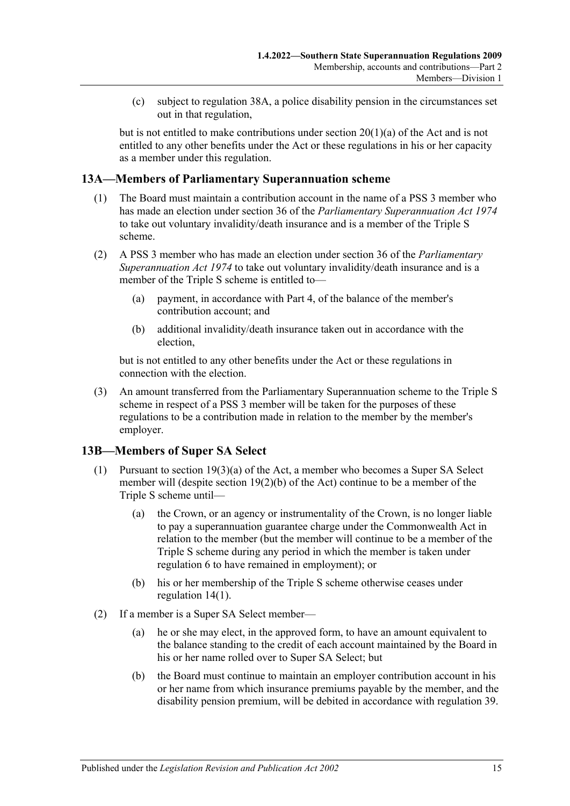(c) subject to [regulation](#page-36-2) 38A, a police disability pension in the circumstances set out in that regulation,

but is not entitled to make contributions under section 20(1)(a) of the Act and is not entitled to any other benefits under the Act or these regulations in his or her capacity as a member under this regulation.

# <span id="page-14-0"></span>**13A—Members of Parliamentary Superannuation scheme**

- (1) The Board must maintain a contribution account in the name of a PSS 3 member who has made an election under section 36 of the *[Parliamentary Superannuation Act](http://www.legislation.sa.gov.au/index.aspx?action=legref&type=act&legtitle=Parliamentary%20Superannuation%20Act%201974) 1974* to take out voluntary invalidity/death insurance and is a member of the Triple S scheme.
- (2) A PSS 3 member who has made an election under section 36 of the *[Parliamentary](http://www.legislation.sa.gov.au/index.aspx?action=legref&type=act&legtitle=Parliamentary%20Superannuation%20Act%201974)  [Superannuation Act](http://www.legislation.sa.gov.au/index.aspx?action=legref&type=act&legtitle=Parliamentary%20Superannuation%20Act%201974) 1974* to take out voluntary invalidity/death insurance and is a member of the Triple S scheme is entitled to—
	- (a) payment, in accordance with [Part 4,](#page-48-1) of the balance of the member's contribution account; and
	- (b) additional invalidity/death insurance taken out in accordance with the election,

but is not entitled to any other benefits under the Act or these regulations in connection with the election.

(3) An amount transferred from the Parliamentary Superannuation scheme to the Triple S scheme in respect of a PSS 3 member will be taken for the purposes of these regulations to be a contribution made in relation to the member by the member's employer.

# <span id="page-14-1"></span>**13B—Members of Super SA Select**

- (1) Pursuant to section  $19(3)(a)$  of the Act, a member who becomes a Super SA Select member will (despite section 19(2)(b) of the Act) continue to be a member of the Triple S scheme until—
	- (a) the Crown, or an agency or instrumentality of the Crown, is no longer liable to pay a superannuation guarantee charge under the Commonwealth Act in relation to the member (but the member will continue to be a member of the Triple S scheme during any period in which the member is taken under [regulation](#page-7-2) 6 to have remained in employment); or
	- (b) his or her membership of the Triple S scheme otherwise ceases under [regulation](#page-15-1) 14(1).
- (2) If a member is a Super SA Select member—
	- (a) he or she may elect, in the approved form, to have an amount equivalent to the balance standing to the credit of each account maintained by the Board in his or her name rolled over to Super SA Select; but
	- (b) the Board must continue to maintain an employer contribution account in his or her name from which insurance premiums payable by the member, and the disability pension premium, will be debited in accordance with [regulation](#page-39-1) 39.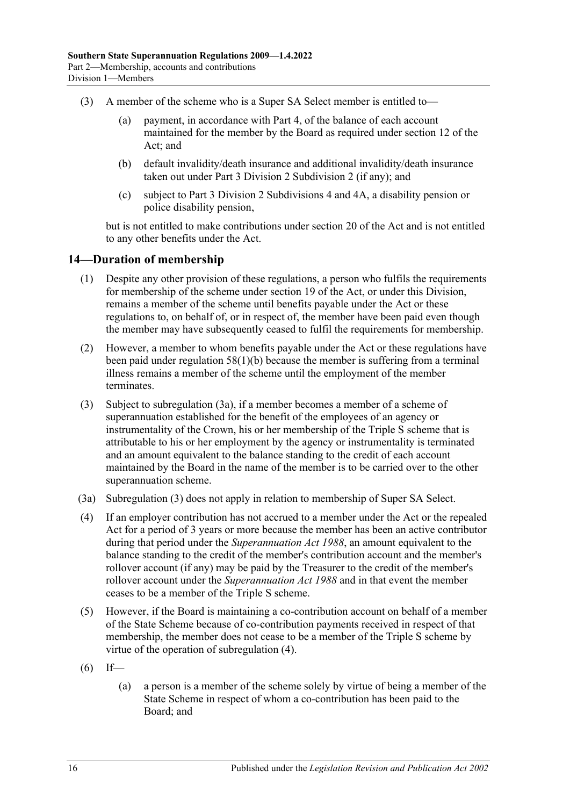- (3) A member of the scheme who is a Super SA Select member is entitled to—
	- (a) payment, in accordance with [Part 4,](#page-48-1) of the balance of each account maintained for the member by the Board as required under section 12 of the Act; and
	- (b) default invalidity/death insurance and additional invalidity/death insurance taken out under Part 3 Division 2 Subdivision 2 (if any); and
	- (c) subject to Part [3 Division 2 Subdivisions](#page-27-2) 4 and [4A,](#page-36-1) a disability pension or police disability pension,

but is not entitled to make contributions under section 20 of the Act and is not entitled to any other benefits under the Act.

# <span id="page-15-1"></span><span id="page-15-0"></span>**14—Duration of membership**

- (1) Despite any other provision of these regulations, a person who fulfils the requirements for membership of the scheme under section 19 of the Act, or under this Division, remains a member of the scheme until benefits payable under the Act or these regulations to, on behalf of, or in respect of, the member have been paid even though the member may have subsequently ceased to fulfil the requirements for membership.
- (2) However, a member to whom benefits payable under the Act or these regulations have been paid under [regulation](#page-55-2) 58(1)(b) because the member is suffering from a terminal illness remains a member of the scheme until the employment of the member terminates.
- <span id="page-15-3"></span>(3) Subject to [subregulation](#page-15-2) (3a), if a member becomes a member of a scheme of superannuation established for the benefit of the employees of an agency or instrumentality of the Crown, his or her membership of the Triple S scheme that is attributable to his or her employment by the agency or instrumentality is terminated and an amount equivalent to the balance standing to the credit of each account maintained by the Board in the name of the member is to be carried over to the other superannuation scheme.
- <span id="page-15-2"></span>(3a) [Subregulation](#page-15-3) (3) does not apply in relation to membership of Super SA Select.
- <span id="page-15-4"></span>(4) If an employer contribution has not accrued to a member under the Act or the repealed Act for a period of 3 years or more because the member has been an active contributor during that period under the *[Superannuation Act](http://www.legislation.sa.gov.au/index.aspx?action=legref&type=act&legtitle=Superannuation%20Act%201988) 1988*, an amount equivalent to the balance standing to the credit of the member's contribution account and the member's rollover account (if any) may be paid by the Treasurer to the credit of the member's rollover account under the *[Superannuation Act](http://www.legislation.sa.gov.au/index.aspx?action=legref&type=act&legtitle=Superannuation%20Act%201988) 1988* and in that event the member ceases to be a member of the Triple S scheme.
- (5) However, if the Board is maintaining a co-contribution account on behalf of a member of the State Scheme because of co-contribution payments received in respect of that membership, the member does not cease to be a member of the Triple S scheme by virtue of the operation of [subregulation](#page-15-4) (4).
- $(6)$  If—
	- (a) a person is a member of the scheme solely by virtue of being a member of the State Scheme in respect of whom a co-contribution has been paid to the Board; and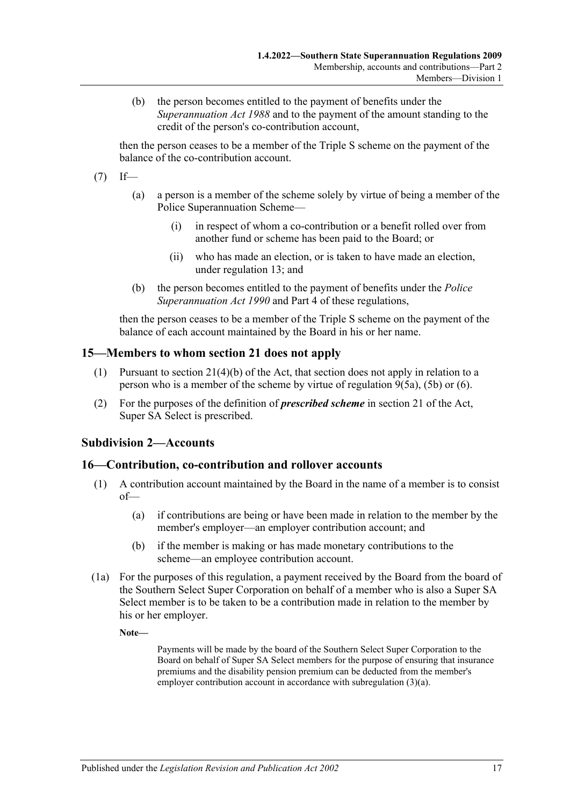(b) the person becomes entitled to the payment of benefits under the *[Superannuation Act](http://www.legislation.sa.gov.au/index.aspx?action=legref&type=act&legtitle=Superannuation%20Act%201988) 1988* and to the payment of the amount standing to the credit of the person's co-contribution account,

then the person ceases to be a member of the Triple S scheme on the payment of the balance of the co-contribution account.

- $(7)$  If—
	- (a) a person is a member of the scheme solely by virtue of being a member of the Police Superannuation Scheme—
		- (i) in respect of whom a co-contribution or a benefit rolled over from another fund or scheme has been paid to the Board; or
		- (ii) who has made an election, or is taken to have made an election, under [regulation](#page-13-0) 13; and
	- (b) the person becomes entitled to the payment of benefits under the *[Police](http://www.legislation.sa.gov.au/index.aspx?action=legref&type=act&legtitle=Police%20Superannuation%20Act%201990)  [Superannuation Act](http://www.legislation.sa.gov.au/index.aspx?action=legref&type=act&legtitle=Police%20Superannuation%20Act%201990) 1990* and [Part 4](#page-48-1) of these regulations,

then the person ceases to be a member of the Triple S scheme on the payment of the balance of each account maintained by the Board in his or her name.

## <span id="page-16-0"></span>**15—Members to whom section 21 does not apply**

- (1) Pursuant to section 21(4)(b) of the Act, that section does not apply in relation to a person who is a member of the scheme by virtue of [regulation](#page-10-5) 9(5a), [\(5b\)](#page-10-1) or [\(6\).](#page-10-6)
- (2) For the purposes of the definition of *prescribed scheme* in section 21 of the Act, Super SA Select is prescribed.

# <span id="page-16-1"></span>**Subdivision 2—Accounts**

#### <span id="page-16-2"></span>**16—Contribution, co-contribution and rollover accounts**

- (1) A contribution account maintained by the Board in the name of a member is to consist of—
	- (a) if contributions are being or have been made in relation to the member by the member's employer—an employer contribution account; and
	- (b) if the member is making or has made monetary contributions to the scheme—an employee contribution account.
- (1a) For the purposes of this regulation, a payment received by the Board from the board of the Southern Select Super Corporation on behalf of a member who is also a Super SA Select member is to be taken to be a contribution made in relation to the member by his or her employer.

**Note—**

Payments will be made by the board of the Southern Select Super Corporation to the Board on behalf of Super SA Select members for the purpose of ensuring that insurance premiums and the disability pension premium can be deducted from the member's employer contribution account in accordance with [subregulation](#page-17-1) (3)(a).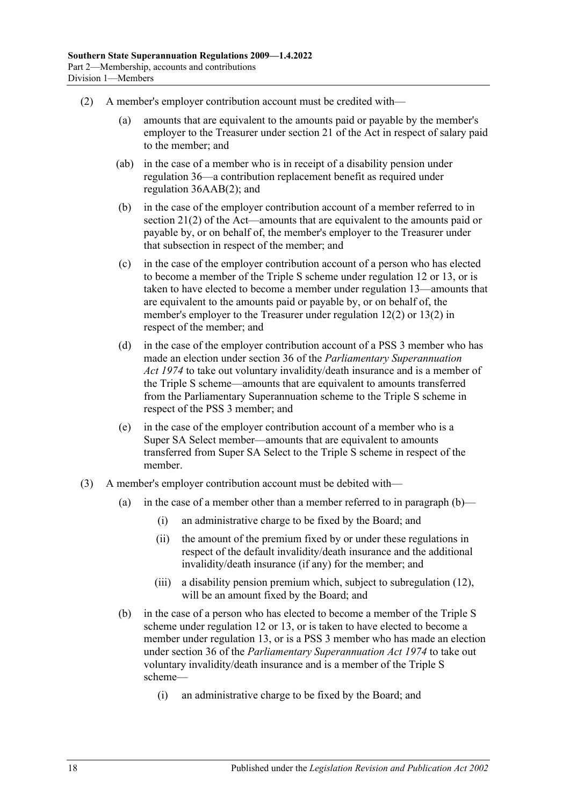- <span id="page-17-0"></span>(2) A member's employer contribution account must be credited with—
	- (a) amounts that are equivalent to the amounts paid or payable by the member's employer to the Treasurer under section 21 of the Act in respect of salary paid to the member; and
	- (ab) in the case of a member who is in receipt of a disability pension under [regulation](#page-27-3) 36—a contribution replacement benefit as required under regulation [36AAB\(2\);](#page-29-2) and
	- (b) in the case of the employer contribution account of a member referred to in section 21(2) of the Act—amounts that are equivalent to the amounts paid or payable by, or on behalf of, the member's employer to the Treasurer under that subsection in respect of the member; and
	- (c) in the case of the employer contribution account of a person who has elected to become a member of the Triple S scheme under [regulation](#page-12-1) 12 or [13,](#page-13-0) or is taken to have elected to become a member under [regulation](#page-13-0) 13—amounts that are equivalent to the amounts paid or payable by, or on behalf of, the member's employer to the Treasurer under [regulation](#page-12-4) 12(2) or [13\(2\)](#page-13-2) in respect of the member; and
	- (d) in the case of the employer contribution account of a PSS 3 member who has made an election under section 36 of the *[Parliamentary Superannuation](http://www.legislation.sa.gov.au/index.aspx?action=legref&type=act&legtitle=Parliamentary%20Superannuation%20Act%201974)  Act [1974](http://www.legislation.sa.gov.au/index.aspx?action=legref&type=act&legtitle=Parliamentary%20Superannuation%20Act%201974)* to take out voluntary invalidity/death insurance and is a member of the Triple S scheme—amounts that are equivalent to amounts transferred from the Parliamentary Superannuation scheme to the Triple S scheme in respect of the PSS 3 member; and
	- (e) in the case of the employer contribution account of a member who is a Super SA Select member—amounts that are equivalent to amounts transferred from Super SA Select to the Triple S scheme in respect of the member.
- <span id="page-17-3"></span><span id="page-17-2"></span><span id="page-17-1"></span>(3) A member's employer contribution account must be debited with
	- (a) in the case of a member other than a member referred to in [paragraph](#page-17-2)  $(b)$ 
		- (i) an administrative charge to be fixed by the Board; and
		- (ii) the amount of the premium fixed by or under these regulations in respect of the default invalidity/death insurance and the additional invalidity/death insurance (if any) for the member; and
		- (iii) a disability pension premium which, subject to [subregulation](#page-18-1) (12), will be an amount fixed by the Board; and
	- (b) in the case of a person who has elected to become a member of the Triple S scheme under [regulation](#page-12-1) 12 or [13,](#page-13-0) or is taken to have elected to become a member under [regulation](#page-13-0) 13, or is a PSS 3 member who has made an election under section 36 of the *[Parliamentary Superannuation Act](http://www.legislation.sa.gov.au/index.aspx?action=legref&type=act&legtitle=Parliamentary%20Superannuation%20Act%201974) 1974* to take out voluntary invalidity/death insurance and is a member of the Triple S scheme—
		- (i) an administrative charge to be fixed by the Board; and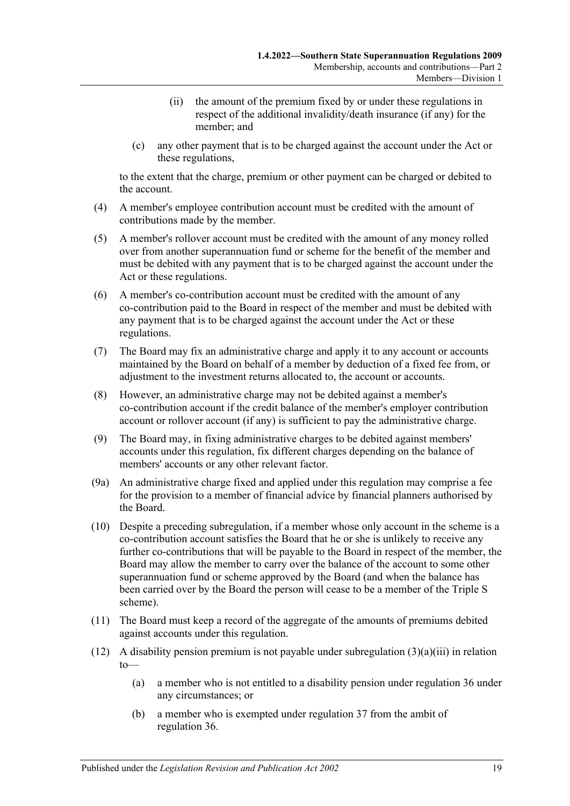- (ii) the amount of the premium fixed by or under these regulations in respect of the additional invalidity/death insurance (if any) for the member; and
- (c) any other payment that is to be charged against the account under the Act or these regulations,

to the extent that the charge, premium or other payment can be charged or debited to the account.

- <span id="page-18-0"></span>(4) A member's employee contribution account must be credited with the amount of contributions made by the member.
- (5) A member's rollover account must be credited with the amount of any money rolled over from another superannuation fund or scheme for the benefit of the member and must be debited with any payment that is to be charged against the account under the Act or these regulations.
- (6) A member's co-contribution account must be credited with the amount of any co-contribution paid to the Board in respect of the member and must be debited with any payment that is to be charged against the account under the Act or these regulations.
- (7) The Board may fix an administrative charge and apply it to any account or accounts maintained by the Board on behalf of a member by deduction of a fixed fee from, or adjustment to the investment returns allocated to, the account or accounts.
- (8) However, an administrative charge may not be debited against a member's co-contribution account if the credit balance of the member's employer contribution account or rollover account (if any) is sufficient to pay the administrative charge.
- (9) The Board may, in fixing administrative charges to be debited against members' accounts under this regulation, fix different charges depending on the balance of members' accounts or any other relevant factor.
- (9a) An administrative charge fixed and applied under this regulation may comprise a fee for the provision to a member of financial advice by financial planners authorised by the Board.
- (10) Despite a preceding subregulation, if a member whose only account in the scheme is a co-contribution account satisfies the Board that he or she is unlikely to receive any further co-contributions that will be payable to the Board in respect of the member, the Board may allow the member to carry over the balance of the account to some other superannuation fund or scheme approved by the Board (and when the balance has been carried over by the Board the person will cease to be a member of the Triple S scheme).
- (11) The Board must keep a record of the aggregate of the amounts of premiums debited against accounts under this regulation.
- <span id="page-18-1"></span>(12) A disability pension premium is not payable under [subregulation](#page-17-3) (3)(a)(iii) in relation to—
	- (a) a member who is not entitled to a disability pension under [regulation](#page-27-3) 36 under any circumstances; or
	- (b) a member who is exempted under [regulation](#page-34-1) 37 from the ambit of [regulation](#page-27-3) 36.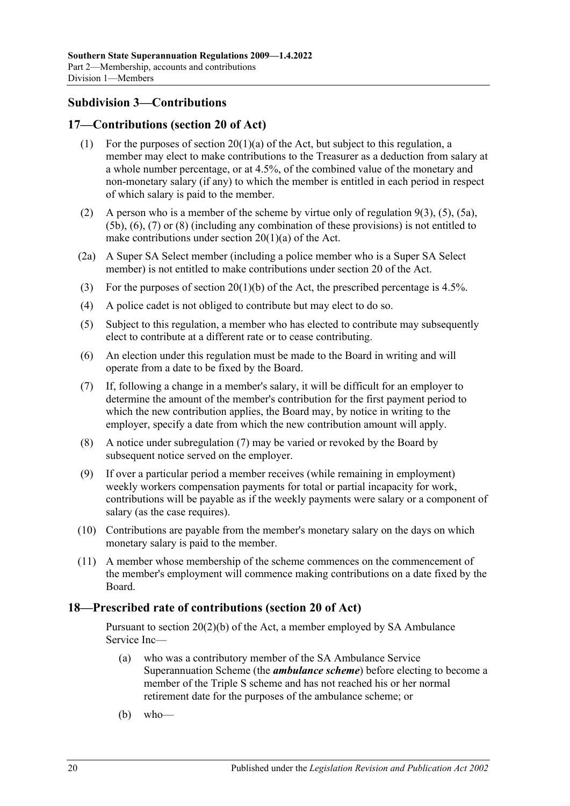# <span id="page-19-0"></span>**Subdivision 3—Contributions**

# <span id="page-19-1"></span>**17—Contributions (section 20 of Act)**

- (1) For the purposes of section  $20(1)(a)$  of the Act, but subject to this regulation, a member may elect to make contributions to the Treasurer as a deduction from salary at a whole number percentage, or at 4.5%, of the combined value of the monetary and non-monetary salary (if any) to which the member is entitled in each period in respect of which salary is paid to the member.
- (2) A person who is a member of the scheme by virtue only of [regulation](#page-10-4)  $9(3)$ ,  $(5)$ ,  $(5a)$ , [\(5b\),](#page-10-1) [\(6\),](#page-10-6) [\(7\)](#page-10-2) or [\(8\)](#page-11-1) (including any combination of these provisions) is not entitled to make contributions under section  $20(1)(a)$  of the Act.
- (2a) A Super SA Select member (including a police member who is a Super SA Select member) is not entitled to make contributions under section 20 of the Act.
- (3) For the purposes of section 20(1)(b) of the Act, the prescribed percentage is 4.5%.
- (4) A police cadet is not obliged to contribute but may elect to do so.
- (5) Subject to this regulation, a member who has elected to contribute may subsequently elect to contribute at a different rate or to cease contributing.
- (6) An election under this regulation must be made to the Board in writing and will operate from a date to be fixed by the Board.
- <span id="page-19-3"></span>(7) If, following a change in a member's salary, it will be difficult for an employer to determine the amount of the member's contribution for the first payment period to which the new contribution applies, the Board may, by notice in writing to the employer, specify a date from which the new contribution amount will apply.
- (8) A notice under [subregulation](#page-19-3) (7) may be varied or revoked by the Board by subsequent notice served on the employer.
- (9) If over a particular period a member receives (while remaining in employment) weekly workers compensation payments for total or partial incapacity for work, contributions will be payable as if the weekly payments were salary or a component of salary (as the case requires).
- (10) Contributions are payable from the member's monetary salary on the days on which monetary salary is paid to the member.
- (11) A member whose membership of the scheme commences on the commencement of the member's employment will commence making contributions on a date fixed by the Board.

### <span id="page-19-2"></span>**18—Prescribed rate of contributions (section 20 of Act)**

Pursuant to section 20(2)(b) of the Act, a member employed by SA Ambulance Service Inc—

- (a) who was a contributory member of the SA Ambulance Service Superannuation Scheme (the *ambulance scheme*) before electing to become a member of the Triple S scheme and has not reached his or her normal retirement date for the purposes of the ambulance scheme; or
- (b) who—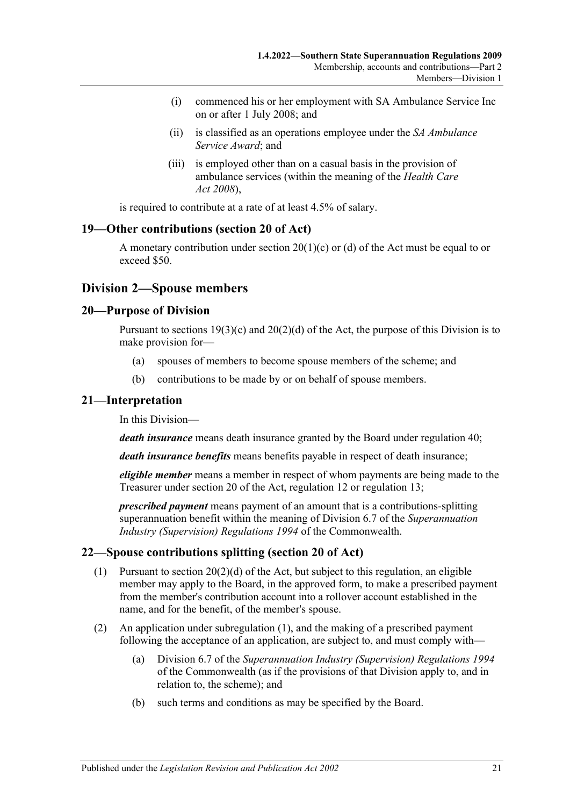- (i) commenced his or her employment with SA Ambulance Service Inc on or after 1 July 2008; and
- (ii) is classified as an operations employee under the *SA Ambulance Service Award*; and
- (iii) is employed other than on a casual basis in the provision of ambulance services (within the meaning of the *[Health Care](http://www.legislation.sa.gov.au/index.aspx?action=legref&type=act&legtitle=Health%20Care%20Act%202008)  Act [2008](http://www.legislation.sa.gov.au/index.aspx?action=legref&type=act&legtitle=Health%20Care%20Act%202008)*),

is required to contribute at a rate of at least 4.5% of salary.

# <span id="page-20-0"></span>**19—Other contributions (section 20 of Act)**

A monetary contribution under section  $20(1)(c)$  or (d) of the Act must be equal to or exceed \$50.

# <span id="page-20-1"></span>**Division 2—Spouse members**

## <span id="page-20-2"></span>**20—Purpose of Division**

Pursuant to sections  $19(3)(c)$  and  $20(2)(d)$  of the Act, the purpose of this Division is to make provision for—

- (a) spouses of members to become spouse members of the scheme; and
- (b) contributions to be made by or on behalf of spouse members.

## <span id="page-20-3"></span>**21—Interpretation**

In this Division—

*death insurance* means death insurance granted by the Board under [regulation](#page-39-3) 40;

*death insurance benefits* means benefits payable in respect of death insurance;

*eligible member* means a member in respect of whom payments are being made to the Treasurer under section 20 of the Act, [regulation](#page-12-1) 12 or [regulation](#page-13-0) 13;

*prescribed payment* means payment of an amount that is a contributions-splitting superannuation benefit within the meaning of Division 6.7 of the *Superannuation Industry (Supervision) Regulations 1994* of the Commonwealth.

# <span id="page-20-5"></span><span id="page-20-4"></span>**22—Spouse contributions splitting (section 20 of Act)**

- (1) Pursuant to section 20(2)(d) of the Act, but subject to this regulation, an eligible member may apply to the Board, in the approved form, to make a prescribed payment from the member's contribution account into a rollover account established in the name, and for the benefit, of the member's spouse.
- (2) An application under [subregulation](#page-20-5) (1), and the making of a prescribed payment following the acceptance of an application, are subject to, and must comply with—
	- (a) Division 6.7 of the *Superannuation Industry (Supervision) Regulations 1994* of the Commonwealth (as if the provisions of that Division apply to, and in relation to, the scheme); and
	- (b) such terms and conditions as may be specified by the Board.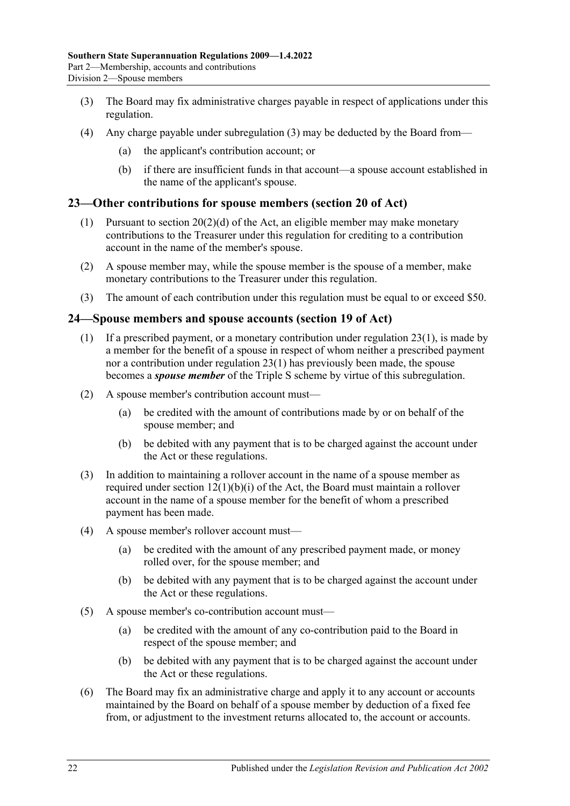- <span id="page-21-3"></span>(3) The Board may fix administrative charges payable in respect of applications under this regulation.
- (4) Any charge payable under [subregulation](#page-21-3) (3) may be deducted by the Board from—
	- (a) the applicant's contribution account; or
	- (b) if there are insufficient funds in that account—a spouse account established in the name of the applicant's spouse.

# <span id="page-21-4"></span><span id="page-21-0"></span>**23—Other contributions for spouse members (section 20 of Act)**

- (1) Pursuant to section  $20(2)(d)$  of the Act, an eligible member may make monetary contributions to the Treasurer under this regulation for crediting to a contribution account in the name of the member's spouse.
- (2) A spouse member may, while the spouse member is the spouse of a member, make monetary contributions to the Treasurer under this regulation.
- (3) The amount of each contribution under this regulation must be equal to or exceed \$50.

# <span id="page-21-2"></span><span id="page-21-1"></span>**24—Spouse members and spouse accounts (section 19 of Act)**

- (1) If a prescribed payment, or a monetary contribution under [regulation](#page-21-4) 23(1), is made by a member for the benefit of a spouse in respect of whom neither a prescribed payment nor a contribution under [regulation](#page-21-4) 23(1) has previously been made, the spouse becomes a *spouse member* of the Triple S scheme by virtue of this subregulation.
- (2) A spouse member's contribution account must—
	- (a) be credited with the amount of contributions made by or on behalf of the spouse member; and
	- (b) be debited with any payment that is to be charged against the account under the Act or these regulations.
- (3) In addition to maintaining a rollover account in the name of a spouse member as required under section 12(1)(b)(i) of the Act, the Board must maintain a rollover account in the name of a spouse member for the benefit of whom a prescribed payment has been made.
- (4) A spouse member's rollover account must—
	- (a) be credited with the amount of any prescribed payment made, or money rolled over, for the spouse member; and
	- (b) be debited with any payment that is to be charged against the account under the Act or these regulations.
- (5) A spouse member's co-contribution account must—
	- (a) be credited with the amount of any co-contribution paid to the Board in respect of the spouse member; and
	- (b) be debited with any payment that is to be charged against the account under the Act or these regulations.
- (6) The Board may fix an administrative charge and apply it to any account or accounts maintained by the Board on behalf of a spouse member by deduction of a fixed fee from, or adjustment to the investment returns allocated to, the account or accounts.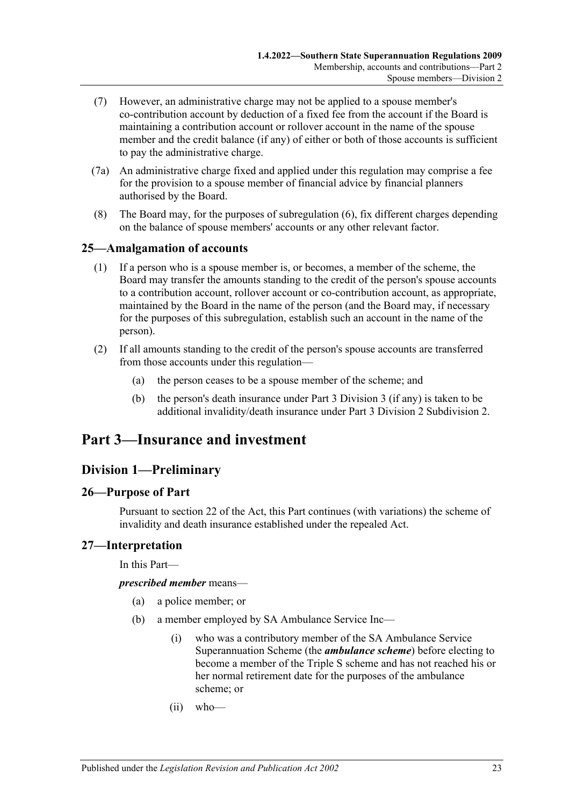- (7) However, an administrative charge may not be applied to a spouse member's co-contribution account by deduction of a fixed fee from the account if the Board is maintaining a contribution account or rollover account in the name of the spouse member and the credit balance (if any) of either or both of those accounts is sufficient to pay the administrative charge.
- (7a) An administrative charge fixed and applied under this regulation may comprise a fee for the provision to a spouse member of financial advice by financial planners authorised by the Board.
- (8) The Board may, for the purposes of subregulation (6), fix different charges depending on the balance of spouse members' accounts or any other relevant factor.

# <span id="page-22-0"></span>**25—Amalgamation of accounts**

- (1) If a person who is a spouse member is, or becomes, a member of the scheme, the Board may transfer the amounts standing to the credit of the person's spouse accounts to a contribution account, rollover account or co-contribution account, as appropriate, maintained by the Board in the name of the person (and the Board may, if necessary for the purposes of this subregulation, establish such an account in the name of the person).
- (2) If all amounts standing to the credit of the person's spouse accounts are transferred from those accounts under this regulation—
	- (a) the person ceases to be a spouse member of the scheme; and
	- (b) the person's death insurance under [Part 3 Division 3](#page-39-2) (if any) is taken to be additional invalidity/death insurance under [Part 3 Division 2 Subdivision 2.](#page-24-0)

# <span id="page-22-2"></span><span id="page-22-1"></span>**Part 3—Insurance and investment**

# **Division 1—Preliminary**

# <span id="page-22-3"></span>**26—Purpose of Part**

Pursuant to section 22 of the Act, this Part continues (with variations) the scheme of invalidity and death insurance established under the repealed Act.

#### <span id="page-22-4"></span>**27—Interpretation**

In this Part—

*prescribed member* means—

- (a) a police member; or
- (b) a member employed by SA Ambulance Service Inc—
	- (i) who was a contributory member of the SA Ambulance Service Superannuation Scheme (the *ambulance scheme*) before electing to become a member of the Triple S scheme and has not reached his or her normal retirement date for the purposes of the ambulance scheme; or
	- (ii) who—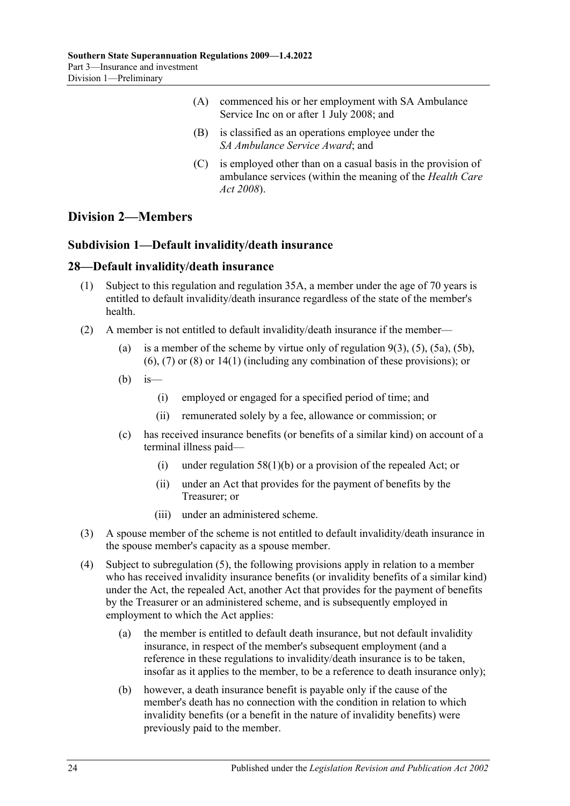- (A) commenced his or her employment with SA Ambulance Service Inc on or after 1 July 2008; and
- (B) is classified as an operations employee under the *SA Ambulance Service Award*; and
- (C) is employed other than on a casual basis in the provision of ambulance services (within the meaning of the *[Health Care](http://www.legislation.sa.gov.au/index.aspx?action=legref&type=act&legtitle=Health%20Care%20Act%202008)  Act [2008](http://www.legislation.sa.gov.au/index.aspx?action=legref&type=act&legtitle=Health%20Care%20Act%202008)*).

# <span id="page-23-1"></span><span id="page-23-0"></span>**Division 2—Members**

# **Subdivision 1—Default invalidity/death insurance**

# <span id="page-23-2"></span>**28—Default invalidity/death insurance**

- (1) Subject to this regulation and [regulation](#page-27-1) 35A, a member under the age of 70 years is entitled to default invalidity/death insurance regardless of the state of the member's health.
- <span id="page-23-5"></span><span id="page-23-4"></span>(2) A member is not entitled to default invalidity/death insurance if the member
	- (a) is a member of the scheme by virtue only of [regulation](#page-10-4)  $9(3)$ ,  $(5)$ ,  $(5a)$ ,  $(5b)$ , [\(6\),](#page-10-6) [\(7\)](#page-10-2) or [\(8\)](#page-11-1) or [14\(1\)](#page-15-1) (including any combination of these provisions); or
	- $(b)$  is—
		- (i) employed or engaged for a specified period of time; and
		- (ii) remunerated solely by a fee, allowance or commission; or
	- (c) has received insurance benefits (or benefits of a similar kind) on account of a terminal illness paid—
		- (i) under [regulation](#page-55-2) 58(1)(b) or a provision of the repealed Act; or
		- (ii) under an Act that provides for the payment of benefits by the Treasurer; or
		- (iii) under an administered scheme.
- (3) A spouse member of the scheme is not entitled to default invalidity/death insurance in the spouse member's capacity as a spouse member.
- <span id="page-23-3"></span>(4) Subject to [subregulation](#page-24-3) (5), the following provisions apply in relation to a member who has received invalidity insurance benefits (or invalidity benefits of a similar kind) under the Act, the repealed Act, another Act that provides for the payment of benefits by the Treasurer or an administered scheme, and is subsequently employed in employment to which the Act applies:
	- (a) the member is entitled to default death insurance, but not default invalidity insurance, in respect of the member's subsequent employment (and a reference in these regulations to invalidity/death insurance is to be taken, insofar as it applies to the member, to be a reference to death insurance only);
	- (b) however, a death insurance benefit is payable only if the cause of the member's death has no connection with the condition in relation to which invalidity benefits (or a benefit in the nature of invalidity benefits) were previously paid to the member.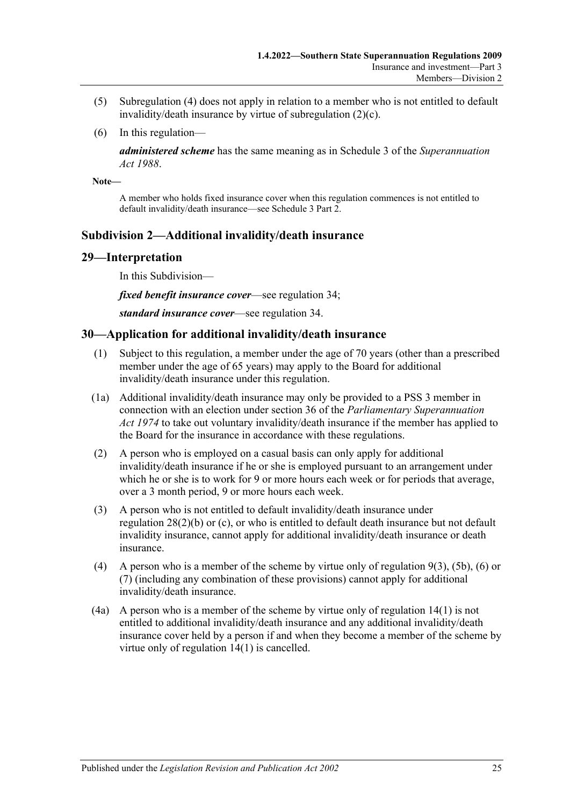- <span id="page-24-3"></span>(5) [Subregulation](#page-23-3) (4) does not apply in relation to a member who is not entitled to default invalidity/death insurance by virtue of [subregulation](#page-23-4) (2)(c).
- (6) In this regulation—

*administered scheme* has the same meaning as in Schedule 3 of the *[Superannuation](http://www.legislation.sa.gov.au/index.aspx?action=legref&type=act&legtitle=Superannuation%20Act%201988)  Act [1988](http://www.legislation.sa.gov.au/index.aspx?action=legref&type=act&legtitle=Superannuation%20Act%201988)*.

**Note—**

A member who holds fixed insurance cover when this regulation commences is not entitled to default invalidity/death insurance—see Schedule 3 Part 2.

# <span id="page-24-0"></span>**Subdivision 2—Additional invalidity/death insurance**

#### <span id="page-24-1"></span>**29—Interpretation**

In this Subdivision—

*fixed benefit insurance cover*—see [regulation](#page-25-2) 34;

*standard insurance cover*—see [regulation](#page-25-2) 34.

## <span id="page-24-2"></span>**30—Application for additional invalidity/death insurance**

- (1) Subject to this regulation, a member under the age of 70 years (other than a prescribed member under the age of 65 years) may apply to the Board for additional invalidity/death insurance under this regulation.
- (1a) Additional invalidity/death insurance may only be provided to a PSS 3 member in connection with an election under section 36 of the *[Parliamentary Superannuation](http://www.legislation.sa.gov.au/index.aspx?action=legref&type=act&legtitle=Parliamentary%20Superannuation%20Act%201974)  Act [1974](http://www.legislation.sa.gov.au/index.aspx?action=legref&type=act&legtitle=Parliamentary%20Superannuation%20Act%201974)* to take out voluntary invalidity/death insurance if the member has applied to the Board for the insurance in accordance with these regulations.
- (2) A person who is employed on a casual basis can only apply for additional invalidity/death insurance if he or she is employed pursuant to an arrangement under which he or she is to work for 9 or more hours each week or for periods that average, over a 3 month period, 9 or more hours each week.
- (3) A person who is not entitled to default invalidity/death insurance under [regulation](#page-23-5) 28(2)(b) or [\(c\),](#page-23-4) or who is entitled to default death insurance but not default invalidity insurance, cannot apply for additional invalidity/death insurance or death insurance.
- (4) A person who is a member of the scheme by virtue only of [regulation](#page-10-4) 9(3), [\(5b\),](#page-10-1) [\(6\)](#page-10-6) or [\(7\)](#page-10-2) (including any combination of these provisions) cannot apply for additional invalidity/death insurance.
- (4a) A person who is a member of the scheme by virtue only of [regulation](#page-15-1) 14(1) is not entitled to additional invalidity/death insurance and any additional invalidity/death insurance cover held by a person if and when they become a member of the scheme by virtue only of [regulation](#page-15-1) 14(1) is cancelled.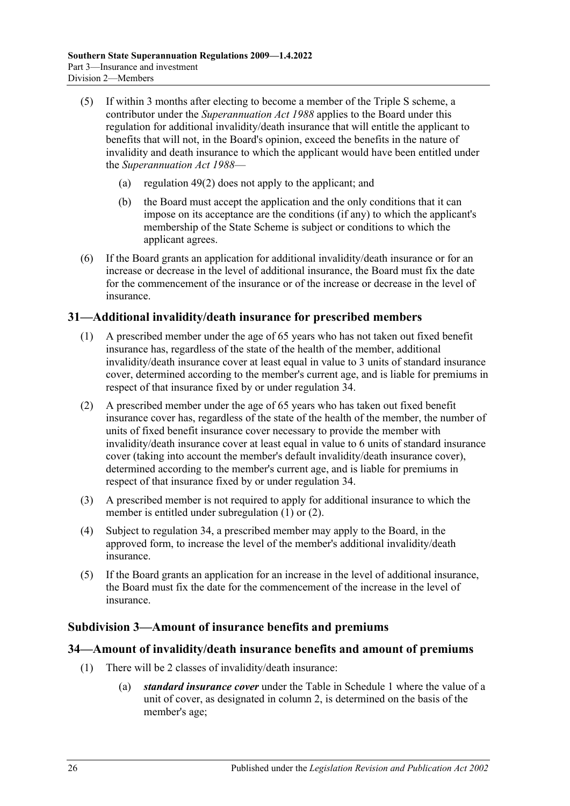- (5) If within 3 months after electing to become a member of the Triple S scheme, a contributor under the *[Superannuation Act](http://www.legislation.sa.gov.au/index.aspx?action=legref&type=act&legtitle=Superannuation%20Act%201988) 1988* applies to the Board under this regulation for additional invalidity/death insurance that will entitle the applicant to benefits that will not, in the Board's opinion, exceed the benefits in the nature of invalidity and death insurance to which the applicant would have been entitled under the *[Superannuation Act](http://www.legislation.sa.gov.au/index.aspx?action=legref&type=act&legtitle=Superannuation%20Act%201988) 1988*—
	- (a) [regulation](#page-46-2) 49(2) does not apply to the applicant; and
	- (b) the Board must accept the application and the only conditions that it can impose on its acceptance are the conditions (if any) to which the applicant's membership of the State Scheme is subject or conditions to which the applicant agrees.
- (6) If the Board grants an application for additional invalidity/death insurance or for an increase or decrease in the level of additional insurance, the Board must fix the date for the commencement of the insurance or of the increase or decrease in the level of insurance.

# <span id="page-25-3"></span><span id="page-25-0"></span>**31—Additional invalidity/death insurance for prescribed members**

- (1) A prescribed member under the age of 65 years who has not taken out fixed benefit insurance has, regardless of the state of the health of the member, additional invalidity/death insurance cover at least equal in value to 3 units of standard insurance cover, determined according to the member's current age, and is liable for premiums in respect of that insurance fixed by or under [regulation](#page-25-2) 34.
- <span id="page-25-4"></span>(2) A prescribed member under the age of 65 years who has taken out fixed benefit insurance cover has, regardless of the state of the health of the member, the number of units of fixed benefit insurance cover necessary to provide the member with invalidity/death insurance cover at least equal in value to 6 units of standard insurance cover (taking into account the member's default invalidity/death insurance cover), determined according to the member's current age, and is liable for premiums in respect of that insurance fixed by or under [regulation](#page-25-2) 34.
- (3) A prescribed member is not required to apply for additional insurance to which the member is entitled under [subregulation](#page-25-3) (1) or [\(2\).](#page-25-4)
- (4) Subject to [regulation](#page-25-2) 34, a prescribed member may apply to the Board, in the approved form, to increase the level of the member's additional invalidity/death insurance.
- (5) If the Board grants an application for an increase in the level of additional insurance, the Board must fix the date for the commencement of the increase in the level of insurance.

# <span id="page-25-1"></span>**Subdivision 3—Amount of insurance benefits and premiums**

## <span id="page-25-2"></span>**34—Amount of invalidity/death insurance benefits and amount of premiums**

- (1) There will be 2 classes of invalidity/death insurance:
	- (a) *standard insurance cover* under the Table in [Schedule 1](#page-80-0) where the value of a unit of cover, as designated in column 2, is determined on the basis of the member's age;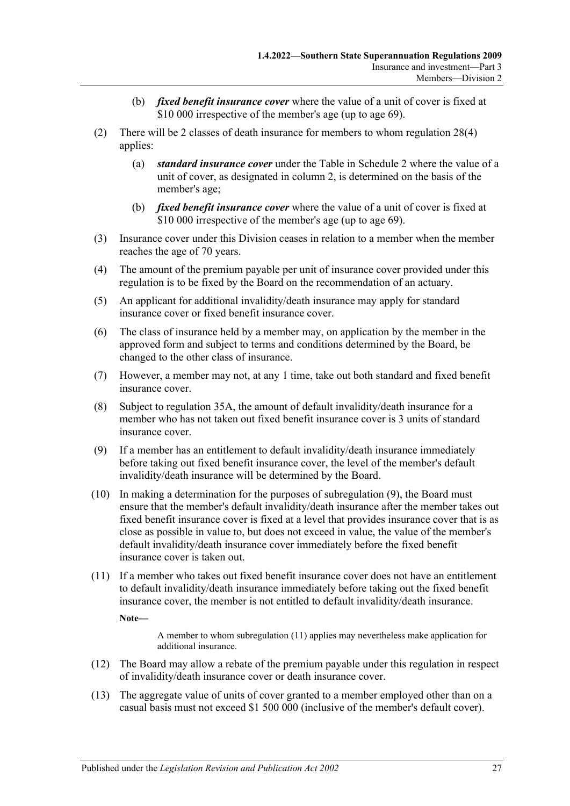- (b) *fixed benefit insurance cover* where the value of a unit of cover is fixed at \$10 000 irrespective of the member's age (up to age 69).
- (2) There will be 2 classes of death insurance for members to whom [regulation](#page-23-3) 28(4) applies:
	- (a) *standard insurance cover* under the Table in [Schedule 2](#page-81-0) where the value of a unit of cover, as designated in column 2, is determined on the basis of the member's age;
	- (b) *fixed benefit insurance cover* where the value of a unit of cover is fixed at \$10 000 irrespective of the member's age (up to age 69).
- (3) Insurance cover under this Division ceases in relation to a member when the member reaches the age of 70 years.
- (4) The amount of the premium payable per unit of insurance cover provided under this regulation is to be fixed by the Board on the recommendation of an actuary.
- (5) An applicant for additional invalidity/death insurance may apply for standard insurance cover or fixed benefit insurance cover.
- (6) The class of insurance held by a member may, on application by the member in the approved form and subject to terms and conditions determined by the Board, be changed to the other class of insurance.
- (7) However, a member may not, at any 1 time, take out both standard and fixed benefit insurance cover.
- (8) Subject to [regulation](#page-27-1) 35A, the amount of default invalidity/death insurance for a member who has not taken out fixed benefit insurance cover is 3 units of standard insurance cover.
- <span id="page-26-0"></span>(9) If a member has an entitlement to default invalidity/death insurance immediately before taking out fixed benefit insurance cover, the level of the member's default invalidity/death insurance will be determined by the Board.
- (10) In making a determination for the purposes of [subregulation](#page-26-0) (9), the Board must ensure that the member's default invalidity/death insurance after the member takes out fixed benefit insurance cover is fixed at a level that provides insurance cover that is as close as possible in value to, but does not exceed in value, the value of the member's default invalidity/death insurance cover immediately before the fixed benefit insurance cover is taken out.
- <span id="page-26-1"></span>(11) If a member who takes out fixed benefit insurance cover does not have an entitlement to default invalidity/death insurance immediately before taking out the fixed benefit insurance cover, the member is not entitled to default invalidity/death insurance.

**Note—**

A member to whom [subregulation](#page-26-1) (11) applies may nevertheless make application for additional insurance.

- (12) The Board may allow a rebate of the premium payable under this regulation in respect of invalidity/death insurance cover or death insurance cover.
- (13) The aggregate value of units of cover granted to a member employed other than on a casual basis must not exceed \$1 500 000 (inclusive of the member's default cover).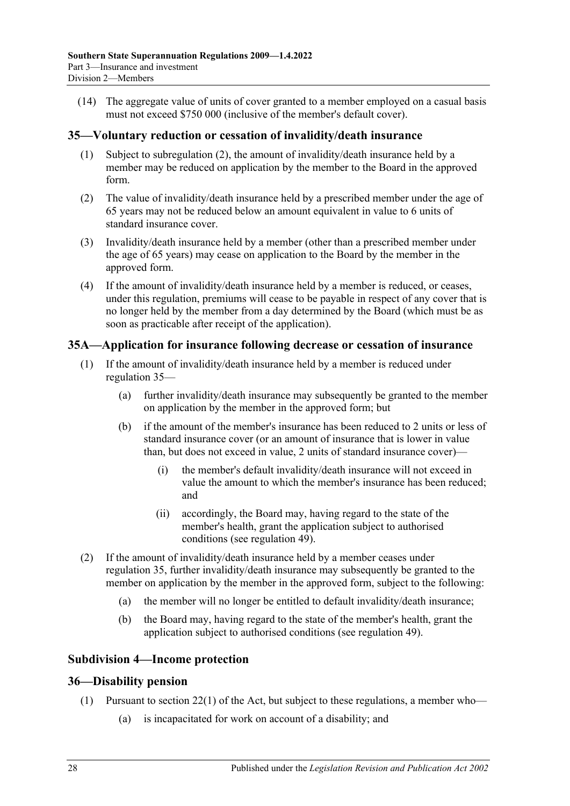(14) The aggregate value of units of cover granted to a member employed on a casual basis must not exceed \$750 000 (inclusive of the member's default cover).

## <span id="page-27-0"></span>**35—Voluntary reduction or cessation of invalidity/death insurance**

- (1) Subject to [subregulation](#page-27-4) (2), the amount of invalidity/death insurance held by a member may be reduced on application by the member to the Board in the approved form.
- <span id="page-27-4"></span>(2) The value of invalidity/death insurance held by a prescribed member under the age of 65 years may not be reduced below an amount equivalent in value to 6 units of standard insurance cover.
- (3) Invalidity/death insurance held by a member (other than a prescribed member under the age of 65 years) may cease on application to the Board by the member in the approved form.
- (4) If the amount of invalidity/death insurance held by a member is reduced, or ceases, under this regulation, premiums will cease to be payable in respect of any cover that is no longer held by the member from a day determined by the Board (which must be as soon as practicable after receipt of the application).

# <span id="page-27-1"></span>**35A—Application for insurance following decrease or cessation of insurance**

- (1) If the amount of invalidity/death insurance held by a member is reduced under [regulation](#page-27-0) 35—
	- (a) further invalidity/death insurance may subsequently be granted to the member on application by the member in the approved form; but
	- (b) if the amount of the member's insurance has been reduced to 2 units or less of standard insurance cover (or an amount of insurance that is lower in value than, but does not exceed in value, 2 units of standard insurance cover)—
		- (i) the member's default invalidity/death insurance will not exceed in value the amount to which the member's insurance has been reduced; and
		- (ii) accordingly, the Board may, having regard to the state of the member's health, grant the application subject to authorised conditions (see [regulation](#page-46-1) 49).
- (2) If the amount of invalidity/death insurance held by a member ceases under [regulation](#page-27-0) 35, further invalidity/death insurance may subsequently be granted to the member on application by the member in the approved form, subject to the following:
	- (a) the member will no longer be entitled to default invalidity/death insurance;
	- (b) the Board may, having regard to the state of the member's health, grant the application subject to authorised conditions (see [regulation](#page-46-1) 49).

#### <span id="page-27-2"></span>**Subdivision 4—Income protection**

#### <span id="page-27-5"></span><span id="page-27-3"></span>**36—Disability pension**

- (1) Pursuant to section 22(1) of the Act, but subject to these regulations, a member who—
	- (a) is incapacitated for work on account of a disability; and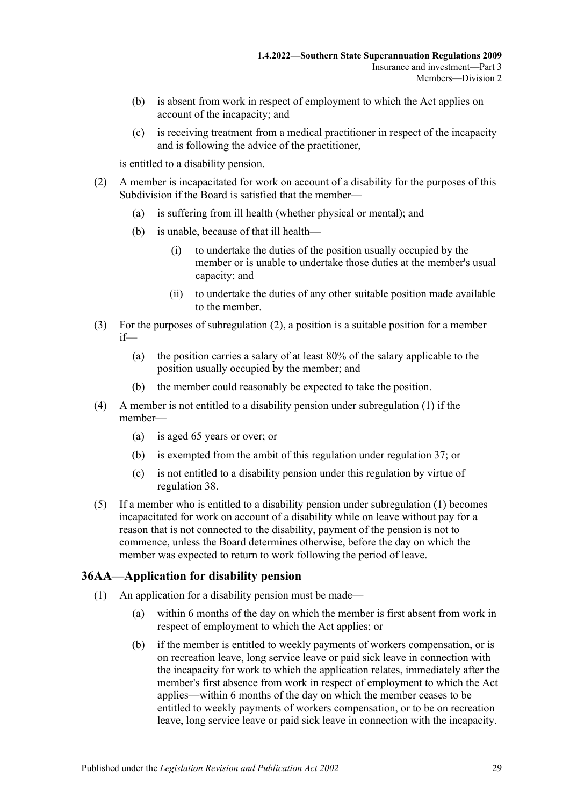- (b) is absent from work in respect of employment to which the Act applies on account of the incapacity; and
- (c) is receiving treatment from a medical practitioner in respect of the incapacity and is following the advice of the practitioner,

is entitled to a disability pension.

- <span id="page-28-1"></span>(2) A member is incapacitated for work on account of a disability for the purposes of this Subdivision if the Board is satisfied that the member—
	- (a) is suffering from ill health (whether physical or mental); and
	- (b) is unable, because of that ill health—
		- (i) to undertake the duties of the position usually occupied by the member or is unable to undertake those duties at the member's usual capacity; and
		- (ii) to undertake the duties of any other suitable position made available to the member.
- (3) For the purposes of [subregulation](#page-28-1) (2), a position is a suitable position for a member if—
	- (a) the position carries a salary of at least 80% of the salary applicable to the position usually occupied by the member; and
	- (b) the member could reasonably be expected to take the position.
- (4) A member is not entitled to a disability pension under [subregulation](#page-27-5) (1) if the member—
	- (a) is aged 65 years or over; or
	- (b) is exempted from the ambit of this regulation under [regulation](#page-34-1) 37; or
	- (c) is not entitled to a disability pension under this regulation by virtue of [regulation](#page-36-0) 38.
- (5) If a member who is entitled to a disability pension under [subregulation](#page-27-5) (1) becomes incapacitated for work on account of a disability while on leave without pay for a reason that is not connected to the disability, payment of the pension is not to commence, unless the Board determines otherwise, before the day on which the member was expected to return to work following the period of leave.

# <span id="page-28-2"></span><span id="page-28-0"></span>**36AA—Application for disability pension**

- (1) An application for a disability pension must be made—
	- (a) within 6 months of the day on which the member is first absent from work in respect of employment to which the Act applies; or
	- (b) if the member is entitled to weekly payments of workers compensation, or is on recreation leave, long service leave or paid sick leave in connection with the incapacity for work to which the application relates, immediately after the member's first absence from work in respect of employment to which the Act applies—within 6 months of the day on which the member ceases to be entitled to weekly payments of workers compensation, or to be on recreation leave, long service leave or paid sick leave in connection with the incapacity.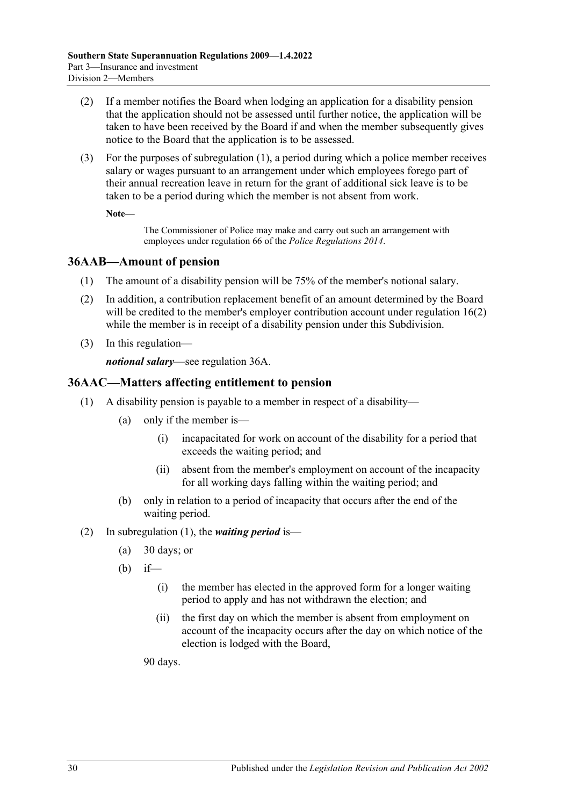- <span id="page-29-8"></span>(2) If a member notifies the Board when lodging an application for a disability pension that the application should not be assessed until further notice, the application will be taken to have been received by the Board if and when the member subsequently gives notice to the Board that the application is to be assessed.
- (3) For the purposes of [subregulation](#page-28-2) (1), a period during which a police member receives salary or wages pursuant to an arrangement under which employees forego part of their annual recreation leave in return for the grant of additional sick leave is to be taken to be a period during which the member is not absent from work.

**Note—**

The Commissioner of Police may make and carry out such an arrangement with employees under regulation 66 of the *[Police Regulations](http://www.legislation.sa.gov.au/index.aspx?action=legref&type=subordleg&legtitle=Police%20Regulations%202014) 2014*.

# <span id="page-29-0"></span>**36AAB—Amount of pension**

- (1) The amount of a disability pension will be 75% of the member's notional salary.
- <span id="page-29-2"></span>(2) In addition, a contribution replacement benefit of an amount determined by the Board will be credited to the member's employer contribution account under [regulation](#page-17-0) 16(2) while the member is in receipt of a disability pension under this Subdivision.
- (3) In this regulation—

*notional salary*—see [regulation](#page-32-0) 36A.

# <span id="page-29-3"></span><span id="page-29-1"></span>**36AAC—Matters affecting entitlement to pension**

- <span id="page-29-4"></span>(1) A disability pension is payable to a member in respect of a disability—
	- (a) only if the member is—
		- (i) incapacitated for work on account of the disability for a period that exceeds the waiting period; and
		- (ii) absent from the member's employment on account of the incapacity for all working days falling within the waiting period; and
	- (b) only in relation to a period of incapacity that occurs after the end of the waiting period.
- <span id="page-29-7"></span><span id="page-29-6"></span><span id="page-29-5"></span>(2) In [subregulation](#page-29-3) (1), the *waiting period* is—
	- (a) 30 days; or
	- (b) if—
		- (i) the member has elected in the approved form for a longer waiting period to apply and has not withdrawn the election; and
		- (ii) the first day on which the member is absent from employment on account of the incapacity occurs after the day on which notice of the election is lodged with the Board,

90 days.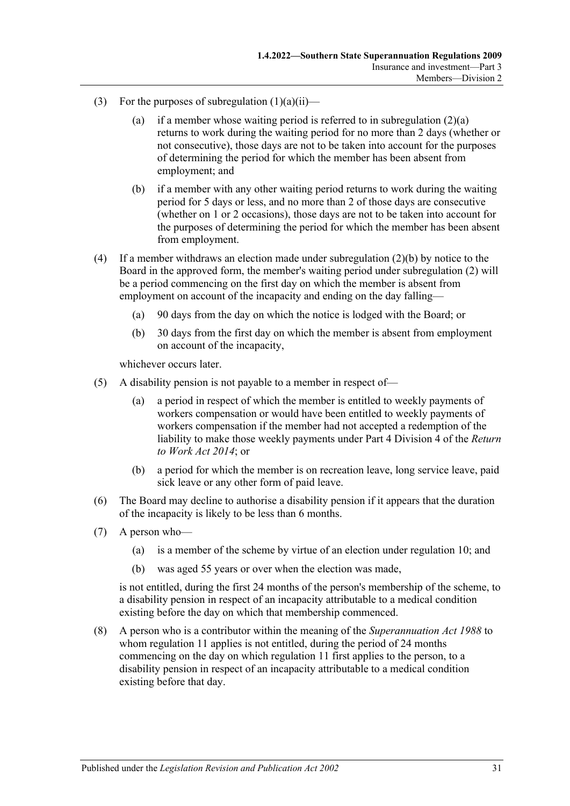- (3) For the purposes of [subregulation](#page-29-4)  $(1)(a)(ii)$ 
	- (a) if a member whose waiting period is referred to in [subregulation](#page-29-5)  $(2)(a)$ returns to work during the waiting period for no more than 2 days (whether or not consecutive), those days are not to be taken into account for the purposes of determining the period for which the member has been absent from employment; and
	- (b) if a member with any other waiting period returns to work during the waiting period for 5 days or less, and no more than 2 of those days are consecutive (whether on 1 or 2 occasions), those days are not to be taken into account for the purposes of determining the period for which the member has been absent from employment.
- (4) If a member withdraws an election made under [subregulation](#page-29-6) (2)(b) by notice to the Board in the approved form, the member's waiting period under [subregulation](#page-29-7) (2) will be a period commencing on the first day on which the member is absent from employment on account of the incapacity and ending on the day falling—
	- (a) 90 days from the day on which the notice is lodged with the Board; or
	- (b) 30 days from the first day on which the member is absent from employment on account of the incapacity,

whichever occurs later.

- (5) A disability pension is not payable to a member in respect of—
	- (a) a period in respect of which the member is entitled to weekly payments of workers compensation or would have been entitled to weekly payments of workers compensation if the member had not accepted a redemption of the liability to make those weekly payments under Part 4 Division 4 of the *[Return](http://www.legislation.sa.gov.au/index.aspx?action=legref&type=act&legtitle=Return%20to%20Work%20Act%202014)  [to Work Act](http://www.legislation.sa.gov.au/index.aspx?action=legref&type=act&legtitle=Return%20to%20Work%20Act%202014) 2014*; or
	- (b) a period for which the member is on recreation leave, long service leave, paid sick leave or any other form of paid leave.
- (6) The Board may decline to authorise a disability pension if it appears that the duration of the incapacity is likely to be less than 6 months.
- (7) A person who—
	- (a) is a member of the scheme by virtue of an election under [regulation](#page-11-0) 10; and
	- (b) was aged 55 years or over when the election was made,

is not entitled, during the first 24 months of the person's membership of the scheme, to a disability pension in respect of an incapacity attributable to a medical condition existing before the day on which that membership commenced.

(8) A person who is a contributor within the meaning of the *[Superannuation Act](http://www.legislation.sa.gov.au/index.aspx?action=legref&type=act&legtitle=Superannuation%20Act%201988) 1988* to whom [regulation](#page-12-0) 11 applies is not entitled, during the period of 24 months commencing on the day on which [regulation](#page-12-0) 11 first applies to the person, to a disability pension in respect of an incapacity attributable to a medical condition existing before that day.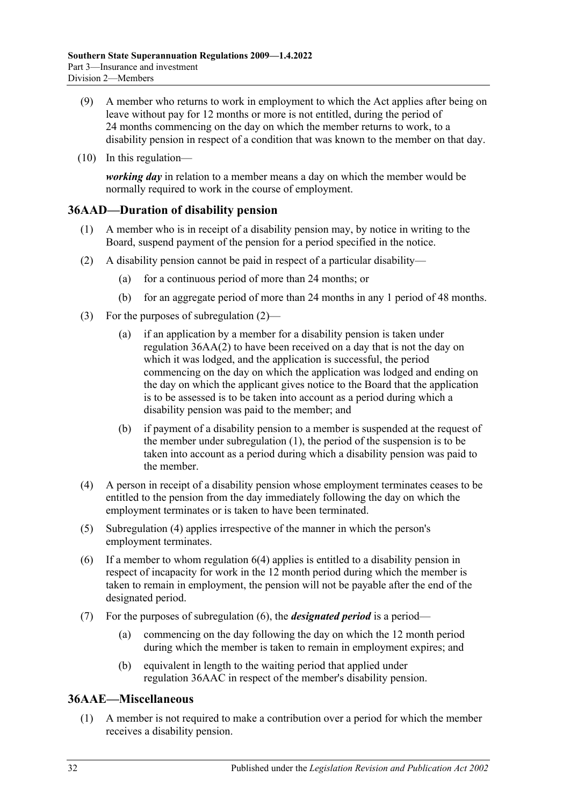- (9) A member who returns to work in employment to which the Act applies after being on leave without pay for 12 months or more is not entitled, during the period of 24 months commencing on the day on which the member returns to work, to a disability pension in respect of a condition that was known to the member on that day.
- (10) In this regulation—

*working day* in relation to a member means a day on which the member would be normally required to work in the course of employment.

# <span id="page-31-3"></span><span id="page-31-0"></span>**36AAD—Duration of disability pension**

- (1) A member who is in receipt of a disability pension may, by notice in writing to the Board, suspend payment of the pension for a period specified in the notice.
- <span id="page-31-2"></span>(2) A disability pension cannot be paid in respect of a particular disability—
	- (a) for a continuous period of more than 24 months; or
	- (b) for an aggregate period of more than 24 months in any 1 period of 48 months.
- (3) For the purposes of [subregulation \(2\)—](#page-31-2)
	- (a) if an application by a member for a disability pension is taken under [regulation](#page-29-8) 36AA(2) to have been received on a day that is not the day on which it was lodged, and the application is successful, the period commencing on the day on which the application was lodged and ending on the day on which the applicant gives notice to the Board that the application is to be assessed is to be taken into account as a period during which a disability pension was paid to the member; and
	- (b) if payment of a disability pension to a member is suspended at the request of the member under [subregulation](#page-31-3) (1), the period of the suspension is to be taken into account as a period during which a disability pension was paid to the member.
- <span id="page-31-4"></span>(4) A person in receipt of a disability pension whose employment terminates ceases to be entitled to the pension from the day immediately following the day on which the employment terminates or is taken to have been terminated.
- (5) [Subregulation](#page-31-4) (4) applies irrespective of the manner in which the person's employment terminates.
- <span id="page-31-5"></span>(6) If a member to whom [regulation](#page-8-1) 6(4) applies is entitled to a disability pension in respect of incapacity for work in the 12 month period during which the member is taken to remain in employment, the pension will not be payable after the end of the designated period.
- (7) For the purposes of [subregulation](#page-31-5) (6), the *designated period* is a period—
	- (a) commencing on the day following the day on which the 12 month period during which the member is taken to remain in employment expires; and
	- (b) equivalent in length to the waiting period that applied under [regulation](#page-29-1) 36AAC in respect of the member's disability pension.

# <span id="page-31-1"></span>**36AAE—Miscellaneous**

(1) A member is not required to make a contribution over a period for which the member receives a disability pension.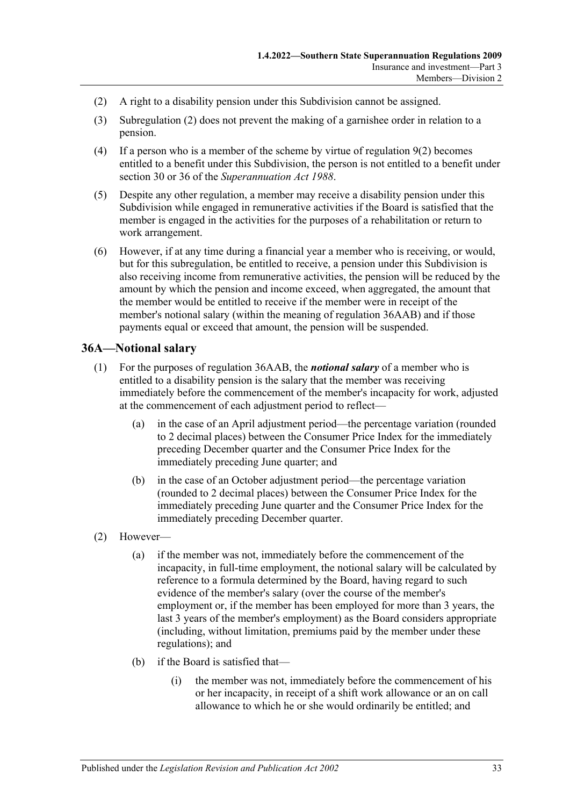- <span id="page-32-1"></span>(2) A right to a disability pension under this Subdivision cannot be assigned.
- (3) [Subregulation](#page-32-1) (2) does not prevent the making of a garnishee order in relation to a pension.
- (4) If a person who is a member of the scheme by virtue of [regulation](#page-10-3)  $9(2)$  becomes entitled to a benefit under this Subdivision, the person is not entitled to a benefit under section 30 or 36 of the *[Superannuation Act](http://www.legislation.sa.gov.au/index.aspx?action=legref&type=act&legtitle=Superannuation%20Act%201988) 1988*.
- (5) Despite any other regulation, a member may receive a disability pension under this Subdivision while engaged in remunerative activities if the Board is satisfied that the member is engaged in the activities for the purposes of a rehabilitation or return to work arrangement.
- (6) However, if at any time during a financial year a member who is receiving, or would, but for this subregulation, be entitled to receive, a pension under this Subdivision is also receiving income from remunerative activities, the pension will be reduced by the amount by which the pension and income exceed, when aggregated, the amount that the member would be entitled to receive if the member were in receipt of the member's notional salary (within the meaning of [regulation](#page-29-0) 36AAB) and if those payments equal or exceed that amount, the pension will be suspended.

# <span id="page-32-2"></span><span id="page-32-0"></span>**36A—Notional salary**

- (1) For the purposes of [regulation](#page-29-0) 36AAB, the *notional salary* of a member who is entitled to a disability pension is the salary that the member was receiving immediately before the commencement of the member's incapacity for work, adjusted at the commencement of each adjustment period to reflect—
	- (a) in the case of an April adjustment period—the percentage variation (rounded to 2 decimal places) between the Consumer Price Index for the immediately preceding December quarter and the Consumer Price Index for the immediately preceding June quarter; and
	- (b) in the case of an October adjustment period—the percentage variation (rounded to 2 decimal places) between the Consumer Price Index for the immediately preceding June quarter and the Consumer Price Index for the immediately preceding December quarter.
- <span id="page-32-3"></span>(2) However—
	- (a) if the member was not, immediately before the commencement of the incapacity, in full-time employment, the notional salary will be calculated by reference to a formula determined by the Board, having regard to such evidence of the member's salary (over the course of the member's employment or, if the member has been employed for more than 3 years, the last 3 years of the member's employment) as the Board considers appropriate (including, without limitation, premiums paid by the member under these regulations); and
	- (b) if the Board is satisfied that—
		- (i) the member was not, immediately before the commencement of his or her incapacity, in receipt of a shift work allowance or an on call allowance to which he or she would ordinarily be entitled; and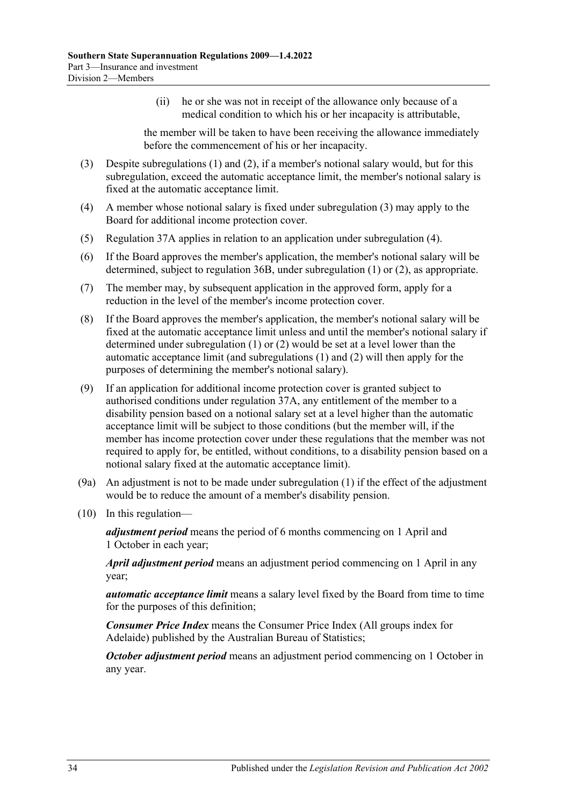(ii) he or she was not in receipt of the allowance only because of a medical condition to which his or her incapacity is attributable,

the member will be taken to have been receiving the allowance immediately before the commencement of his or her incapacity.

- <span id="page-33-0"></span>(3) Despite [subregulations \(1\)](#page-32-2) and [\(2\),](#page-32-3) if a member's notional salary would, but for this subregulation, exceed the automatic acceptance limit, the member's notional salary is fixed at the automatic acceptance limit.
- <span id="page-33-1"></span>(4) A member whose notional salary is fixed under [subregulation](#page-33-0) (3) may apply to the Board for additional income protection cover.
- (5) [Regulation](#page-34-2) 37A applies in relation to an application under [subregulation](#page-33-1) (4).
- (6) If the Board approves the member's application, the member's notional salary will be determined, subject to [regulation](#page-34-0) 36B, under [subregulation](#page-32-2) (1) or [\(2\),](#page-32-3) as appropriate.
- (7) The member may, by subsequent application in the approved form, apply for a reduction in the level of the member's income protection cover.
- (8) If the Board approves the member's application, the member's notional salary will be fixed at the automatic acceptance limit unless and until the member's notional salary if determined under [subregulation](#page-32-2) (1) or [\(2\)](#page-32-3) would be set at a level lower than the automatic acceptance limit (and [subregulations \(1\)](#page-32-2) and [\(2\)](#page-32-3) will then apply for the purposes of determining the member's notional salary).
- (9) If an application for additional income protection cover is granted subject to authorised conditions under [regulation](#page-34-2) 37A, any entitlement of the member to a disability pension based on a notional salary set at a level higher than the automatic acceptance limit will be subject to those conditions (but the member will, if the member has income protection cover under these regulations that the member was not required to apply for, be entitled, without conditions, to a disability pension based on a notional salary fixed at the automatic acceptance limit).
- (9a) An adjustment is not to be made under [subregulation](#page-32-2) (1) if the effect of the adjustment would be to reduce the amount of a member's disability pension.
- (10) In this regulation—

*adjustment period* means the period of 6 months commencing on 1 April and 1 October in each year;

*April adjustment period* means an adjustment period commencing on 1 April in any year;

*automatic acceptance limit* means a salary level fixed by the Board from time to time for the purposes of this definition;

*Consumer Price Index* means the Consumer Price Index (All groups index for Adelaide) published by the Australian Bureau of Statistics;

*October adjustment period* means an adjustment period commencing on 1 October in any year.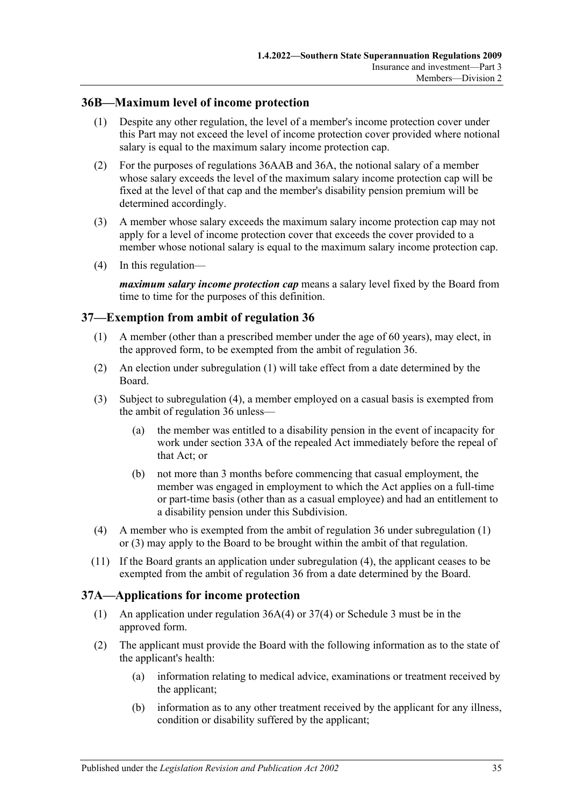# <span id="page-34-0"></span>**36B—Maximum level of income protection**

- (1) Despite any other regulation, the level of a member's income protection cover under this Part may not exceed the level of income protection cover provided where notional salary is equal to the maximum salary income protection cap.
- (2) For the purposes of [regulations 36AAB](#page-29-0) and [36A,](#page-32-0) the notional salary of a member whose salary exceeds the level of the maximum salary income protection cap will be fixed at the level of that cap and the member's disability pension premium will be determined accordingly.
- (3) A member whose salary exceeds the maximum salary income protection cap may not apply for a level of income protection cover that exceeds the cover provided to a member whose notional salary is equal to the maximum salary income protection cap.
- (4) In this regulation—

*maximum salary income protection cap* means a salary level fixed by the Board from time to time for the purposes of this definition.

# <span id="page-34-3"></span><span id="page-34-1"></span>**37—Exemption from ambit of [regulation](#page-27-3) 36**

- (1) A member (other than a prescribed member under the age of 60 years), may elect, in the approved form, to be exempted from the ambit of [regulation](#page-27-3) 36.
- (2) An election under [subregulation](#page-34-3) (1) will take effect from a date determined by the Board.
- <span id="page-34-5"></span>(3) Subject to [subregulation](#page-34-4) (4), a member employed on a casual basis is exempted from the ambit of [regulation](#page-27-3) 36 unless—
	- (a) the member was entitled to a disability pension in the event of incapacity for work under section 33A of the repealed Act immediately before the repeal of that Act; or
	- (b) not more than 3 months before commencing that casual employment, the member was engaged in employment to which the Act applies on a full-time or part-time basis (other than as a casual employee) and had an entitlement to a disability pension under this Subdivision.
- <span id="page-34-4"></span>(4) A member who is exempted from the ambit of [regulation](#page-27-3) 36 under [subregulation](#page-34-3) (1) or [\(3\)](#page-34-5) may apply to the Board to be brought within the ambit of that regulation.
- (11) If the Board grants an application under [subregulation](#page-34-4) (4), the applicant ceases to be exempted from the ambit of [regulation](#page-27-3) 36 from a date determined by the Board.

# <span id="page-34-2"></span>**37A—Applications for income protection**

- (1) An application under [regulation](#page-33-1) 36A(4) or [37\(4\)](#page-34-4) or [Schedule 3](#page-82-0) must be in the approved form.
- <span id="page-34-6"></span>(2) The applicant must provide the Board with the following information as to the state of the applicant's health:
	- (a) information relating to medical advice, examinations or treatment received by the applicant;
	- (b) information as to any other treatment received by the applicant for any illness, condition or disability suffered by the applicant;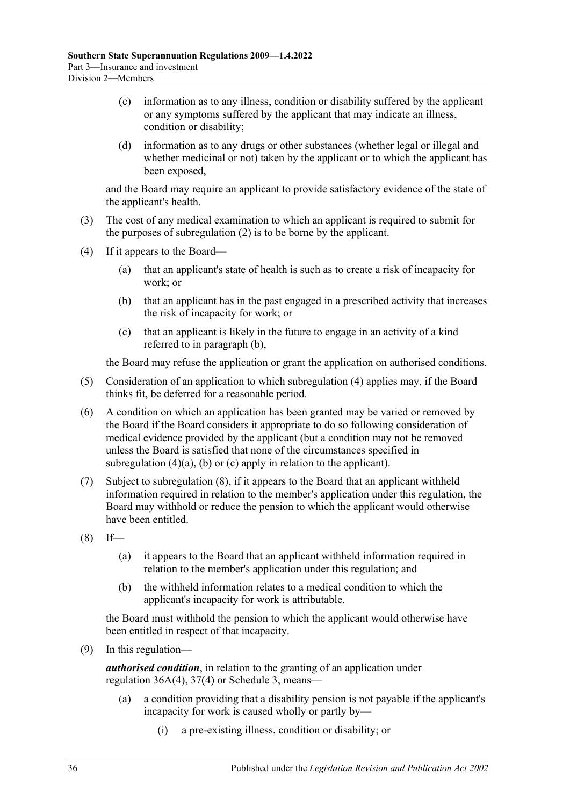- (c) information as to any illness, condition or disability suffered by the applicant or any symptoms suffered by the applicant that may indicate an illness, condition or disability;
- (d) information as to any drugs or other substances (whether legal or illegal and whether medicinal or not) taken by the applicant or to which the applicant has been exposed,

and the Board may require an applicant to provide satisfactory evidence of the state of the applicant's health.

- (3) The cost of any medical examination to which an applicant is required to submit for the purposes of [subregulation](#page-34-6) (2) is to be borne by the applicant.
- <span id="page-35-2"></span><span id="page-35-1"></span><span id="page-35-0"></span>(4) If it appears to the Board—
	- (a) that an applicant's state of health is such as to create a risk of incapacity for work; or
	- (b) that an applicant has in the past engaged in a prescribed activity that increases the risk of incapacity for work; or
	- (c) that an applicant is likely in the future to engage in an activity of a kind referred to in [paragraph](#page-35-0) (b),

<span id="page-35-3"></span>the Board may refuse the application or grant the application on authorised conditions.

- (5) Consideration of an application to which [subregulation](#page-35-1) (4) applies may, if the Board thinks fit, be deferred for a reasonable period.
- (6) A condition on which an application has been granted may be varied or removed by the Board if the Board considers it appropriate to do so following consideration of medical evidence provided by the applicant (but a condition may not be removed unless the Board is satisfied that none of the circumstances specified in [subregulation](#page-35-2)  $(4)(a)$ ,  $(b)$  or  $(c)$  apply in relation to the applicant).
- (7) Subject to [subregulation](#page-35-4) (8), if it appears to the Board that an applicant withheld information required in relation to the member's application under this regulation, the Board may withhold or reduce the pension to which the applicant would otherwise have been entitled.
- <span id="page-35-4"></span> $(8)$  If—
	- (a) it appears to the Board that an applicant withheld information required in relation to the member's application under this regulation; and
	- (b) the withheld information relates to a medical condition to which the applicant's incapacity for work is attributable,

the Board must withhold the pension to which the applicant would otherwise have been entitled in respect of that incapacity.

(9) In this regulation—

*authorised condition*, in relation to the granting of an application under [regulation](#page-33-1) 36A(4), [37\(4\)](#page-34-4) or [Schedule 3,](#page-82-0) means—

- (a) a condition providing that a disability pension is not payable if the applicant's incapacity for work is caused wholly or partly by—
	- (i) a pre-existing illness, condition or disability; or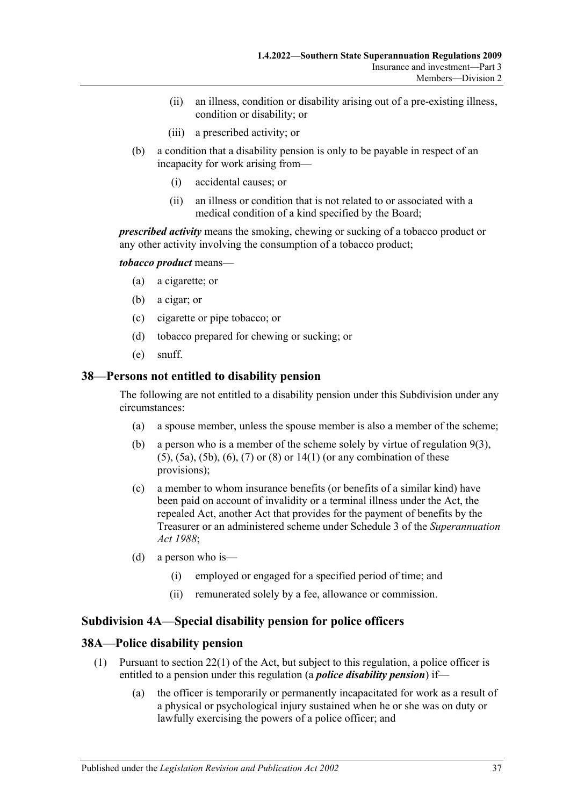- (ii) an illness, condition or disability arising out of a pre-existing illness, condition or disability; or
- (iii) a prescribed activity; or
- (b) a condition that a disability pension is only to be payable in respect of an incapacity for work arising from—
	- (i) accidental causes; or
	- (ii) an illness or condition that is not related to or associated with a medical condition of a kind specified by the Board;

*prescribed activity* means the smoking, chewing or sucking of a tobacco product or any other activity involving the consumption of a tobacco product;

#### *tobacco product* means—

- (a) a cigarette; or
- (b) a cigar; or
- (c) cigarette or pipe tobacco; or
- (d) tobacco prepared for chewing or sucking; or
- (e) snuff.

#### **38—Persons not entitled to disability pension**

The following are not entitled to a disability pension under this Subdivision under any circumstances:

- (a) a spouse member, unless the spouse member is also a member of the scheme;
- (b) a person who is a member of the scheme solely by virtue of [regulation](#page-10-0) 9(3), [\(5\),](#page-10-1) [\(5a\),](#page-10-2) [\(5b\),](#page-10-3) [\(6\),](#page-10-4) [\(7\)](#page-10-5) or [\(8\)](#page-11-0) or [14\(1\)](#page-15-0) (or any combination of these provisions);
- (c) a member to whom insurance benefits (or benefits of a similar kind) have been paid on account of invalidity or a terminal illness under the Act, the repealed Act, another Act that provides for the payment of benefits by the Treasurer or an administered scheme under Schedule 3 of the *[Superannuation](http://www.legislation.sa.gov.au/index.aspx?action=legref&type=act&legtitle=Superannuation%20Act%201988)  Act [1988](http://www.legislation.sa.gov.au/index.aspx?action=legref&type=act&legtitle=Superannuation%20Act%201988)*;
- (d) a person who is—
	- (i) employed or engaged for a specified period of time; and
	- (ii) remunerated solely by a fee, allowance or commission.

#### **Subdivision 4A—Special disability pension for police officers**

#### **38A—Police disability pension**

- (1) Pursuant to section 22(1) of the Act, but subject to this regulation, a police officer is entitled to a pension under this regulation (a *police disability pension*) if—
	- (a) the officer is temporarily or permanently incapacitated for work as a result of a physical or psychological injury sustained when he or she was on duty or lawfully exercising the powers of a police officer; and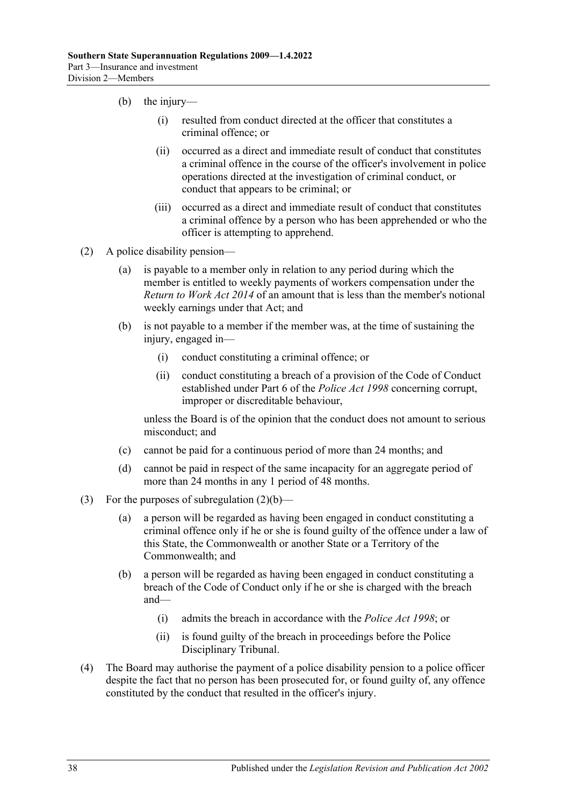- (b) the injury—
	- (i) resulted from conduct directed at the officer that constitutes a criminal offence; or
	- (ii) occurred as a direct and immediate result of conduct that constitutes a criminal offence in the course of the officer's involvement in police operations directed at the investigation of criminal conduct, or conduct that appears to be criminal; or
	- (iii) occurred as a direct and immediate result of conduct that constitutes a criminal offence by a person who has been apprehended or who the officer is attempting to apprehend.
- <span id="page-37-0"></span>(2) A police disability pension—
	- (a) is payable to a member only in relation to any period during which the member is entitled to weekly payments of workers compensation under the *[Return to Work Act](http://www.legislation.sa.gov.au/index.aspx?action=legref&type=act&legtitle=Return%20to%20Work%20Act%202014) 2014* of an amount that is less than the member's notional weekly earnings under that Act; and
	- (b) is not payable to a member if the member was, at the time of sustaining the injury, engaged in—
		- (i) conduct constituting a criminal offence; or
		- (ii) conduct constituting a breach of a provision of the Code of Conduct established under Part 6 of the *[Police Act](http://www.legislation.sa.gov.au/index.aspx?action=legref&type=act&legtitle=Police%20Act%201998) 1998* concerning corrupt, improper or discreditable behaviour,

unless the Board is of the opinion that the conduct does not amount to serious misconduct; and

- (c) cannot be paid for a continuous period of more than 24 months; and
- (d) cannot be paid in respect of the same incapacity for an aggregate period of more than 24 months in any 1 period of 48 months.
- (3) For the purposes of [subregulation](#page-37-0)  $(2)(b)$ 
	- (a) a person will be regarded as having been engaged in conduct constituting a criminal offence only if he or she is found guilty of the offence under a law of this State, the Commonwealth or another State or a Territory of the Commonwealth; and
	- (b) a person will be regarded as having been engaged in conduct constituting a breach of the Code of Conduct only if he or she is charged with the breach and—
		- (i) admits the breach in accordance with the *[Police Act](http://www.legislation.sa.gov.au/index.aspx?action=legref&type=act&legtitle=Police%20Act%201998) 1998*; or
		- (ii) is found guilty of the breach in proceedings before the Police Disciplinary Tribunal.
- (4) The Board may authorise the payment of a police disability pension to a police officer despite the fact that no person has been prosecuted for, or found guilty of, any offence constituted by the conduct that resulted in the officer's injury.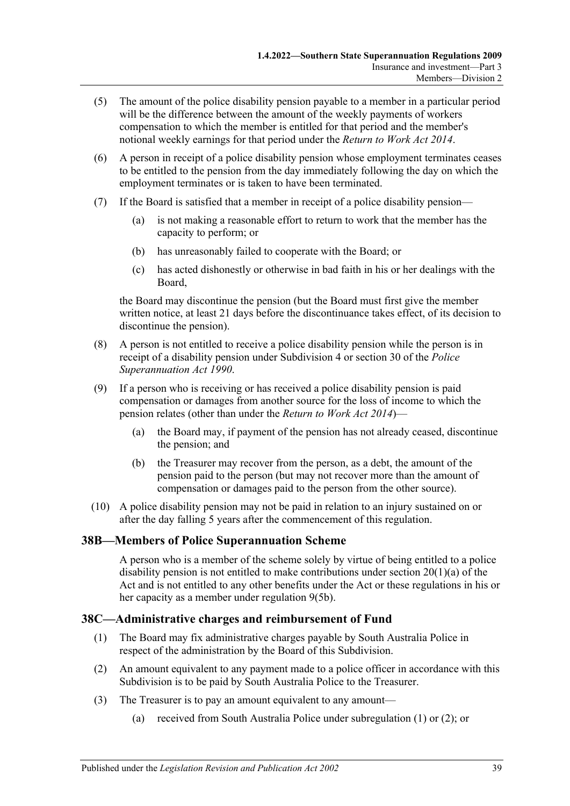- (5) The amount of the police disability pension payable to a member in a particular period will be the difference between the amount of the weekly payments of workers compensation to which the member is entitled for that period and the member's notional weekly earnings for that period under the *[Return to Work Act](http://www.legislation.sa.gov.au/index.aspx?action=legref&type=act&legtitle=Return%20to%20Work%20Act%202014) 2014*.
- (6) A person in receipt of a police disability pension whose employment terminates ceases to be entitled to the pension from the day immediately following the day on which the employment terminates or is taken to have been terminated.
- (7) If the Board is satisfied that a member in receipt of a police disability pension—
	- (a) is not making a reasonable effort to return to work that the member has the capacity to perform; or
	- (b) has unreasonably failed to cooperate with the Board; or
	- (c) has acted dishonestly or otherwise in bad faith in his or her dealings with the Board,

the Board may discontinue the pension (but the Board must first give the member written notice, at least 21 days before the discontinuance takes effect, of its decision to discontinue the pension).

- (8) A person is not entitled to receive a police disability pension while the person is in receipt of a disability pension under [Subdivision 4](#page-27-0) or section 30 of the *[Police](http://www.legislation.sa.gov.au/index.aspx?action=legref&type=act&legtitle=Police%20Superannuation%20Act%201990)  [Superannuation Act](http://www.legislation.sa.gov.au/index.aspx?action=legref&type=act&legtitle=Police%20Superannuation%20Act%201990) 1990*.
- <span id="page-38-2"></span>(9) If a person who is receiving or has received a police disability pension is paid compensation or damages from another source for the loss of income to which the pension relates (other than under the *[Return to Work Act](http://www.legislation.sa.gov.au/index.aspx?action=legref&type=act&legtitle=Return%20to%20Work%20Act%202014) 2014*)—
	- (a) the Board may, if payment of the pension has not already ceased, discontinue the pension; and
	- (b) the Treasurer may recover from the person, as a debt, the amount of the pension paid to the person (but may not recover more than the amount of compensation or damages paid to the person from the other source).
- (10) A police disability pension may not be paid in relation to an injury sustained on or after the day falling 5 years after the commencement of this regulation.

# **38B—Members of Police Superannuation Scheme**

A person who is a member of the scheme solely by virtue of being entitled to a police disability pension is not entitled to make contributions under section 20(1)(a) of the Act and is not entitled to any other benefits under the Act or these regulations in his or her capacity as a member under [regulation](#page-10-3) 9(5b).

# <span id="page-38-0"></span>**38C—Administrative charges and reimbursement of Fund**

- (1) The Board may fix administrative charges payable by South Australia Police in respect of the administration by the Board of this Subdivision.
- <span id="page-38-1"></span>(2) An amount equivalent to any payment made to a police officer in accordance with this Subdivision is to be paid by South Australia Police to the Treasurer.
- (3) The Treasurer is to pay an amount equivalent to any amount—
	- (a) received from South Australia Police under [subregulation](#page-38-0) (1) or [\(2\);](#page-38-1) or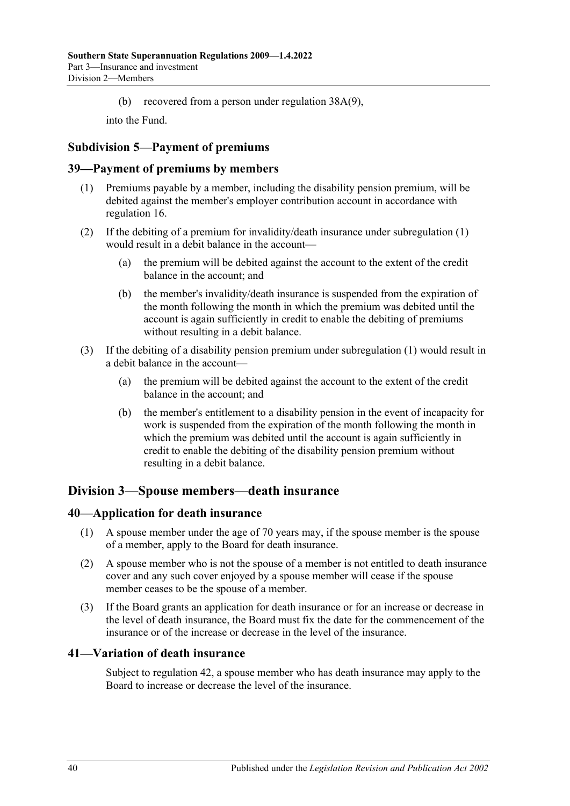(b) recovered from a person under [regulation](#page-38-2) 38A(9),

into the Fund.

# **Subdivision 5—Payment of premiums**

#### <span id="page-39-0"></span>**39—Payment of premiums by members**

- (1) Premiums payable by a member, including the disability pension premium, will be debited against the member's employer contribution account in accordance with [regulation](#page-16-0) 16.
- (2) If the debiting of a premium for invalidity/death insurance under [subregulation](#page-39-0) (1) would result in a debit balance in the account—
	- (a) the premium will be debited against the account to the extent of the credit balance in the account; and
	- (b) the member's invalidity/death insurance is suspended from the expiration of the month following the month in which the premium was debited until the account is again sufficiently in credit to enable the debiting of premiums without resulting in a debit balance.
- (3) If the debiting of a disability pension premium under [subregulation](#page-39-0) (1) would result in a debit balance in the account—
	- (a) the premium will be debited against the account to the extent of the credit balance in the account; and
	- (b) the member's entitlement to a disability pension in the event of incapacity for work is suspended from the expiration of the month following the month in which the premium was debited until the account is again sufficiently in credit to enable the debiting of the disability pension premium without resulting in a debit balance.

# **Division 3—Spouse members—death insurance**

#### **40—Application for death insurance**

- (1) A spouse member under the age of 70 years may, if the spouse member is the spouse of a member, apply to the Board for death insurance.
- (2) A spouse member who is not the spouse of a member is not entitled to death insurance cover and any such cover enjoyed by a spouse member will cease if the spouse member ceases to be the spouse of a member.
- (3) If the Board grants an application for death insurance or for an increase or decrease in the level of death insurance, the Board must fix the date for the commencement of the insurance or of the increase or decrease in the level of the insurance.

#### **41—Variation of death insurance**

Subject to [regulation](#page-40-0) 42, a spouse member who has death insurance may apply to the Board to increase or decrease the level of the insurance.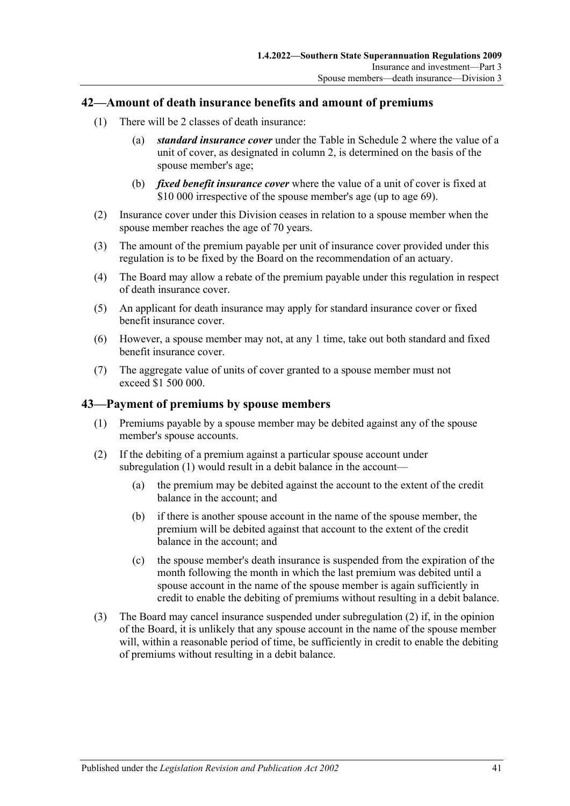#### <span id="page-40-0"></span>**42—Amount of death insurance benefits and amount of premiums**

- (1) There will be 2 classes of death insurance:
	- (a) *standard insurance cover* under the Table in [Schedule 2](#page-81-0) where the value of a unit of cover, as designated in column 2, is determined on the basis of the spouse member's age;
	- (b) *fixed benefit insurance cover* where the value of a unit of cover is fixed at \$10 000 irrespective of the spouse member's age (up to age 69).
- (2) Insurance cover under this Division ceases in relation to a spouse member when the spouse member reaches the age of 70 years.
- (3) The amount of the premium payable per unit of insurance cover provided under this regulation is to be fixed by the Board on the recommendation of an actuary.
- (4) The Board may allow a rebate of the premium payable under this regulation in respect of death insurance cover.
- (5) An applicant for death insurance may apply for standard insurance cover or fixed benefit insurance cover.
- (6) However, a spouse member may not, at any 1 time, take out both standard and fixed benefit insurance cover.
- (7) The aggregate value of units of cover granted to a spouse member must not exceed \$1 500 000.

#### <span id="page-40-1"></span>**43—Payment of premiums by spouse members**

- (1) Premiums payable by a spouse member may be debited against any of the spouse member's spouse accounts.
- <span id="page-40-2"></span>(2) If the debiting of a premium against a particular spouse account under [subregulation](#page-40-1) (1) would result in a debit balance in the account—
	- (a) the premium may be debited against the account to the extent of the credit balance in the account; and
	- (b) if there is another spouse account in the name of the spouse member, the premium will be debited against that account to the extent of the credit balance in the account; and
	- (c) the spouse member's death insurance is suspended from the expiration of the month following the month in which the last premium was debited until a spouse account in the name of the spouse member is again sufficiently in credit to enable the debiting of premiums without resulting in a debit balance.
- (3) The Board may cancel insurance suspended under [subregulation](#page-40-2) (2) if, in the opinion of the Board, it is unlikely that any spouse account in the name of the spouse member will, within a reasonable period of time, be sufficiently in credit to enable the debiting of premiums without resulting in a debit balance.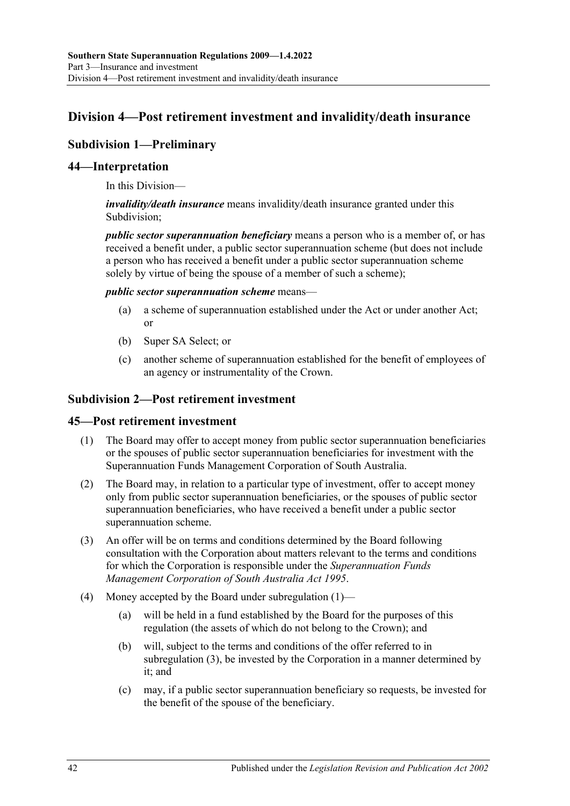# <span id="page-41-3"></span>**Division 4—Post retirement investment and invalidity/death insurance**

# **Subdivision 1—Preliminary**

## **44—Interpretation**

In this Division—

*invalidity/death insurance* means invalidity/death insurance granted under this Subdivision;

*public sector superannuation beneficiary* means a person who is a member of, or has received a benefit under, a public sector superannuation scheme (but does not include a person who has received a benefit under a public sector superannuation scheme solely by virtue of being the spouse of a member of such a scheme);

#### *public sector superannuation scheme* means—

- (a) a scheme of superannuation established under the Act or under another Act; or
- (b) Super SA Select; or
- (c) another scheme of superannuation established for the benefit of employees of an agency or instrumentality of the Crown.

### **Subdivision 2—Post retirement investment**

#### <span id="page-41-2"></span><span id="page-41-0"></span>**45—Post retirement investment**

- (1) The Board may offer to accept money from public sector superannuation beneficiaries or the spouses of public sector superannuation beneficiaries for investment with the Superannuation Funds Management Corporation of South Australia.
- (2) The Board may, in relation to a particular type of investment, offer to accept money only from public sector superannuation beneficiaries, or the spouses of public sector superannuation beneficiaries, who have received a benefit under a public sector superannuation scheme.
- <span id="page-41-1"></span>(3) An offer will be on terms and conditions determined by the Board following consultation with the Corporation about matters relevant to the terms and conditions for which the Corporation is responsible under the *[Superannuation Funds](http://www.legislation.sa.gov.au/index.aspx?action=legref&type=act&legtitle=Superannuation%20Funds%20Management%20Corporation%20of%20South%20Australia%20Act%201995)  [Management Corporation of South Australia Act](http://www.legislation.sa.gov.au/index.aspx?action=legref&type=act&legtitle=Superannuation%20Funds%20Management%20Corporation%20of%20South%20Australia%20Act%201995) 1995*.
- (4) Money accepted by the Board under [subregulation](#page-41-0) (1)—
	- (a) will be held in a fund established by the Board for the purposes of this regulation (the assets of which do not belong to the Crown); and
	- (b) will, subject to the terms and conditions of the offer referred to in [subregulation](#page-41-1) (3), be invested by the Corporation in a manner determined by it; and
	- (c) may, if a public sector superannuation beneficiary so requests, be invested for the benefit of the spouse of the beneficiary.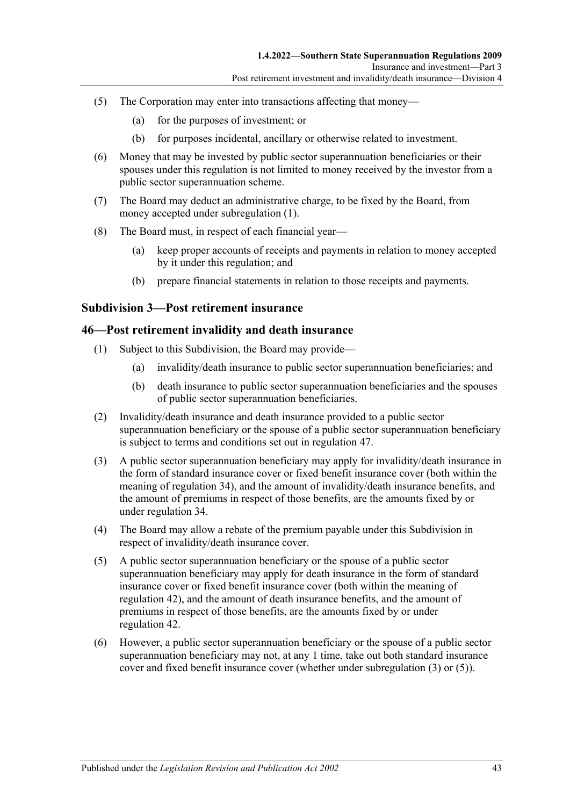- (5) The Corporation may enter into transactions affecting that money—
	- (a) for the purposes of investment; or
	- (b) for purposes incidental, ancillary or otherwise related to investment.
- (6) Money that may be invested by public sector superannuation beneficiaries or their spouses under this regulation is not limited to money received by the investor from a public sector superannuation scheme.
- (7) The Board may deduct an administrative charge, to be fixed by the Board, from money accepted under [subregulation](#page-41-0) (1).
- (8) The Board must, in respect of each financial year—
	- (a) keep proper accounts of receipts and payments in relation to money accepted by it under this regulation; and
	- (b) prepare financial statements in relation to those receipts and payments.

#### **Subdivision 3—Post retirement insurance**

#### <span id="page-42-2"></span>**46—Post retirement invalidity and death insurance**

- (1) Subject to this Subdivision, the Board may provide—
	- (a) invalidity/death insurance to public sector superannuation beneficiaries; and
	- (b) death insurance to public sector superannuation beneficiaries and the spouses of public sector superannuation beneficiaries.
- (2) Invalidity/death insurance and death insurance provided to a public sector superannuation beneficiary or the spouse of a public sector superannuation beneficiary is subject to terms and conditions set out in [regulation](#page-43-0) 47.
- <span id="page-42-0"></span>(3) A public sector superannuation beneficiary may apply for invalidity/death insurance in the form of standard insurance cover or fixed benefit insurance cover (both within the meaning of [regulation](#page-25-0) 34), and the amount of invalidity/death insurance benefits, and the amount of premiums in respect of those benefits, are the amounts fixed by or under [regulation](#page-25-0) 34.
- (4) The Board may allow a rebate of the premium payable under this Subdivision in respect of invalidity/death insurance cover.
- <span id="page-42-1"></span>(5) A public sector superannuation beneficiary or the spouse of a public sector superannuation beneficiary may apply for death insurance in the form of standard insurance cover or fixed benefit insurance cover (both within the meaning of [regulation](#page-40-0) 42), and the amount of death insurance benefits, and the amount of premiums in respect of those benefits, are the amounts fixed by or under [regulation](#page-40-0) 42.
- (6) However, a public sector superannuation beneficiary or the spouse of a public sector superannuation beneficiary may not, at any 1 time, take out both standard insurance cover and fixed benefit insurance cover (whether under [subregulation](#page-42-0) (3) or [\(5\)\)](#page-42-1).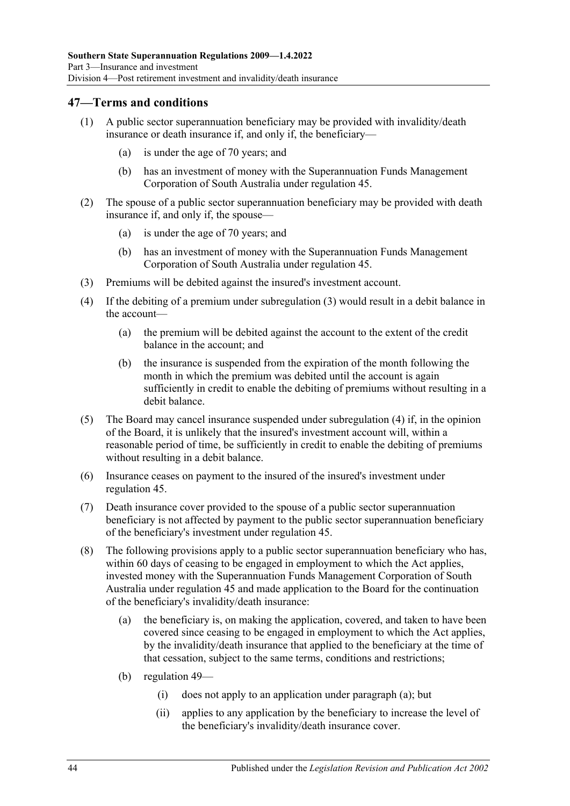### <span id="page-43-0"></span>**47—Terms and conditions**

- (1) A public sector superannuation beneficiary may be provided with invalidity/death insurance or death insurance if, and only if, the beneficiary—
	- (a) is under the age of 70 years; and
	- (b) has an investment of money with the Superannuation Funds Management Corporation of South Australia under [regulation](#page-41-2) 45.
- (2) The spouse of a public sector superannuation beneficiary may be provided with death insurance if, and only if, the spouse—
	- (a) is under the age of 70 years; and
	- (b) has an investment of money with the Superannuation Funds Management Corporation of South Australia under [regulation](#page-41-2) 45.
- <span id="page-43-1"></span>(3) Premiums will be debited against the insured's investment account.
- <span id="page-43-2"></span>(4) If the debiting of a premium under [subregulation](#page-43-1) (3) would result in a debit balance in the account—
	- (a) the premium will be debited against the account to the extent of the credit balance in the account; and
	- (b) the insurance is suspended from the expiration of the month following the month in which the premium was debited until the account is again sufficiently in credit to enable the debiting of premiums without resulting in a debit balance.
- (5) The Board may cancel insurance suspended under [subregulation](#page-43-2) (4) if, in the opinion of the Board, it is unlikely that the insured's investment account will, within a reasonable period of time, be sufficiently in credit to enable the debiting of premiums without resulting in a debit balance.
- (6) Insurance ceases on payment to the insured of the insured's investment under [regulation](#page-41-2) 45.
- (7) Death insurance cover provided to the spouse of a public sector superannuation beneficiary is not affected by payment to the public sector superannuation beneficiary of the beneficiary's investment under [regulation](#page-41-2) 45.
- <span id="page-43-3"></span>(8) The following provisions apply to a public sector superannuation beneficiary who has, within 60 days of ceasing to be engaged in employment to which the Act applies, invested money with the Superannuation Funds Management Corporation of South Australia under [regulation](#page-41-2) 45 and made application to the Board for the continuation of the beneficiary's invalidity/death insurance:
	- (a) the beneficiary is, on making the application, covered, and taken to have been covered since ceasing to be engaged in employment to which the Act applies, by the invalidity/death insurance that applied to the beneficiary at the time of that cessation, subject to the same terms, conditions and restrictions;
	- (b) [regulation](#page-46-0) 49—
		- (i) does not apply to an application under [paragraph](#page-43-3) (a); but
		- (ii) applies to any application by the beneficiary to increase the level of the beneficiary's invalidity/death insurance cover.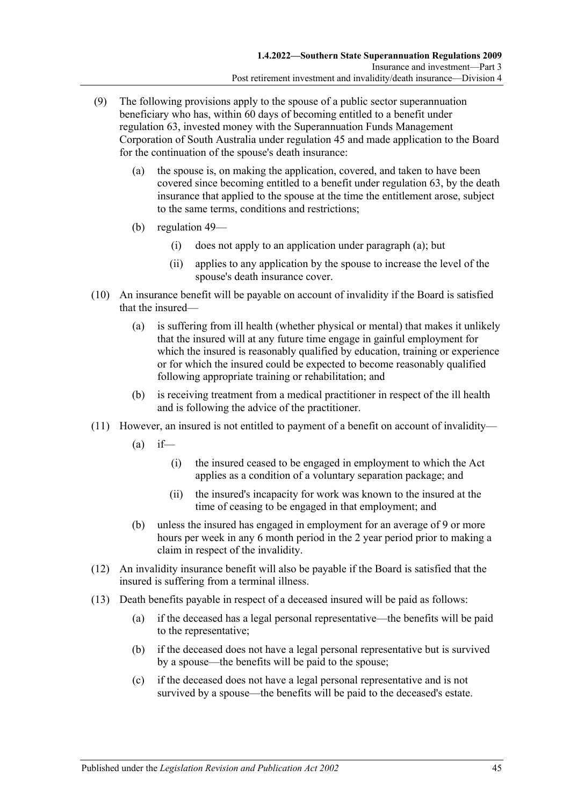- <span id="page-44-0"></span>(9) The following provisions apply to the spouse of a public sector superannuation beneficiary who has, within 60 days of becoming entitled to a benefit under [regulation](#page-70-0) 63, invested money with the Superannuation Funds Management Corporation of South Australia under [regulation](#page-41-2) 45 and made application to the Board for the continuation of the spouse's death insurance:
	- (a) the spouse is, on making the application, covered, and taken to have been covered since becoming entitled to a benefit under [regulation](#page-70-0) 63, by the death insurance that applied to the spouse at the time the entitlement arose, subject to the same terms, conditions and restrictions;
	- (b) [regulation](#page-46-0) 49—
		- (i) does not apply to an application under [paragraph](#page-44-0) (a); but
		- (ii) applies to any application by the spouse to increase the level of the spouse's death insurance cover.
- (10) An insurance benefit will be payable on account of invalidity if the Board is satisfied that the insured—
	- (a) is suffering from ill health (whether physical or mental) that makes it unlikely that the insured will at any future time engage in gainful employment for which the insured is reasonably qualified by education, training or experience or for which the insured could be expected to become reasonably qualified following appropriate training or rehabilitation; and
	- (b) is receiving treatment from a medical practitioner in respect of the ill health and is following the advice of the practitioner.
- (11) However, an insured is not entitled to payment of a benefit on account of invalidity—
	- $(a)$  if—
		- (i) the insured ceased to be engaged in employment to which the Act applies as a condition of a voluntary separation package; and
		- (ii) the insured's incapacity for work was known to the insured at the time of ceasing to be engaged in that employment; and
	- (b) unless the insured has engaged in employment for an average of 9 or more hours per week in any 6 month period in the 2 year period prior to making a claim in respect of the invalidity.
- (12) An invalidity insurance benefit will also be payable if the Board is satisfied that the insured is suffering from a terminal illness.
- (13) Death benefits payable in respect of a deceased insured will be paid as follows:
	- (a) if the deceased has a legal personal representative—the benefits will be paid to the representative;
	- (b) if the deceased does not have a legal personal representative but is survived by a spouse—the benefits will be paid to the spouse;
	- (c) if the deceased does not have a legal personal representative and is not survived by a spouse—the benefits will be paid to the deceased's estate.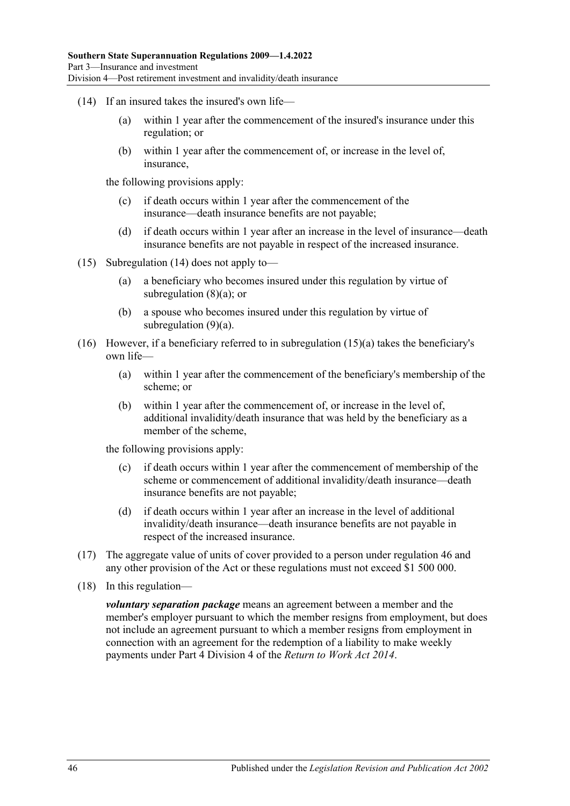- <span id="page-45-0"></span>(14) If an insured takes the insured's own life—
	- (a) within 1 year after the commencement of the insured's insurance under this regulation; or
	- (b) within 1 year after the commencement of, or increase in the level of, insurance,

the following provisions apply:

- (c) if death occurs within 1 year after the commencement of the insurance—death insurance benefits are not payable;
- (d) if death occurs within 1 year after an increase in the level of insurance—death insurance benefits are not payable in respect of the increased insurance.
- <span id="page-45-1"></span>(15) [Subregulation](#page-45-0) (14) does not apply to—
	- (a) a beneficiary who becomes insured under this regulation by virtue of [subregulation](#page-43-3)  $(8)(a)$ ; or
	- (b) a spouse who becomes insured under this regulation by virtue of [subregulation](#page-44-0)  $(9)(a)$ .
- (16) However, if a beneficiary referred to in [subregulation](#page-45-1) (15)(a) takes the beneficiary's own life—
	- (a) within 1 year after the commencement of the beneficiary's membership of the scheme; or
	- (b) within 1 year after the commencement of, or increase in the level of, additional invalidity/death insurance that was held by the beneficiary as a member of the scheme,

the following provisions apply:

- (c) if death occurs within 1 year after the commencement of membership of the scheme or commencement of additional invalidity/death insurance—death insurance benefits are not payable;
- (d) if death occurs within 1 year after an increase in the level of additional invalidity/death insurance—death insurance benefits are not payable in respect of the increased insurance.
- (17) The aggregate value of units of cover provided to a person under [regulation](#page-42-2) 46 and any other provision of the Act or these regulations must not exceed \$1 500 000.
- (18) In this regulation—

*voluntary separation package* means an agreement between a member and the member's employer pursuant to which the member resigns from employment, but does not include an agreement pursuant to which a member resigns from employment in connection with an agreement for the redemption of a liability to make weekly payments under Part 4 Division 4 of the *[Return to Work Act](http://www.legislation.sa.gov.au/index.aspx?action=legref&type=act&legtitle=Return%20to%20Work%20Act%202014) 2014*.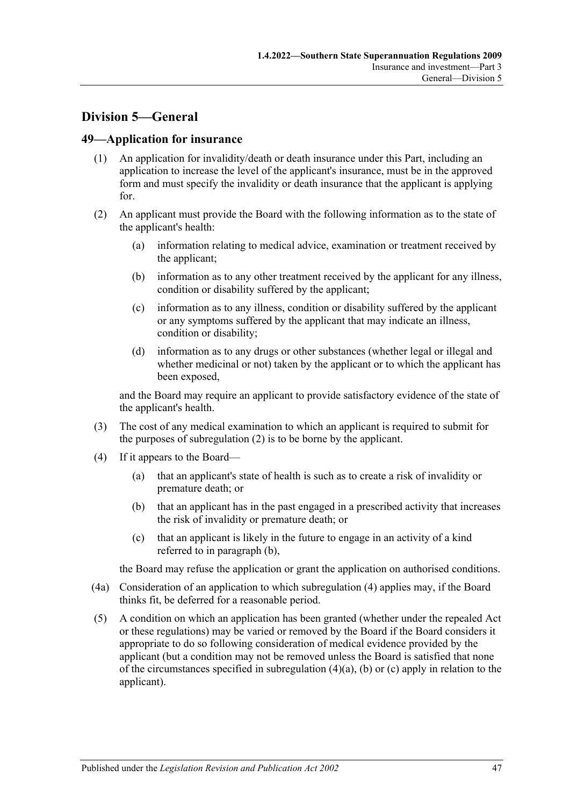# **Division 5—General**

#### <span id="page-46-0"></span>**49—Application for insurance**

- (1) An application for invalidity/death or death insurance under this Part, including an application to increase the level of the applicant's insurance, must be in the approved form and must specify the invalidity or death insurance that the applicant is applying for.
- <span id="page-46-1"></span>(2) An applicant must provide the Board with the following information as to the state of the applicant's health:
	- (a) information relating to medical advice, examination or treatment received by the applicant;
	- (b) information as to any other treatment received by the applicant for any illness, condition or disability suffered by the applicant;
	- (c) information as to any illness, condition or disability suffered by the applicant or any symptoms suffered by the applicant that may indicate an illness, condition or disability;
	- (d) information as to any drugs or other substances (whether legal or illegal and whether medicinal or not) taken by the applicant or to which the applicant has been exposed,

and the Board may require an applicant to provide satisfactory evidence of the state of the applicant's health.

- (3) The cost of any medical examination to which an applicant is required to submit for the purposes of [subregulation](#page-46-1) (2) is to be borne by the applicant.
- <span id="page-46-4"></span><span id="page-46-3"></span><span id="page-46-2"></span>(4) If it appears to the Board—
	- (a) that an applicant's state of health is such as to create a risk of invalidity or premature death; or
	- (b) that an applicant has in the past engaged in a prescribed activity that increases the risk of invalidity or premature death; or
	- (c) that an applicant is likely in the future to engage in an activity of a kind referred to in [paragraph](#page-46-2) (b),

<span id="page-46-5"></span>the Board may refuse the application or grant the application on authorised conditions.

- (4a) Consideration of an application to which [subregulation](#page-46-3) (4) applies may, if the Board thinks fit, be deferred for a reasonable period.
- (5) A condition on which an application has been granted (whether under the repealed Act or these regulations) may be varied or removed by the Board if the Board considers it appropriate to do so following consideration of medical evidence provided by the applicant (but a condition may not be removed unless the Board is satisfied that none of the circumstances specified in [subregulation](#page-46-4)  $(4)(a)$ ,  $(b)$  or  $(c)$  apply in relation to the applicant).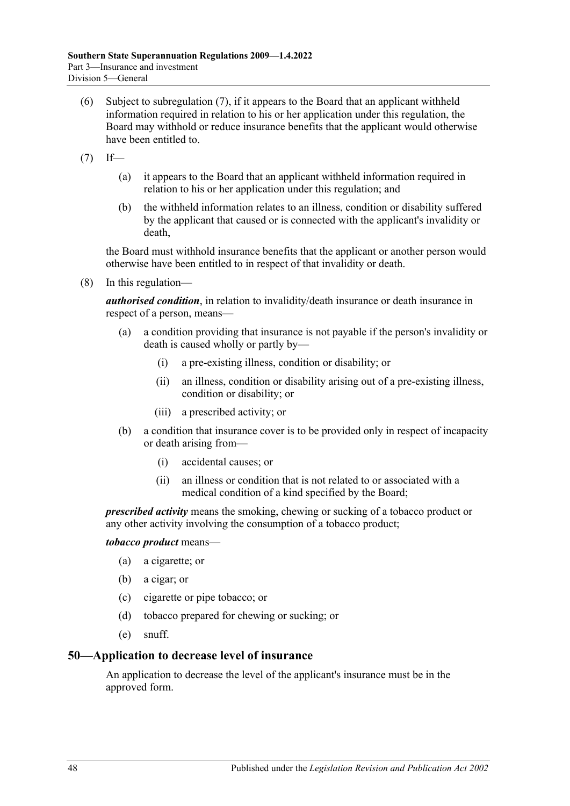- <span id="page-47-1"></span>(6) Subject to [subregulation](#page-47-0) (7), if it appears to the Board that an applicant withheld information required in relation to his or her application under this regulation, the Board may withhold or reduce insurance benefits that the applicant would otherwise have been entitled to.
- <span id="page-47-0"></span> $(7)$  If—
	- (a) it appears to the Board that an applicant withheld information required in relation to his or her application under this regulation; and
	- (b) the withheld information relates to an illness, condition or disability suffered by the applicant that caused or is connected with the applicant's invalidity or death,

the Board must withhold insurance benefits that the applicant or another person would otherwise have been entitled to in respect of that invalidity or death.

(8) In this regulation—

*authorised condition*, in relation to invalidity/death insurance or death insurance in respect of a person, means—

- (a) a condition providing that insurance is not payable if the person's invalidity or death is caused wholly or partly by—
	- (i) a pre-existing illness, condition or disability; or
	- (ii) an illness, condition or disability arising out of a pre-existing illness, condition or disability; or
	- (iii) a prescribed activity; or
- (b) a condition that insurance cover is to be provided only in respect of incapacity or death arising from—
	- (i) accidental causes; or
	- (ii) an illness or condition that is not related to or associated with a medical condition of a kind specified by the Board;

*prescribed activity* means the smoking, chewing or sucking of a tobacco product or any other activity involving the consumption of a tobacco product;

#### *tobacco product* means—

- (a) a cigarette; or
- (b) a cigar; or
- (c) cigarette or pipe tobacco; or
- (d) tobacco prepared for chewing or sucking; or
- (e) snuff.

#### **50—Application to decrease level of insurance**

An application to decrease the level of the applicant's insurance must be in the approved form.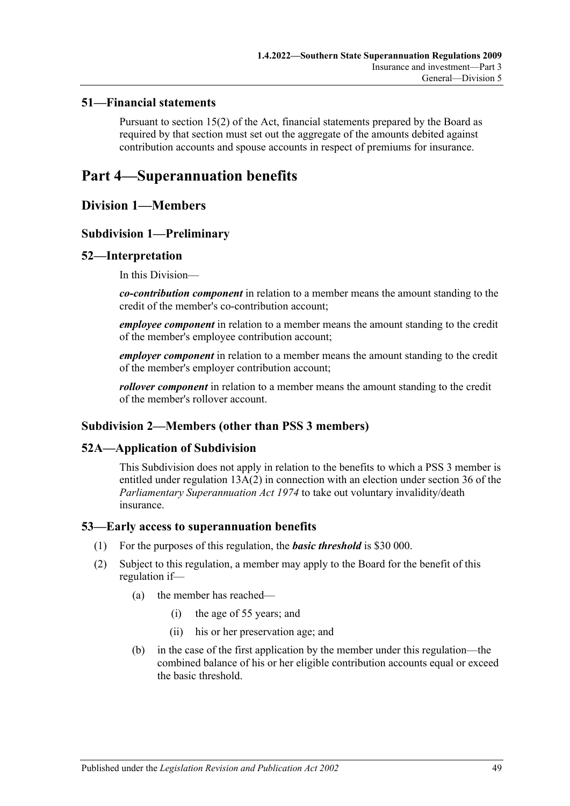#### **51—Financial statements**

Pursuant to section 15(2) of the Act, financial statements prepared by the Board as required by that section must set out the aggregate of the amounts debited against contribution accounts and spouse accounts in respect of premiums for insurance.

# **Part 4—Superannuation benefits**

# **Division 1—Members**

## **Subdivision 1—Preliminary**

#### **52—Interpretation**

In this Division—

*co-contribution component* in relation to a member means the amount standing to the credit of the member's co-contribution account;

*employee component* in relation to a member means the amount standing to the credit of the member's employee contribution account;

*employer component* in relation to a member means the amount standing to the credit of the member's employer contribution account;

*rollover component* in relation to a member means the amount standing to the credit of the member's rollover account.

# **Subdivision 2—Members (other than PSS 3 members)**

#### **52A—Application of Subdivision**

This Subdivision does not apply in relation to the benefits to which a PSS 3 member is entitled under [regulation](#page-14-0) 13A(2) in connection with an election under section 36 of the *[Parliamentary Superannuation Act](http://www.legislation.sa.gov.au/index.aspx?action=legref&type=act&legtitle=Parliamentary%20Superannuation%20Act%201974) 1974* to take out voluntary invalidity/death insurance.

#### **53—Early access to superannuation benefits**

- (1) For the purposes of this regulation, the *basic threshold* is \$30 000.
- (2) Subject to this regulation, a member may apply to the Board for the benefit of this regulation if—
	- (a) the member has reached—
		- (i) the age of 55 years; and
		- (ii) his or her preservation age; and
	- (b) in the case of the first application by the member under this regulation—the combined balance of his or her eligible contribution accounts equal or exceed the basic threshold.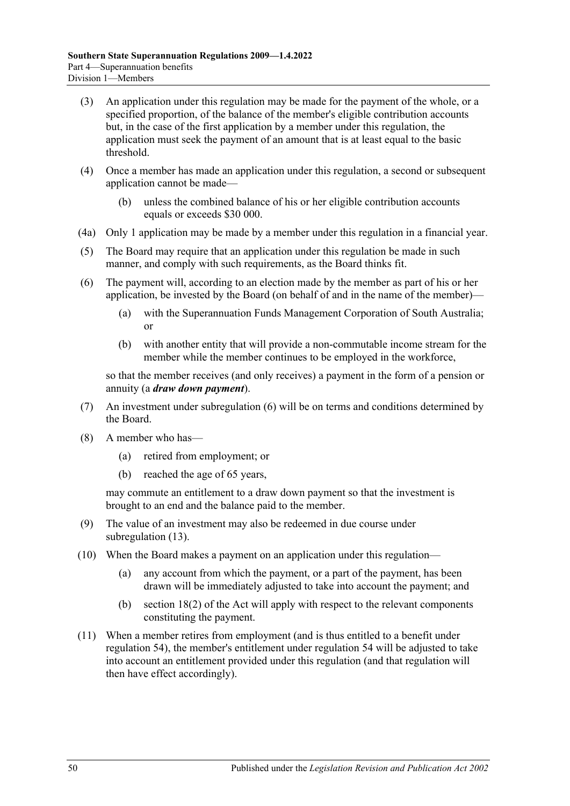- (3) An application under this regulation may be made for the payment of the whole, or a specified proportion, of the balance of the member's eligible contribution accounts but, in the case of the first application by a member under this regulation, the application must seek the payment of an amount that is at least equal to the basic threshold.
- (4) Once a member has made an application under this regulation, a second or subsequent application cannot be made—
	- (b) unless the combined balance of his or her eligible contribution accounts equals or exceeds \$30 000.
- (4a) Only 1 application may be made by a member under this regulation in a financial year.
- (5) The Board may require that an application under this regulation be made in such manner, and comply with such requirements, as the Board thinks fit.
- <span id="page-49-0"></span>(6) The payment will, according to an election made by the member as part of his or her application, be invested by the Board (on behalf of and in the name of the member)—
	- (a) with the Superannuation Funds Management Corporation of South Australia; or
	- (b) with another entity that will provide a non-commutable income stream for the member while the member continues to be employed in the workforce,

so that the member receives (and only receives) a payment in the form of a pension or annuity (a *draw down payment*).

- (7) An investment under [subregulation](#page-49-0) (6) will be on terms and conditions determined by the Board.
- (8) A member who has—
	- (a) retired from employment; or
	- (b) reached the age of 65 years,

may commute an entitlement to a draw down payment so that the investment is brought to an end and the balance paid to the member.

- (9) The value of an investment may also be redeemed in due course under [subregulation](#page-50-0) (13).
- (10) When the Board makes a payment on an application under this regulation—
	- (a) any account from which the payment, or a part of the payment, has been drawn will be immediately adjusted to take into account the payment; and
	- (b) section 18(2) of the Act will apply with respect to the relevant components constituting the payment.
- (11) When a member retires from employment (and is thus entitled to a benefit under regulation 54), the member's entitlement under regulation 54 will be adjusted to take into account an entitlement provided under this regulation (and that regulation will then have effect accordingly).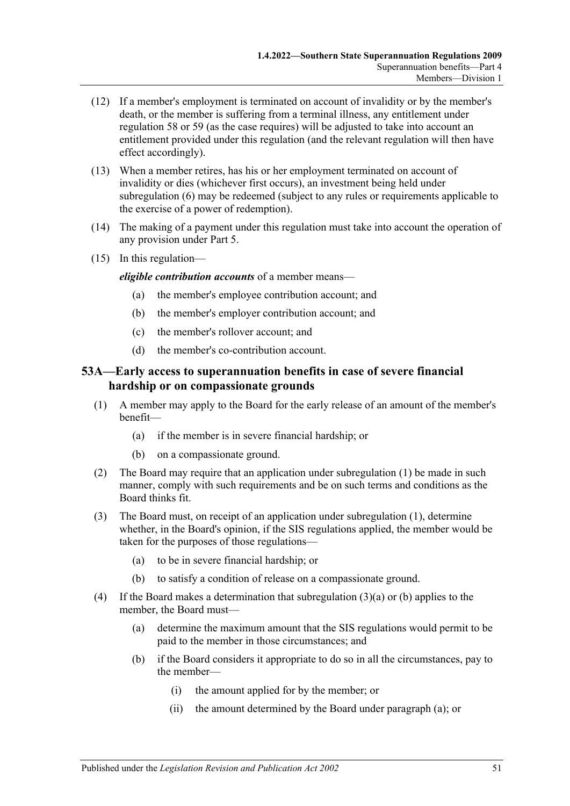- (12) If a member's employment is terminated on account of invalidity or by the member's death, or the member is suffering from a terminal illness, any entitlement under regulation 58 or 59 (as the case requires) will be adjusted to take into account an entitlement provided under this regulation (and the relevant regulation will then have effect accordingly).
- <span id="page-50-0"></span>(13) When a member retires, has his or her employment terminated on account of invalidity or dies (whichever first occurs), an investment being held under [subregulation](#page-49-0) (6) may be redeemed (subject to any rules or requirements applicable to the exercise of a power of redemption).
- (14) The making of a payment under this regulation must take into account the operation of any provision under [Part 5.](#page-74-0)
- (15) In this regulation—

*eligible contribution accounts* of a member means—

- (a) the member's employee contribution account; and
- (b) the member's employer contribution account; and
- (c) the member's rollover account; and
- (d) the member's co-contribution account.

## **53A—Early access to superannuation benefits in case of severe financial hardship or on compassionate grounds**

- <span id="page-50-1"></span>(1) A member may apply to the Board for the early release of an amount of the member's benefit—
	- (a) if the member is in severe financial hardship; or
	- (b) on a compassionate ground.
- (2) The Board may require that an application under [subregulation](#page-50-1) (1) be made in such manner, comply with such requirements and be on such terms and conditions as the Board thinks fit.
- <span id="page-50-2"></span>(3) The Board must, on receipt of an application under [subregulation](#page-50-1) (1), determine whether, in the Board's opinion, if the SIS regulations applied, the member would be taken for the purposes of those regulations—
	- (a) to be in severe financial hardship; or
	- (b) to satisfy a condition of release on a compassionate ground.
- <span id="page-50-5"></span><span id="page-50-4"></span><span id="page-50-3"></span>(4) If the Board makes a determination that [subregulation](#page-50-2) (3)(a) or [\(b\)](#page-50-3) applies to the member, the Board must—
	- (a) determine the maximum amount that the SIS regulations would permit to be paid to the member in those circumstances; and
	- (b) if the Board considers it appropriate to do so in all the circumstances, pay to the member—
		- (i) the amount applied for by the member; or
		- (ii) the amount determined by the Board under [paragraph](#page-50-4) (a); or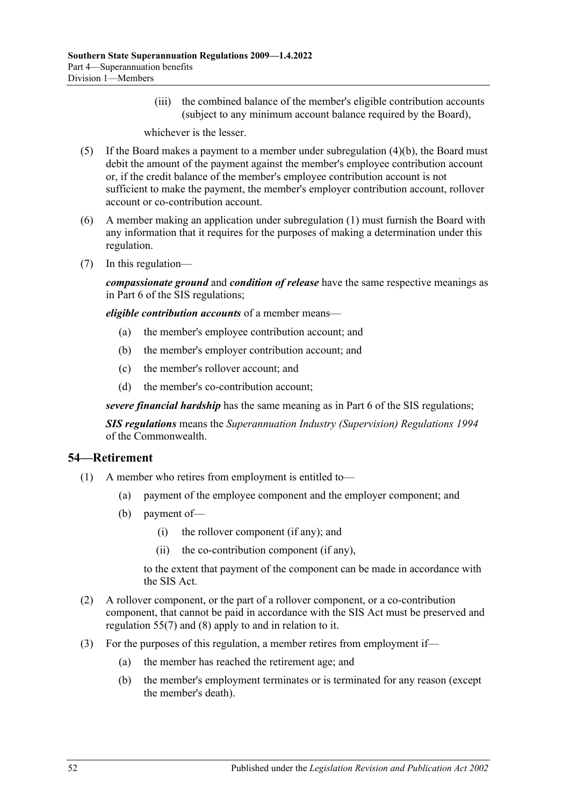(iii) the combined balance of the member's eligible contribution accounts (subject to any minimum account balance required by the Board),

whichever is the lesser.

- (5) If the Board makes a payment to a member under [subregulation](#page-50-5) (4)(b), the Board must debit the amount of the payment against the member's employee contribution account or, if the credit balance of the member's employee contribution account is not sufficient to make the payment, the member's employer contribution account, rollover account or co-contribution account.
- (6) A member making an application under [subregulation](#page-50-1) (1) must furnish the Board with any information that it requires for the purposes of making a determination under this regulation.
- (7) In this regulation—

*compassionate ground* and *condition of release* have the same respective meanings as in Part 6 of the SIS regulations;

*eligible contribution accounts* of a member means—

- (a) the member's employee contribution account; and
- (b) the member's employer contribution account; and
- (c) the member's rollover account; and
- (d) the member's co-contribution account;

*severe financial hardship* has the same meaning as in Part 6 of the SIS regulations;

*SIS regulations* means the *Superannuation Industry (Supervision) Regulations 1994* of the Commonwealth.

#### **54—Retirement**

- (1) A member who retires from employment is entitled to—
	- (a) payment of the employee component and the employer component; and
	- (b) payment of—
		- (i) the rollover component (if any); and
		- (ii) the co-contribution component (if any),

to the extent that payment of the component can be made in accordance with the SIS Act.

- (2) A rollover component, or the part of a rollover component, or a co-contribution component, that cannot be paid in accordance with the SIS Act must be preserved and regulation 55(7) and (8) apply to and in relation to it.
- (3) For the purposes of this regulation, a member retires from employment if—
	- (a) the member has reached the retirement age; and
	- (b) the member's employment terminates or is terminated for any reason (except the member's death).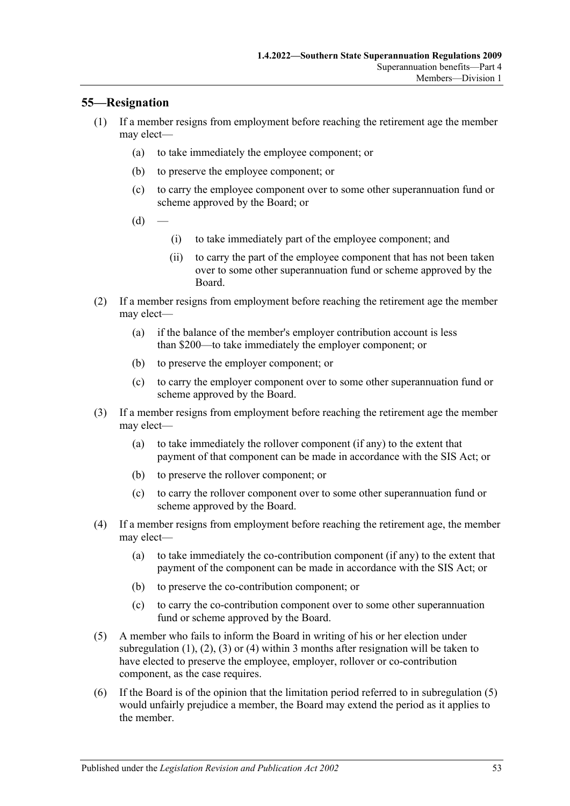## <span id="page-52-0"></span>**55—Resignation**

- (1) If a member resigns from employment before reaching the retirement age the member may elect—
	- (a) to take immediately the employee component; or
	- (b) to preserve the employee component; or
	- (c) to carry the employee component over to some other superannuation fund or scheme approved by the Board; or
	- $(d)$
- (i) to take immediately part of the employee component; and
- (ii) to carry the part of the employee component that has not been taken over to some other superannuation fund or scheme approved by the Board.
- <span id="page-52-1"></span>(2) If a member resigns from employment before reaching the retirement age the member may elect—
	- (a) if the balance of the member's employer contribution account is less than \$200—to take immediately the employer component; or
	- (b) to preserve the employer component; or
	- (c) to carry the employer component over to some other superannuation fund or scheme approved by the Board.
- <span id="page-52-2"></span>(3) If a member resigns from employment before reaching the retirement age the member may elect—
	- (a) to take immediately the rollover component (if any) to the extent that payment of that component can be made in accordance with the SIS Act; or
	- (b) to preserve the rollover component; or
	- (c) to carry the rollover component over to some other superannuation fund or scheme approved by the Board.
- <span id="page-52-3"></span>(4) If a member resigns from employment before reaching the retirement age, the member may elect—
	- (a) to take immediately the co-contribution component (if any) to the extent that payment of the component can be made in accordance with the SIS Act; or
	- (b) to preserve the co-contribution component; or
	- (c) to carry the co-contribution component over to some other superannuation fund or scheme approved by the Board.
- <span id="page-52-4"></span>(5) A member who fails to inform the Board in writing of his or her election under [subregulation](#page-52-0)  $(1)$ ,  $(2)$ ,  $(3)$  or  $(4)$  within 3 months after resignation will be taken to have elected to preserve the employee, employer, rollover or co-contribution component, as the case requires.
- (6) If the Board is of the opinion that the limitation period referred to in [subregulation](#page-52-4) (5) would unfairly prejudice a member, the Board may extend the period as it applies to the member.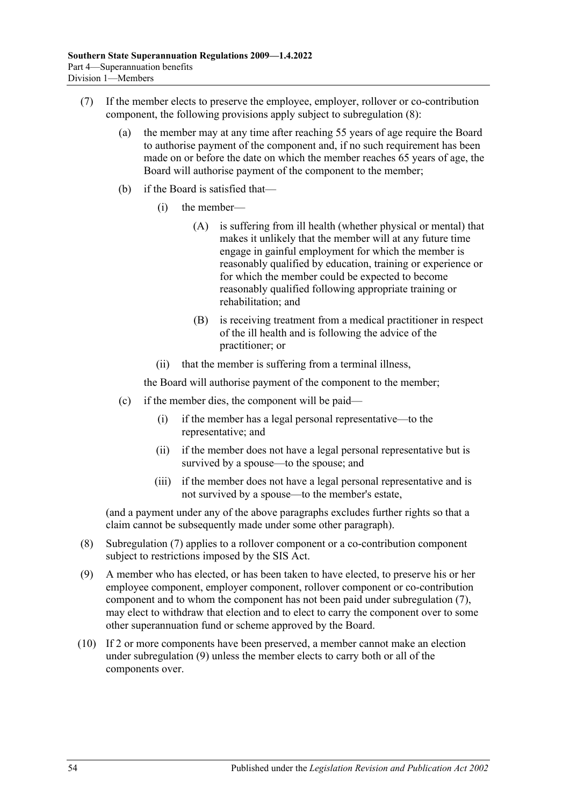- <span id="page-53-1"></span>(7) If the member elects to preserve the employee, employer, rollover or co-contribution component, the following provisions apply subject to [subregulation](#page-53-0) (8):
	- (a) the member may at any time after reaching 55 years of age require the Board to authorise payment of the component and, if no such requirement has been made on or before the date on which the member reaches 65 years of age, the Board will authorise payment of the component to the member;
	- (b) if the Board is satisfied that—
		- (i) the member—
			- (A) is suffering from ill health (whether physical or mental) that makes it unlikely that the member will at any future time engage in gainful employment for which the member is reasonably qualified by education, training or experience or for which the member could be expected to become reasonably qualified following appropriate training or rehabilitation; and
			- (B) is receiving treatment from a medical practitioner in respect of the ill health and is following the advice of the practitioner; or
		- (ii) that the member is suffering from a terminal illness,

the Board will authorise payment of the component to the member;

- (c) if the member dies, the component will be paid—
	- (i) if the member has a legal personal representative—to the representative; and
	- (ii) if the member does not have a legal personal representative but is survived by a spouse—to the spouse; and
	- (iii) if the member does not have a legal personal representative and is not survived by a spouse—to the member's estate,

(and a payment under any of the above paragraphs excludes further rights so that a claim cannot be subsequently made under some other paragraph).

- <span id="page-53-0"></span>(8) [Subregulation](#page-53-1) (7) applies to a rollover component or a co-contribution component subject to restrictions imposed by the SIS Act.
- <span id="page-53-2"></span>(9) A member who has elected, or has been taken to have elected, to preserve his or her employee component, employer component, rollover component or co-contribution component and to whom the component has not been paid under [subregulation](#page-53-1) (7), may elect to withdraw that election and to elect to carry the component over to some other superannuation fund or scheme approved by the Board.
- (10) If 2 or more components have been preserved, a member cannot make an election under [subregulation](#page-53-2) (9) unless the member elects to carry both or all of the components over.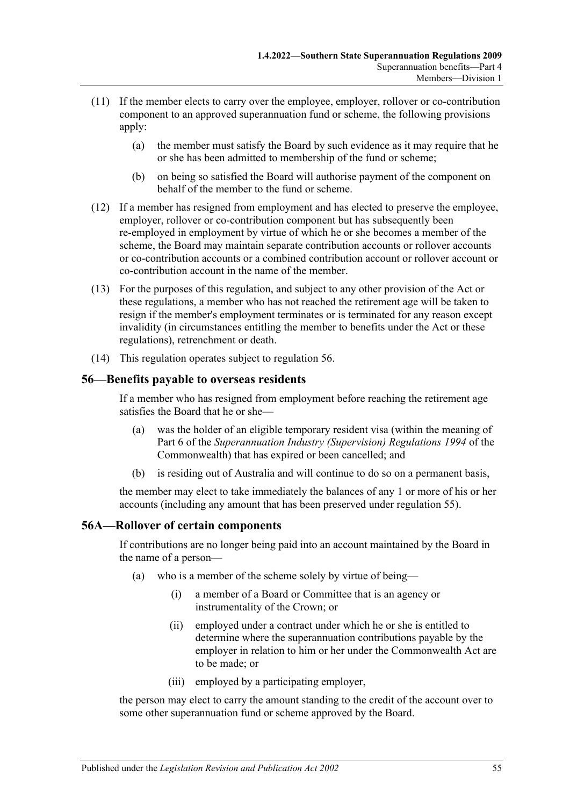- (11) If the member elects to carry over the employee, employer, rollover or co-contribution component to an approved superannuation fund or scheme, the following provisions apply:
	- (a) the member must satisfy the Board by such evidence as it may require that he or she has been admitted to membership of the fund or scheme;
	- (b) on being so satisfied the Board will authorise payment of the component on behalf of the member to the fund or scheme.
- (12) If a member has resigned from employment and has elected to preserve the employee, employer, rollover or co-contribution component but has subsequently been re-employed in employment by virtue of which he or she becomes a member of the scheme, the Board may maintain separate contribution accounts or rollover accounts or co-contribution accounts or a combined contribution account or rollover account or co-contribution account in the name of the member.
- (13) For the purposes of this regulation, and subject to any other provision of the Act or these regulations, a member who has not reached the retirement age will be taken to resign if the member's employment terminates or is terminated for any reason except invalidity (in circumstances entitling the member to benefits under the Act or these regulations), retrenchment or death.
- (14) This regulation operates subject to regulation 56.

#### **56—Benefits payable to overseas residents**

If a member who has resigned from employment before reaching the retirement age satisfies the Board that he or she—

- (a) was the holder of an eligible temporary resident visa (within the meaning of Part 6 of the *Superannuation Industry (Supervision) Regulations 1994* of the Commonwealth) that has expired or been cancelled; and
- (b) is residing out of Australia and will continue to do so on a permanent basis,

the member may elect to take immediately the balances of any 1 or more of his or her accounts (including any amount that has been preserved under regulation 55).

#### <span id="page-54-0"></span>**56A—Rollover of certain components**

If contributions are no longer being paid into an account maintained by the Board in the name of a person—

- (a) who is a member of the scheme solely by virtue of being—
	- (i) a member of a Board or Committee that is an agency or instrumentality of the Crown; or
	- (ii) employed under a contract under which he or she is entitled to determine where the superannuation contributions payable by the employer in relation to him or her under the Commonwealth Act are to be made; or
	- (iii) employed by a participating employer,

the person may elect to carry the amount standing to the credit of the account over to some other superannuation fund or scheme approved by the Board.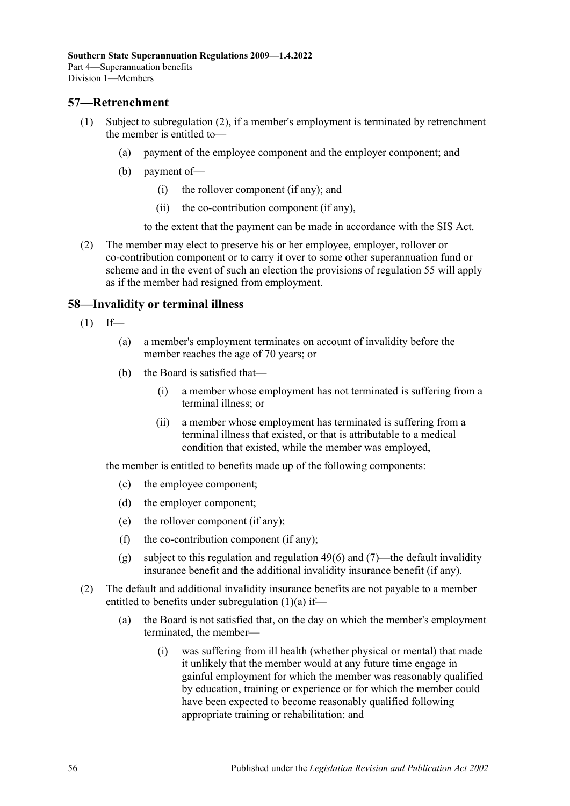#### **57—Retrenchment**

- (1) Subject to [subregulation](#page-55-0) (2), if a member's employment is terminated by retrenchment the member is entitled to—
	- (a) payment of the employee component and the employer component; and
	- (b) payment of—
		- (i) the rollover component (if any); and
		- (ii) the co-contribution component (if any),

to the extent that the payment can be made in accordance with the SIS Act.

<span id="page-55-0"></span>(2) The member may elect to preserve his or her employee, employer, rollover or co-contribution component or to carry it over to some other superannuation fund or scheme and in the event of such an election the provisions of regulation 55 will apply as if the member had resigned from employment.

#### <span id="page-55-3"></span>**58—Invalidity or terminal illness**

- <span id="page-55-2"></span><span id="page-55-1"></span> $(1)$  If—
	- (a) a member's employment terminates on account of invalidity before the member reaches the age of 70 years; or
	- (b) the Board is satisfied that—
		- (i) a member whose employment has not terminated is suffering from a terminal illness; or
		- (ii) a member whose employment has terminated is suffering from a terminal illness that existed, or that is attributable to a medical condition that existed, while the member was employed,

the member is entitled to benefits made up of the following components:

- (c) the employee component;
- (d) the employer component;
- (e) the rollover component (if any);
- (f) the co-contribution component (if any);
- (g) subject to this regulation and [regulation](#page-47-1) 49(6) and [\(7\)—](#page-47-0)the default invalidity insurance benefit and the additional invalidity insurance benefit (if any).
- (2) The default and additional invalidity insurance benefits are not payable to a member entitled to benefits under [subregulation](#page-55-1) (1)(a) if—
	- (a) the Board is not satisfied that, on the day on which the member's employment terminated, the member—
		- (i) was suffering from ill health (whether physical or mental) that made it unlikely that the member would at any future time engage in gainful employment for which the member was reasonably qualified by education, training or experience or for which the member could have been expected to become reasonably qualified following appropriate training or rehabilitation; and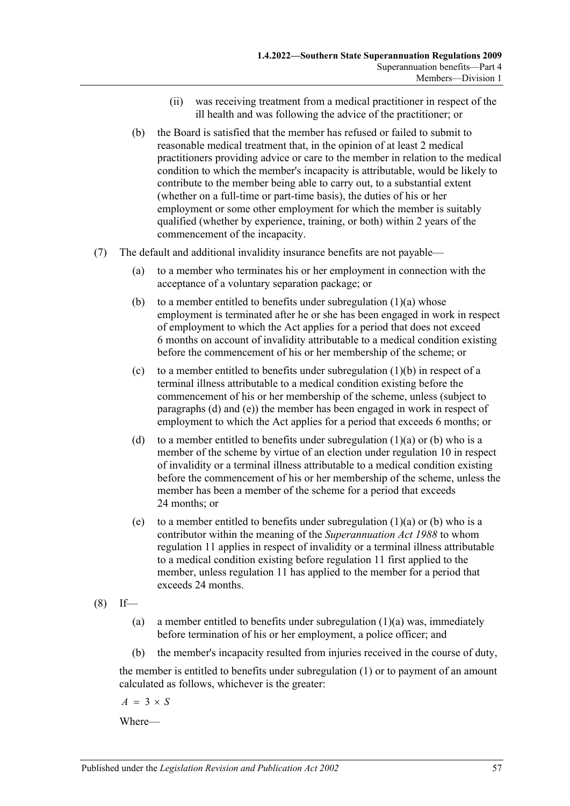- (ii) was receiving treatment from a medical practitioner in respect of the ill health and was following the advice of the practitioner; or
- (b) the Board is satisfied that the member has refused or failed to submit to reasonable medical treatment that, in the opinion of at least 2 medical practitioners providing advice or care to the member in relation to the medical condition to which the member's incapacity is attributable, would be likely to contribute to the member being able to carry out, to a substantial extent (whether on a full-time or part-time basis), the duties of his or her employment or some other employment for which the member is suitably qualified (whether by experience, training, or both) within 2 years of the commencement of the incapacity.
- (7) The default and additional invalidity insurance benefits are not payable—
	- (a) to a member who terminates his or her employment in connection with the acceptance of a voluntary separation package; or
	- (b) to a member entitled to benefits under [subregulation](#page-55-1)  $(1)(a)$  whose employment is terminated after he or she has been engaged in work in respect of employment to which the Act applies for a period that does not exceed 6 months on account of invalidity attributable to a medical condition existing before the commencement of his or her membership of the scheme; or
	- (c) to a member entitled to benefits under [subregulation](#page-55-2) (1)(b) in respect of a terminal illness attributable to a medical condition existing before the commencement of his or her membership of the scheme, unless (subject to [paragraphs](#page-56-0) (d) and [\(e\)\)](#page-56-1) the member has been engaged in work in respect of employment to which the Act applies for a period that exceeds 6 months; or
	- (d) to a member entitled to benefits under [subregulation](#page-55-1)  $(1)(a)$  or [\(b\)](#page-55-2) who is a member of the scheme by virtue of an election under [regulation](#page-11-1) 10 in respect of invalidity or a terminal illness attributable to a medical condition existing before the commencement of his or her membership of the scheme, unless the member has been a member of the scheme for a period that exceeds 24 months; or
	- (e) to a member entitled to benefits under [subregulation](#page-55-1)  $(1)(a)$  or [\(b\)](#page-55-2) who is a contributor within the meaning of the *[Superannuation Act](http://www.legislation.sa.gov.au/index.aspx?action=legref&type=act&legtitle=Superannuation%20Act%201988) 1988* to whom [regulation](#page-12-0) 11 applies in respect of invalidity or a terminal illness attributable to a medical condition existing before [regulation](#page-12-0) 11 first applied to the member, unless [regulation](#page-12-0) 11 has applied to the member for a period that exceeds 24 months.
- <span id="page-56-2"></span><span id="page-56-1"></span><span id="page-56-0"></span> $(8)$  If
	- (a) a member entitled to benefits under [subregulation](#page-55-1)  $(1)(a)$  was, immediately before termination of his or her employment, a police officer; and
	- (b) the member's incapacity resulted from injuries received in the course of duty,

the member is entitled to benefits under [subregulation](#page-55-3) (1) or to payment of an amount calculated as follows, whichever is the greater:

 $A = 3 \times S$ 

Where—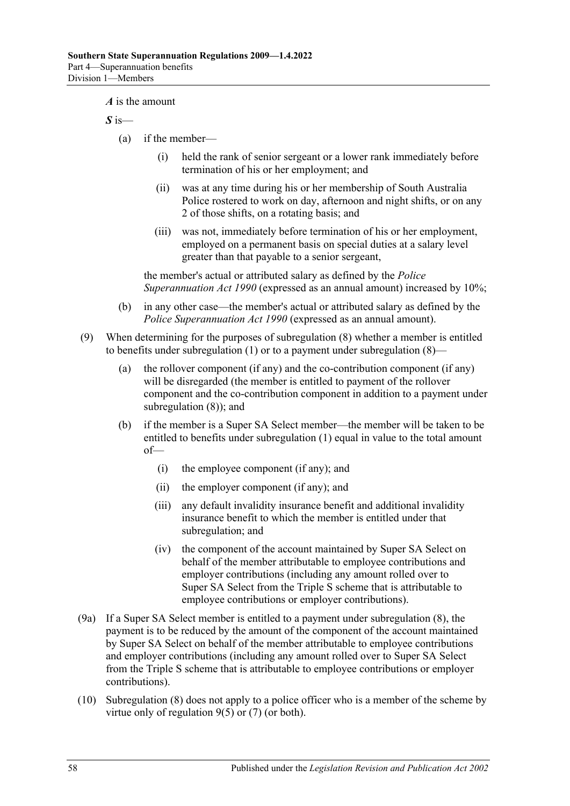*A* is the amount

*S* is—

- (a) if the member—
	- (i) held the rank of senior sergeant or a lower rank immediately before termination of his or her employment; and
	- (ii) was at any time during his or her membership of South Australia Police rostered to work on day, afternoon and night shifts, or on any 2 of those shifts, on a rotating basis; and
	- (iii) was not, immediately before termination of his or her employment, employed on a permanent basis on special duties at a salary level greater than that payable to a senior sergeant,

the member's actual or attributed salary as defined by the *[Police](http://www.legislation.sa.gov.au/index.aspx?action=legref&type=act&legtitle=Police%20Superannuation%20Act%201990)  [Superannuation Act](http://www.legislation.sa.gov.au/index.aspx?action=legref&type=act&legtitle=Police%20Superannuation%20Act%201990) 1990* (expressed as an annual amount) increased by 10%;

- (b) in any other case—the member's actual or attributed salary as defined by the *[Police Superannuation Act](http://www.legislation.sa.gov.au/index.aspx?action=legref&type=act&legtitle=Police%20Superannuation%20Act%201990) 1990* (expressed as an annual amount).
- (9) When determining for the purposes of [subregulation](#page-56-2) (8) whether a member is entitled to benefits under [subregulation](#page-55-3) (1) or to a payment under [subregulation](#page-56-2) (8)—
	- (a) the rollover component (if any) and the co-contribution component (if any) will be disregarded (the member is entitled to payment of the rollover component and the co-contribution component in addition to a payment under [subregulation](#page-56-2) (8)); and
	- (b) if the member is a Super SA Select member—the member will be taken to be entitled to benefits under [subregulation](#page-55-3) (1) equal in value to the total amount of—
		- (i) the employee component (if any); and
		- (ii) the employer component (if any); and
		- (iii) any default invalidity insurance benefit and additional invalidity insurance benefit to which the member is entitled under that subregulation; and
		- (iv) the component of the account maintained by Super SA Select on behalf of the member attributable to employee contributions and employer contributions (including any amount rolled over to Super SA Select from the Triple S scheme that is attributable to employee contributions or employer contributions).
- (9a) If a Super SA Select member is entitled to a payment under [subregulation](#page-56-2) (8), the payment is to be reduced by the amount of the component of the account maintained by Super SA Select on behalf of the member attributable to employee contributions and employer contributions (including any amount rolled over to Super SA Select from the Triple S scheme that is attributable to employee contributions or employer contributions).
- (10) [Subregulation](#page-56-2) (8) does not apply to a police officer who is a member of the scheme by virtue only of [regulation](#page-10-1) 9(5) or [\(7\)](#page-10-5) (or both).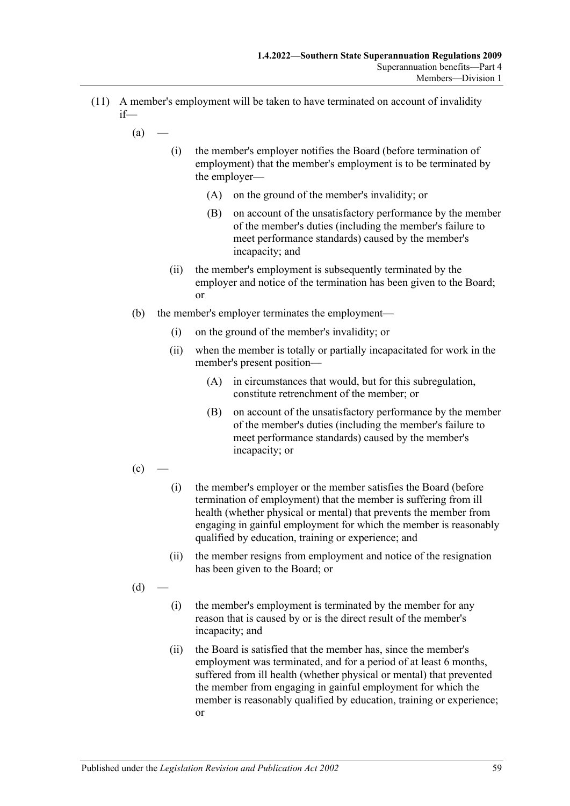- <span id="page-58-0"></span>(11) A member's employment will be taken to have terminated on account of invalidity if—
	- $(a)$ 
		- (i) the member's employer notifies the Board (before termination of employment) that the member's employment is to be terminated by the employer—
			- (A) on the ground of the member's invalidity; or
			- (B) on account of the unsatisfactory performance by the member of the member's duties (including the member's failure to meet performance standards) caused by the member's incapacity; and
		- (ii) the member's employment is subsequently terminated by the employer and notice of the termination has been given to the Board; or
	- (b) the member's employer terminates the employment—
		- (i) on the ground of the member's invalidity; or
		- (ii) when the member is totally or partially incapacitated for work in the member's present position—
			- (A) in circumstances that would, but for this subregulation, constitute retrenchment of the member; or
			- (B) on account of the unsatisfactory performance by the member of the member's duties (including the member's failure to meet performance standards) caused by the member's incapacity; or

 $(c)$ 

- (i) the member's employer or the member satisfies the Board (before termination of employment) that the member is suffering from ill health (whether physical or mental) that prevents the member from engaging in gainful employment for which the member is reasonably qualified by education, training or experience; and
- (ii) the member resigns from employment and notice of the resignation has been given to the Board; or
- $(d)$
- (i) the member's employment is terminated by the member for any reason that is caused by or is the direct result of the member's incapacity; and
- (ii) the Board is satisfied that the member has, since the member's employment was terminated, and for a period of at least 6 months, suffered from ill health (whether physical or mental) that prevented the member from engaging in gainful employment for which the member is reasonably qualified by education, training or experience; or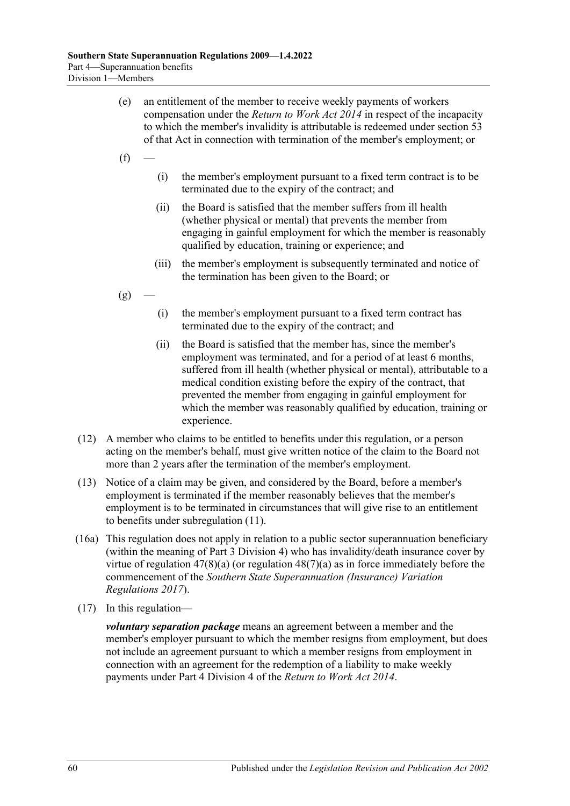- (e) an entitlement of the member to receive weekly payments of workers compensation under the *[Return to Work Act](http://www.legislation.sa.gov.au/index.aspx?action=legref&type=act&legtitle=Return%20to%20Work%20Act%202014) 2014* in respect of the incapacity to which the member's invalidity is attributable is redeemed under section 53 of that Act in connection with termination of the member's employment; or
- $(f)$
- (i) the member's employment pursuant to a fixed term contract is to be terminated due to the expiry of the contract; and
- (ii) the Board is satisfied that the member suffers from ill health (whether physical or mental) that prevents the member from engaging in gainful employment for which the member is reasonably qualified by education, training or experience; and
- (iii) the member's employment is subsequently terminated and notice of the termination has been given to the Board; or
- $(g)$ 
	- (i) the member's employment pursuant to a fixed term contract has terminated due to the expiry of the contract; and
	- (ii) the Board is satisfied that the member has, since the member's employment was terminated, and for a period of at least 6 months, suffered from ill health (whether physical or mental), attributable to a medical condition existing before the expiry of the contract, that prevented the member from engaging in gainful employment for which the member was reasonably qualified by education, training or experience.
- (12) A member who claims to be entitled to benefits under this regulation, or a person acting on the member's behalf, must give written notice of the claim to the Board not more than 2 years after the termination of the member's employment.
- (13) Notice of a claim may be given, and considered by the Board, before a member's employment is terminated if the member reasonably believes that the member's employment is to be terminated in circumstances that will give rise to an entitlement to benefits under [subregulation](#page-58-0) (11).
- (16a) This regulation does not apply in relation to a public sector superannuation beneficiary (within the meaning of [Part 3 Division 4\)](#page-41-3) who has invalidity/death insurance cover by virtue of [regulation](#page-43-3)  $47(8)(a)$  (or regulation  $48(7)(a)$  as in force immediately before the commencement of the *[Southern State Superannuation \(Insurance\) Variation](http://www.legislation.sa.gov.au/index.aspx?action=legref&type=subordleg&legtitle=Southern%20State%20Superannuation%20(Insurance)%20Variation%20Regulations%202017)  [Regulations 2017](http://www.legislation.sa.gov.au/index.aspx?action=legref&type=subordleg&legtitle=Southern%20State%20Superannuation%20(Insurance)%20Variation%20Regulations%202017)*).
- (17) In this regulation—

*voluntary separation package* means an agreement between a member and the member's employer pursuant to which the member resigns from employment, but does not include an agreement pursuant to which a member resigns from employment in connection with an agreement for the redemption of a liability to make weekly payments under Part 4 Division 4 of the *[Return to Work Act](http://www.legislation.sa.gov.au/index.aspx?action=legref&type=act&legtitle=Return%20to%20Work%20Act%202014) 2014*.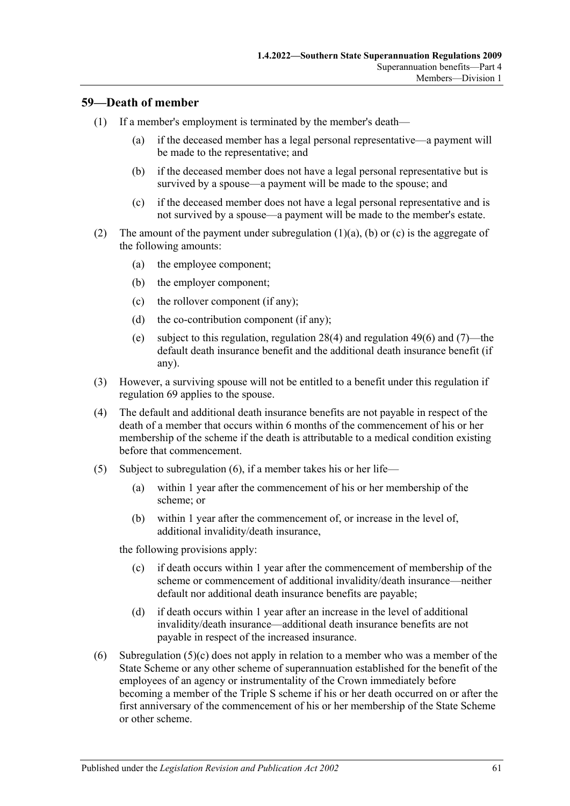#### **59—Death of member**

- <span id="page-60-0"></span>(1) If a member's employment is terminated by the member's death—
	- (a) if the deceased member has a legal personal representative—a payment will be made to the representative; and
	- (b) if the deceased member does not have a legal personal representative but is survived by a spouse—a payment will be made to the spouse; and
	- (c) if the deceased member does not have a legal personal representative and is not survived by a spouse—a payment will be made to the member's estate.
- <span id="page-60-5"></span><span id="page-60-2"></span><span id="page-60-1"></span>(2) The amount of the payment under [subregulation](#page-60-0)  $(1)(a)$ ,  $(b)$  or  $(c)$  is the aggregate of the following amounts:
	- (a) the employee component;
	- (b) the employer component;
	- (c) the rollover component (if any);
	- (d) the co-contribution component (if any);
	- (e) subject to this regulation, [regulation](#page-23-0) 28(4) and [regulation](#page-47-1) 49(6) and [\(7\)—](#page-47-0)the default death insurance benefit and the additional death insurance benefit (if any).
- (3) However, a surviving spouse will not be entitled to a benefit under this regulation if [regulation](#page-76-0) 69 applies to the spouse.
- (4) The default and additional death insurance benefits are not payable in respect of the death of a member that occurs within 6 months of the commencement of his or her membership of the scheme if the death is attributable to a medical condition existing before that commencement.
- (5) Subject to [subregulation](#page-60-3) (6), if a member takes his or her life—
	- (a) within 1 year after the commencement of his or her membership of the scheme; or
	- (b) within 1 year after the commencement of, or increase in the level of, additional invalidity/death insurance,

<span id="page-60-4"></span>the following provisions apply:

- (c) if death occurs within 1 year after the commencement of membership of the scheme or commencement of additional invalidity/death insurance—neither default nor additional death insurance benefits are payable;
- (d) if death occurs within 1 year after an increase in the level of additional invalidity/death insurance—additional death insurance benefits are not payable in respect of the increased insurance.
- <span id="page-60-3"></span>(6) [Subregulation](#page-60-4) (5)(c) does not apply in relation to a member who was a member of the State Scheme or any other scheme of superannuation established for the benefit of the employees of an agency or instrumentality of the Crown immediately before becoming a member of the Triple S scheme if his or her death occurred on or after the first anniversary of the commencement of his or her membership of the State Scheme or other scheme.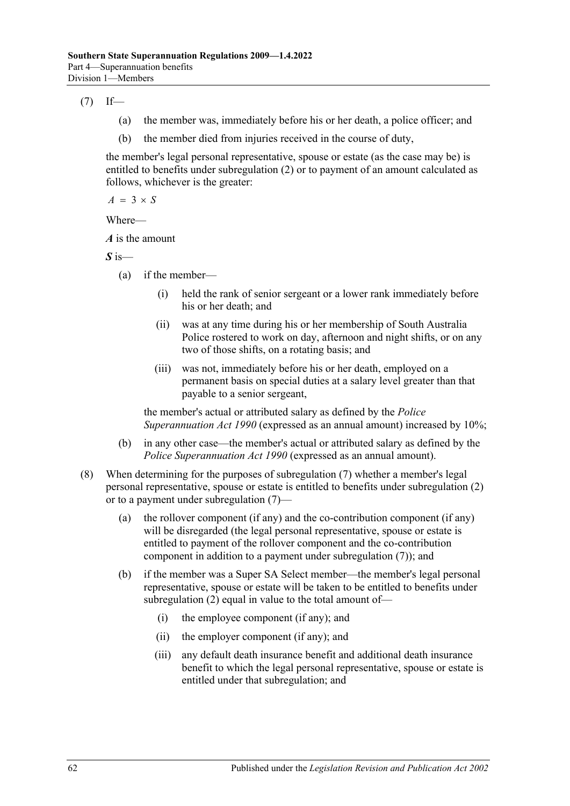<span id="page-61-0"></span> $(7)$  If—

- (a) the member was, immediately before his or her death, a police officer; and
- (b) the member died from injuries received in the course of duty,

the member's legal personal representative, spouse or estate (as the case may be) is entitled to benefits under [subregulation](#page-60-5) (2) or to payment of an amount calculated as follows, whichever is the greater:

 $A = 3 \times S$ 

Where—

*A* is the amount

*S* is—

- (a) if the member—
	- (i) held the rank of senior sergeant or a lower rank immediately before his or her death; and
	- (ii) was at any time during his or her membership of South Australia Police rostered to work on day, afternoon and night shifts, or on any two of those shifts, on a rotating basis; and
	- (iii) was not, immediately before his or her death, employed on a permanent basis on special duties at a salary level greater than that payable to a senior sergeant,

the member's actual or attributed salary as defined by the *[Police](http://www.legislation.sa.gov.au/index.aspx?action=legref&type=act&legtitle=Police%20Superannuation%20Act%201990)  [Superannuation Act](http://www.legislation.sa.gov.au/index.aspx?action=legref&type=act&legtitle=Police%20Superannuation%20Act%201990) 1990* (expressed as an annual amount) increased by 10%;

- (b) in any other case—the member's actual or attributed salary as defined by the *[Police Superannuation Act](http://www.legislation.sa.gov.au/index.aspx?action=legref&type=act&legtitle=Police%20Superannuation%20Act%201990) 1990* (expressed as an annual amount).
- <span id="page-61-1"></span>(8) When determining for the purposes of [subregulation](#page-61-0) (7) whether a member's legal personal representative, spouse or estate is entitled to benefits under [subregulation](#page-60-5) (2) or to a payment under [subregulation](#page-61-0) (7)—
	- (a) the rollover component (if any) and the co-contribution component (if any) will be disregarded (the legal personal representative, spouse or estate is entitled to payment of the rollover component and the co-contribution component in addition to a payment under [subregulation](#page-61-0) (7)); and
	- (b) if the member was a Super SA Select member—the member's legal personal representative, spouse or estate will be taken to be entitled to benefits under [subregulation](#page-60-5) (2) equal in value to the total amount of—
		- (i) the employee component (if any); and
		- (ii) the employer component (if any); and
		- (iii) any default death insurance benefit and additional death insurance benefit to which the legal personal representative, spouse or estate is entitled under that subregulation; and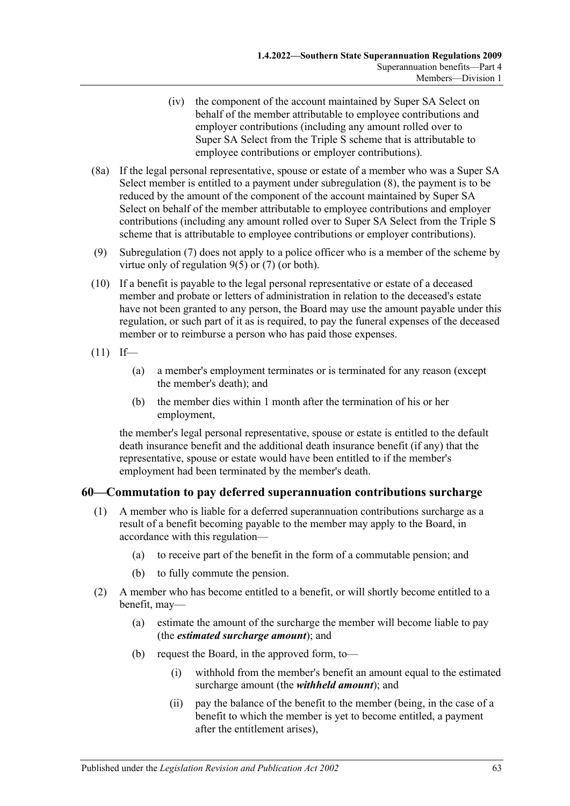- (iv) the component of the account maintained by Super SA Select on behalf of the member attributable to employee contributions and employer contributions (including any amount rolled over to Super SA Select from the Triple S scheme that is attributable to employee contributions or employer contributions).
- (8a) If the legal personal representative, spouse or estate of a member who was a Super SA Select member is entitled to a payment under [subregulation](#page-61-1) (8), the payment is to be reduced by the amount of the component of the account maintained by Super SA Select on behalf of the member attributable to employee contributions and employer contributions (including any amount rolled over to Super SA Select from the Triple S scheme that is attributable to employee contributions or employer contributions).
- (9) [Subregulation](#page-61-0) (7) does not apply to a police officer who is a member of the scheme by virtue only of [regulation](#page-10-1) 9(5) or [\(7\)](#page-10-5) (or both).
- (10) If a benefit is payable to the legal personal representative or estate of a deceased member and probate or letters of administration in relation to the deceased's estate have not been granted to any person, the Board may use the amount payable under this regulation, or such part of it as is required, to pay the funeral expenses of the deceased member or to reimburse a person who has paid those expenses.
- $(11)$  If—
	- (a) a member's employment terminates or is terminated for any reason (except the member's death); and
	- (b) the member dies within 1 month after the termination of his or her employment,

the member's legal personal representative, spouse or estate is entitled to the default death insurance benefit and the additional death insurance benefit (if any) that the representative, spouse or estate would have been entitled to if the member's employment had been terminated by the member's death.

#### <span id="page-62-1"></span>**60—Commutation to pay deferred superannuation contributions surcharge**

- (1) A member who is liable for a deferred superannuation contributions surcharge as a result of a benefit becoming payable to the member may apply to the Board, in accordance with this regulation—
	- (a) to receive part of the benefit in the form of a commutable pension; and
	- (b) to fully commute the pension.
- <span id="page-62-0"></span>(2) A member who has become entitled to a benefit, or will shortly become entitled to a benefit, may—
	- (a) estimate the amount of the surcharge the member will become liable to pay (the *estimated surcharge amount*); and
	- (b) request the Board, in the approved form, to—
		- (i) withhold from the member's benefit an amount equal to the estimated surcharge amount (the *withheld amount*); and
		- (ii) pay the balance of the benefit to the member (being, in the case of a benefit to which the member is yet to become entitled, a payment after the entitlement arises),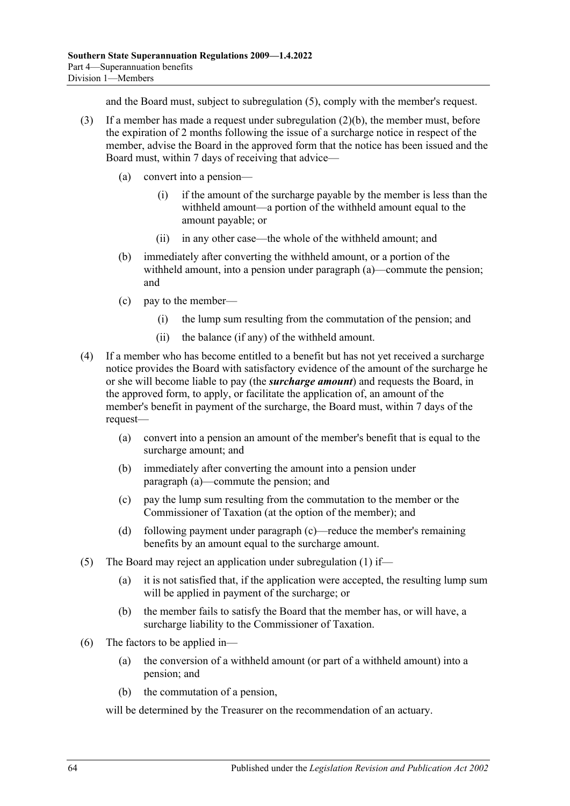and the Board must, subject to [subregulation](#page-63-0) (5), comply with the member's request.

- <span id="page-63-1"></span>(3) If a member has made a request under [subregulation](#page-62-0) (2)(b), the member must, before the expiration of 2 months following the issue of a surcharge notice in respect of the member, advise the Board in the approved form that the notice has been issued and the Board must, within 7 days of receiving that advice—
	- (a) convert into a pension—
		- (i) if the amount of the surcharge payable by the member is less than the withheld amount—a portion of the withheld amount equal to the amount payable; or
		- (ii) in any other case—the whole of the withheld amount; and
	- (b) immediately after converting the withheld amount, or a portion of the withheld amount, into a pension under [paragraph](#page-63-1) (a)—commute the pension; and
	- (c) pay to the member—
		- (i) the lump sum resulting from the commutation of the pension; and
		- (ii) the balance (if any) of the withheld amount.
- <span id="page-63-2"></span>(4) If a member who has become entitled to a benefit but has not yet received a surcharge notice provides the Board with satisfactory evidence of the amount of the surcharge he or she will become liable to pay (the *surcharge amount*) and requests the Board, in the approved form, to apply, or facilitate the application of, an amount of the member's benefit in payment of the surcharge, the Board must, within 7 days of the request—
	- (a) convert into a pension an amount of the member's benefit that is equal to the surcharge amount; and
	- (b) immediately after converting the amount into a pension under [paragraph](#page-63-2) (a)—commute the pension; and
	- (c) pay the lump sum resulting from the commutation to the member or the Commissioner of Taxation (at the option of the member); and
	- (d) following payment under [paragraph](#page-63-3) (c)—reduce the member's remaining benefits by an amount equal to the surcharge amount.
- <span id="page-63-3"></span><span id="page-63-0"></span>(5) The Board may reject an application under [subregulation](#page-62-1) (1) if—
	- (a) it is not satisfied that, if the application were accepted, the resulting lump sum will be applied in payment of the surcharge; or
	- (b) the member fails to satisfy the Board that the member has, or will have, a surcharge liability to the Commissioner of Taxation.
- (6) The factors to be applied in—
	- (a) the conversion of a withheld amount (or part of a withheld amount) into a pension; and
	- (b) the commutation of a pension,

will be determined by the Treasurer on the recommendation of an actuary.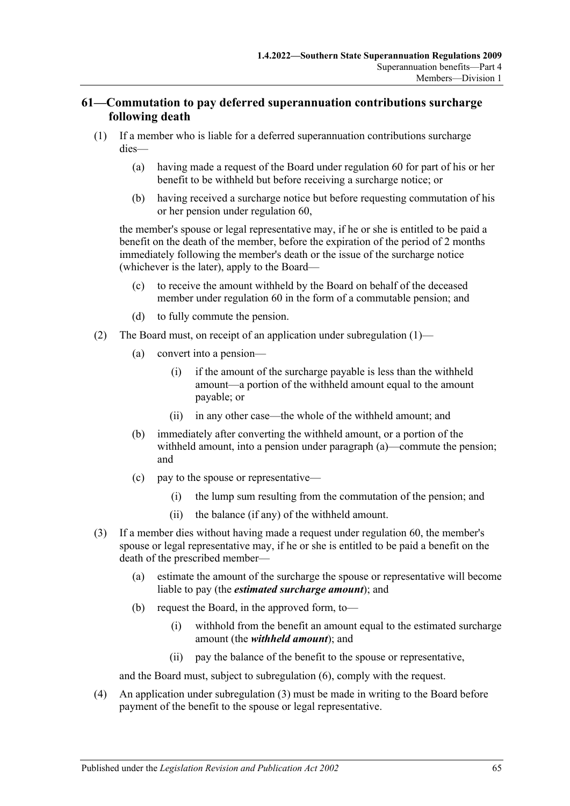### **61—Commutation to pay deferred superannuation contributions surcharge following death**

- <span id="page-64-2"></span>(1) If a member who is liable for a deferred superannuation contributions surcharge dies—
	- (a) having made a request of the Board under regulation 60 for part of his or her benefit to be withheld but before receiving a surcharge notice; or
	- (b) having received a surcharge notice but before requesting commutation of his or her pension under regulation 60,

the member's spouse or legal representative may, if he or she is entitled to be paid a benefit on the death of the member, before the expiration of the period of 2 months immediately following the member's death or the issue of the surcharge notice (whichever is the later), apply to the Board—

- (c) to receive the amount withheld by the Board on behalf of the deceased member under regulation 60 in the form of a commutable pension; and
- (d) to fully commute the pension.
- <span id="page-64-0"></span>(2) The Board must, on receipt of an application under subregulation  $(1)$ —
	- (a) convert into a pension—
		- (i) if the amount of the surcharge payable is less than the withheld amount—a portion of the withheld amount equal to the amount payable; or
		- (ii) in any other case—the whole of the withheld amount; and
	- (b) immediately after converting the withheld amount, or a portion of the withheld amount, into a pension under [paragraph](#page-64-0) (a)—commute the pension; and
	- (c) pay to the spouse or representative—
		- (i) the lump sum resulting from the commutation of the pension; and
		- (ii) the balance (if any) of the withheld amount.
- <span id="page-64-1"></span>(3) If a member dies without having made a request under regulation 60, the member's spouse or legal representative may, if he or she is entitled to be paid a benefit on the death of the prescribed member—
	- (a) estimate the amount of the surcharge the spouse or representative will become liable to pay (the *estimated surcharge amount*); and
	- (b) request the Board, in the approved form, to—
		- (i) withhold from the benefit an amount equal to the estimated surcharge amount (the *withheld amount*); and
		- (ii) pay the balance of the benefit to the spouse or representative,

and the Board must, subject to [subregulation](#page-65-0) (6), comply with the request.

(4) An application under [subregulation](#page-64-1) (3) must be made in writing to the Board before payment of the benefit to the spouse or legal representative.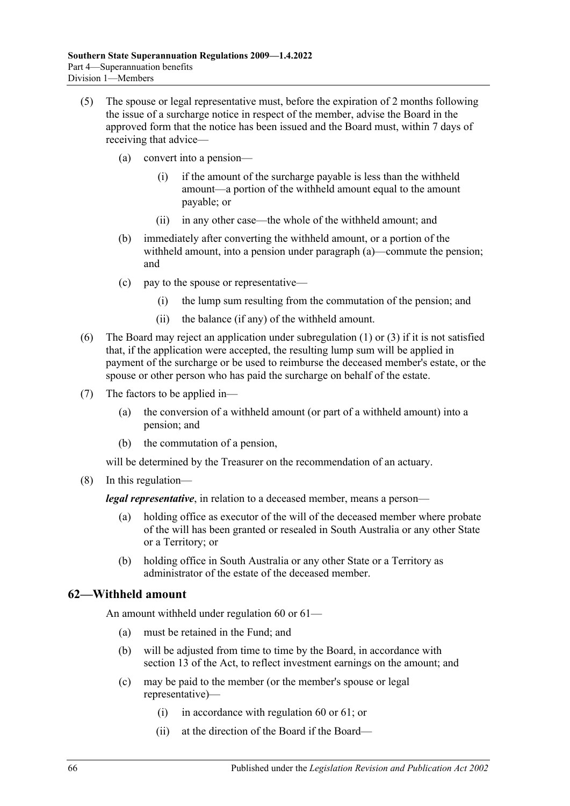- <span id="page-65-1"></span>(5) The spouse or legal representative must, before the expiration of 2 months following the issue of a surcharge notice in respect of the member, advise the Board in the approved form that the notice has been issued and the Board must, within 7 days of receiving that advice—
	- (a) convert into a pension—
		- (i) if the amount of the surcharge payable is less than the withheld amount—a portion of the withheld amount equal to the amount payable; or
		- (ii) in any other case—the whole of the withheld amount; and
	- (b) immediately after converting the withheld amount, or a portion of the withheld amount, into a pension under [paragraph](#page-65-1) (a)—commute the pension; and
	- (c) pay to the spouse or representative—
		- (i) the lump sum resulting from the commutation of the pension; and
		- (ii) the balance (if any) of the withheld amount.
- <span id="page-65-0"></span>(6) The Board may reject an application under [subregulation](#page-64-2) (1) or [\(3\)](#page-64-1) if it is not satisfied that, if the application were accepted, the resulting lump sum will be applied in payment of the surcharge or be used to reimburse the deceased member's estate, or the spouse or other person who has paid the surcharge on behalf of the estate.
- (7) The factors to be applied in—
	- (a) the conversion of a withheld amount (or part of a withheld amount) into a pension; and
	- (b) the commutation of a pension,

will be determined by the Treasurer on the recommendation of an actuary.

(8) In this regulation—

*legal representative*, in relation to a deceased member, means a person—

- (a) holding office as executor of the will of the deceased member where probate of the will has been granted or resealed in South Australia or any other State or a Territory; or
- (b) holding office in South Australia or any other State or a Territory as administrator of the estate of the deceased member.

#### **62—Withheld amount**

An amount withheld under regulation 60 or 61—

- (a) must be retained in the Fund; and
- (b) will be adjusted from time to time by the Board, in accordance with section 13 of the Act, to reflect investment earnings on the amount; and
- (c) may be paid to the member (or the member's spouse or legal representative)—
	- (i) in accordance with regulation 60 or 61; or
	- (ii) at the direction of the Board if the Board—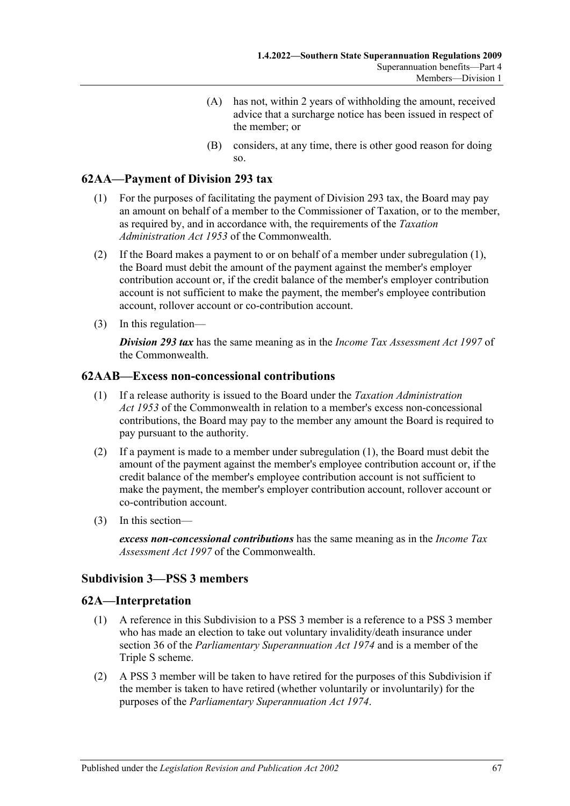- (A) has not, within 2 years of withholding the amount, received advice that a surcharge notice has been issued in respect of the member; or
- (B) considers, at any time, there is other good reason for doing so.

# <span id="page-66-0"></span>**62AA—Payment of Division 293 tax**

- (1) For the purposes of facilitating the payment of Division 293 tax, the Board may pay an amount on behalf of a member to the Commissioner of Taxation, or to the member, as required by, and in accordance with, the requirements of the *Taxation Administration Act 1953* of the Commonwealth.
- (2) If the Board makes a payment to or on behalf of a member under [subregulation](#page-66-0) (1), the Board must debit the amount of the payment against the member's employer contribution account or, if the credit balance of the member's employer contribution account is not sufficient to make the payment, the member's employee contribution account, rollover account or co-contribution account.
- (3) In this regulation—

*Division 293 tax* has the same meaning as in the *Income Tax Assessment Act 1997* of the Commonwealth.

#### <span id="page-66-1"></span>**62AAB—Excess non-concessional contributions**

- (1) If a release authority is issued to the Board under the *Taxation Administration Act 1953* of the Commonwealth in relation to a member's excess non-concessional contributions, the Board may pay to the member any amount the Board is required to pay pursuant to the authority.
- (2) If a payment is made to a member under [subregulation](#page-66-1) (1), the Board must debit the amount of the payment against the member's employee contribution account or, if the credit balance of the member's employee contribution account is not sufficient to make the payment, the member's employer contribution account, rollover account or co-contribution account.
- (3) In this section—

*excess non-concessional contributions* has the same meaning as in the *Income Tax Assessment Act 1997* of the Commonwealth.

#### **Subdivision 3—PSS 3 members**

## **62A—Interpretation**

- (1) A reference in this Subdivision to a PSS 3 member is a reference to a PSS 3 member who has made an election to take out voluntary invalidity/death insurance under section 36 of the *[Parliamentary Superannuation Act](http://www.legislation.sa.gov.au/index.aspx?action=legref&type=act&legtitle=Parliamentary%20Superannuation%20Act%201974) 1974* and is a member of the Triple S scheme.
- (2) A PSS 3 member will be taken to have retired for the purposes of this Subdivision if the member is taken to have retired (whether voluntarily or involuntarily) for the purposes of the *[Parliamentary Superannuation Act](http://www.legislation.sa.gov.au/index.aspx?action=legref&type=act&legtitle=Parliamentary%20Superannuation%20Act%201974) 1974*.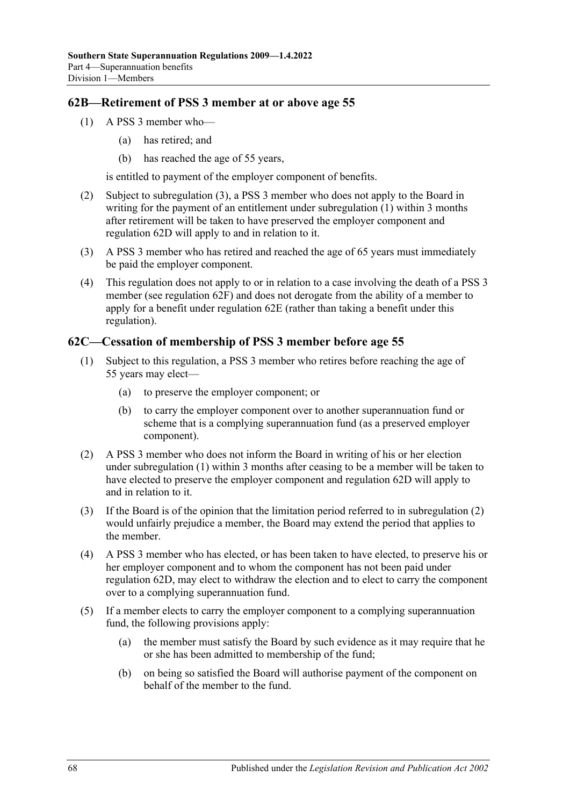### <span id="page-67-1"></span>**62B—Retirement of PSS 3 member at or above age 55**

- (1) A PSS 3 member who—
	- (a) has retired; and
	- (b) has reached the age of 55 years,

is entitled to payment of the employer component of benefits.

- <span id="page-67-4"></span>(2) Subject to [subregulation](#page-67-0) (3), a PSS 3 member who does not apply to the Board in writing for the payment of an entitlement under [subregulation](#page-67-1) (1) within 3 months after retirement will be taken to have preserved the employer component and [regulation](#page-68-0) 62D will apply to and in relation to it.
- <span id="page-67-0"></span>(3) A PSS 3 member who has retired and reached the age of 65 years must immediately be paid the employer component.
- (4) This regulation does not apply to or in relation to a case involving the death of a PSS 3 member (see [regulation](#page-69-0) 62F) and does not derogate from the ability of a member to apply for a benefit under [regulation](#page-69-1) 62E (rather than taking a benefit under this regulation).

## <span id="page-67-5"></span><span id="page-67-2"></span>**62C—Cessation of membership of PSS 3 member before age 55**

- (1) Subject to this regulation, a PSS 3 member who retires before reaching the age of 55 years may elect—
	- (a) to preserve the employer component; or
	- (b) to carry the employer component over to another superannuation fund or scheme that is a complying superannuation fund (as a preserved employer component).
- <span id="page-67-3"></span>(2) A PSS 3 member who does not inform the Board in writing of his or her election under [subregulation](#page-67-2) (1) within 3 months after ceasing to be a member will be taken to have elected to preserve the employer component and [regulation](#page-68-0) 62D will apply to and in relation to it.
- (3) If the Board is of the opinion that the limitation period referred to in [subregulation](#page-67-3) (2) would unfairly prejudice a member, the Board may extend the period that applies to the member.
- (4) A PSS 3 member who has elected, or has been taken to have elected, to preserve his or her employer component and to whom the component has not been paid under [regulation](#page-68-0) 62D, may elect to withdraw the election and to elect to carry the component over to a complying superannuation fund.
- (5) If a member elects to carry the employer component to a complying superannuation fund, the following provisions apply:
	- (a) the member must satisfy the Board by such evidence as it may require that he or she has been admitted to membership of the fund;
	- (b) on being so satisfied the Board will authorise payment of the component on behalf of the member to the fund.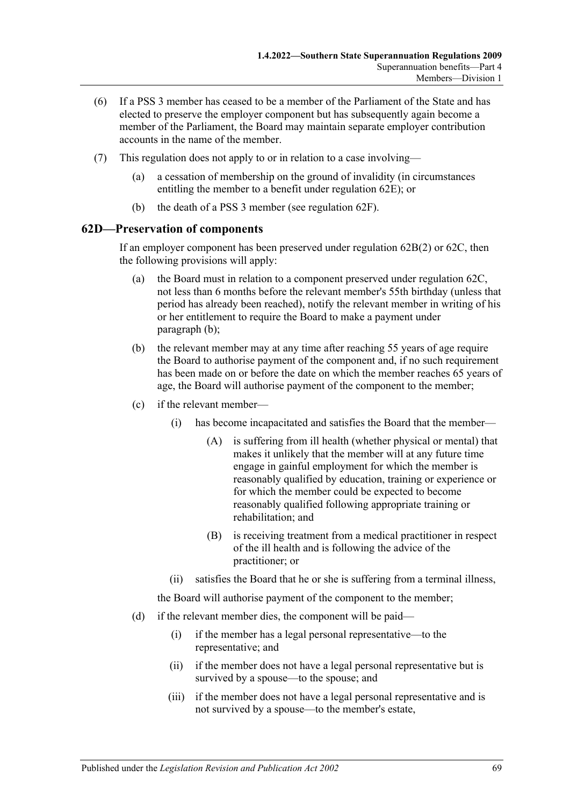- (6) If a PSS 3 member has ceased to be a member of the Parliament of the State and has elected to preserve the employer component but has subsequently again become a member of the Parliament, the Board may maintain separate employer contribution accounts in the name of the member.
- (7) This regulation does not apply to or in relation to a case involving—
	- (a) a cessation of membership on the ground of invalidity (in circumstances entitling the member to a benefit under [regulation](#page-69-1) 62E); or
	- (b) the death of a PSS 3 member (see [regulation](#page-69-0) 62F).

#### <span id="page-68-0"></span>**62D—Preservation of components**

If an employer component has been preserved under [regulation](#page-67-4) 62B(2) or [62C,](#page-67-5) then the following provisions will apply:

- (a) the Board must in relation to a component preserved under [regulation](#page-67-5) 62C, not less than 6 months before the relevant member's 55th birthday (unless that period has already been reached), notify the relevant member in writing of his or her entitlement to require the Board to make a payment under [paragraph](#page-68-1) (b);
- <span id="page-68-1"></span>(b) the relevant member may at any time after reaching 55 years of age require the Board to authorise payment of the component and, if no such requirement has been made on or before the date on which the member reaches 65 years of age, the Board will authorise payment of the component to the member;
- (c) if the relevant member—
	- (i) has become incapacitated and satisfies the Board that the member—
		- (A) is suffering from ill health (whether physical or mental) that makes it unlikely that the member will at any future time engage in gainful employment for which the member is reasonably qualified by education, training or experience or for which the member could be expected to become reasonably qualified following appropriate training or rehabilitation; and
		- (B) is receiving treatment from a medical practitioner in respect of the ill health and is following the advice of the practitioner; or
	- (ii) satisfies the Board that he or she is suffering from a terminal illness,

the Board will authorise payment of the component to the member;

- (d) if the relevant member dies, the component will be paid—
	- (i) if the member has a legal personal representative—to the representative; and
	- (ii) if the member does not have a legal personal representative but is survived by a spouse—to the spouse; and
	- (iii) if the member does not have a legal personal representative and is not survived by a spouse—to the member's estate,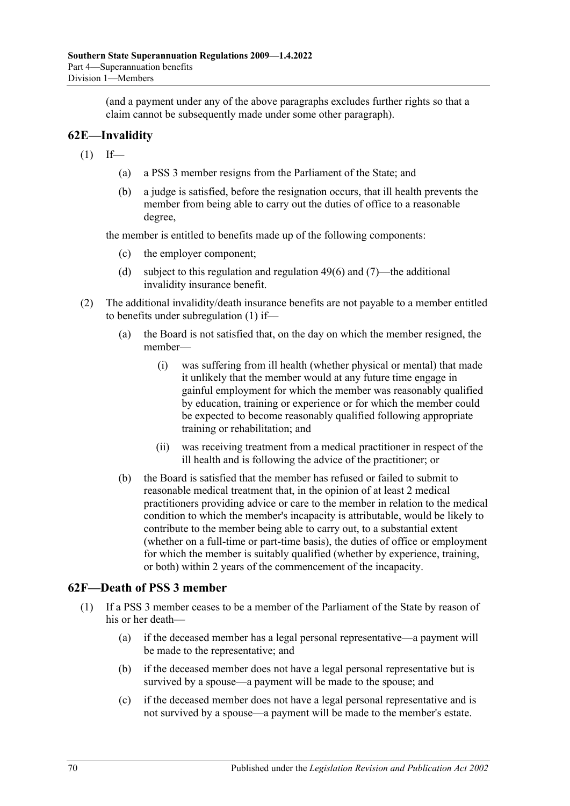(and a payment under any of the above paragraphs excludes further rights so that a claim cannot be subsequently made under some other paragraph).

# <span id="page-69-1"></span>**62E—Invalidity**

- <span id="page-69-2"></span> $(1)$  If—
	- (a) a PSS 3 member resigns from the Parliament of the State; and
	- (b) a judge is satisfied, before the resignation occurs, that ill health prevents the member from being able to carry out the duties of office to a reasonable degree,

the member is entitled to benefits made up of the following components:

- (c) the employer component;
- (d) subject to this regulation and [regulation](#page-47-1) 49(6) and [\(7\)—](#page-47-0)the additional invalidity insurance benefit.
- (2) The additional invalidity/death insurance benefits are not payable to a member entitled to benefits under [subregulation](#page-69-2) (1) if—
	- (a) the Board is not satisfied that, on the day on which the member resigned, the member—
		- (i) was suffering from ill health (whether physical or mental) that made it unlikely that the member would at any future time engage in gainful employment for which the member was reasonably qualified by education, training or experience or for which the member could be expected to become reasonably qualified following appropriate training or rehabilitation; and
		- (ii) was receiving treatment from a medical practitioner in respect of the ill health and is following the advice of the practitioner; or
	- (b) the Board is satisfied that the member has refused or failed to submit to reasonable medical treatment that, in the opinion of at least 2 medical practitioners providing advice or care to the member in relation to the medical condition to which the member's incapacity is attributable, would be likely to contribute to the member being able to carry out, to a substantial extent (whether on a full-time or part-time basis), the duties of office or employment for which the member is suitably qualified (whether by experience, training, or both) within 2 years of the commencement of the incapacity.

#### <span id="page-69-0"></span>**62F—Death of PSS 3 member**

- <span id="page-69-4"></span><span id="page-69-3"></span>(1) If a PSS 3 member ceases to be a member of the Parliament of the State by reason of his or her death—
	- (a) if the deceased member has a legal personal representative—a payment will be made to the representative; and
	- (b) if the deceased member does not have a legal personal representative but is survived by a spouse—a payment will be made to the spouse; and
	- (c) if the deceased member does not have a legal personal representative and is not survived by a spouse—a payment will be made to the member's estate.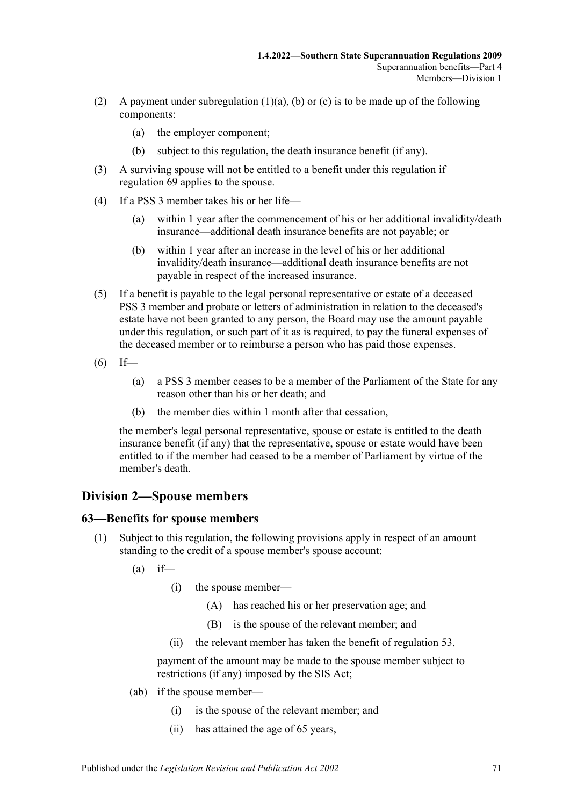- (2) A payment under [subregulation](#page-69-3)  $(1)(a)$ ,  $(b)$  or  $(c)$  is to be made up of the following components:
	- (a) the employer component;
	- (b) subject to this regulation, the death insurance benefit (if any).
- <span id="page-70-1"></span>(3) A surviving spouse will not be entitled to a benefit under this regulation if [regulation](#page-76-0) 69 applies to the spouse.
- (4) If a PSS 3 member takes his or her life—
	- (a) within 1 year after the commencement of his or her additional invalidity/death insurance—additional death insurance benefits are not payable; or
	- (b) within 1 year after an increase in the level of his or her additional invalidity/death insurance—additional death insurance benefits are not payable in respect of the increased insurance.
- (5) If a benefit is payable to the legal personal representative or estate of a deceased PSS 3 member and probate or letters of administration in relation to the deceased's estate have not been granted to any person, the Board may use the amount payable under this regulation, or such part of it as is required, to pay the funeral expenses of the deceased member or to reimburse a person who has paid those expenses.
- $(6)$  If—
	- (a) a PSS 3 member ceases to be a member of the Parliament of the State for any reason other than his or her death; and
	- (b) the member dies within 1 month after that cessation,

the member's legal personal representative, spouse or estate is entitled to the death insurance benefit (if any) that the representative, spouse or estate would have been entitled to if the member had ceased to be a member of Parliament by virtue of the member's death.

# **Division 2—Spouse members**

#### <span id="page-70-2"></span><span id="page-70-0"></span>**63—Benefits for spouse members**

(1) Subject to this regulation, the following provisions apply in respect of an amount standing to the credit of a spouse member's spouse account:

 $(a)$  if—

- (i) the spouse member—
	- (A) has reached his or her preservation age; and
	- (B) is the spouse of the relevant member; and
- (ii) the relevant member has taken the benefit of regulation 53,

payment of the amount may be made to the spouse member subject to restrictions (if any) imposed by the SIS Act;

- (ab) if the spouse member—
	- (i) is the spouse of the relevant member; and
	- (ii) has attained the age of 65 years,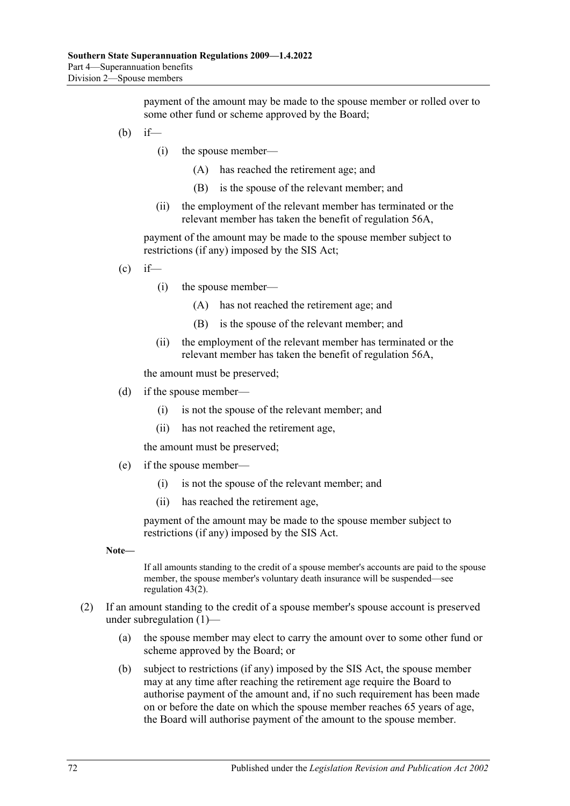payment of the amount may be made to the spouse member or rolled over to some other fund or scheme approved by the Board;

- (b) if—
	- (i) the spouse member—
		- (A) has reached the retirement age; and
		- (B) is the spouse of the relevant member; and
	- (ii) the employment of the relevant member has terminated or the relevant member has taken the benefit of [regulation](#page-54-0) 56A,

payment of the amount may be made to the spouse member subject to restrictions (if any) imposed by the SIS Act;

$$
(c) if
$$

- (i) the spouse member—
	- (A) has not reached the retirement age; and
	- (B) is the spouse of the relevant member; and
- (ii) the employment of the relevant member has terminated or the relevant member has taken the benefit of [regulation](#page-54-0) 56A,

the amount must be preserved;

- (d) if the spouse member—
	- (i) is not the spouse of the relevant member; and
	- (ii) has not reached the retirement age,

the amount must be preserved;

- (e) if the spouse member—
	- (i) is not the spouse of the relevant member; and
	- (ii) has reached the retirement age,

payment of the amount may be made to the spouse member subject to restrictions (if any) imposed by the SIS Act.

**Note—**

If all amounts standing to the credit of a spouse member's accounts are paid to the spouse member, the spouse member's voluntary death insurance will be suspended—see [regulation](#page-40-2) 43(2).

- (2) If an amount standing to the credit of a spouse member's spouse account is preserved under [subregulation](#page-70-2) (1)—
	- (a) the spouse member may elect to carry the amount over to some other fund or scheme approved by the Board; or
	- (b) subject to restrictions (if any) imposed by the SIS Act, the spouse member may at any time after reaching the retirement age require the Board to authorise payment of the amount and, if no such requirement has been made on or before the date on which the spouse member reaches 65 years of age, the Board will authorise payment of the amount to the spouse member.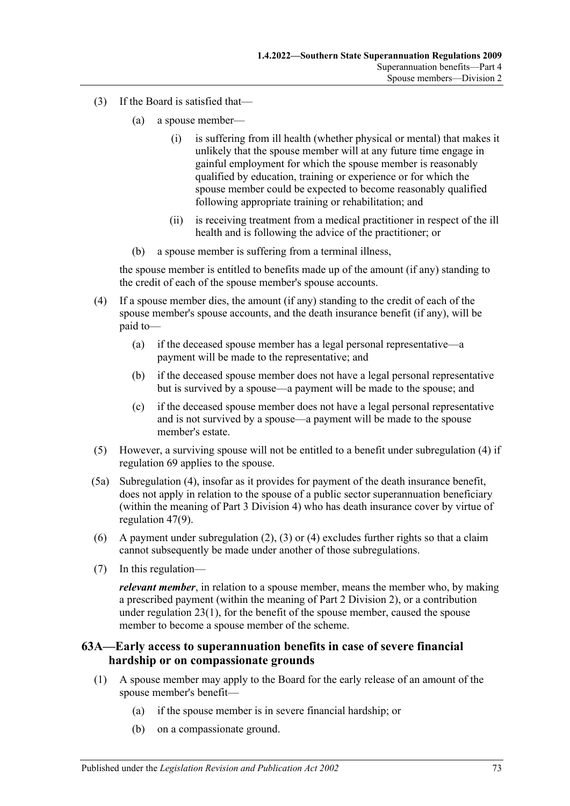- <span id="page-72-1"></span>(3) If the Board is satisfied that—
	- (a) a spouse member—
		- (i) is suffering from ill health (whether physical or mental) that makes it unlikely that the spouse member will at any future time engage in gainful employment for which the spouse member is reasonably qualified by education, training or experience or for which the spouse member could be expected to become reasonably qualified following appropriate training or rehabilitation; and
		- (ii) is receiving treatment from a medical practitioner in respect of the ill health and is following the advice of the practitioner; or
	- (b) a spouse member is suffering from a terminal illness,

the spouse member is entitled to benefits made up of the amount (if any) standing to the credit of each of the spouse member's spouse accounts.

- <span id="page-72-0"></span>(4) If a spouse member dies, the amount (if any) standing to the credit of each of the spouse member's spouse accounts, and the death insurance benefit (if any), will be paid to—
	- (a) if the deceased spouse member has a legal personal representative—a payment will be made to the representative; and
	- (b) if the deceased spouse member does not have a legal personal representative but is survived by a spouse—a payment will be made to the spouse; and
	- (c) if the deceased spouse member does not have a legal personal representative and is not survived by a spouse—a payment will be made to the spouse member's estate.
- (5) However, a surviving spouse will not be entitled to a benefit under [subregulation](#page-72-0) (4) if [regulation](#page-76-0) 69 applies to the spouse.
- (5a) [Subregulation \(4\),](#page-72-0) insofar as it provides for payment of the death insurance benefit, does not apply in relation to the spouse of a public sector superannuation beneficiary (within the meaning of Part [3 Division 4\)](#page-41-0) who has death insurance cover by virtue of [regulation](#page-44-0) 47(9).
- (6) A payment under [subregulation](#page-71-0) (2), [\(3\)](#page-72-1) or [\(4\)](#page-72-0) excludes further rights so that a claim cannot subsequently be made under another of those subregulations.
- (7) In this regulation—

*relevant member*, in relation to a spouse member, means the member who, by making a prescribed payment (within the meaning of [Part 2 Division 2\)](#page-20-0), or a contribution under [regulation](#page-21-0) 23(1), for the benefit of the spouse member, caused the spouse member to become a spouse member of the scheme.

### **63A—Early access to superannuation benefits in case of severe financial hardship or on compassionate grounds**

- (1) A spouse member may apply to the Board for the early release of an amount of the spouse member's benefit—
	- (a) if the spouse member is in severe financial hardship; or
	- (b) on a compassionate ground.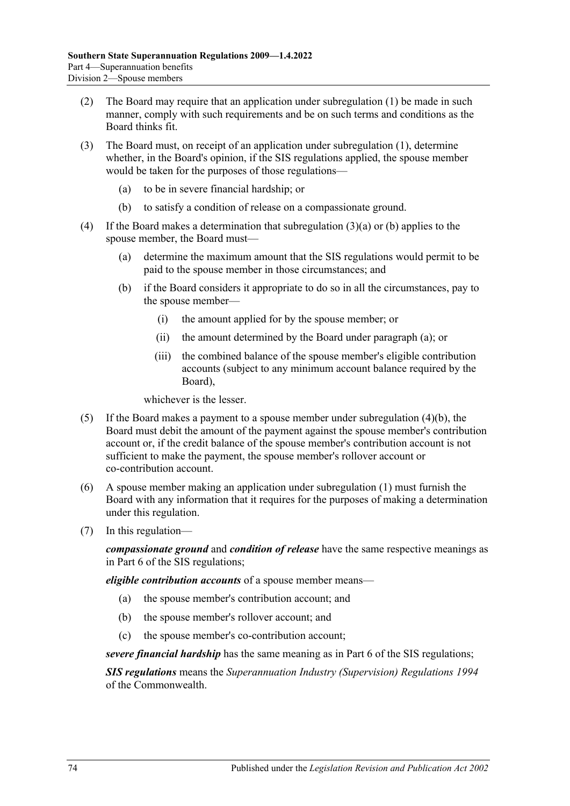- (2) The Board may require that an application under subregulation (1) be made in such manner, comply with such requirements and be on such terms and conditions as the Board thinks fit.
- <span id="page-73-0"></span>(3) The Board must, on receipt of an application under subregulation (1), determine whether, in the Board's opinion, if the SIS regulations applied, the spouse member would be taken for the purposes of those regulations—
	- (a) to be in severe financial hardship; or
	- (b) to satisfy a condition of release on a compassionate ground.
- <span id="page-73-2"></span><span id="page-73-1"></span>(4) If the Board makes a determination that [subregulation](#page-73-0) (3)(a) or [\(b\)](#page-73-1) applies to the spouse member, the Board must—
	- (a) determine the maximum amount that the SIS regulations would permit to be paid to the spouse member in those circumstances; and
	- (b) if the Board considers it appropriate to do so in all the circumstances, pay to the spouse member—
		- (i) the amount applied for by the spouse member; or
		- (ii) the amount determined by the Board under [paragraph](#page-73-2) (a); or
		- (iii) the combined balance of the spouse member's eligible contribution accounts (subject to any minimum account balance required by the Board),

whichever is the lesser.

- (5) If the Board makes a payment to a spouse member under [subregulation](#page-73-1) (4)(b), the Board must debit the amount of the payment against the spouse member's contribution account or, if the credit balance of the spouse member's contribution account is not sufficient to make the payment, the spouse member's rollover account or co-contribution account.
- (6) A spouse member making an application under subregulation (1) must furnish the Board with any information that it requires for the purposes of making a determination under this regulation.
- (7) In this regulation—

*compassionate ground* and *condition of release* have the same respective meanings as in Part 6 of the SIS regulations;

*eligible contribution accounts* of a spouse member means—

- (a) the spouse member's contribution account; and
- (b) the spouse member's rollover account; and
- (c) the spouse member's co-contribution account;

*severe financial hardship* has the same meaning as in Part 6 of the SIS regulations;

*SIS regulations* means the *Superannuation Industry (Supervision) Regulations 1994* of the Commonwealth.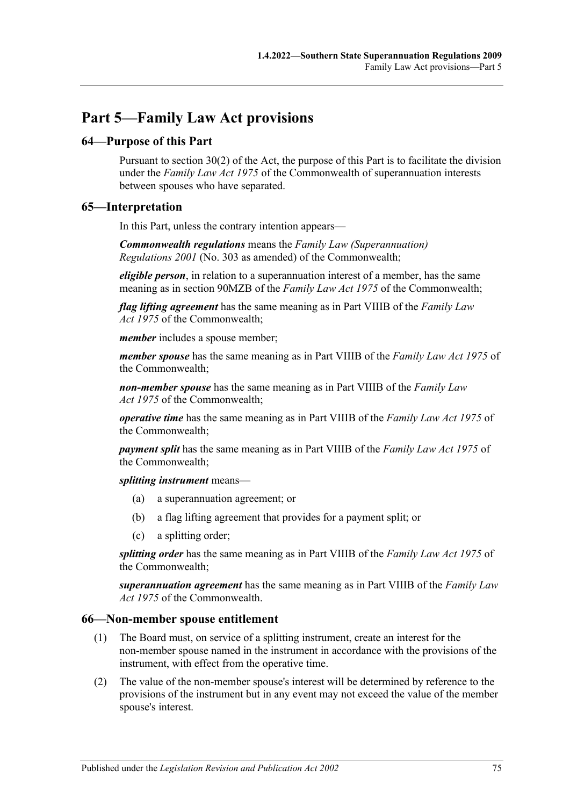# **Part 5—Family Law Act provisions**

### **64—Purpose of this Part**

Pursuant to section 30(2) of the Act, the purpose of this Part is to facilitate the division under the *Family Law Act 1975* of the Commonwealth of superannuation interests between spouses who have separated.

### **65—Interpretation**

In this Part, unless the contrary intention appears—

*Commonwealth regulations* means the *Family Law (Superannuation) Regulations 2001* (No. 303 as amended) of the Commonwealth;

*eligible person*, in relation to a superannuation interest of a member, has the same meaning as in section 90MZB of the *Family Law Act 1975* of the Commonwealth;

*flag lifting agreement* has the same meaning as in Part VIIIB of the *Family Law Act 1975* of the Commonwealth;

*member* includes a spouse member;

*member spouse* has the same meaning as in Part VIIIB of the *Family Law Act 1975* of the Commonwealth;

*non-member spouse* has the same meaning as in Part VIIIB of the *Family Law Act 1975* of the Commonwealth;

*operative time* has the same meaning as in Part VIIIB of the *Family Law Act 1975* of the Commonwealth;

*payment split* has the same meaning as in Part VIIIB of the *Family Law Act 1975* of the Commonwealth;

*splitting instrument* means—

- (a) a superannuation agreement; or
- (b) a flag lifting agreement that provides for a payment split; or
- (c) a splitting order;

*splitting order* has the same meaning as in Part VIIIB of the *Family Law Act 1975* of the Commonwealth;

*superannuation agreement* has the same meaning as in Part VIIIB of the *Family Law Act 1975* of the Commonwealth.

### <span id="page-74-0"></span>**66—Non-member spouse entitlement**

- (1) The Board must, on service of a splitting instrument, create an interest for the non-member spouse named in the instrument in accordance with the provisions of the instrument, with effect from the operative time.
- (2) The value of the non-member spouse's interest will be determined by reference to the provisions of the instrument but in any event may not exceed the value of the member spouse's interest.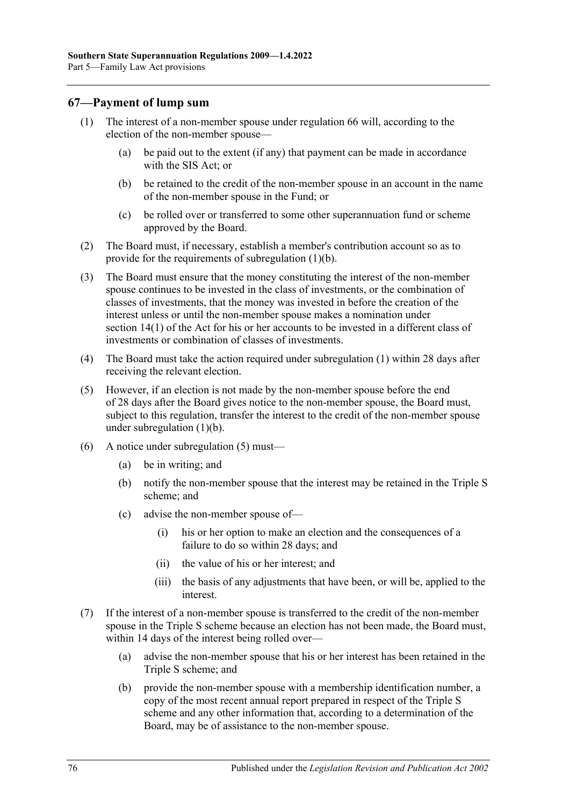### <span id="page-75-1"></span>**67—Payment of lump sum**

- <span id="page-75-0"></span>(1) The interest of a non-member spouse under [regulation](#page-74-0) 66 will, according to the election of the non-member spouse—
	- (a) be paid out to the extent (if any) that payment can be made in accordance with the SIS Act; or
	- (b) be retained to the credit of the non-member spouse in an account in the name of the non-member spouse in the Fund; or
	- (c) be rolled over or transferred to some other superannuation fund or scheme approved by the Board.
- (2) The Board must, if necessary, establish a member's contribution account so as to provide for the requirements of [subregulation](#page-75-0) (1)(b).
- (3) The Board must ensure that the money constituting the interest of the non-member spouse continues to be invested in the class of investments, or the combination of classes of investments, that the money was invested in before the creation of the interest unless or until the non-member spouse makes a nomination under section 14(1) of the Act for his or her accounts to be invested in a different class of investments or combination of classes of investments.
- (4) The Board must take the action required under [subregulation](#page-75-1) (1) within 28 days after receiving the relevant election.
- <span id="page-75-2"></span>(5) However, if an election is not made by the non-member spouse before the end of 28 days after the Board gives notice to the non-member spouse, the Board must, subject to this regulation, transfer the interest to the credit of the non-member spouse under [subregulation](#page-75-0) (1)(b).
- (6) A notice under [subregulation](#page-75-2) (5) must—
	- (a) be in writing; and
	- (b) notify the non-member spouse that the interest may be retained in the Triple S scheme; and
	- (c) advise the non-member spouse of—
		- (i) his or her option to make an election and the consequences of a failure to do so within 28 days; and
		- (ii) the value of his or her interest; and
		- (iii) the basis of any adjustments that have been, or will be, applied to the interest.
- (7) If the interest of a non-member spouse is transferred to the credit of the non-member spouse in the Triple S scheme because an election has not been made, the Board must, within 14 days of the interest being rolled over—
	- (a) advise the non-member spouse that his or her interest has been retained in the Triple S scheme; and
	- (b) provide the non-member spouse with a membership identification number, a copy of the most recent annual report prepared in respect of the Triple S scheme and any other information that, according to a determination of the Board, may be of assistance to the non-member spouse.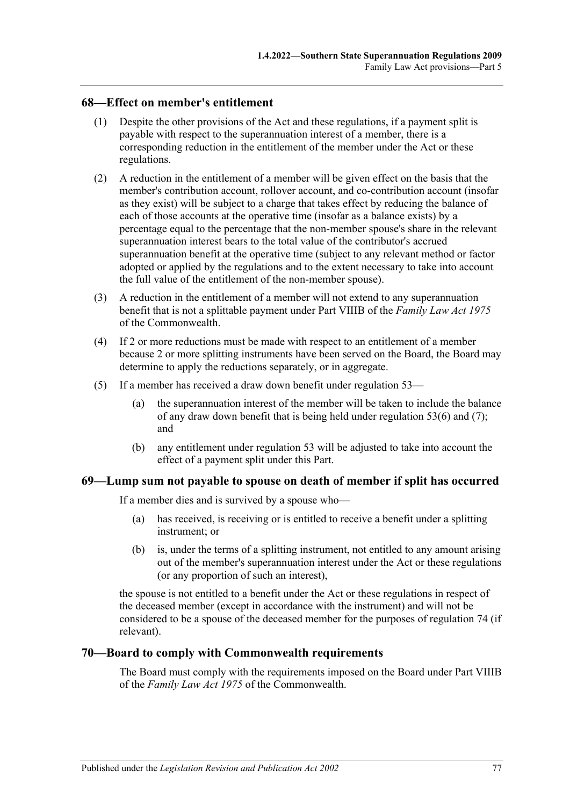### **68—Effect on member's entitlement**

- (1) Despite the other provisions of the Act and these regulations, if a payment split is payable with respect to the superannuation interest of a member, there is a corresponding reduction in the entitlement of the member under the Act or these regulations.
- (2) A reduction in the entitlement of a member will be given effect on the basis that the member's contribution account, rollover account, and co-contribution account (insofar as they exist) will be subject to a charge that takes effect by reducing the balance of each of those accounts at the operative time (insofar as a balance exists) by a percentage equal to the percentage that the non-member spouse's share in the relevant superannuation interest bears to the total value of the contributor's accrued superannuation benefit at the operative time (subject to any relevant method or factor adopted or applied by the regulations and to the extent necessary to take into account the full value of the entitlement of the non-member spouse).
- (3) A reduction in the entitlement of a member will not extend to any superannuation benefit that is not a splittable payment under Part VIIIB of the *Family Law Act 1975* of the Commonwealth.
- (4) If 2 or more reductions must be made with respect to an entitlement of a member because 2 or more splitting instruments have been served on the Board, the Board may determine to apply the reductions separately, or in aggregate.
- (5) If a member has received a draw down benefit under regulation 53—
	- (a) the superannuation interest of the member will be taken to include the balance of any draw down benefit that is being held under regulation 53(6) and (7); and
	- (b) any entitlement under regulation 53 will be adjusted to take into account the effect of a payment split under this Part.

### <span id="page-76-0"></span>**69—Lump sum not payable to spouse on death of member if split has occurred**

If a member dies and is survived by a spouse who—

- (a) has received, is receiving or is entitled to receive a benefit under a splitting instrument; or
- (b) is, under the terms of a splitting instrument, not entitled to any amount arising out of the member's superannuation interest under the Act or these regulations (or any proportion of such an interest),

the spouse is not entitled to a benefit under the Act or these regulations in respect of the deceased member (except in accordance with the instrument) and will not be considered to be a spouse of the deceased member for the purposes of [regulation](#page-78-0) 74 (if relevant).

### **70—Board to comply with Commonwealth requirements**

The Board must comply with the requirements imposed on the Board under Part VIIIB of the *Family Law Act 1975* of the Commonwealth.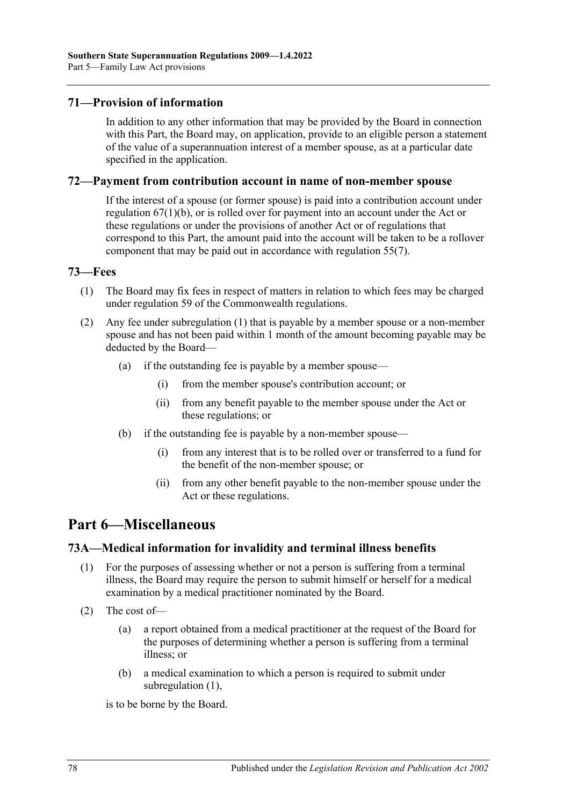### **71—Provision of information**

In addition to any other information that may be provided by the Board in connection with this Part, the Board may, on application, provide to an eligible person a statement of the value of a superannuation interest of a member spouse, as at a particular date specified in the application.

### **72—Payment from contribution account in name of non-member spouse**

If the interest of a spouse (or former spouse) is paid into a contribution account under [regulation](#page-75-0) 67(1)(b), or is rolled over for payment into an account under the Act or these regulations or under the provisions of another Act or of regulations that correspond to this Part, the amount paid into the account will be taken to be a rollover component that may be paid out in accordance with regulation 55(7).

### <span id="page-77-0"></span>**73—Fees**

- (1) The Board may fix fees in respect of matters in relation to which fees may be charged under regulation 59 of the Commonwealth regulations.
- (2) Any fee under [subregulation](#page-77-0) (1) that is payable by a member spouse or a non-member spouse and has not been paid within 1 month of the amount becoming payable may be deducted by the Board—
	- (a) if the outstanding fee is payable by a member spouse—
		- (i) from the member spouse's contribution account; or
		- (ii) from any benefit payable to the member spouse under the Act or these regulations; or
	- (b) if the outstanding fee is payable by a non-member spouse—
		- (i) from any interest that is to be rolled over or transferred to a fund for the benefit of the non-member spouse; or
		- (ii) from any other benefit payable to the non-member spouse under the Act or these regulations.

# **Part 6—Miscellaneous**

### <span id="page-77-1"></span>**73A—Medical information for invalidity and terminal illness benefits**

- (1) For the purposes of assessing whether or not a person is suffering from a terminal illness, the Board may require the person to submit himself or herself for a medical examination by a medical practitioner nominated by the Board.
- (2) The cost of—
	- (a) a report obtained from a medical practitioner at the request of the Board for the purposes of determining whether a person is suffering from a terminal illness; or
	- (b) a medical examination to which a person is required to submit under [subregulation](#page-77-1) (1),

is to be borne by the Board.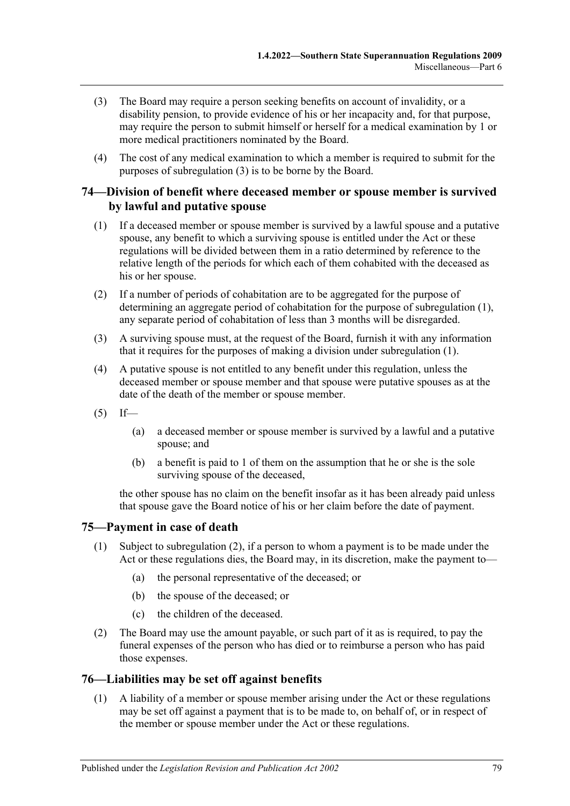- <span id="page-78-1"></span>(3) The Board may require a person seeking benefits on account of invalidity, or a disability pension, to provide evidence of his or her incapacity and, for that purpose, may require the person to submit himself or herself for a medical examination by 1 or more medical practitioners nominated by the Board.
- (4) The cost of any medical examination to which a member is required to submit for the purposes of [subregulation](#page-78-1) (3) is to be borne by the Board.

### <span id="page-78-0"></span>**74—Division of benefit where deceased member or spouse member is survived by lawful and putative spouse**

- <span id="page-78-2"></span>(1) If a deceased member or spouse member is survived by a lawful spouse and a putative spouse, any benefit to which a surviving spouse is entitled under the Act or these regulations will be divided between them in a ratio determined by reference to the relative length of the periods for which each of them cohabited with the deceased as his or her spouse.
- (2) If a number of periods of cohabitation are to be aggregated for the purpose of determining an aggregate period of cohabitation for the purpose of [subregulation](#page-78-2) (1), any separate period of cohabitation of less than 3 months will be disregarded.
- (3) A surviving spouse must, at the request of the Board, furnish it with any information that it requires for the purposes of making a division under [subregulation](#page-78-2) (1).
- (4) A putative spouse is not entitled to any benefit under this regulation, unless the deceased member or spouse member and that spouse were putative spouses as at the date of the death of the member or spouse member.
- $(5)$  If—
	- (a) a deceased member or spouse member is survived by a lawful and a putative spouse; and
	- (b) a benefit is paid to 1 of them on the assumption that he or she is the sole surviving spouse of the deceased,

the other spouse has no claim on the benefit insofar as it has been already paid unless that spouse gave the Board notice of his or her claim before the date of payment.

### **75—Payment in case of death**

- (1) Subject to [subregulation](#page-78-3) (2), if a person to whom a payment is to be made under the Act or these regulations dies, the Board may, in its discretion, make the payment to—
	- (a) the personal representative of the deceased; or
	- (b) the spouse of the deceased; or
	- (c) the children of the deceased.
- <span id="page-78-3"></span>(2) The Board may use the amount payable, or such part of it as is required, to pay the funeral expenses of the person who has died or to reimburse a person who has paid those expenses.

### <span id="page-78-4"></span>**76—Liabilities may be set off against benefits**

(1) A liability of a member or spouse member arising under the Act or these regulations may be set off against a payment that is to be made to, on behalf of, or in respect of the member or spouse member under the Act or these regulations.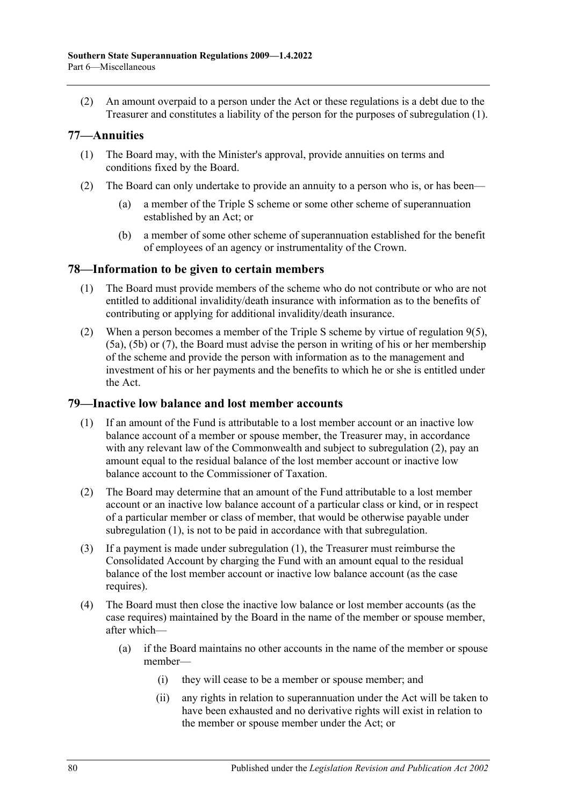(2) An amount overpaid to a person under the Act or these regulations is a debt due to the Treasurer and constitutes a liability of the person for the purposes of [subregulation](#page-78-4) (1).

### **77—Annuities**

- (1) The Board may, with the Minister's approval, provide annuities on terms and conditions fixed by the Board.
- (2) The Board can only undertake to provide an annuity to a person who is, or has been—
	- (a) a member of the Triple S scheme or some other scheme of superannuation established by an Act; or
	- (b) a member of some other scheme of superannuation established for the benefit of employees of an agency or instrumentality of the Crown.

### **78—Information to be given to certain members**

- (1) The Board must provide members of the scheme who do not contribute or who are not entitled to additional invalidity/death insurance with information as to the benefits of contributing or applying for additional invalidity/death insurance.
- (2) When a person becomes a member of the Triple S scheme by virtue of [regulation](#page-10-0)  $9(5)$ , [\(5a\),](#page-10-1) [\(5b\)](#page-10-2) or [\(7\),](#page-10-3) the Board must advise the person in writing of his or her membership of the scheme and provide the person with information as to the management and investment of his or her payments and the benefits to which he or she is entitled under the Act.

### <span id="page-79-1"></span>**79—Inactive low balance and lost member accounts**

- (1) If an amount of the Fund is attributable to a lost member account or an inactive low balance account of a member or spouse member, the Treasurer may, in accordance with any relevant law of the Commonwealth and subject to [subregulation](#page-79-0) (2), pay an amount equal to the residual balance of the lost member account or inactive low balance account to the Commissioner of Taxation.
- <span id="page-79-0"></span>(2) The Board may determine that an amount of the Fund attributable to a lost member account or an inactive low balance account of a particular class or kind, or in respect of a particular member or class of member, that would be otherwise payable under [subregulation](#page-79-1) (1), is not to be paid in accordance with that subregulation.
- (3) If a payment is made under [subregulation](#page-79-1) (1), the Treasurer must reimburse the Consolidated Account by charging the Fund with an amount equal to the residual balance of the lost member account or inactive low balance account (as the case requires).
- (4) The Board must then close the inactive low balance or lost member accounts (as the case requires) maintained by the Board in the name of the member or spouse member, after which—
	- (a) if the Board maintains no other accounts in the name of the member or spouse member—
		- (i) they will cease to be a member or spouse member; and
		- (ii) any rights in relation to superannuation under the Act will be taken to have been exhausted and no derivative rights will exist in relation to the member or spouse member under the Act; or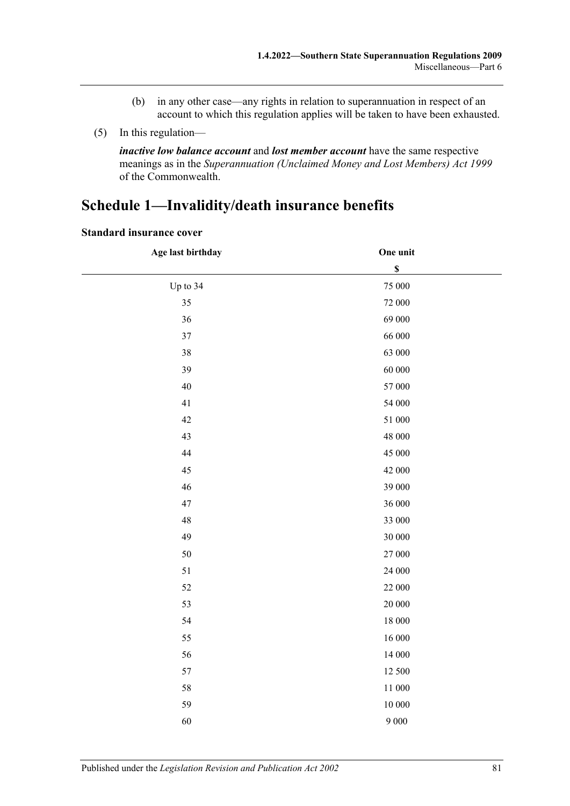- (b) in any other case—any rights in relation to superannuation in respect of an account to which this regulation applies will be taken to have been exhausted.
- (5) In this regulation—

*inactive low balance account* and *lost member account* have the same respective meanings as in the *Superannuation (Unclaimed Money and Lost Members) Act 1999* of the Commonwealth.

# <span id="page-80-0"></span>**Schedule 1—Invalidity/death insurance benefits**

| Age last birthday | One unit                  |  |
|-------------------|---------------------------|--|
|                   | $\boldsymbol{\mathsf{S}}$ |  |
| Up to 34          | 75 000                    |  |
| 35                | 72 000                    |  |
| 36                | 69 000                    |  |
| $37\,$            | 66 000                    |  |
| 38                | 63 000                    |  |
| 39                | $60\;000$                 |  |
| 40                | 57 000                    |  |
| 41                | 54 000                    |  |
| 42                | 51 000                    |  |
| 43                | 48 000                    |  |
| 44                | 45 000                    |  |
| 45                | 42 000                    |  |
| 46                | 39 000                    |  |
| 47                | 36 000                    |  |
| 48                | 33 000                    |  |
| 49                | $30\;000$                 |  |
| 50                | $27\,000$                 |  |
| 51                | 24 000                    |  |
| 52                | 22 000                    |  |
| 53                | $20\;000$                 |  |
| 54                | 18 000                    |  |
| 55                | 16 000                    |  |
| 56                | 14 000                    |  |
| 57                | 12 500                    |  |
| 58                | 11 000                    |  |
| 59                | $10\;000$                 |  |
| 60                | 9 0 0 0                   |  |

#### **Standard insurance cover**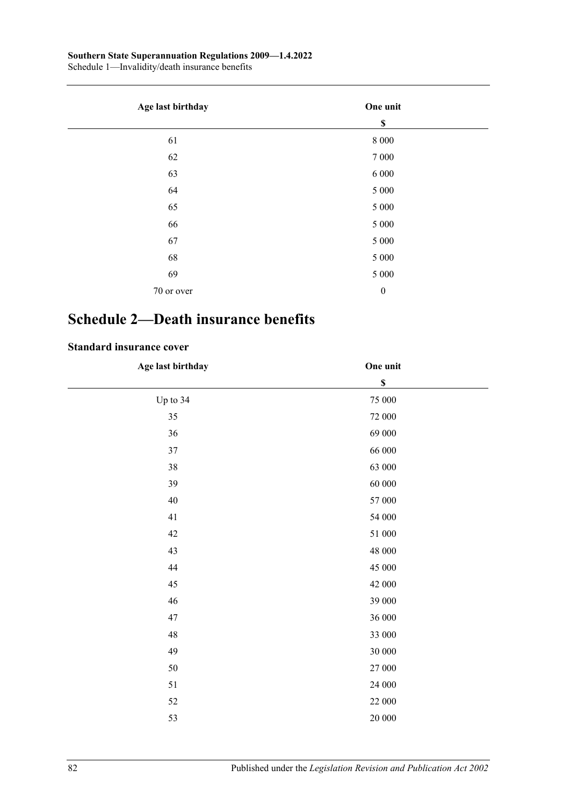#### **Southern State Superannuation Regulations 2009—1.4.2022**

Schedule 1—Invalidity/death insurance benefits

| Age last birthday | One unit         |
|-------------------|------------------|
|                   | $\mathbb S$      |
| 61                | $8\ 000$         |
| 62                | 7 0 0 0          |
| 63                | 6 000            |
| 64                | $5\;000$         |
| 65                | $5\;000$         |
| 66                | $5\;000$         |
| 67                | 5 000            |
| 68                | $5\;000$         |
| 69                | $5\;000$         |
| 70 or over        | $\boldsymbol{0}$ |

# <span id="page-81-0"></span>**Schedule 2—Death insurance benefits**

### **Standard insurance cover**

| Age last birthday | One unit                  |  |
|-------------------|---------------------------|--|
|                   | $\boldsymbol{\mathsf{S}}$ |  |
| Up to 34          | $75\;000$                 |  |
| 35                | $72\;000$                 |  |
| 36                | 69 000                    |  |
| 37                | 66 000                    |  |
| $38\,$            | 63 000                    |  |
| 39                | $60\;000$                 |  |
| $40\,$            | $57\;000$                 |  |
| 41                | 54 000                    |  |
| 42                | $51\;000$                 |  |
| 43                | 48 000                    |  |
| 44                | 45 000                    |  |
| 45                | 42 000                    |  |
| $46\,$            | 39 000                    |  |
| 47                | 36 000                    |  |
| $\sqrt{48}$       | 33 000                    |  |
| 49                | $30\;000$                 |  |
| $50\,$            | $27\,000$                 |  |
| 51                | $24\;000$                 |  |
| 52                | $22\;000$                 |  |
| 53                | $20\;000$                 |  |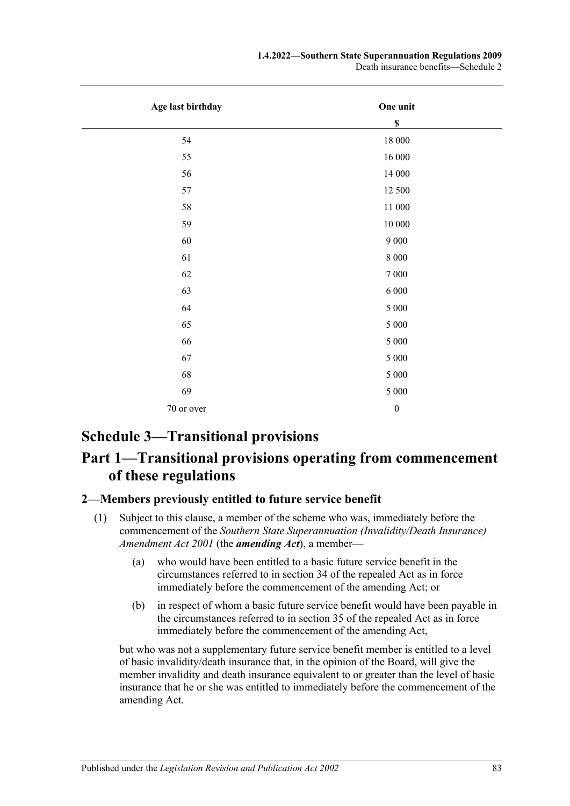#### **1.4.2022—Southern State Superannuation Regulations 2009**

Death insurance benefits—Schedule 2

| Age last birthday | One unit         |
|-------------------|------------------|
|                   | $\mathbb S$      |
| 54                | $18\;000$        |
| 55                | $16\,000$        |
| 56                | 14 000           |
| 57                | 12 500           |
| 58                | 11 000           |
| 59                | $10\;000$        |
| 60                | $9\ 000$         |
| 61                | $8\ 000$         |
| 62                | $7\ 000$         |
| 63                | $6\;000$         |
| 64                | $5\ 000$         |
| 65                | $5\ 000$         |
| 66                | $5\ 000$         |
| 67                | $5\ 000$         |
| 68                | $5\ 000$         |
| 69                | $5\ 000$         |
| 70 or over        | $\boldsymbol{0}$ |

# **Schedule 3—Transitional provisions**

# **Part 1—Transitional provisions operating from commencement of these regulations**

### <span id="page-82-1"></span><span id="page-82-0"></span>**2—Members previously entitled to future service benefit**

- (1) Subject to this clause, a member of the scheme who was, immediately before the commencement of the *[Southern State Superannuation \(Invalidity/Death Insurance\)](http://www.legislation.sa.gov.au/index.aspx?action=legref&type=act&legtitle=Southern%20State%20Superannuation%20(Invalidity%2FDeath%20Insurance)%20Amendment%20Act%202001)  [Amendment Act](http://www.legislation.sa.gov.au/index.aspx?action=legref&type=act&legtitle=Southern%20State%20Superannuation%20(Invalidity%2FDeath%20Insurance)%20Amendment%20Act%202001) 2001* (the *amending Act*), a member—
	- (a) who would have been entitled to a basic future service benefit in the circumstances referred to in section 34 of the repealed Act as in force immediately before the commencement of the amending Act; or
	- (b) in respect of whom a basic future service benefit would have been payable in the circumstances referred to in section 35 of the repealed Act as in force immediately before the commencement of the amending Act,

but who was not a supplementary future service benefit member is entitled to a level of basic invalidity/death insurance that, in the opinion of the Board, will give the member invalidity and death insurance equivalent to or greater than the level of basic insurance that he or she was entitled to immediately before the commencement of the amending Act.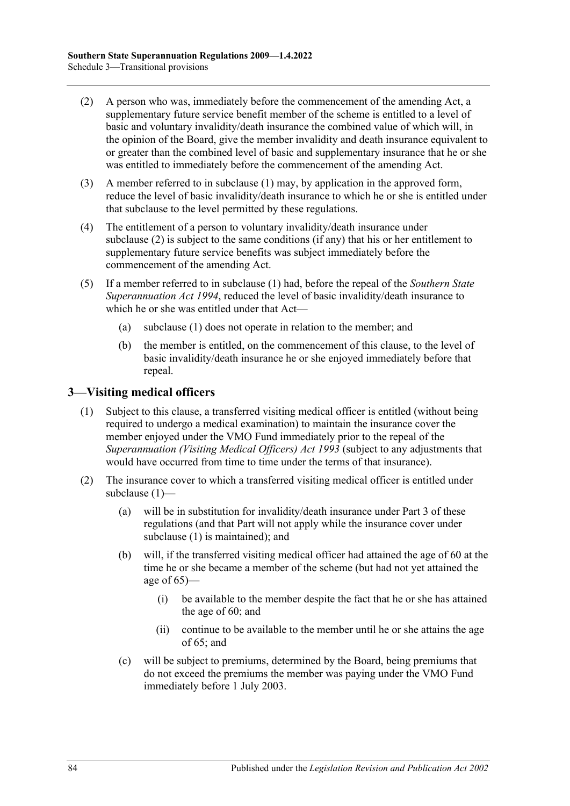- <span id="page-83-0"></span>(2) A person who was, immediately before the commencement of the amending Act, a supplementary future service benefit member of the scheme is entitled to a level of basic and voluntary invalidity/death insurance the combined value of which will, in the opinion of the Board, give the member invalidity and death insurance equivalent to or greater than the combined level of basic and supplementary insurance that he or she was entitled to immediately before the commencement of the amending Act.
- (3) A member referred to in [subclause](#page-82-0) (1) may, by application in the approved form, reduce the level of basic invalidity/death insurance to which he or she is entitled under that subclause to the level permitted by these regulations.
- (4) The entitlement of a person to voluntary invalidity/death insurance under [subclause](#page-83-0) (2) is subject to the same conditions (if any) that his or her entitlement to supplementary future service benefits was subject immediately before the commencement of the amending Act.
- (5) If a member referred to in [subclause](#page-82-0) (1) had, before the repeal of the *[Southern State](http://www.legislation.sa.gov.au/index.aspx?action=legref&type=act&legtitle=Southern%20State%20Superannuation%20Act%201994)  [Superannuation Act](http://www.legislation.sa.gov.au/index.aspx?action=legref&type=act&legtitle=Southern%20State%20Superannuation%20Act%201994) 1994*, reduced the level of basic invalidity/death insurance to which he or she was entitled under that Act—
	- (a) [subclause](#page-82-0) (1) does not operate in relation to the member; and
	- (b) the member is entitled, on the commencement of this clause, to the level of basic invalidity/death insurance he or she enjoyed immediately before that repeal.

### <span id="page-83-2"></span><span id="page-83-1"></span>**3—Visiting medical officers**

- (1) Subject to this clause, a transferred visiting medical officer is entitled (without being required to undergo a medical examination) to maintain the insurance cover the member enjoyed under the VMO Fund immediately prior to the repeal of the *[Superannuation \(Visiting Medical Officers\) Act](http://www.legislation.sa.gov.au/index.aspx?action=legref&type=act&legtitle=Superannuation%20(Visiting%20Medical%20Officers)%20Act%201993) 1993* (subject to any adjustments that would have occurred from time to time under the terms of that insurance).
- (2) The insurance cover to which a transferred visiting medical officer is entitled under [subclause](#page-83-1) (1)—
	- (a) will be in substitution for invalidity/death insurance under [Part 3](#page-22-0) of these regulations (and that Part will not apply while the insurance cover under [subclause](#page-83-1) (1) is maintained); and
	- (b) will, if the transferred visiting medical officer had attained the age of 60 at the time he or she became a member of the scheme (but had not yet attained the age of  $65$ )—
		- (i) be available to the member despite the fact that he or she has attained the age of 60; and
		- (ii) continue to be available to the member until he or she attains the age of 65; and
	- (c) will be subject to premiums, determined by the Board, being premiums that do not exceed the premiums the member was paying under the VMO Fund immediately before 1 July 2003.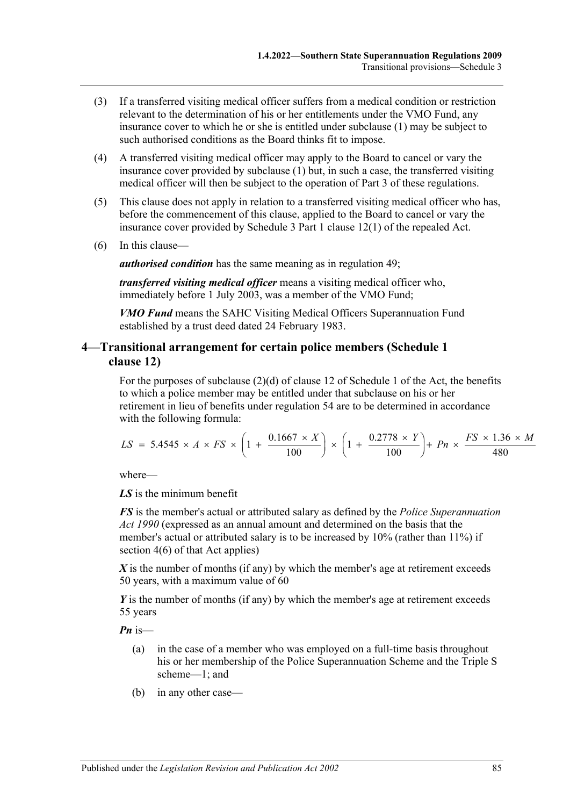- (3) If a transferred visiting medical officer suffers from a medical condition or restriction relevant to the determination of his or her entitlements under the VMO Fund, any insurance cover to which he or she is entitled under [subclause](#page-83-1) (1) may be subject to such authorised conditions as the Board thinks fit to impose.
- (4) A transferred visiting medical officer may apply to the Board to cancel or vary the insurance cover provided by [subclause](#page-83-1) (1) but, in such a case, the transferred visiting medical officer will then be subject to the operation of [Part 3](#page-22-0) of these regulations.
- (5) This clause does not apply in relation to a transferred visiting medical officer who has, before the commencement of this clause, applied to the Board to cancel or vary the insurance cover provided by Schedule 3 Part 1 clause 12(1) of the repealed Act.
- (6) In this clause—

*authorised condition* has the same meaning as in [regulation](#page-46-0) 49;

*transferred visiting medical officer* means a visiting medical officer who, immediately before 1 July 2003, was a member of the VMO Fund;

*VMO Fund* means the SAHC Visiting Medical Officers Superannuation Fund established by a trust deed dated 24 February 1983.

### **4—Transitional arrangement for certain police members (Schedule 1 clause 12)**

For the purposes of subclause (2)(d) of clause 12 of Schedule 1 of the Act, the benefits to which a police member may be entitled under that subclause on his or her retirement in lieu of benefits under regulation 54 are to be determined in accordance with the following formula:

$$
LS = 5.4545 \times A \times FS \times \left(1 + \frac{0.1667 \times X}{100}\right) \times \left(1 + \frac{0.2778 \times Y}{100}\right) + Pn \times \frac{FS \times 1.36 \times M}{480}
$$

where—

*LS* is the minimum benefit

*FS* is the member's actual or attributed salary as defined by the *[Police Superannuation](http://www.legislation.sa.gov.au/index.aspx?action=legref&type=act&legtitle=Police%20Superannuation%20Act%201990)  Act [1990](http://www.legislation.sa.gov.au/index.aspx?action=legref&type=act&legtitle=Police%20Superannuation%20Act%201990)* (expressed as an annual amount and determined on the basis that the member's actual or attributed salary is to be increased by 10% (rather than 11%) if section 4(6) of that Act applies)

*X* is the number of months (if any) by which the member's age at retirement exceeds 50 years, with a maximum value of 60

*Y* is the number of months (if any) by which the member's age at retirement exceeds 55 years

*Pn* is—

- (a) in the case of a member who was employed on a full-time basis throughout his or her membership of the Police Superannuation Scheme and the Triple S scheme—1; and
- (b) in any other case—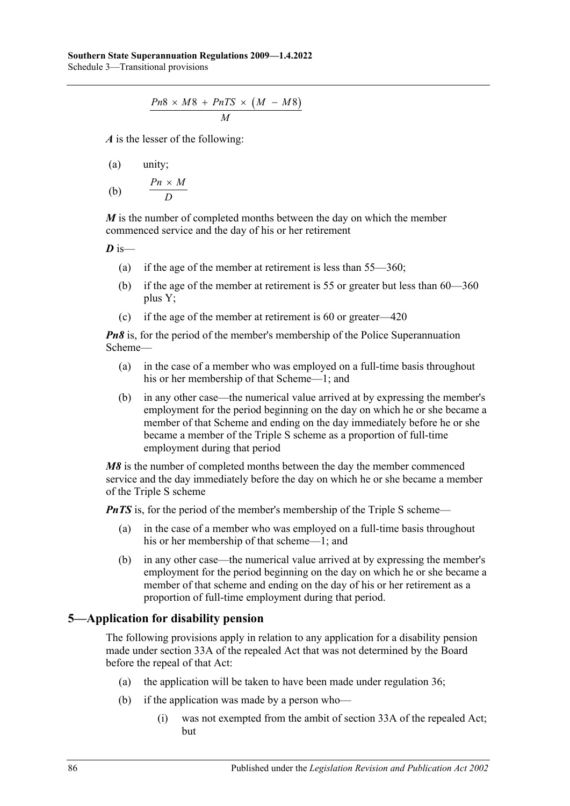$$
\frac{Pn8 \times M8 + PnTS \times (M - M8)}{M}
$$

*A* is the lesser of the following:

$$
(a) \qquad \text{unity};
$$

$$
\text{(b)} \qquad \frac{Pn \times M}{D}
$$

*M* is the number of completed months between the day on which the member commenced service and the day of his or her retirement

$$
D \text{ is}
$$

- (a) if the age of the member at retirement is less than 55—360;
- (b) if the age of the member at retirement is 55 or greater but less than 60—360 plus Y;
- (c) if the age of the member at retirement is 60 or greater—420

*Pn8* is, for the period of the member's membership of the Police Superannuation Scheme—

- (a) in the case of a member who was employed on a full-time basis throughout his or her membership of that Scheme—1; and
- (b) in any other case—the numerical value arrived at by expressing the member's employment for the period beginning on the day on which he or she became a member of that Scheme and ending on the day immediately before he or she became a member of the Triple S scheme as a proportion of full-time employment during that period

*M8* is the number of completed months between the day the member commenced service and the day immediately before the day on which he or she became a member of the Triple S scheme

*PnTS* is, for the period of the member's membership of the Triple S scheme—

- (a) in the case of a member who was employed on a full-time basis throughout his or her membership of that scheme—1; and
- (b) in any other case—the numerical value arrived at by expressing the member's employment for the period beginning on the day on which he or she became a member of that scheme and ending on the day of his or her retirement as a proportion of full-time employment during that period.

## **5—Application for disability pension**

The following provisions apply in relation to any application for a disability pension made under section 33A of the repealed Act that was not determined by the Board before the repeal of that Act:

- (a) the application will be taken to have been made under [regulation](#page-27-0) 36;
- (b) if the application was made by a person who—
	- (i) was not exempted from the ambit of section 33A of the repealed Act; but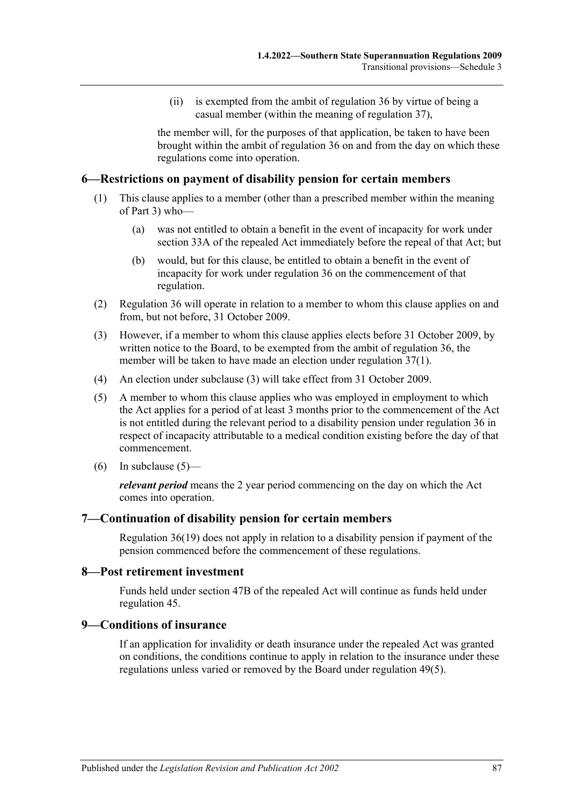(ii) is exempted from the ambit of [regulation](#page-27-0) 36 by virtue of being a casual member (within the meaning of [regulation](#page-34-0) 37),

the member will, for the purposes of that application, be taken to have been brought within the ambit of [regulation](#page-27-0) 36 on and from the day on which these regulations come into operation.

### **6—Restrictions on payment of disability pension for certain members**

- (1) This clause applies to a member (other than a prescribed member within the meaning of [Part 3\)](#page-22-0) who—
	- (a) was not entitled to obtain a benefit in the event of incapacity for work under section 33A of the repealed Act immediately before the repeal of that Act; but
	- (b) would, but for this clause, be entitled to obtain a benefit in the event of incapacity for work under [regulation](#page-27-0) 36 on the commencement of that regulation.
- (2) [Regulation](#page-27-0) 36 will operate in relation to a member to whom this clause applies on and from, but not before, 31 October 2009.
- <span id="page-86-0"></span>(3) However, if a member to whom this clause applies elects before 31 October 2009, by written notice to the Board, to be exempted from the ambit of [regulation](#page-27-0) 36, the member will be taken to have made an election under [regulation](#page-34-1) 37(1).
- (4) An election under [subclause](#page-86-0) (3) will take effect from 31 October 2009.
- <span id="page-86-1"></span>(5) A member to whom this clause applies who was employed in employment to which the Act applies for a period of at least 3 months prior to the commencement of the Act is not entitled during the relevant period to a disability pension under [regulation](#page-27-0) 36 in respect of incapacity attributable to a medical condition existing before the day of that commencement.
- (6) In [subclause](#page-86-1)  $(5)$ —

*relevant period* means the 2 year period commencing on the day on which the Act comes into operation.

### **7—Continuation of disability pension for certain members**

Regulation 36(19) does not apply in relation to a disability pension if payment of the pension commenced before the commencement of these regulations.

### **8—Post retirement investment**

Funds held under section 47B of the repealed Act will continue as funds held under [regulation](#page-41-1) 45.

### **9—Conditions of insurance**

If an application for invalidity or death insurance under the repealed Act was granted on conditions, the conditions continue to apply in relation to the insurance under these regulations unless varied or removed by the Board under [regulation](#page-46-1) 49(5).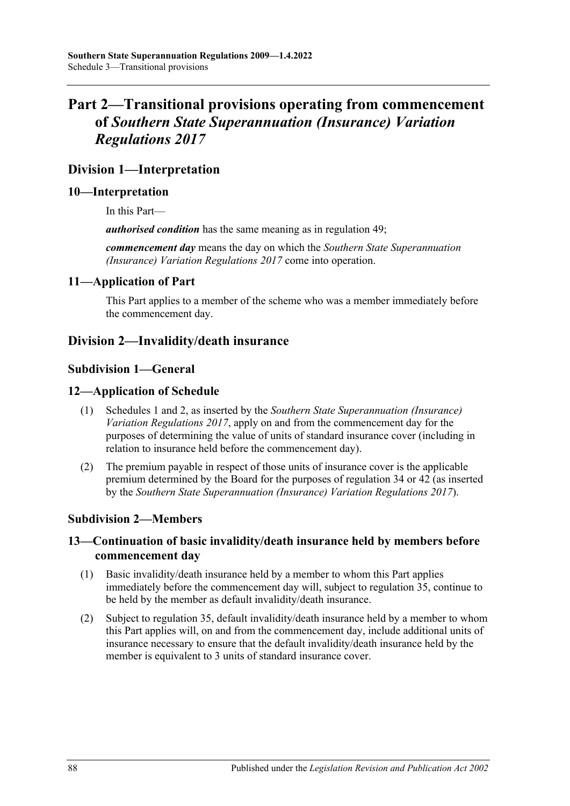# **Part 2—Transitional provisions operating from commencement of** *Southern State Superannuation (Insurance) Variation Regulations 2017*

## **Division 1—Interpretation**

### **10—Interpretation**

In this Part—

*authorised condition* has the same meaning as in [regulation](#page-46-0) 49;

*commencement day* means the day on which the *[Southern State Superannuation](http://www.legislation.sa.gov.au/index.aspx?action=legref&type=subordleg&legtitle=Southern%20State%20Superannuation%20(Insurance)%20Variation%20Regulations%202017)  [\(Insurance\) Variation Regulations 2017](http://www.legislation.sa.gov.au/index.aspx?action=legref&type=subordleg&legtitle=Southern%20State%20Superannuation%20(Insurance)%20Variation%20Regulations%202017)* come into operation.

### **11—Application of Part**

This Part applies to a member of the scheme who was a member immediately before the commencement day.

## **Division 2—Invalidity/death insurance**

### **Subdivision 1—General**

### **12—Application of Schedule**

- (1) [Schedules 1](#page-80-0) and [2,](#page-81-0) as inserted by the *[Southern State Superannuation \(Insurance\)](http://www.legislation.sa.gov.au/index.aspx?action=legref&type=subordleg&legtitle=Southern%20State%20Superannuation%20(Insurance)%20Variation%20Regulations%202017)  [Variation Regulations](http://www.legislation.sa.gov.au/index.aspx?action=legref&type=subordleg&legtitle=Southern%20State%20Superannuation%20(Insurance)%20Variation%20Regulations%202017) 2017*, apply on and from the commencement day for the purposes of determining the value of units of standard insurance cover (including in relation to insurance held before the commencement day).
- (2) The premium payable in respect of those units of insurance cover is the applicable premium determined by the Board for the purposes of [regulation](#page-25-0) 34 or [42](#page-40-0) (as inserted by the *[Southern State Superannuation \(Insurance\) Variation Regulations](http://www.legislation.sa.gov.au/index.aspx?action=legref&type=subordleg&legtitle=Southern%20State%20Superannuation%20(Insurance)%20Variation%20Regulations%202017) 2017*).

### **Subdivision 2—Members**

### <span id="page-87-1"></span>**13—Continuation of basic invalidity/death insurance held by members before commencement day**

- (1) Basic invalidity/death insurance held by a member to whom this Part applies immediately before the commencement day will, subject to [regulation](#page-27-1) 35, continue to be held by the member as default invalidity/death insurance.
- <span id="page-87-0"></span>(2) Subject to [regulation](#page-27-1) 35, default invalidity/death insurance held by a member to whom this Part applies will, on and from the commencement day, include additional units of insurance necessary to ensure that the default invalidity/death insurance held by the member is equivalent to 3 units of standard insurance cover.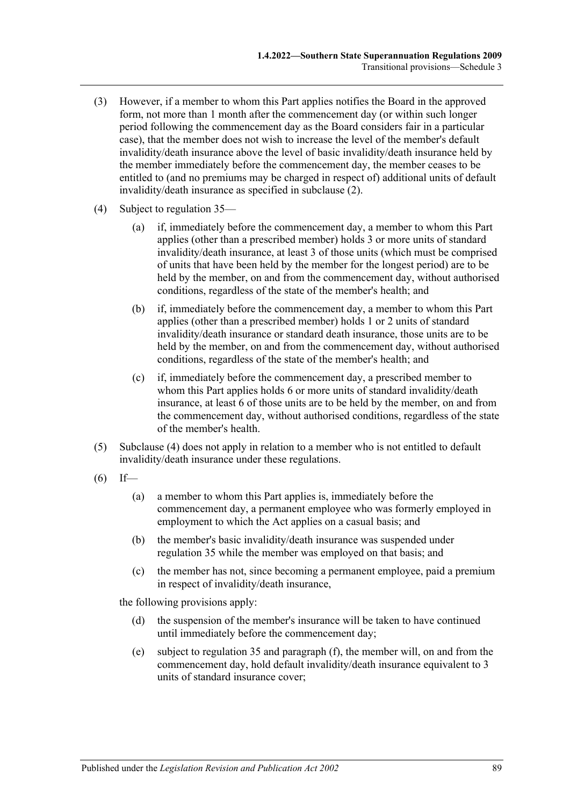- (3) However, if a member to whom this Part applies notifies the Board in the approved form, not more than 1 month after the commencement day (or within such longer period following the commencement day as the Board considers fair in a particular case), that the member does not wish to increase the level of the member's default invalidity/death insurance above the level of basic invalidity/death insurance held by the member immediately before the commencement day, the member ceases to be entitled to (and no premiums may be charged in respect of) additional units of default invalidity/death insurance as specified in [subclause](#page-87-0) (2).
- <span id="page-88-0"></span>(4) Subject to [regulation](#page-27-1) 35—
	- (a) if, immediately before the commencement day, a member to whom this Part applies (other than a prescribed member) holds 3 or more units of standard invalidity/death insurance, at least 3 of those units (which must be comprised of units that have been held by the member for the longest period) are to be held by the member, on and from the commencement day, without authorised conditions, regardless of the state of the member's health; and
	- (b) if, immediately before the commencement day, a member to whom this Part applies (other than a prescribed member) holds 1 or 2 units of standard invalidity/death insurance or standard death insurance, those units are to be held by the member, on and from the commencement day, without authorised conditions, regardless of the state of the member's health; and
	- (c) if, immediately before the commencement day, a prescribed member to whom this Part applies holds 6 or more units of standard invalidity/death insurance, at least 6 of those units are to be held by the member, on and from the commencement day, without authorised conditions, regardless of the state of the member's health.
- (5) [Subclause](#page-88-0) (4) does not apply in relation to a member who is not entitled to default invalidity/death insurance under these regulations.
- <span id="page-88-2"></span> $(6)$  If—
	- (a) a member to whom this Part applies is, immediately before the commencement day, a permanent employee who was formerly employed in employment to which the Act applies on a casual basis; and
	- (b) the member's basic invalidity/death insurance was suspended under [regulation](#page-27-1) 35 while the member was employed on that basis; and
	- (c) the member has not, since becoming a permanent employee, paid a premium in respect of invalidity/death insurance,

the following provisions apply:

- (d) the suspension of the member's insurance will be taken to have continued until immediately before the commencement day;
- <span id="page-88-1"></span>(e) subject to [regulation](#page-27-1) 35 and [paragraph](#page-89-0) (f), the member will, on and from the commencement day, hold default invalidity/death insurance equivalent to 3 units of standard insurance cover;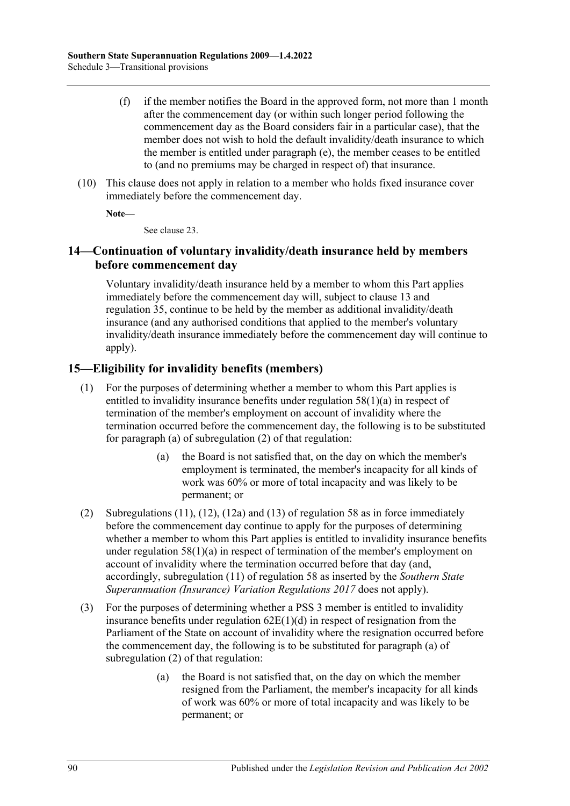- <span id="page-89-0"></span>(f) if the member notifies the Board in the approved form, not more than 1 month after the commencement day (or within such longer period following the commencement day as the Board considers fair in a particular case), that the member does not wish to hold the default invalidity/death insurance to which the member is entitled under [paragraph](#page-88-1) (e), the member ceases to be entitled to (and no premiums may be charged in respect of) that insurance.
- (10) This clause does not apply in relation to a member who holds fixed insurance cover immediately before the commencement day.

**Note—**

See [clause](#page-92-0) 23.

## **14—Continuation of voluntary invalidity/death insurance held by members before commencement day**

Voluntary invalidity/death insurance held by a member to whom this Part applies immediately before the commencement day will, subject to [clause](#page-87-1) 13 and [regulation](#page-27-1) 35, continue to be held by the member as additional invalidity/death insurance (and any authorised conditions that applied to the member's voluntary invalidity/death insurance immediately before the commencement day will continue to apply).

## **15—Eligibility for invalidity benefits (members)**

- (1) For the purposes of determining whether a member to whom this Part applies is entitled to invalidity insurance benefits under [regulation](#page-55-0) 58(1)(a) in respect of termination of the member's employment on account of invalidity where the termination occurred before the commencement day, the following is to be substituted for [paragraph](#page-55-1) (a) of [subregulation](#page-55-2) (2) of that regulation:
	- (a) the Board is not satisfied that, on the day on which the member's employment is terminated, the member's incapacity for all kinds of work was 60% or more of total incapacity and was likely to be permanent; or
- (2) Subregulations (11), (12), (12a) and (13) of regulation 58 as in force immediately before the commencement day continue to apply for the purposes of determining whether a member to whom this Part applies is entitled to invalidity insurance benefits under [regulation](#page-55-0)  $58(1)(a)$  in respect of termination of the member's employment on account of invalidity where the termination occurred before that day (and, accordingly, [subregulation](#page-58-0) (11) of [regulation](#page-55-3) 58 as inserted by the *[Southern State](http://www.legislation.sa.gov.au/index.aspx?action=legref&type=subordleg&legtitle=Southern%20State%20Superannuation%20(Insurance)%20Variation%20Regulations%202017)  [Superannuation \(Insurance\) Variation Regulations](http://www.legislation.sa.gov.au/index.aspx?action=legref&type=subordleg&legtitle=Southern%20State%20Superannuation%20(Insurance)%20Variation%20Regulations%202017) 2017* does not apply).
- (3) For the purposes of determining whether a PSS 3 member is entitled to invalidity insurance benefits under [regulation](#page-69-0)  $62E(1)(d)$  in respect of resignation from the Parliament of the State on account of invalidity where the resignation occurred before the commencement day, the following is to be substituted for [paragraph](#page-69-1) (a) of [subregulation](#page-69-2) (2) of that regulation:
	- (a) the Board is not satisfied that, on the day on which the member resigned from the Parliament, the member's incapacity for all kinds of work was 60% or more of total incapacity and was likely to be permanent; or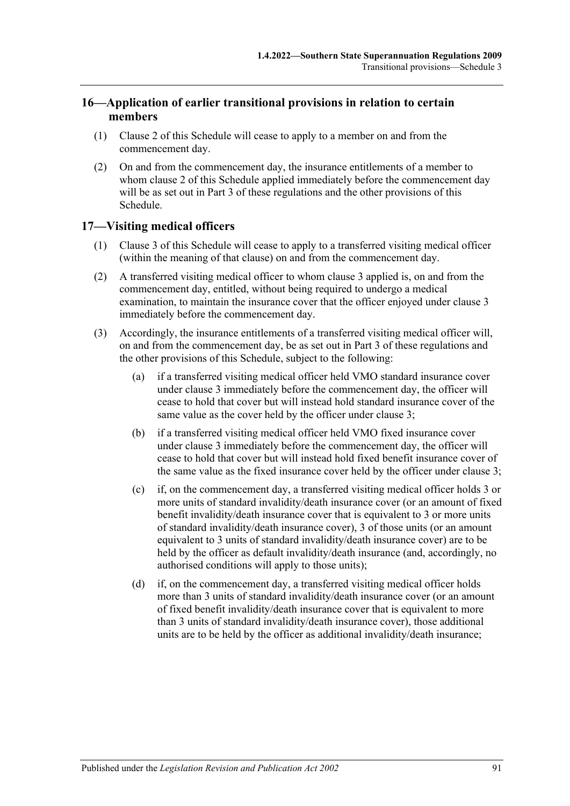## **16—Application of earlier transitional provisions in relation to certain members**

- (1) [Clause](#page-82-1) 2 of this Schedule will cease to apply to a member on and from the commencement day.
- (2) On and from the commencement day, the insurance entitlements of a member to whom [clause](#page-82-1) 2 of this Schedule applied immediately before the commencement day will be as set out in [Part 3](#page-22-0) of these regulations and the other provisions of this Schedule.

## **17—Visiting medical officers**

- (1) [Clause](#page-83-2) 3 of this Schedule will cease to apply to a transferred visiting medical officer (within the meaning of that clause) on and from the commencement day.
- (2) A transferred visiting medical officer to whom [clause](#page-83-2) 3 applied is, on and from the commencement day, entitled, without being required to undergo a medical examination, to maintain the insurance cover that the officer enjoyed under [clause](#page-83-2) 3 immediately before the commencement day.
- <span id="page-90-0"></span>(3) Accordingly, the insurance entitlements of a transferred visiting medical officer will, on and from the commencement day, be as set out in [Part 3](#page-22-0) of these regulations and the other provisions of this Schedule, subject to the following:
	- (a) if a transferred visiting medical officer held VMO standard insurance cover under [clause](#page-83-2) 3 immediately before the commencement day, the officer will cease to hold that cover but will instead hold standard insurance cover of the same value as the cover held by the officer under [clause](#page-83-2) 3;
	- (b) if a transferred visiting medical officer held VMO fixed insurance cover under [clause](#page-83-2) 3 immediately before the commencement day, the officer will cease to hold that cover but will instead hold fixed benefit insurance cover of the same value as the fixed insurance cover held by the officer under [clause](#page-83-2) 3;
	- (c) if, on the commencement day, a transferred visiting medical officer holds 3 or more units of standard invalidity/death insurance cover (or an amount of fixed benefit invalidity/death insurance cover that is equivalent to 3 or more units of standard invalidity/death insurance cover), 3 of those units (or an amount equivalent to 3 units of standard invalidity/death insurance cover) are to be held by the officer as default invalidity/death insurance (and, accordingly, no authorised conditions will apply to those units);
	- (d) if, on the commencement day, a transferred visiting medical officer holds more than 3 units of standard invalidity/death insurance cover (or an amount of fixed benefit invalidity/death insurance cover that is equivalent to more than 3 units of standard invalidity/death insurance cover), those additional units are to be held by the officer as additional invalidity/death insurance;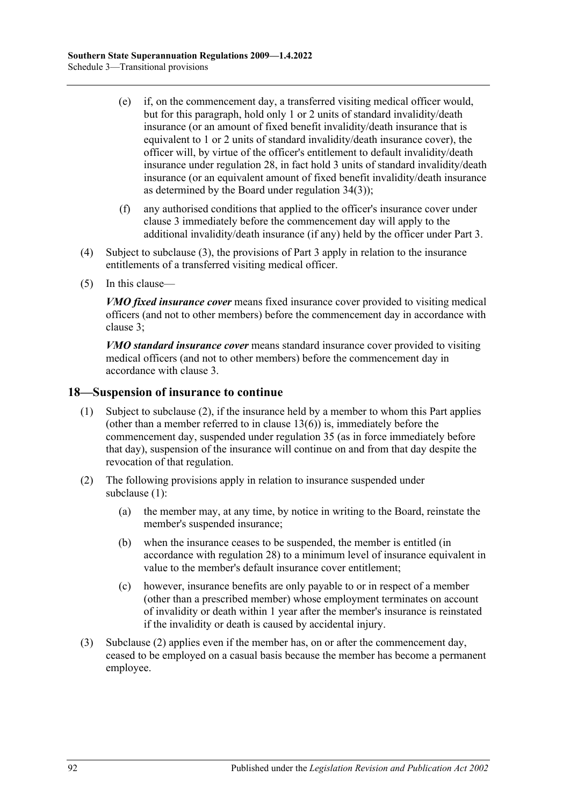- (e) if, on the commencement day, a transferred visiting medical officer would, but for this paragraph, hold only 1 or 2 units of standard invalidity/death insurance (or an amount of fixed benefit invalidity/death insurance that is equivalent to 1 or 2 units of standard invalidity/death insurance cover), the officer will, by virtue of the officer's entitlement to default invalidity/death insurance under [regulation](#page-23-0) 28, in fact hold 3 units of standard invalidity/death insurance (or an equivalent amount of fixed benefit invalidity/death insurance as determined by the Board under [regulation](#page-26-0) 34(3));
- (f) any authorised conditions that applied to the officer's insurance cover under [clause](#page-83-2) 3 immediately before the commencement day will apply to the additional invalidity/death insurance (if any) held by the officer under [Part 3.](#page-22-0)
- (4) Subject to [subclause](#page-90-0) (3), the provisions of [Part 3](#page-22-0) apply in relation to the insurance entitlements of a transferred visiting medical officer.
- (5) In this clause—

*VMO fixed insurance cover* means fixed insurance cover provided to visiting medical officers (and not to other members) before the commencement day in accordance with [clause](#page-83-2) 3;

*VMO standard insurance cover* means standard insurance cover provided to visiting medical officers (and not to other members) before the commencement day in accordance with [clause](#page-83-2) 3.

### <span id="page-91-1"></span>**18—Suspension of insurance to continue**

- (1) Subject to [subclause](#page-91-0) (2), if the insurance held by a member to whom this Part applies (other than a member referred to in [clause](#page-88-2)  $13(6)$ ) is, immediately before the commencement day, suspended under [regulation](#page-27-1) 35 (as in force immediately before that day), suspension of the insurance will continue on and from that day despite the revocation of that regulation.
- <span id="page-91-0"></span>(2) The following provisions apply in relation to insurance suspended under [subclause](#page-91-1) (1):
	- (a) the member may, at any time, by notice in writing to the Board, reinstate the member's suspended insurance;
	- (b) when the insurance ceases to be suspended, the member is entitled (in accordance with [regulation](#page-23-0) 28) to a minimum level of insurance equivalent in value to the member's default insurance cover entitlement;
	- (c) however, insurance benefits are only payable to or in respect of a member (other than a prescribed member) whose employment terminates on account of invalidity or death within 1 year after the member's insurance is reinstated if the invalidity or death is caused by accidental injury.
- (3) [Subclause](#page-91-0) (2) applies even if the member has, on or after the commencement day, ceased to be employed on a casual basis because the member has become a permanent employee.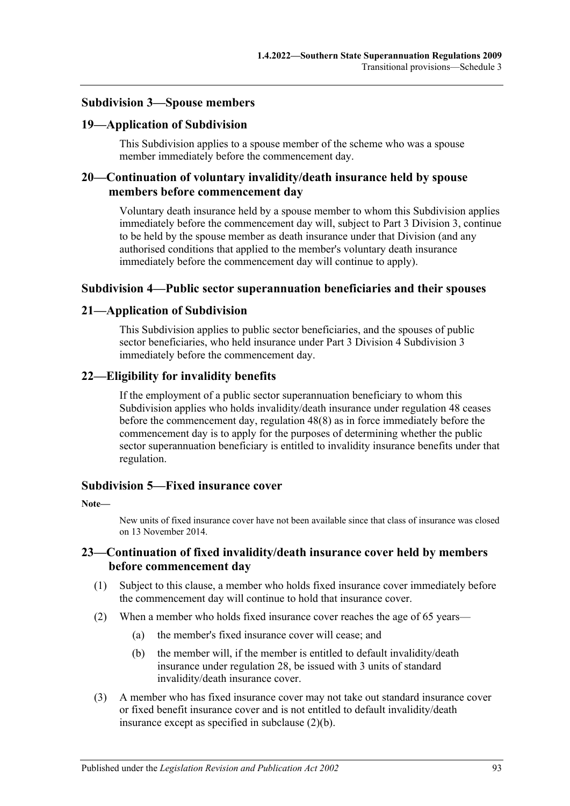### **Subdivision 3—Spouse members**

### **19—Application of Subdivision**

This Subdivision applies to a spouse member of the scheme who was a spouse member immediately before the commencement day.

### **20—Continuation of voluntary invalidity/death insurance held by spouse members before commencement day**

Voluntary death insurance held by a spouse member to whom this Subdivision applies immediately before the commencement day will, subject to [Part 3 Division 3,](#page-39-0) continue to be held by the spouse member as death insurance under that Division (and any authorised conditions that applied to the member's voluntary death insurance immediately before the commencement day will continue to apply).

### **Subdivision 4—Public sector superannuation beneficiaries and their spouses**

### **21—Application of Subdivision**

This Subdivision applies to public sector beneficiaries, and the spouses of public sector beneficiaries, who held insurance under Part 3 Division 4 Subdivision 3 immediately before the commencement day.

### **22—Eligibility for invalidity benefits**

If the employment of a public sector superannuation beneficiary to whom this Subdivision applies who holds invalidity/death insurance under regulation 48 ceases before the commencement day, regulation 48(8) as in force immediately before the commencement day is to apply for the purposes of determining whether the public sector superannuation beneficiary is entitled to invalidity insurance benefits under that regulation.

### **Subdivision 5—Fixed insurance cover**

#### **Note—**

New units of fixed insurance cover have not been available since that class of insurance was closed on 13 November 2014.

### <span id="page-92-0"></span>**23—Continuation of fixed invalidity/death insurance cover held by members before commencement day**

- (1) Subject to this clause, a member who holds fixed insurance cover immediately before the commencement day will continue to hold that insurance cover.
- <span id="page-92-2"></span><span id="page-92-1"></span>(2) When a member who holds fixed insurance cover reaches the age of 65 years—
	- (a) the member's fixed insurance cover will cease; and
	- (b) the member will, if the member is entitled to default invalidity/death insurance under [regulation](#page-23-0) 28, be issued with 3 units of standard invalidity/death insurance cover.
- (3) A member who has fixed insurance cover may not take out standard insurance cover or fixed benefit insurance cover and is not entitled to default invalidity/death insurance except as specified in [subclause](#page-92-1) (2)(b).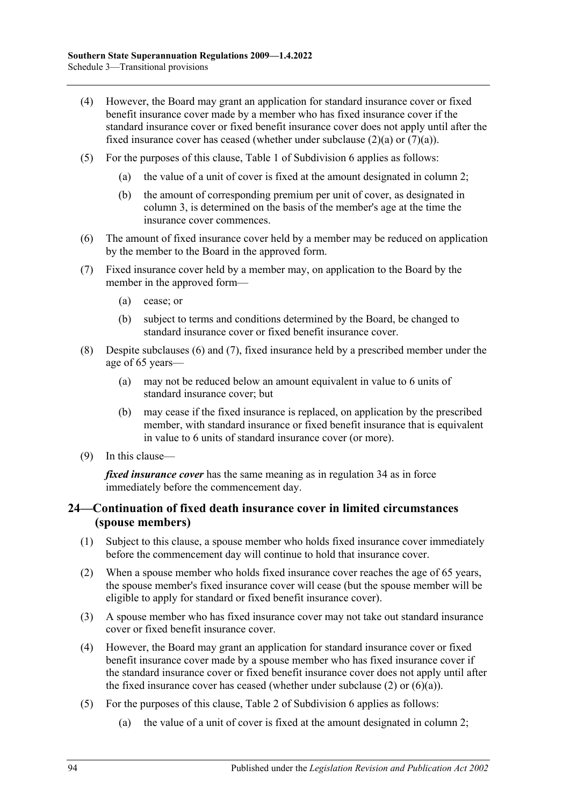- (4) However, the Board may grant an application for standard insurance cover or fixed benefit insurance cover made by a member who has fixed insurance cover if the standard insurance cover or fixed benefit insurance cover does not apply until after the fixed insurance cover has ceased (whether under [subclause](#page-92-2)  $(2)(a)$  or  $(7)(a)$ ).
- (5) For the purposes of this clause, Table 1 of Subdivision 6 applies as follows:
	- (a) the value of a unit of cover is fixed at the amount designated in column 2;
	- (b) the amount of corresponding premium per unit of cover, as designated in column 3, is determined on the basis of the member's age at the time the insurance cover commences.
- <span id="page-93-1"></span>(6) The amount of fixed insurance cover held by a member may be reduced on application by the member to the Board in the approved form.
- <span id="page-93-2"></span><span id="page-93-0"></span>(7) Fixed insurance cover held by a member may, on application to the Board by the member in the approved form—
	- (a) cease; or
	- (b) subject to terms and conditions determined by the Board, be changed to standard insurance cover or fixed benefit insurance cover.
- (8) Despite [subclauses](#page-93-1) (6) and [\(7\),](#page-93-2) fixed insurance held by a prescribed member under the age of 65 years—
	- (a) may not be reduced below an amount equivalent in value to 6 units of standard insurance cover; but
	- (b) may cease if the fixed insurance is replaced, on application by the prescribed member, with standard insurance or fixed benefit insurance that is equivalent in value to 6 units of standard insurance cover (or more).
- (9) In this clause—

*fixed insurance cover* has the same meaning as in regulation 34 as in force immediately before the commencement day.

### **24—Continuation of fixed death insurance cover in limited circumstances (spouse members)**

- (1) Subject to this clause, a spouse member who holds fixed insurance cover immediately before the commencement day will continue to hold that insurance cover.
- <span id="page-93-3"></span>(2) When a spouse member who holds fixed insurance cover reaches the age of 65 years, the spouse member's fixed insurance cover will cease (but the spouse member will be eligible to apply for standard or fixed benefit insurance cover).
- (3) A spouse member who has fixed insurance cover may not take out standard insurance cover or fixed benefit insurance cover.
- (4) However, the Board may grant an application for standard insurance cover or fixed benefit insurance cover made by a spouse member who has fixed insurance cover if the standard insurance cover or fixed benefit insurance cover does not apply until after the fixed insurance cover has ceased (whether under [subclause](#page-93-3)  $(2)$  or  $(6)(a)$ ).
- (5) For the purposes of this clause, Table 2 of Subdivision 6 applies as follows:
	- (a) the value of a unit of cover is fixed at the amount designated in column 2;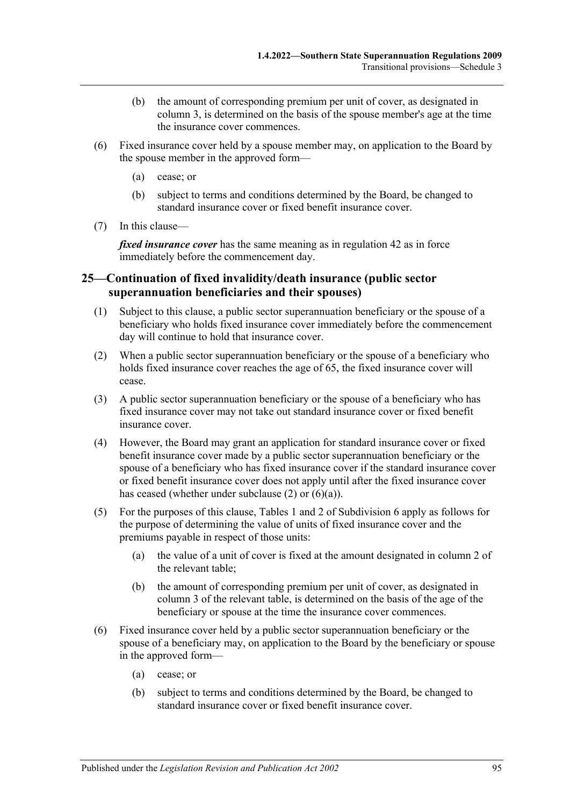- (b) the amount of corresponding premium per unit of cover, as designated in column 3, is determined on the basis of the spouse member's age at the time the insurance cover commences.
- <span id="page-94-0"></span>(6) Fixed insurance cover held by a spouse member may, on application to the Board by the spouse member in the approved form—
	- (a) cease; or
	- (b) subject to terms and conditions determined by the Board, be changed to standard insurance cover or fixed benefit insurance cover.
- (7) In this clause—

*fixed insurance cover* has the same meaning as in regulation 42 as in force immediately before the commencement day.

### **25—Continuation of fixed invalidity/death insurance (public sector superannuation beneficiaries and their spouses)**

- (1) Subject to this clause, a public sector superannuation beneficiary or the spouse of a beneficiary who holds fixed insurance cover immediately before the commencement day will continue to hold that insurance cover.
- <span id="page-94-1"></span>(2) When a public sector superannuation beneficiary or the spouse of a beneficiary who holds fixed insurance cover reaches the age of 65, the fixed insurance cover will cease.
- (3) A public sector superannuation beneficiary or the spouse of a beneficiary who has fixed insurance cover may not take out standard insurance cover or fixed benefit insurance cover.
- (4) However, the Board may grant an application for standard insurance cover or fixed benefit insurance cover made by a public sector superannuation beneficiary or the spouse of a beneficiary who has fixed insurance cover if the standard insurance cover or fixed benefit insurance cover does not apply until after the fixed insurance cover has ceased (whether under [subclause](#page-94-1) (2) or [\(6\)\(a\)\)](#page-94-2).
- (5) For the purposes of this clause, Tables 1 and 2 of Subdivision 6 apply as follows for the purpose of determining the value of units of fixed insurance cover and the premiums payable in respect of those units:
	- (a) the value of a unit of cover is fixed at the amount designated in column 2 of the relevant table;
	- (b) the amount of corresponding premium per unit of cover, as designated in column 3 of the relevant table, is determined on the basis of the age of the beneficiary or spouse at the time the insurance cover commences.
- <span id="page-94-2"></span>(6) Fixed insurance cover held by a public sector superannuation beneficiary or the spouse of a beneficiary may, on application to the Board by the beneficiary or spouse in the approved form—
	- (a) cease; or
	- (b) subject to terms and conditions determined by the Board, be changed to standard insurance cover or fixed benefit insurance cover.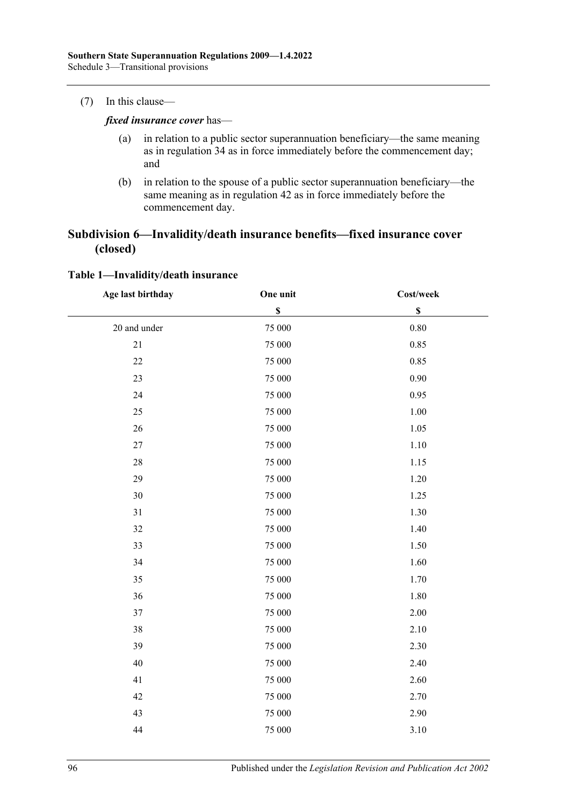#### (7) In this clause—

*fixed insurance cover* has—

- (a) in relation to a public sector superannuation beneficiary—the same meaning as in regulation 34 as in force immediately before the commencement day; and
- (b) in relation to the spouse of a public sector superannuation beneficiary—the same meaning as in regulation 42 as in force immediately before the commencement day.

### **Subdivision 6—Invalidity/death insurance benefits—fixed insurance cover (closed)**

| Age last birthday | One unit  | Cost/week   |  |
|-------------------|-----------|-------------|--|
|                   | \$        | $\mathbb S$ |  |
| 20 and under      | 75 000    | $0.80\,$    |  |
| $21\,$            | 75 000    | 0.85        |  |
| 22                | 75 000    | 0.85        |  |
| 23                | 75 000    | 0.90        |  |
| 24                | 75 000    | 0.95        |  |
| 25                | 75 000    | 1.00        |  |
| $26\,$            | 75 000    | 1.05        |  |
| $27\,$            | $75\;000$ | 1.10        |  |
| $28\,$            | 75 000    | 1.15        |  |
| 29                | 75 000    | 1.20        |  |
| $30\,$            | 75 000    | 1.25        |  |
| 31                | 75 000    | 1.30        |  |
| 32                | 75 000    | 1.40        |  |
| 33                | 75 000    | 1.50        |  |
| 34                | 75 000    | 1.60        |  |
| 35                | 75 000    | 1.70        |  |
| 36                | 75 000    | 1.80        |  |
| 37                | 75 000    | 2.00        |  |
| 38                | 75 000    | 2.10        |  |
| 39                | 75 000    | 2.30        |  |
| 40                | 75 000    | 2.40        |  |
| 41                | 75 000    | 2.60        |  |
| 42                | 75 000    | 2.70        |  |
| 43                | 75 000    | 2.90        |  |
| 44                | 75 000    | 3.10        |  |

#### **Table 1—Invalidity/death insurance**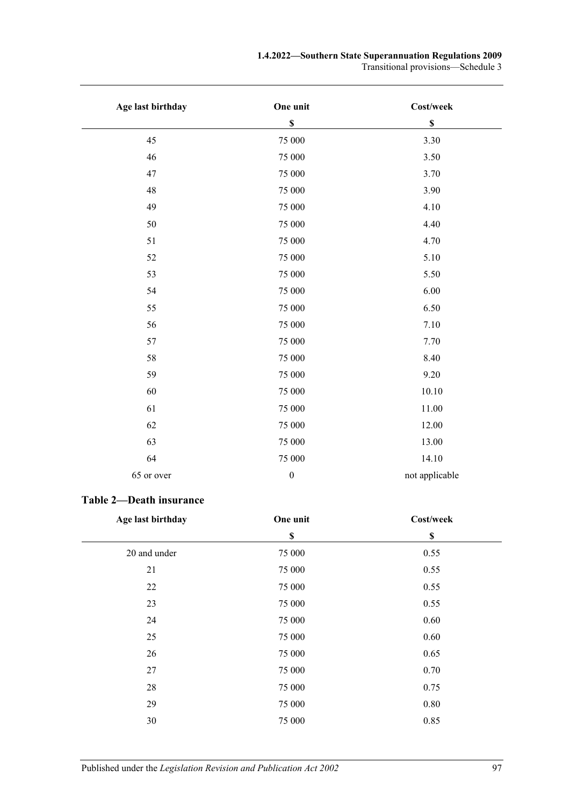#### **1.4.2022—Southern State Superannuation Regulations 2009**

Transitional provisions—Schedule 3

| Age last birthday | One unit         | Cost/week      |
|-------------------|------------------|----------------|
|                   | \$               | $\mathbb S$    |
| 45                | 75 000           | 3.30           |
| 46                | 75 000           | 3.50           |
| 47                | 75 000           | 3.70           |
| 48                | 75 000           | 3.90           |
| 49                | 75 000           | 4.10           |
| 50                | 75 000           | 4.40           |
| 51                | 75 000           | 4.70           |
| 52                | 75 000           | 5.10           |
| 53                | 75 000           | 5.50           |
| 54                | 75 000           | $6.00\,$       |
| 55                | 75 000           | 6.50           |
| 56                | 75 000           | 7.10           |
| 57                | 75 000           | 7.70           |
| 58                | 75 000           | 8.40           |
| 59                | 75 000           | 9.20           |
| 60                | 75 000           | $10.10\,$      |
| 61                | 75 000           | 11.00          |
| 62                | 75 000           | 12.00          |
| 63                | 75 000           | 13.00          |
| 64                | 75 000           | 14.10          |
| 65 or over        | $\boldsymbol{0}$ | not applicable |

## **Table 2—Death insurance**

| Age last birthday | One unit | Cost/week   |  |
|-------------------|----------|-------------|--|
|                   | \$       | $\mathbb S$ |  |
| 20 and under      | 75 000   | 0.55        |  |
| 21                | 75 000   | 0.55        |  |
| 22                | 75 000   | 0.55        |  |
| 23                | 75 000   | 0.55        |  |
| 24                | 75 000   | 0.60        |  |
| 25                | 75 000   | 0.60        |  |
| 26                | 75 000   | 0.65        |  |
| 27                | 75 000   | 0.70        |  |
| 28                | 75 000   | 0.75        |  |
| 29                | 75 000   | 0.80        |  |
| 30                | 75 000   | 0.85        |  |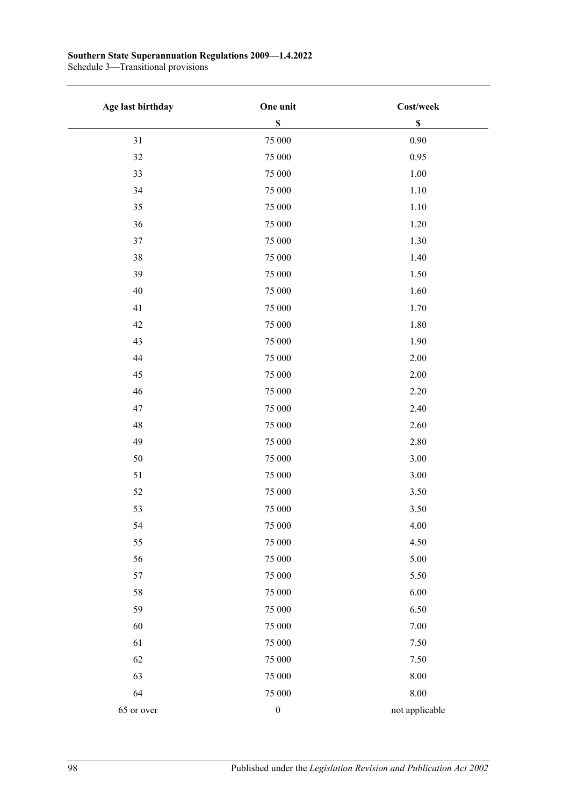#### **Southern State Superannuation Regulations 2009—1.4.2022**

Schedule 3—Transitional provisions

| Age last birthday | One unit         | Cost/week      |
|-------------------|------------------|----------------|
|                   | $\mathbb S$      | $\mathbb S$    |
| 31                | 75 000           | 0.90           |
| 32                | 75 000           | 0.95           |
| 33                | 75 000           | 1.00           |
| 34                | 75 000           | 1.10           |
| 35                | 75 000           | 1.10           |
| 36                | 75 000           | 1.20           |
| $37\,$            | 75 000           | 1.30           |
| 38                | 75 000           | 1.40           |
| 39                | 75 000           | 1.50           |
| 40                | 75 000           | 1.60           |
| 41                | 75 000           | 1.70           |
| 42                | 75 000           | 1.80           |
| 43                | 75 000           | 1.90           |
| $44$              | 75 000           | 2.00           |
| 45                | 75 000           | 2.00           |
| 46                | 75 000           | 2.20           |
| 47                | 75 000           | 2.40           |
| 48                | 75 000           | 2.60           |
| 49                | 75 000           | 2.80           |
| $50\,$            | 75 000           | 3.00           |
| 51                | 75 000           | 3.00           |
| 52                | 75 000           | 3.50           |
| 53                | 75 000           | 3.50           |
| 54                | 75 000           | 4.00           |
| 55                | 75 000           | 4.50           |
| 56                | 75 000           | 5.00           |
| 57                | 75 000           | 5.50           |
| 58                | 75 000           | 6.00           |
| 59                | 75 000           | 6.50           |
| 60                | 75 000           | 7.00           |
| 61                | 75 000           | 7.50           |
| 62                | 75 000           | 7.50           |
| 63                | 75 000           | 8.00           |
| 64                | 75 000           | $8.00\,$       |
| 65 or over        | $\boldsymbol{0}$ | not applicable |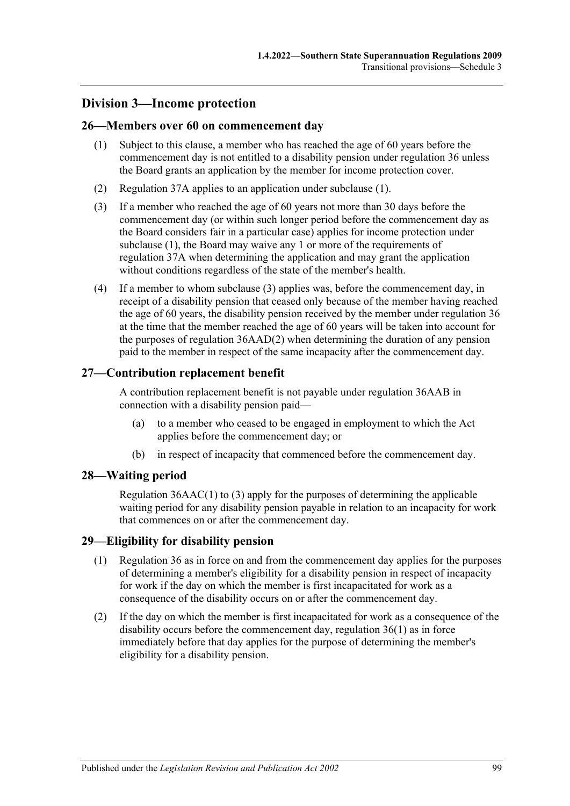## **Division 3—Income protection**

### <span id="page-98-0"></span>**26—Members over 60 on commencement day**

- (1) Subject to this clause, a member who has reached the age of 60 years before the commencement day is not entitled to a disability pension under [regulation](#page-27-0) 36 unless the Board grants an application by the member for income protection cover.
- (2) [Regulation](#page-34-2) 37A applies to an application under [subclause](#page-98-0) (1).
- <span id="page-98-1"></span>(3) If a member who reached the age of 60 years not more than 30 days before the commencement day (or within such longer period before the commencement day as the Board considers fair in a particular case) applies for income protection under [subclause](#page-98-0) (1), the Board may waive any 1 or more of the requirements of [regulation](#page-34-2) 37A when determining the application and may grant the application without conditions regardless of the state of the member's health.
- (4) If a member to whom [subclause](#page-98-1) (3) applies was, before the commencement day, in receipt of a disability pension that ceased only because of the member having reached the age of 60 years, the disability pension received by the member under regulation 36 at the time that the member reached the age of 60 years will be taken into account for the purposes of regulation [36AAD\(2\)](#page-31-0) when determining the duration of any pension paid to the member in respect of the same incapacity after the commencement day.

### **27—Contribution replacement benefit**

A contribution replacement benefit is not payable under [regulation](#page-29-0) 36AAB in connection with a disability pension paid—

- (a) to a member who ceased to be engaged in employment to which the Act applies before the commencement day; or
- (b) in respect of incapacity that commenced before the commencement day.

### **28—Waiting period**

[Regulation](#page-29-1) 36AAC(1) to [\(3\)](#page-30-0) apply for the purposes of determining the applicable waiting period for any disability pension payable in relation to an incapacity for work that commences on or after the commencement day.

### **29—Eligibility for disability pension**

- (1) [Regulation](#page-27-0) 36 as in force on and from the commencement day applies for the purposes of determining a member's eligibility for a disability pension in respect of incapacity for work if the day on which the member is first incapacitated for work as a consequence of the disability occurs on or after the commencement day.
- (2) If the day on which the member is first incapacitated for work as a consequence of the disability occurs before the commencement day, regulation 36(1) as in force immediately before that day applies for the purpose of determining the member's eligibility for a disability pension.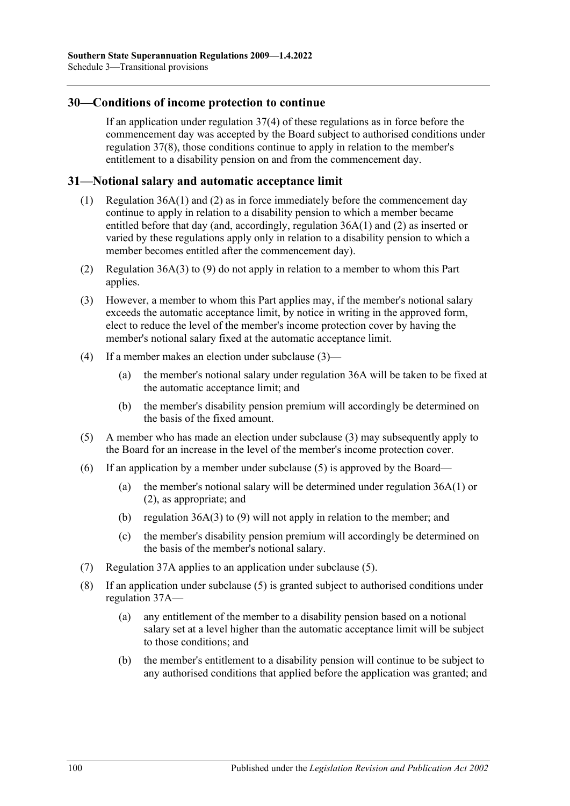### **30—Conditions of income protection to continue**

If an application under [regulation](#page-34-3) 37(4) of these regulations as in force before the commencement day was accepted by the Board subject to authorised conditions under regulation 37(8), those conditions continue to apply in relation to the member's entitlement to a disability pension on and from the commencement day.

### **31—Notional salary and automatic acceptance limit**

- (1) Regulation 36A(1) and (2) as in force immediately before the commencement day continue to apply in relation to a disability pension to which a member became entitled before that day (and, accordingly, [regulation](#page-32-0) 36A(1) and [\(2\)](#page-32-1) as inserted or varied by these regulations apply only in relation to a disability pension to which a member becomes entitled after the commencement day).
- (2) [Regulation](#page-33-0) 36A(3) to [\(9\)](#page-33-1) do not apply in relation to a member to whom this Part applies.
- <span id="page-99-0"></span>(3) However, a member to whom this Part applies may, if the member's notional salary exceeds the automatic acceptance limit, by notice in writing in the approved form, elect to reduce the level of the member's income protection cover by having the member's notional salary fixed at the automatic acceptance limit.
- (4) If a member makes an election under [subclause](#page-99-0) (3)—
	- (a) the member's notional salary under [regulation](#page-32-2) 36A will be taken to be fixed at the automatic acceptance limit; and
	- (b) the member's disability pension premium will accordingly be determined on the basis of the fixed amount.
- <span id="page-99-1"></span>(5) A member who has made an election under [subclause](#page-99-0) (3) may subsequently apply to the Board for an increase in the level of the member's income protection cover.
- (6) If an application by a member under [subclause](#page-99-1) (5) is approved by the Board—
	- (a) the member's notional salary will be determined under [regulation](#page-32-0) 36A(1) or [\(2\),](#page-32-1) as appropriate; and
	- (b) [regulation](#page-33-0) 36A(3) to [\(9\)](#page-33-1) will not apply in relation to the member; and
	- (c) the member's disability pension premium will accordingly be determined on the basis of the member's notional salary.
- (7) [Regulation](#page-34-2) 37A applies to an application under [subclause](#page-99-1) (5).
- (8) If an application under [subclause](#page-99-1) (5) is granted subject to authorised conditions under [regulation](#page-34-2) 37A—
	- (a) any entitlement of the member to a disability pension based on a notional salary set at a level higher than the automatic acceptance limit will be subject to those conditions; and
	- (b) the member's entitlement to a disability pension will continue to be subject to any authorised conditions that applied before the application was granted; and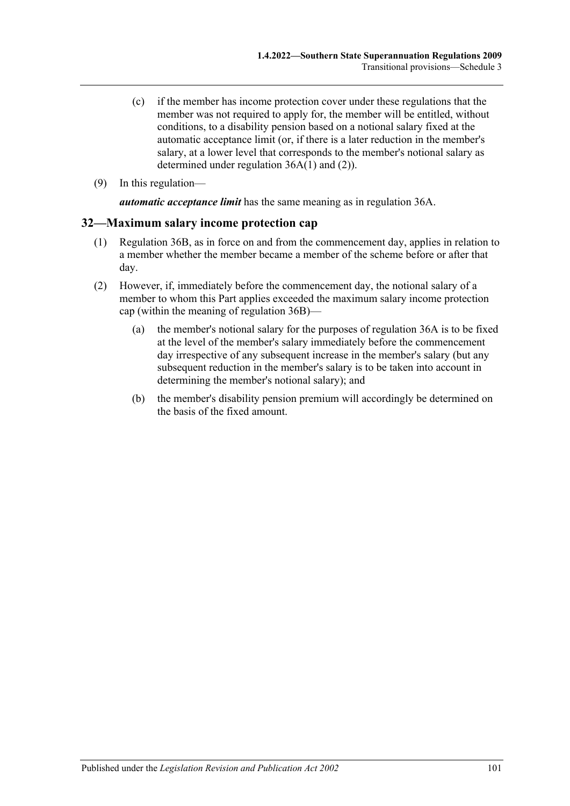- (c) if the member has income protection cover under these regulations that the member was not required to apply for, the member will be entitled, without conditions, to a disability pension based on a notional salary fixed at the automatic acceptance limit (or, if there is a later reduction in the member's salary, at a lower level that corresponds to the member's notional salary as determined under [regulation](#page-32-0) 36A(1) and [\(2\)\)](#page-32-1).
- (9) In this regulation—

*automatic acceptance limit* has the same meaning as in [regulation](#page-32-2) 36A.

### **32—Maximum salary income protection cap**

- (1) [Regulation](#page-34-4) 36B, as in force on and from the commencement day, applies in relation to a member whether the member became a member of the scheme before or after that day.
- (2) However, if, immediately before the commencement day, the notional salary of a member to whom this Part applies exceeded the maximum salary income protection cap (within the meaning of [regulation](#page-34-4) 36B)—
	- (a) the member's notional salary for the purposes of [regulation](#page-32-2) 36A is to be fixed at the level of the member's salary immediately before the commencement day irrespective of any subsequent increase in the member's salary (but any subsequent reduction in the member's salary is to be taken into account in determining the member's notional salary); and
	- (b) the member's disability pension premium will accordingly be determined on the basis of the fixed amount.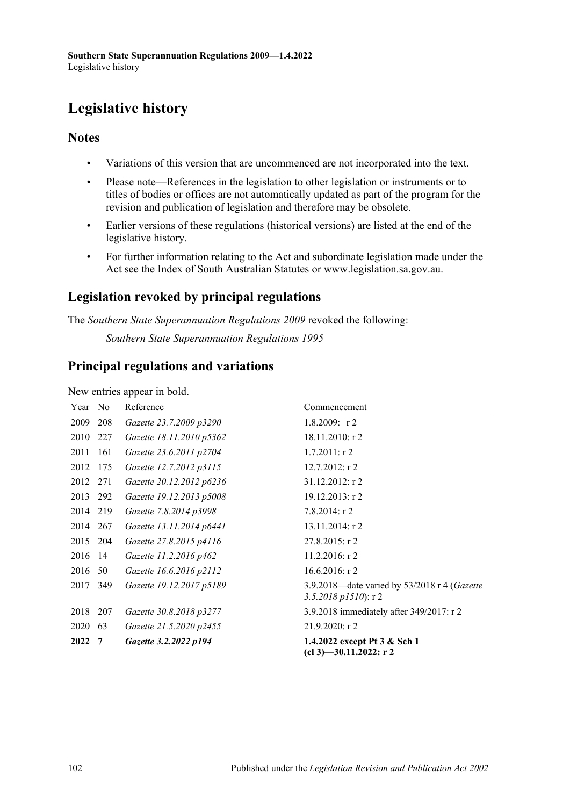# **Legislative history**

## **Notes**

- Variations of this version that are uncommenced are not incorporated into the text.
- Please note—References in the legislation to other legislation or instruments or to titles of bodies or offices are not automatically updated as part of the program for the revision and publication of legislation and therefore may be obsolete.
- Earlier versions of these regulations (historical versions) are listed at the end of the legislative history.
- For further information relating to the Act and subordinate legislation made under the Act see the Index of South Australian Statutes or www.legislation.sa.gov.au.

# **Legislation revoked by principal regulations**

The *Southern State Superannuation Regulations 2009* revoked the following:

*Southern State Superannuation Regulations 1995*

## **Principal regulations and variations**

New entries appear in bold.

| Year     | No  | Reference                | Commencement                                                              |
|----------|-----|--------------------------|---------------------------------------------------------------------------|
| 2009     | 208 | Gazette 23.7.2009 p3290  | 1.8.2009: $r2$                                                            |
| 2010     | 227 | Gazette 18.11.2010 p5362 | 18.11.2010: r 2                                                           |
| 2011     | 161 | Gazette 23.6.2011 p2704  | $1.7.2011:$ r 2                                                           |
| 2012     | 175 | Gazette 12.7.2012 p3115  | 12.7.2012: r 2                                                            |
| 2012 271 |     | Gazette 20.12.2012 p6236 | $31.12.2012$ : r 2                                                        |
| 2013 292 |     | Gazette 19.12.2013 p5008 | $19.12.2013$ : r 2                                                        |
| 2014 219 |     | Gazette 7.8.2014 p3998   | $7.8.2014$ : r 2                                                          |
| 2014     | 267 | Gazette 13.11.2014 p6441 | $13.11.2014$ : r 2                                                        |
| 2015 204 |     | Gazette 27.8.2015 p4116  | $27.8.2015$ : r 2                                                         |
| 2016     | -14 | Gazette 11.2.2016 p462   | $11.2.2016$ : r 2                                                         |
| 2016     | 50  | Gazette 16.6.2016 p2112  | 16.6.2016: r2                                                             |
| 2017     | 349 | Gazette 19.12.2017 p5189 | 3.9.2018-date varied by 53/2018 r 4 (Gazette<br>$3.5.2018$ p $1510$ : r 2 |
| 2018     | 207 | Gazette 30.8.2018 p3277  | 3.9.2018 immediately after 349/2017: r 2                                  |
| 2020     | 63  | Gazette 21.5.2020 p2455  | 21.9.2020: r 2                                                            |
| 2022     | 7   | Gazette 3.2.2022 p194    | 1.4.2022 except Pt 3 & Sch 1<br>$(cl 3)$ —30.11.2022: r 2                 |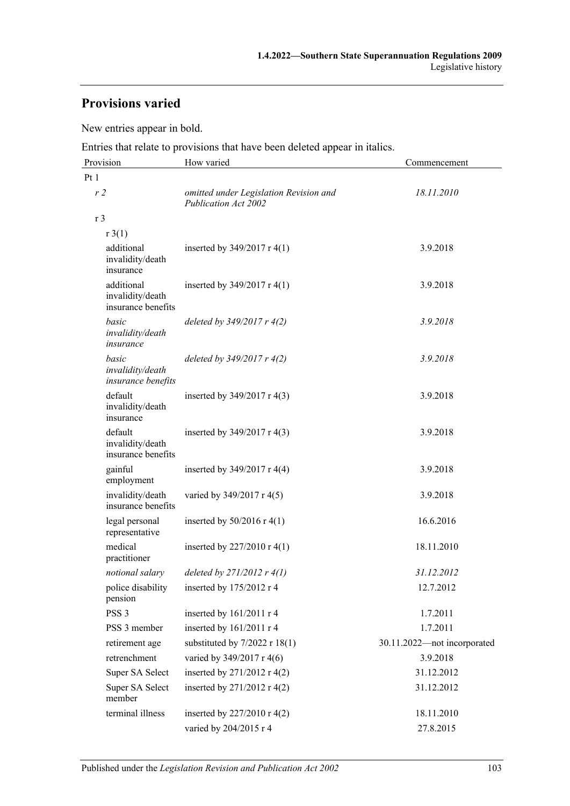# **Provisions varied**

New entries appear in bold.

Entries that relate to provisions that have been deleted appear in italics.

| Provision                                            | How varied                                                     | Commencement                |
|------------------------------------------------------|----------------------------------------------------------------|-----------------------------|
| Pt 1                                                 |                                                                |                             |
| r <sub>2</sub>                                       | omitted under Legislation Revision and<br>Publication Act 2002 | 18.11.2010                  |
| r 3                                                  |                                                                |                             |
| r3(1)                                                |                                                                |                             |
| additional<br>invalidity/death<br>insurance          | inserted by $349/2017$ r 4(1)                                  | 3.9.2018                    |
| additional<br>invalidity/death<br>insurance benefits | inserted by $349/2017$ r 4(1)                                  | 3.9.2018                    |
| basic<br>invalidity/death<br>insurance               | deleted by $349/2017r$ 4(2)                                    | 3.9.2018                    |
| basic<br>invalidity/death<br>insurance benefits      | deleted by $349/2017r$ 4(2)                                    | 3.9.2018                    |
| default<br>invalidity/death<br>insurance             | inserted by $349/2017$ r 4(3)                                  | 3.9.2018                    |
| default<br>invalidity/death<br>insurance benefits    | inserted by $349/2017$ r 4(3)                                  | 3.9.2018                    |
| gainful<br>employment                                | inserted by $349/2017$ r 4(4)                                  | 3.9.2018                    |
| invalidity/death<br>insurance benefits               | varied by 349/2017 r 4(5)                                      | 3.9.2018                    |
| legal personal<br>representative                     | inserted by $50/2016$ r 4(1)                                   | 16.6.2016                   |
| medical<br>practitioner                              | inserted by $227/2010 \text{ r } 4(1)$                         | 18.11.2010                  |
| notional salary                                      | deleted by $271/2012$ r $4(1)$                                 | 31.12.2012                  |
| police disability<br>pension                         | inserted by 175/2012 r 4                                       | 12.7.2012                   |
| PSS <sub>3</sub>                                     | inserted by $161/2011$ r 4                                     | 1.7.2011                    |
| PSS 3 member                                         | inserted by 161/2011 r 4                                       | 1.7.2011                    |
| retirement age                                       | substituted by $7/2022$ r 18(1)                                | 30.11.2022-not incorporated |
| retrenchment                                         | varied by 349/2017 r 4(6)                                      | 3.9.2018                    |
| Super SA Select                                      | inserted by $271/2012$ r 4(2)                                  | 31.12.2012                  |
| Super SA Select<br>member                            | inserted by $271/2012$ r 4(2)                                  | 31.12.2012                  |
| terminal illness                                     | inserted by $227/2010$ r 4(2)                                  | 18.11.2010                  |
|                                                      | varied by 204/2015 r 4                                         | 27.8.2015                   |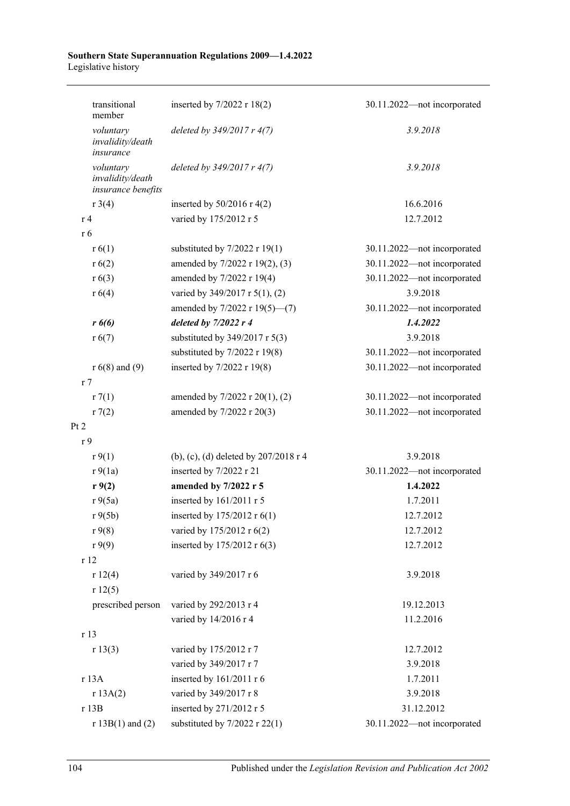#### **Southern State Superannuation Regulations 2009—1.4.2022** Legislative history

| transitional<br>member                              | inserted by $7/2022$ r $18(2)$          | 30.11.2022-not incorporated |
|-----------------------------------------------------|-----------------------------------------|-----------------------------|
| voluntary<br>invalidity/death<br>insurance          | deleted by $349/2017r$ 4(7)             | 3.9.2018                    |
| voluntary<br>invalidity/death<br>insurance benefits | deleted by $349/2017r$ 4(7)             | 3.9.2018                    |
| $r \frac{3(4)}{2}$                                  | inserted by $50/2016$ r 4(2)            | 16.6.2016                   |
| r <sub>4</sub>                                      | varied by 175/2012 r 5                  | 12.7.2012                   |
| r 6                                                 |                                         |                             |
| r(6(1))                                             | substituted by $7/2022$ r 19(1)         | 30.11.2022-not incorporated |
| r(6(2))                                             | amended by 7/2022 r 19(2), (3)          | 30.11.2022-not incorporated |
| r(6(3))                                             | amended by 7/2022 r 19(4)               | 30.11.2022-not incorporated |
| r(6(4))                                             | varied by 349/2017 r 5(1), (2)          | 3.9.2018                    |
|                                                     | amended by 7/2022 r 19(5)-(7)           | 30.11.2022-not incorporated |
| $r\ 6(6)$                                           | deleted by $7/2022r4$                   | 1.4.2022                    |
| r(6(7))                                             | substituted by $349/2017$ r $5(3)$      | 3.9.2018                    |
|                                                     | substituted by $7/2022$ r 19(8)         | 30.11.2022-not incorporated |
| $r 6(8)$ and (9)                                    | inserted by 7/2022 r 19(8)              | 30.11.2022-not incorporated |
| r <sub>7</sub>                                      |                                         |                             |
| r7(1)                                               | amended by 7/2022 r 20(1), (2)          | 30.11.2022-not incorporated |
| r(2)                                                | amended by 7/2022 r 20(3)               | 30.11.2022-not incorporated |
| Pt 2                                                |                                         |                             |
| r <sub>9</sub>                                      |                                         |                             |
| r9(1)                                               | (b), (c), (d) deleted by $207/2018$ r 4 | 3.9.2018                    |
| r9(1a)                                              | inserted by 7/2022 r 21                 | 30.11.2022-not incorporated |
| r9(2)                                               | amended by 7/2022 r 5                   | 1.4.2022                    |
| r9(5a)                                              | inserted by 161/2011 r 5                | 1.7.2011                    |
| r9(5b)                                              | inserted by $175/2012$ r $6(1)$         | 12.7.2012                   |
| r9(8)                                               | varied by 175/2012 r 6(2)               | 12.7.2012                   |
| r9(9)                                               | inserted by 175/2012 r 6(3)             | 12.7.2012                   |
| r 12                                                |                                         |                             |
| r 12(4)                                             | varied by 349/2017 r 6                  | 3.9.2018                    |
| r12(5)                                              |                                         |                             |
| prescribed person                                   | varied by 292/2013 r 4                  | 19.12.2013                  |
|                                                     | varied by 14/2016 r 4                   | 11.2.2016                   |
| r 13                                                |                                         |                             |
| r 13(3)                                             | varied by 175/2012 r 7                  | 12.7.2012                   |
|                                                     | varied by 349/2017 r 7                  | 3.9.2018                    |
| r 13A                                               | inserted by 161/2011 r 6                | 1.7.2011                    |
| r 13A(2)                                            | varied by 349/2017 r 8                  | 3.9.2018                    |
| r 13B                                               | inserted by 271/2012 r 5                | 31.12.2012                  |
| $r 13B(1)$ and (2)                                  | substituted by $7/2022$ r $22(1)$       | 30.11.2022-not incorporated |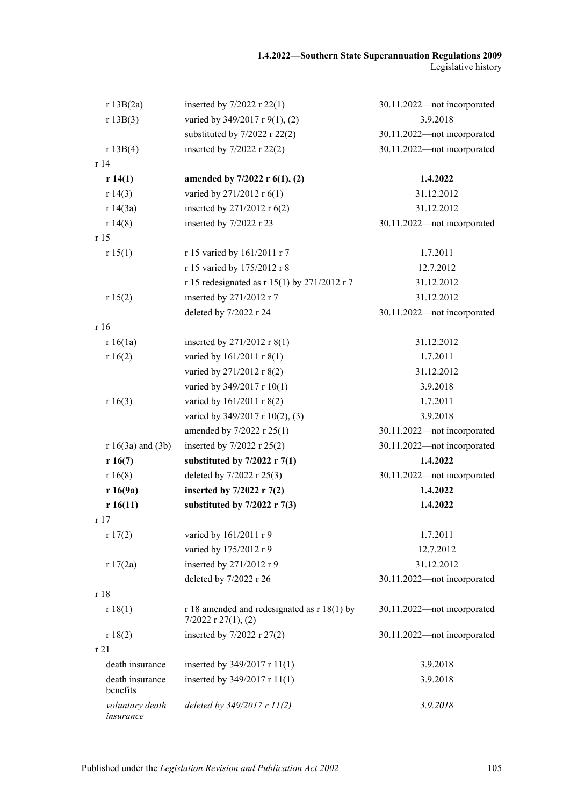| r 13B(2a)                    | inserted by $7/2022$ r $22(1)$                                            | 30.11.2022-not incorporated |
|------------------------------|---------------------------------------------------------------------------|-----------------------------|
| r 13B(3)                     | varied by 349/2017 r 9(1), (2)                                            | 3.9.2018                    |
|                              | substituted by $7/2022$ r 22(2)                                           | 30.11.2022-not incorporated |
| r 13B(4)                     | inserted by 7/2022 r 22(2)                                                | 30.11.2022-not incorporated |
| r14                          |                                                                           |                             |
| r 14(1)                      | amended by $7/2022$ r $6(1)$ , (2)                                        | 1.4.2022                    |
| r 14(3)                      | varied by 271/2012 r 6(1)                                                 | 31.12.2012                  |
| r 14(3a)                     | inserted by $271/2012$ r $6(2)$                                           | 31.12.2012                  |
| r14(8)                       | inserted by 7/2022 r 23                                                   | 30.11.2022-not incorporated |
| r 15                         |                                                                           |                             |
| r 15(1)                      | r 15 varied by 161/2011 r 7                                               | 1.7.2011                    |
|                              | r 15 varied by 175/2012 r 8                                               | 12.7.2012                   |
|                              | r 15 redesignated as r 15(1) by 271/2012 r 7                              | 31.12.2012                  |
| r 15(2)                      | inserted by 271/2012 r 7                                                  | 31.12.2012                  |
|                              | deleted by 7/2022 r 24                                                    | 30.11.2022-not incorporated |
| r 16                         |                                                                           |                             |
| r 16(1a)                     | inserted by $271/2012$ r $8(1)$                                           | 31.12.2012                  |
| r 16(2)                      | varied by 161/2011 r 8(1)                                                 | 1.7.2011                    |
|                              | varied by 271/2012 r 8(2)                                                 | 31.12.2012                  |
|                              | varied by 349/2017 r 10(1)                                                | 3.9.2018                    |
| r 16(3)                      | varied by 161/2011 r 8(2)                                                 | 1.7.2011                    |
|                              | varied by 349/2017 r 10(2), (3)                                           | 3.9.2018                    |
|                              | amended by 7/2022 r 25(1)                                                 | 30.11.2022-not incorporated |
| $r 16(3a)$ and $(3b)$        | inserted by 7/2022 r 25(2)                                                | 30.11.2022-not incorporated |
| r 16(7)                      | substituted by $7/2022$ r $7(1)$                                          | 1.4.2022                    |
| r16(8)                       | deleted by 7/2022 r 25(3)                                                 | 30.11.2022-not incorporated |
| r 16(9a)                     | inserted by $7/2022$ r $7(2)$                                             | 1.4.2022                    |
| r 16(11)                     | substituted by $7/2022$ r $7(3)$                                          | 1.4.2022                    |
| r17                          |                                                                           |                             |
| r17(2)                       | varied by 161/2011 r 9                                                    | 1.7.2011                    |
|                              | varied by 175/2012 r 9                                                    | 12.7.2012                   |
| r 17(2a)                     | inserted by 271/2012 r 9                                                  | 31.12.2012                  |
|                              | deleted by 7/2022 r 26                                                    | 30.11.2022-not incorporated |
| r 18                         |                                                                           |                             |
| r 18(1)                      | $r18$ amended and redesignated as $r18(1)$ by<br>$7/2022$ r $27(1)$ , (2) | 30.11.2022-not incorporated |
| r 18(2)                      | inserted by $7/2022$ r $27(2)$                                            | 30.11.2022-not incorporated |
| r 21                         |                                                                           |                             |
| death insurance              | inserted by 349/2017 r 11(1)                                              | 3.9.2018                    |
| death insurance<br>benefits  | inserted by 349/2017 r 11(1)                                              | 3.9.2018                    |
| voluntary death<br>insurance | deleted by $349/2017$ r $11(2)$                                           | 3.9.2018                    |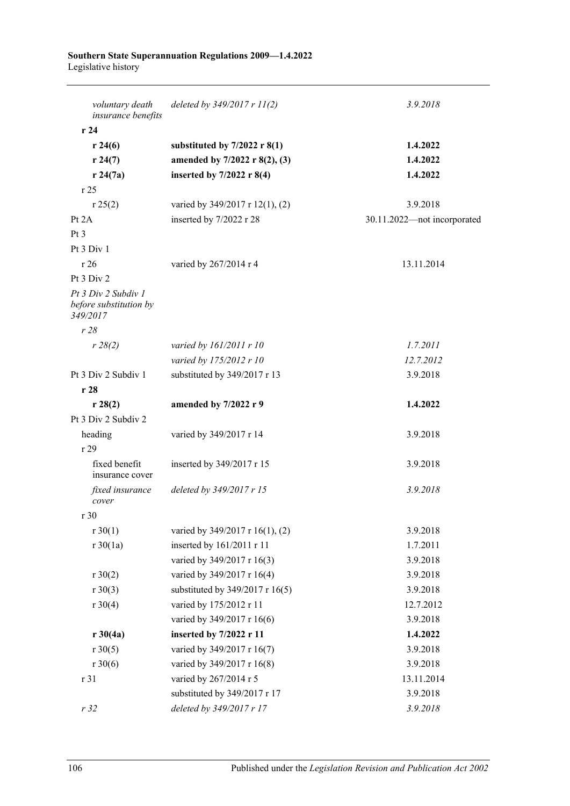#### **Southern State Superannuation Regulations 2009—1.4.2022** Legislative history

| voluntary death<br>insurance benefits                     | deleted by $349/2017$ r $11(2)$ | 3.9.2018                    |
|-----------------------------------------------------------|---------------------------------|-----------------------------|
| r24                                                       |                                 |                             |
| r 24(6)                                                   | substituted by $7/2022$ r 8(1)  | 1.4.2022                    |
| r 24(7)                                                   | amended by 7/2022 r 8(2), (3)   | 1.4.2022                    |
| r 24(7a)                                                  | inserted by $7/2022$ r 8(4)     | 1.4.2022                    |
| r25                                                       |                                 |                             |
| r 25(2)                                                   | varied by 349/2017 r 12(1), (2) | 3.9.2018                    |
| Pt $2A$                                                   | inserted by 7/2022 r 28         | 30.11.2022-not incorporated |
| Pt <sub>3</sub>                                           |                                 |                             |
| Pt 3 Div 1                                                |                                 |                             |
| r26                                                       | varied by 267/2014 r 4          | 13.11.2014                  |
| Pt 3 Div 2                                                |                                 |                             |
| Pt 3 Div 2 Subdiv 1<br>before substitution by<br>349/2017 |                                 |                             |
| r28                                                       |                                 |                             |
| r 28(2)                                                   | varied by 161/2011 r 10         | 1.7.2011                    |
|                                                           | varied by 175/2012 r 10         | 12.7.2012                   |
| Pt 3 Div 2 Subdiv 1                                       | substituted by 349/2017 r 13    | 3.9.2018                    |
| r28                                                       |                                 |                             |
| r 28(2)                                                   | amended by 7/2022 r 9           | 1.4.2022                    |
| Pt 3 Div 2 Subdiv 2                                       |                                 |                             |
| heading                                                   | varied by 349/2017 r 14         | 3.9.2018                    |
| r29                                                       |                                 |                             |
| fixed benefit<br>insurance cover                          | inserted by 349/2017 r 15       | 3.9.2018                    |
| fixed insurance<br>cover                                  | deleted by 349/2017 r 15        | 3.9.2018                    |
| r 30                                                      |                                 |                             |
| $r \ 30(1)$                                               | varied by 349/2017 r 16(1), (2) | 3.9.2018                    |
| $r \, 30(1a)$                                             | inserted by 161/2011 r 11       | 1.7.2011                    |
|                                                           | varied by 349/2017 r 16(3)      | 3.9.2018                    |
| r 30(2)                                                   | varied by 349/2017 r 16(4)      | 3.9.2018                    |
| $r \ 30(3)$                                               | substituted by 349/2017 r 16(5) | 3.9.2018                    |
| $r \ 30(4)$                                               | varied by 175/2012 r 11         | 12.7.2012                   |
|                                                           | varied by 349/2017 r 16(6)      | 3.9.2018                    |
| $r \, 30(4a)$                                             | inserted by 7/2022 r 11         | 1.4.2022                    |
| $r \ 30(5)$                                               | varied by 349/2017 r 16(7)      | 3.9.2018                    |
| $r \ 30(6)$                                               | varied by 349/2017 r 16(8)      | 3.9.2018                    |
| r 31                                                      | varied by 267/2014 r 5          | 13.11.2014                  |
|                                                           | substituted by 349/2017 r 17    | 3.9.2018                    |
| r32                                                       | deleted by 349/2017 r 17        | 3.9.2018                    |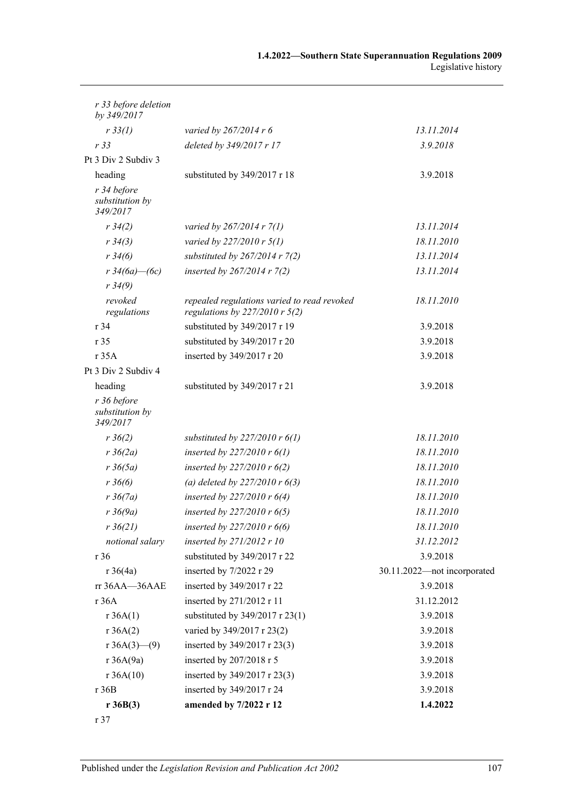| r 36B(3)                                      | amended by 7/2022 r 12                                                            | 1.4.2022                    |
|-----------------------------------------------|-----------------------------------------------------------------------------------|-----------------------------|
| r36B                                          | inserted by 349/2017 r 24                                                         | 3.9.2018                    |
| r 36A(10)                                     | inserted by 349/2017 r 23(3)                                                      | 3.9.2018                    |
| r 36A(9a)                                     | inserted by 207/2018 r 5                                                          | 3.9.2018                    |
| r $36A(3)$ (9)                                | inserted by 349/2017 r 23(3)                                                      | 3.9.2018                    |
| r 36A(2)                                      | varied by 349/2017 r 23(2)                                                        | 3.9.2018                    |
| r 36A(1)                                      | substituted by 349/2017 r 23(1)                                                   | 3.9.2018                    |
| r 36A                                         | inserted by 271/2012 r 11                                                         | 31.12.2012                  |
| rr 36AA-36AAE                                 | inserted by 349/2017 r 22                                                         | 3.9.2018                    |
| $r \frac{36}{4a}$                             | inserted by 7/2022 r 29                                                           | 30.11.2022-not incorporated |
| r 36                                          | substituted by 349/2017 r 22                                                      | 3.9.2018                    |
| notional salary                               | inserted by 271/2012 r 10                                                         | 31.12.2012                  |
| $r \frac{36}{21}$                             | inserted by $227/2010r6(6)$                                                       | 18.11.2010                  |
| $r \frac{36}{9a}$                             | inserted by $227/2010r$ 6(5)                                                      | 18.11.2010                  |
| $r \frac{36}{7a}$                             | inserted by $227/2010r6(4)$                                                       | 18.11.2010                  |
| $r \, 36(6)$                                  | (a) deleted by $227/2010r6(3)$                                                    | 18.11.2010                  |
| $r \frac{36(5a)}{2}$                          | inserted by $227/2010r6(2)$                                                       | 18.11.2010                  |
| $r \frac{36}{2a}$                             | inserted by $227/2010$ r $6(1)$                                                   | 18.11.2010                  |
| $r \frac{36}{2}$                              | substituted by $227/2010r6(1)$                                                    | 18.11.2010                  |
| r 36 before<br>substitution by<br>349/2017    |                                                                                   |                             |
| heading                                       | substituted by 349/2017 r 21                                                      | 3.9.2018                    |
| Pt 3 Div 2 Subdiv 4                           |                                                                                   |                             |
| r 35A                                         | inserted by 349/2017 r 20                                                         | 3.9.2018                    |
| r 35                                          | substituted by 349/2017 r 20                                                      | 3.9.2018                    |
| r 34                                          | substituted by 349/2017 r 19                                                      | 3.9.2018                    |
| $r \frac{34(9)}{9}$<br>revoked<br>regulations | repealed regulations varied to read revoked<br>regulations by $227/2010$ r $5(2)$ | 18.11.2010                  |
| $r \frac{34}{6a} - (6c)$                      | inserted by $267/2014 r 7(2)$                                                     | 13.11.2014                  |
| $r \frac{34}{6}$                              | substituted by $267/2014$ r $7(2)$                                                | 13.11.2014                  |
| $r \frac{34(3)}{2}$                           | varied by 227/2010 r 5(1)                                                         | 18.11.2010                  |
| $r \frac{34(2)}{2}$                           | varied by $267/2014$ r $7(1)$                                                     | 13.11.2014                  |
| r 34 before<br>substitution by<br>349/2017    |                                                                                   |                             |
| heading                                       | substituted by 349/2017 r 18                                                      | 3.9.2018                    |
| Pt 3 Div 2 Subdiv 3                           |                                                                                   |                             |
| r33                                           | deleted by 349/2017 r 17                                                          | 3.9.2018                    |
| r 33(l)                                       | varied by 267/2014 r 6                                                            | 13.11.2014                  |
| r 33 before deletion<br>by 349/2017           |                                                                                   |                             |
|                                               |                                                                                   |                             |

r 37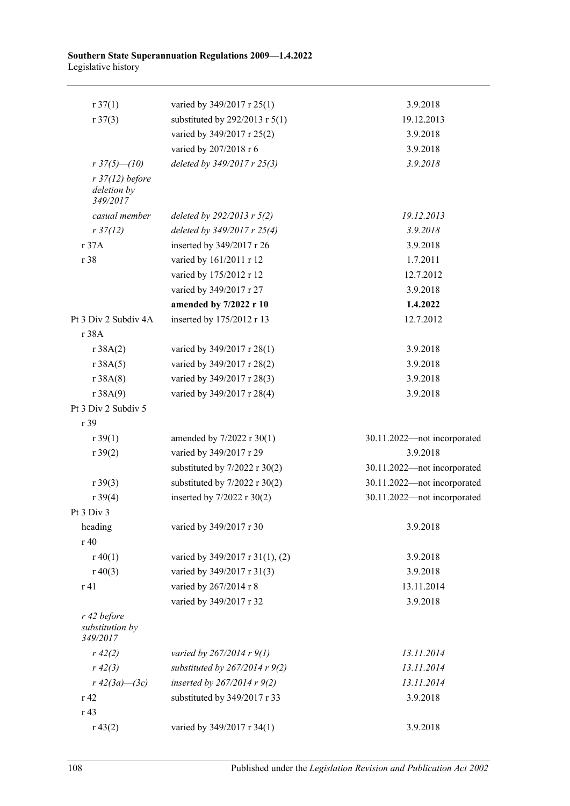#### **Southern State Superannuation Regulations 2009—1.4.2022** Legislative history

| $r \frac{37(1)}{2}$                        | varied by 349/2017 r 25(1)         | 3.9.2018                    |
|--------------------------------------------|------------------------------------|-----------------------------|
| r37(3)                                     | substituted by $292/2013$ r $5(1)$ | 19.12.2013                  |
|                                            | varied by 349/2017 r 25(2)         | 3.9.2018                    |
|                                            | varied by 207/2018 r 6             | 3.9.2018                    |
| $r37(5) - (10)$                            | deleted by 349/2017 r 25(3)        | 3.9.2018                    |
| $r$ 37(12) before                          |                                    |                             |
| deletion by<br>349/2017                    |                                    |                             |
| casual member                              | deleted by $292/2013$ r $5(2)$     | 19.12.2013                  |
| $r \frac{37}{12}$                          | deleted by 349/2017 r 25(4)        | 3.9.2018                    |
| r37A                                       | inserted by 349/2017 r 26          | 3.9.2018                    |
| r 38                                       | varied by 161/2011 r 12            | 1.7.2011                    |
|                                            | varied by 175/2012 r 12            | 12.7.2012                   |
|                                            | varied by 349/2017 r 27            | 3.9.2018                    |
|                                            | amended by 7/2022 r 10             | 1.4.2022                    |
| Pt 3 Div 2 Subdiv 4A                       | inserted by 175/2012 r 13          | 12.7.2012                   |
| r 38A                                      |                                    |                             |
| r 38A(2)                                   | varied by 349/2017 r 28(1)         | 3.9.2018                    |
| r 38A(5)                                   | varied by 349/2017 r 28(2)         | 3.9.2018                    |
| r 38A(8)                                   | varied by 349/2017 r 28(3)         | 3.9.2018                    |
| r 38A(9)                                   | varied by 349/2017 r 28(4)         | 3.9.2018                    |
| Pt 3 Div 2 Subdiv 5                        |                                    |                             |
| r 39                                       |                                    |                             |
| $r \, 39(1)$                               | amended by 7/2022 r 30(1)          | 30.11.2022-not incorporated |
| r 39(2)                                    | varied by 349/2017 r 29            | 3.9.2018                    |
|                                            | substituted by $7/2022$ r $30(2)$  | 30.11.2022-not incorporated |
| $r \, 39(3)$                               | substituted by $7/2022$ r $30(2)$  | 30.11.2022-not incorporated |
| r 39(4)                                    | inserted by 7/2022 r 30(2)         | 30.11.2022-not incorporated |
| Pt 3 Div 3                                 |                                    |                             |
| heading                                    | varied by 349/2017 r 30            | 3.9.2018                    |
| r 40                                       |                                    |                             |
| $r\ 40(1)$                                 | varied by 349/2017 r 31(1), (2)    | 3.9.2018                    |
| $r\ 40(3)$                                 | varied by 349/2017 r 31(3)         | 3.9.2018                    |
| r 41                                       | varied by 267/2014 r 8             | 13.11.2014                  |
|                                            | varied by 349/2017 r 32            | 3.9.2018                    |
| r 42 before<br>substitution by<br>349/2017 |                                    |                             |
| $r\,42(2)$                                 | varied by $267/2014 r 9(1)$        | 13.11.2014                  |
| $r\,42(3)$                                 | substituted by $267/2014$ r $9(2)$ | 13.11.2014                  |
| $r 42(3a) - (3c)$                          | inserted by $267/2014 r 9(2)$      | 13.11.2014                  |
| r 42                                       | substituted by 349/2017 r 33       | 3.9.2018                    |
| r 43                                       |                                    |                             |
| r 43(2)                                    | varied by 349/2017 r 34(1)         | 3.9.2018                    |
|                                            |                                    |                             |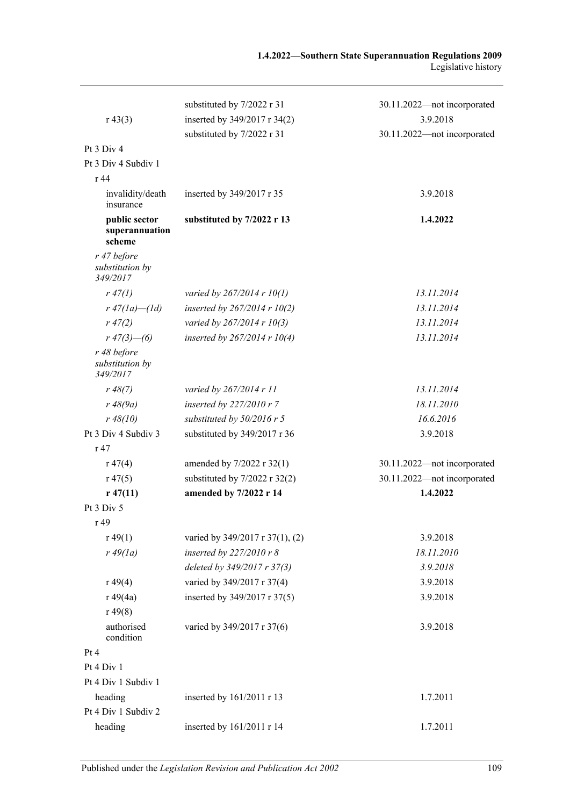|                                            | substituted by 7/2022 r 31        | 30.11.2022-not incorporated |
|--------------------------------------------|-----------------------------------|-----------------------------|
| $r\,43(3)$                                 | inserted by 349/2017 r 34(2)      | 3.9.2018                    |
|                                            | substituted by 7/2022 r 31        | 30.11.2022-not incorporated |
| Pt 3 Div 4                                 |                                   |                             |
| Pt 3 Div 4 Subdiv 1                        |                                   |                             |
| r 44                                       |                                   |                             |
| invalidity/death<br>insurance              | inserted by 349/2017 r 35         | 3.9.2018                    |
| public sector<br>superannuation<br>scheme  | substituted by 7/2022 r 13        | 1.4.2022                    |
| r 47 before<br>substitution by<br>349/2017 |                                   |                             |
| r 47(1)                                    | varied by $267/2014$ r $10(1)$    | 13.11.2014                  |
| $r 47(1a) - (1d)$                          | inserted by $267/2014$ r $10(2)$  | 13.11.2014                  |
| $r\,47(2)$                                 | varied by 267/2014 r 10(3)        | 13.11.2014                  |
| $r\,47(3)$ —(6)                            | inserted by $267/2014$ r $10(4)$  | 13.11.2014                  |
| r 48 before<br>substitution by<br>349/2017 |                                   |                             |
| r 48(7)                                    | varied by 267/2014 r 11           | 13.11.2014                  |
| $r \, 48(9a)$                              | inserted by 227/2010 r 7          | 18.11.2010                  |
| r 48(10)                                   | substituted by $50/2016$ r 5      | 16.6.2016                   |
| Pt 3 Div 4 Subdiv 3                        | substituted by 349/2017 r 36      | 3.9.2018                    |
| r 47                                       |                                   |                             |
| r 47(4)                                    | amended by 7/2022 r 32(1)         | 30.11.2022-not incorporated |
| $r\,47(5)$                                 | substituted by $7/2022$ r $32(2)$ | 30.11.2022-not incorporated |
| $r\,47(11)$                                | amended by 7/2022 r 14            | 1.4.2022                    |
| Pt 3 Div 5                                 |                                   |                             |
| r 49                                       |                                   |                             |
| r 49(1)                                    | varied by 349/2017 r 37(1), (2)   | 3.9.2018                    |
| $r\,49(1a)$                                | inserted by 227/2010 r 8          | 18.11.2010                  |
|                                            | deleted by 349/2017 r 37(3)       | 3.9.2018                    |
| r 49(4)                                    | varied by 349/2017 r 37(4)        | 3.9.2018                    |
| r 49(4a)                                   | inserted by 349/2017 r 37(5)      | 3.9.2018                    |
| r 49(8)                                    |                                   |                             |
| authorised<br>condition                    | varied by 349/2017 r 37(6)        | 3.9.2018                    |
| Pt 4                                       |                                   |                             |
| Pt 4 Div 1                                 |                                   |                             |
| Pt 4 Div 1 Subdiv 1                        |                                   |                             |
| heading                                    | inserted by 161/2011 r 13         | 1.7.2011                    |
| Pt 4 Div 1 Subdiv 2                        |                                   |                             |
| heading                                    | inserted by 161/2011 r 14         | 1.7.2011                    |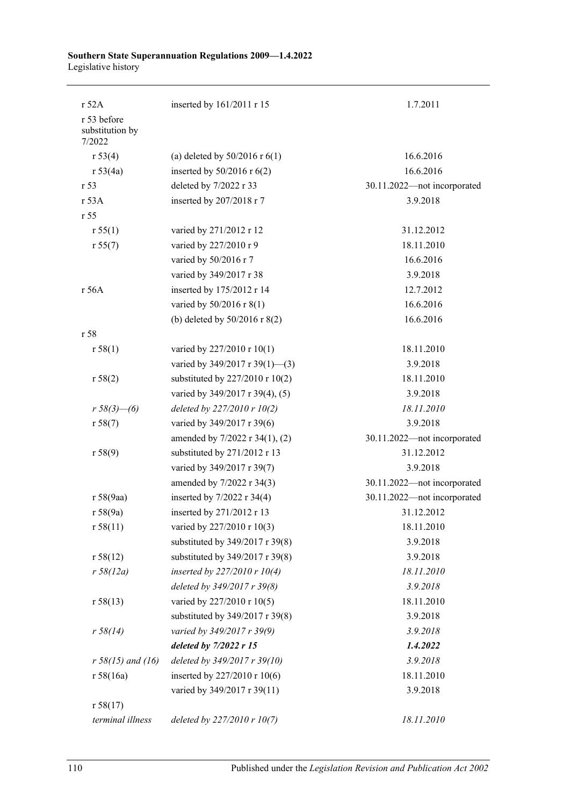#### **Southern State Superannuation Regulations 2009—1.4.2022** Legislative history

| r 52A                                    | inserted by 161/2011 r 15         | 1.7.2011                    |
|------------------------------------------|-----------------------------------|-----------------------------|
| r 53 before<br>substitution by<br>7/2022 |                                   |                             |
| r 53(4)                                  | (a) deleted by $50/2016$ r $6(1)$ | 16.6.2016                   |
| r 53(4a)                                 | inserted by $50/2016$ r $6(2)$    | 16.6.2016                   |
| r <sub>53</sub>                          | deleted by 7/2022 r 33            | 30.11.2022-not incorporated |
| r 53A                                    | inserted by 207/2018 r 7          | 3.9.2018                    |
| r 55                                     |                                   |                             |
| r 55(1)                                  | varied by 271/2012 r 12           | 31.12.2012                  |
| r 55(7)                                  | varied by 227/2010 r 9            | 18.11.2010                  |
|                                          | varied by 50/2016 r 7             | 16.6.2016                   |
|                                          | varied by 349/2017 r 38           | 3.9.2018                    |
| r 56A                                    | inserted by 175/2012 r 14         | 12.7.2012                   |
|                                          | varied by 50/2016 r 8(1)          | 16.6.2016                   |
|                                          | (b) deleted by $50/2016$ r 8(2)   | 16.6.2016                   |
| r 58                                     |                                   |                             |
| r 58(1)                                  | varied by 227/2010 r 10(1)        | 18.11.2010                  |
|                                          | varied by 349/2017 r 39(1)-(3)    | 3.9.2018                    |
| r 58(2)                                  | substituted by 227/2010 r 10(2)   | 18.11.2010                  |
|                                          | varied by 349/2017 r 39(4), (5)   | 3.9.2018                    |
| $r 58(3)$ - (6)                          | deleted by 227/2010 r 10(2)       | 18.11.2010                  |
| r 58(7)                                  | varied by 349/2017 r 39(6)        | 3.9.2018                    |
|                                          | amended by 7/2022 r 34(1), (2)    | 30.11.2022-not incorporated |
| r 58(9)                                  | substituted by 271/2012 r 13      | 31.12.2012                  |
|                                          | varied by 349/2017 r 39(7)        | 3.9.2018                    |
|                                          | amended by 7/2022 r 34(3)         | 30.11.2022-not incorporated |
| r 58(9aa)                                | inserted by $7/2022$ r 34(4)      | 30.11.2022-not incorporated |
| r 58(9a)                                 | inserted by 271/2012 r 13         | 31.12.2012                  |
| r 58(11)                                 | varied by 227/2010 r 10(3)        | 18.11.2010                  |
|                                          | substituted by 349/2017 r 39(8)   | 3.9.2018                    |
| r 58(12)                                 | substituted by 349/2017 r 39(8)   | 3.9.2018                    |
| r 58(12a)                                | inserted by $227/2010r10(4)$      | 18.11.2010                  |
|                                          | deleted by 349/2017 r 39(8)       | 3.9.2018                    |
| r 58(13)                                 | varied by 227/2010 r 10(5)        | 18.11.2010                  |
|                                          | substituted by 349/2017 r 39(8)   | 3.9.2018                    |
| r 58(14)                                 | varied by 349/2017 r 39(9)        | 3.9.2018                    |
|                                          | deleted by $7/2022$ r 15          | 1.4.2022                    |
| $r 58(15)$ and (16)                      | deleted by 349/2017 r 39(10)      | 3.9.2018                    |
| r 58(16a)                                | inserted by 227/2010 r 10(6)      | 18.11.2010                  |
|                                          | varied by 349/2017 r 39(11)       | 3.9.2018                    |
| r 58(17)                                 |                                   |                             |
| terminal illness                         | deleted by 227/2010 r 10(7)       | 18.11.2010                  |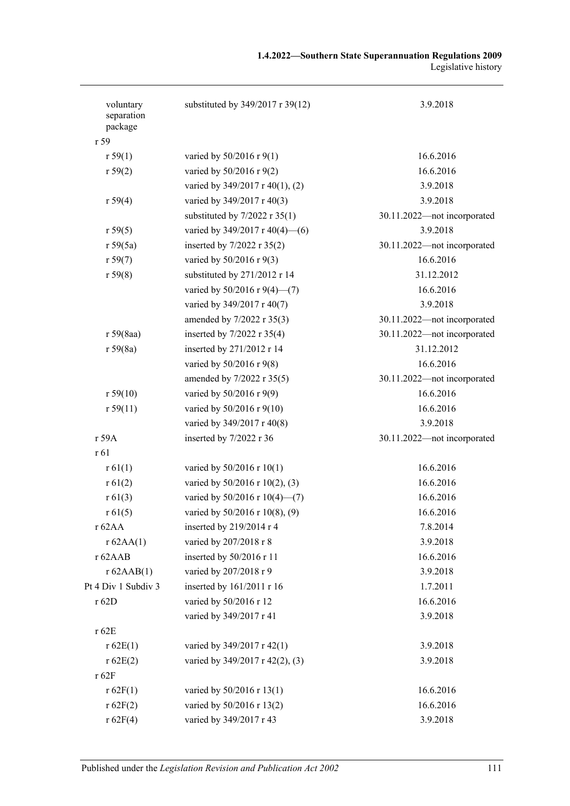| voluntary<br>separation<br>package | substituted by 349/2017 r 39(12)   | 3.9.2018                    |
|------------------------------------|------------------------------------|-----------------------------|
| r 59                               |                                    | 16.6.2016                   |
| r 59(1)                            | varied by $50/2016$ r $9(1)$       |                             |
| r 59(2)                            | varied by 50/2016 r 9(2)           | 16.6.2016                   |
|                                    | varied by 349/2017 r 40(1), (2)    | 3.9.2018                    |
| r 59(4)                            | varied by 349/2017 r 40(3)         | 3.9.2018                    |
|                                    | substituted by $7/2022$ r $35(1)$  | 30.11.2022-not incorporated |
| r 59(5)                            | varied by $349/2017$ r $40(4)$ (6) | 3.9.2018                    |
| r 59(5a)                           | inserted by 7/2022 r 35(2)         | 30.11.2022-not incorporated |
| r 59(7)                            | varied by 50/2016 r 9(3)           | 16.6.2016                   |
| r 59(8)                            | substituted by 271/2012 r 14       | 31.12.2012                  |
|                                    | varied by 50/2016 r 9(4)-(7)       | 16.6.2016                   |
|                                    | varied by 349/2017 r 40(7)         | 3.9.2018                    |
|                                    | amended by 7/2022 r 35(3)          | 30.11.2022-not incorporated |
| r 59(8aa)                          | inserted by 7/2022 r 35(4)         | 30.11.2022-not incorporated |
| r 59(8a)                           | inserted by 271/2012 r 14          | 31.12.2012                  |
|                                    | varied by 50/2016 r 9(8)           | 16.6.2016                   |
|                                    | amended by 7/2022 r 35(5)          | 30.11.2022-not incorporated |
| r 59(10)                           | varied by 50/2016 r 9(9)           | 16.6.2016                   |
| r 59(11)                           | varied by 50/2016 r 9(10)          | 16.6.2016                   |
|                                    | varied by 349/2017 r 40(8)         | 3.9.2018                    |
| r 59A                              | inserted by 7/2022 r 36            | 30.11.2022-not incorporated |
| r 61                               |                                    |                             |
| r 61(1)                            | varied by 50/2016 r 10(1)          | 16.6.2016                   |
| r 61(2)                            | varied by 50/2016 r 10(2), (3)     | 16.6.2016                   |
| r 61(3)                            | varied by $50/2016$ r $10(4)$ (7)  | 16.6.2016                   |
| r 61(5)                            | varied by 50/2016 r 10(8), (9)     | 16.6.2016                   |
| r 62AA                             | inserted by 219/2014 r 4           | 7.8.2014                    |
| r 62AA(1)                          | varied by 207/2018 r 8             | 3.9.2018                    |
| r 62AAB                            | inserted by 50/2016 r 11           | 16.6.2016                   |
| r 62AAB(1)                         | varied by 207/2018 r 9             | 3.9.2018                    |
| Pt 4 Div 1 Subdiv 3                | inserted by 161/2011 r 16          | 1.7.2011                    |
| r 62D                              | varied by 50/2016 r 12             | 16.6.2016                   |
|                                    | varied by 349/2017 r 41            | 3.9.2018                    |
| r 62E                              |                                    |                             |
| r 62E(1)                           | varied by 349/2017 r 42(1)         | 3.9.2018                    |
| r 62E(2)                           | varied by 349/2017 r 42(2), (3)    | 3.9.2018                    |
| r 62F                              |                                    |                             |
| r 62F(1)                           | varied by 50/2016 r 13(1)          | 16.6.2016                   |
| r 62F(2)                           | varied by 50/2016 r 13(2)          | 16.6.2016                   |
| r 62F(4)                           | varied by 349/2017 r 43            | 3.9.2018                    |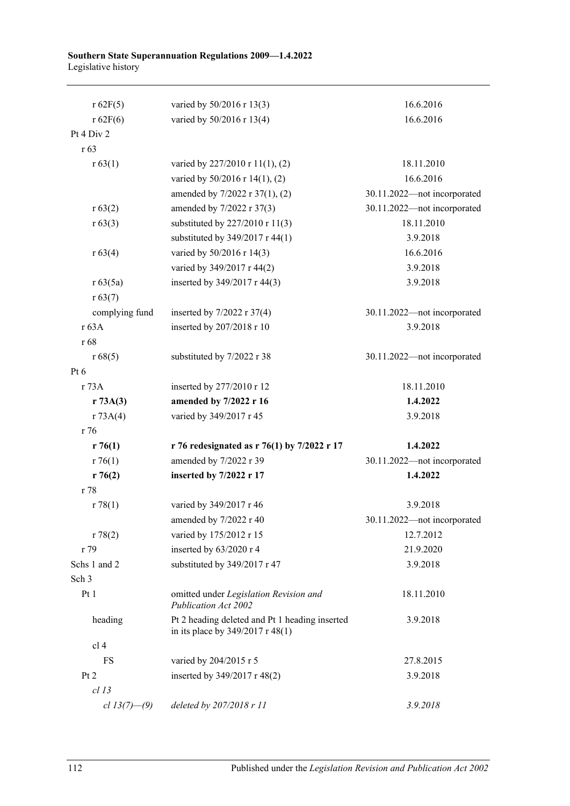#### **Southern State Superannuation Regulations 2009—1.4.2022** Legislative history

| r 62F(5)         | varied by 50/2016 r 13(3)                                                              | 16.6.2016                   |
|------------------|----------------------------------------------------------------------------------------|-----------------------------|
| r 62F(6)         | varied by 50/2016 r 13(4)                                                              | 16.6.2016                   |
| Pt 4 Div 2       |                                                                                        |                             |
| r <sub>63</sub>  |                                                                                        |                             |
| r 63(1)          | varied by 227/2010 r 11(1), (2)                                                        | 18.11.2010                  |
|                  | varied by 50/2016 r 14(1), (2)                                                         | 16.6.2016                   |
|                  | amended by 7/2022 r 37(1), (2)                                                         | 30.11.2022-not incorporated |
| r 63(2)          | amended by 7/2022 r 37(3)                                                              | 30.11.2022-not incorporated |
| r 63(3)          | substituted by $227/2010$ r $11(3)$                                                    | 18.11.2010                  |
|                  | substituted by 349/2017 r 44(1)                                                        | 3.9.2018                    |
| r 63(4)          | varied by 50/2016 r 14(3)                                                              | 16.6.2016                   |
|                  | varied by 349/2017 r 44(2)                                                             | 3.9.2018                    |
| r 63(5a)         | inserted by 349/2017 r 44(3)                                                           | 3.9.2018                    |
| r 63(7)          |                                                                                        |                             |
| complying fund   | inserted by $7/2022$ r $37(4)$                                                         | 30.11.2022-not incorporated |
| r 63A            | inserted by 207/2018 r 10                                                              | 3.9.2018                    |
| r 68             |                                                                                        |                             |
| r 68(5)          | substituted by 7/2022 r 38                                                             | 30.11.2022-not incorporated |
| $Pt\ 6$          |                                                                                        |                             |
| r 73A            | inserted by 277/2010 r 12                                                              | 18.11.2010                  |
| r 73A(3)         | amended by 7/2022 r 16                                                                 | 1.4.2022                    |
| r 73A(4)         | varied by 349/2017 r 45                                                                | 3.9.2018                    |
| r 76             |                                                                                        |                             |
| r76(1)           | r 76 redesignated as r 76(1) by 7/2022 r 17                                            | 1.4.2022                    |
| r76(1)           | amended by 7/2022 r 39                                                                 | 30.11.2022-not incorporated |
| r76(2)           | inserted by 7/2022 r 17                                                                | 1.4.2022                    |
| r 78             |                                                                                        |                             |
| r 78(1)          | varied by 349/2017 r 46                                                                | 3.9.2018                    |
|                  | amended by 7/2022 r 40                                                                 | 30.11.2022-not incorporated |
| r 78(2)          | varied by 175/2012 r 15                                                                | 12.7.2012                   |
| r 79             | inserted by 63/2020 r 4                                                                | 21.9.2020                   |
| Schs 1 and 2     | substituted by 349/2017 r 47                                                           | 3.9.2018                    |
| Sch <sub>3</sub> |                                                                                        |                             |
| Pt 1             | omitted under Legislation Revision and<br><b>Publication Act 2002</b>                  | 18.11.2010                  |
| heading          | Pt 2 heading deleted and Pt 1 heading inserted<br>in its place by $349/2017$ r $48(1)$ | 3.9.2018                    |
| cl <sub>4</sub>  |                                                                                        |                             |
| FS               | varied by 204/2015 r 5                                                                 | 27.8.2015                   |
| Pt 2             | inserted by 349/2017 r 48(2)                                                           | 3.9.2018                    |
| $cl$ 13          |                                                                                        |                             |
| cl $13(7)$ —(9)  | deleted by 207/2018 r 11                                                               | 3.9.2018                    |